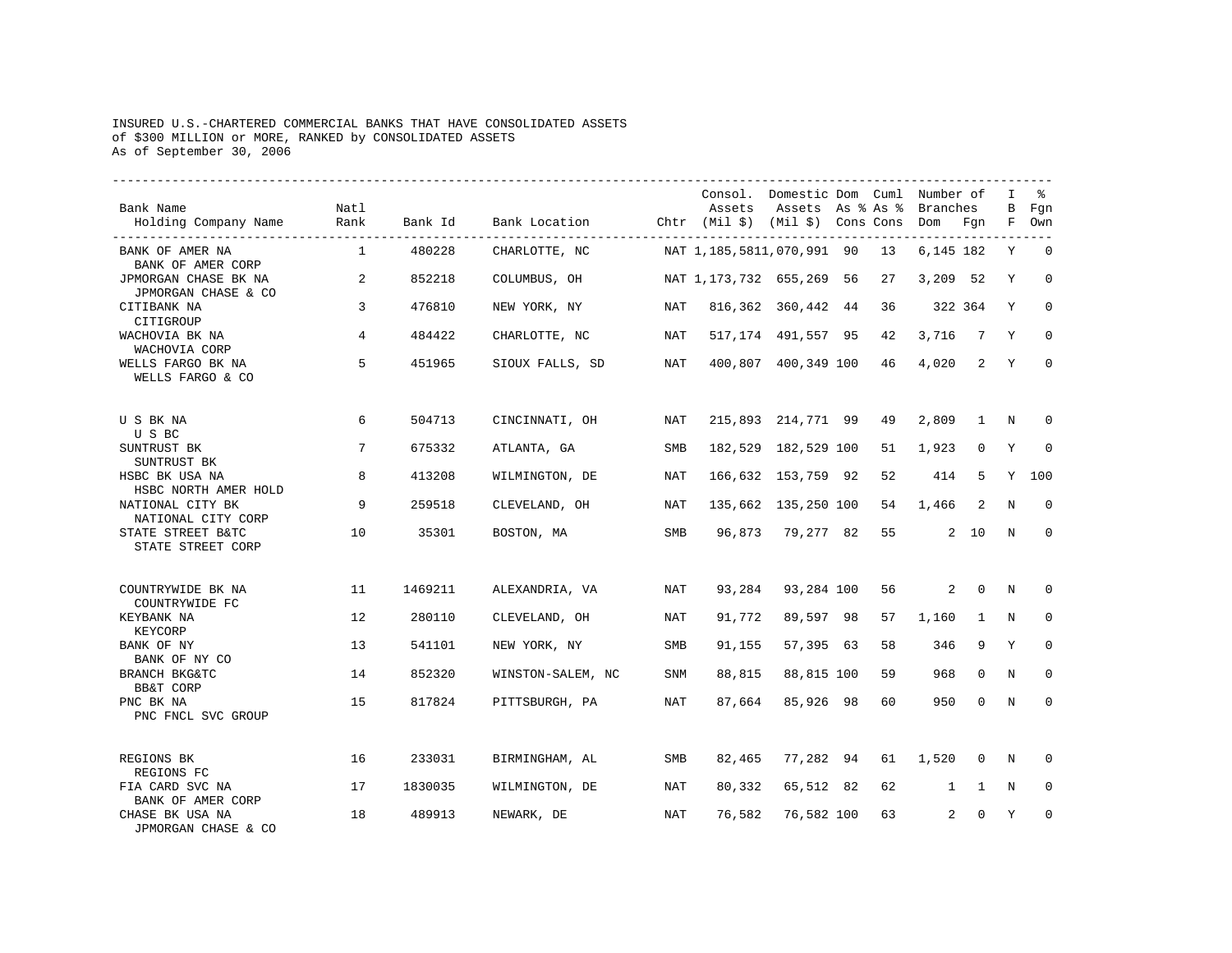## INSURED U.S.-CHARTERED COMMERCIAL BANKS THAT HAVE CONSOLIDATED ASSETS of \$300 MILLION or MORE, RANKED by CONSOLIDATED ASSETS As of September 30, 2006

| Bank Name<br>Holding Company Name           | Natl<br>Rank | Bank Id | Bank Location (htr (Mil \$) (Mil \$) Cons Cons Dom Fgn | ------------------ | Assets                        | Consol. Domestic Dom Cuml Number of<br>Assets As % As % |    | Branches       |                | I<br>В      | ዱ<br>Fgn<br>F Own |
|---------------------------------------------|--------------|---------|--------------------------------------------------------|--------------------|-------------------------------|---------------------------------------------------------|----|----------------|----------------|-------------|-------------------|
| BANK OF AMER NA<br>BANK OF AMER CORP        | $\mathbf{1}$ | 480228  | CHARLOTTE, NC                                          |                    | NAT 1, 185, 5811, 070, 991 90 |                                                         | 13 | 6,145 182      |                | Y           | $\mathbf 0$       |
| JPMORGAN CHASE BK NA<br>JPMORGAN CHASE & CO | 2            | 852218  | COLUMBUS, OH                                           |                    | NAT 1, 173, 732 655, 269 56   |                                                         | 27 | 3,209 52       |                | Y           | $\mathbf 0$       |
| CITIBANK NA<br>CITIGROUP                    | 3            | 476810  | NEW YORK, NY                                           | NAT                |                               | 816,362 360,442 44                                      | 36 | 322 364        |                | Y           | $\Omega$          |
| WACHOVIA BK NA<br>WACHOVIA CORP             | 4            | 484422  | CHARLOTTE, NC                                          | NAT                |                               | 517, 174 491, 557 95                                    | 42 | 3,716          | $\overline{7}$ | Y           | $\Omega$          |
| WELLS FARGO BK NA<br>WELLS FARGO & CO       | 5            | 451965  | SIOUX FALLS, SD                                        | NAT                |                               | 400,807 400,349 100                                     | 46 | 4,020          | $\overline{2}$ | Y           | $\Omega$          |
| U S BK NA<br>U S BC                         | 6            | 504713  | CINCINNATI, OH                                         | NAT                |                               | 215,893 214,771 99                                      | 49 | 2,809          | 1              | N           | <sup>0</sup>      |
| SUNTRUST BK<br>SUNTRUST BK                  | 7            | 675332  | ATLANTA, GA                                            | <b>SMB</b>         |                               | 182,529 182,529 100                                     | 51 | 1,923          | $\mathbf 0$    | Y           | $\mathbf 0$       |
| HSBC BK USA NA<br>HSBC NORTH AMER HOLD      | 8            | 413208  | WILMINGTON, DE                                         | NAT                |                               | 166,632 153,759 92                                      | 52 | 414            | 5              | Y           | 100               |
| NATIONAL CITY BK<br>NATIONAL CITY CORP      | 9            | 259518  | CLEVELAND, OH                                          | NAT                |                               | 135,662 135,250 100                                     | 54 | 1,466          | 2              | N           | $\Omega$          |
| STATE STREET B&TC<br>STATE STREET CORP      | 10           | 35301   | BOSTON, MA                                             | SMB                |                               | 96,873 79,277 82                                        | 55 |                | $2 \quad 10$   | N           | $\Omega$          |
| COUNTRYWIDE BK NA                           | 11           | 1469211 | ALEXANDRIA, VA                                         | NAT                | 93,284                        | 93,284 100                                              | 56 |                | $2 \quad 0$    | $\mathbf N$ | 0                 |
| COUNTRYWIDE FC<br>KEYBANK NA<br>KEYCORP     | 12           | 280110  | CLEVELAND, OH                                          | NAT                | 91,772                        | 89,597 98                                               | 57 | 1,160          | 1              | N           | $\Omega$          |
| BANK OF NY<br>BANK OF NY CO                 | 13           | 541101  | NEW YORK, NY                                           | SMB                | 91,155                        | 57,395 63                                               | 58 | 346            | 9              | Y           | $\Omega$          |
| BRANCH BKG&TC<br>BB&T CORP                  | 14           | 852320  | WINSTON-SALEM, NC                                      | SNM                | 88,815                        | 88,815 100                                              | 59 | 968            | 0              | N           | $\mathbf 0$       |
| PNC BK NA<br>PNC FNCL SVC GROUP             | 15           | 817824  | PITTSBURGH, PA                                         | NAT                | 87,664                        | 85,926 98                                               | 60 | 950            | $\mathbf{0}$   | $\mathbf N$ | $\mathbf 0$       |
| REGIONS BK<br>REGIONS FC                    | 16           | 233031  | BIRMINGHAM, AL                                         | SMB                |                               | 82,465 77,282 94                                        | 61 | 1,520          | 0              | N           | $\Omega$          |
| FIA CARD SVC NA<br>BANK OF AMER CORP        | 17           | 1830035 | WILMINGTON, DE                                         | NAT                | 80,332                        | 65,512 82                                               | 62 | $\mathbf{1}$   | 1              | N           | 0                 |
| CHASE BK USA NA<br>JPMORGAN CHASE & CO      | 18           | 489913  | NEWARK, DE                                             | NAT                | 76,582                        | 76,582 100                                              | 63 | $\overline{2}$ | $\Omega$       | Y           | $\Omega$          |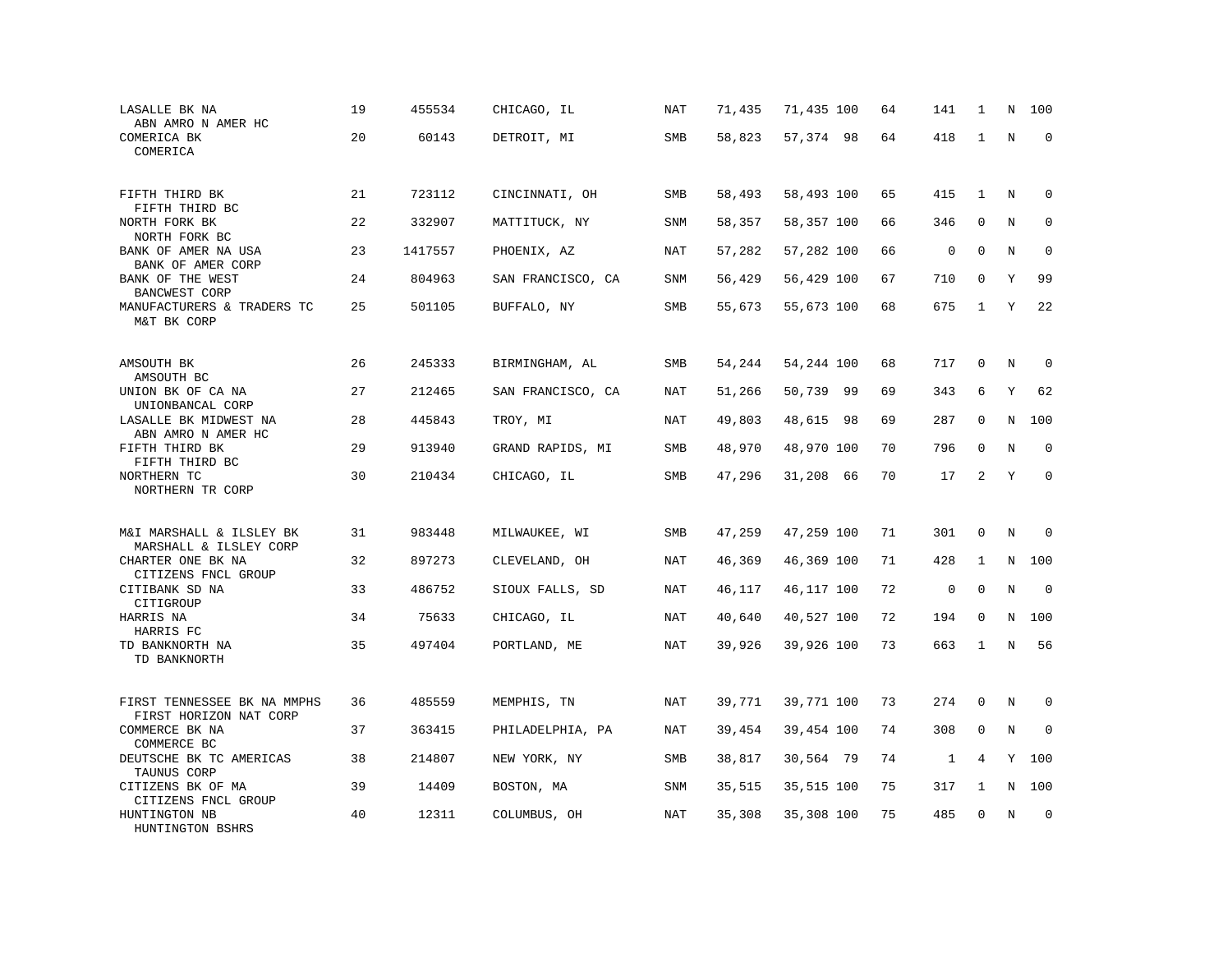| LASALLE BK NA<br>ABN AMRO N AMER HC                                | 19 | 455534  | CHICAGO, IL       | NAT        | 71,435 | 71,435 100 | 64 | 141         | 1            | N       | 100         |
|--------------------------------------------------------------------|----|---------|-------------------|------------|--------|------------|----|-------------|--------------|---------|-------------|
| COMERICA BK<br>COMERICA                                            | 20 | 60143   | DETROIT, MI       | SMB        | 58,823 | 57,374 98  | 64 | 418         | 1            | $\rm N$ | $\mathbf 0$ |
| FIFTH THIRD BK<br>FIFTH THIRD BC                                   | 21 | 723112  | CINCINNATI, OH    | SMB        | 58,493 | 58,493 100 | 65 | 415         | $\mathbf{1}$ | N       | 0           |
| NORTH FORK BK<br>NORTH FORK BC                                     | 22 | 332907  | MATTITUCK, NY     | <b>SNM</b> | 58,357 | 58,357 100 | 66 | 346         | $\mathbf 0$  | N       | $\mathbf 0$ |
| BANK OF AMER NA USA<br>BANK OF AMER CORP                           | 23 | 1417557 | PHOENIX, AZ       | NAT        | 57,282 | 57,282 100 | 66 | $\mathbf 0$ | $\Omega$     | N       | $\mathbf 0$ |
| BANK OF THE WEST<br><b>BANCWEST CORP</b>                           | 24 | 804963  | SAN FRANCISCO, CA | SNM        | 56,429 | 56,429 100 | 67 | 710         | $\mathbf 0$  | Υ       | 99          |
| MANUFACTURERS & TRADERS TC<br>M&T BK CORP                          | 25 | 501105  | BUFFALO, NY       | SMB        | 55,673 | 55,673 100 | 68 | 675         | $\mathbf{1}$ | Y       | 22          |
| AMSOUTH BK<br>AMSOUTH BC                                           | 26 | 245333  | BIRMINGHAM, AL    | SMB        | 54,244 | 54,244 100 | 68 | 717         | $\mathbf 0$  | N       | 0           |
| UNION BK OF CA NA<br>UNIONBANCAL CORP                              | 27 | 212465  | SAN FRANCISCO, CA | <b>NAT</b> | 51,266 | 50,739 99  | 69 | 343         | 6            | Y       | 62          |
| LASALLE BK MIDWEST NA<br>ABN AMRO N AMER HC                        | 28 | 445843  | TROY, MI          | NAT        | 49,803 | 48,615 98  | 69 | 287         | $\mathbf 0$  | N       | 100         |
| FIFTH THIRD BK<br>FIFTH THIRD BC                                   | 29 | 913940  | GRAND RAPIDS, MI  | SMB        | 48,970 | 48,970 100 | 70 | 796         | $\mathbf 0$  | N       | $\Omega$    |
| NORTHERN TC<br>NORTHERN TR CORP                                    | 30 | 210434  | CHICAGO, IL       | SMB        | 47,296 | 31,208 66  | 70 | 17          | 2            | Y       | $\mathbf 0$ |
| M&I MARSHALL & ILSLEY BK                                           | 31 | 983448  | MILWAUKEE, WI     | SMB        | 47,259 | 47,259 100 | 71 | 301         | $\mathbf 0$  | N       | 0           |
| MARSHALL & ILSLEY CORP<br>CHARTER ONE BK NA<br>CITIZENS FNCL GROUP | 32 | 897273  | CLEVELAND, OH     | <b>NAT</b> | 46,369 | 46,369 100 | 71 | 428         | 1            | N       | 100         |
| CITIBANK SD NA<br>CITIGROUP                                        | 33 | 486752  | SIOUX FALLS, SD   | NAT        | 46,117 | 46,117 100 | 72 | $\mathsf 0$ | $\mathbf 0$  | N       | $\mathbf 0$ |
| HARRIS NA<br>HARRIS FC                                             | 34 | 75633   | CHICAGO, IL       | NAT        | 40,640 | 40,527 100 | 72 | 194         | 0            | N       | 100         |
| TD BANKNORTH NA<br>TD BANKNORTH                                    | 35 | 497404  | PORTLAND, ME      | <b>NAT</b> | 39,926 | 39,926 100 | 73 | 663         | $\mathbf{1}$ | $\rm N$ | 56          |
| FIRST TENNESSEE BK NA MMPHS<br>FIRST HORIZON NAT CORP              | 36 | 485559  | MEMPHIS, TN       | <b>NAT</b> | 39,771 | 39,771 100 | 73 | 274         | $\mathbf 0$  | N       | $\mathbf 0$ |
| COMMERCE BK NA<br>COMMERCE BC                                      | 37 | 363415  | PHILADELPHIA, PA  | <b>NAT</b> | 39,454 | 39,454 100 | 74 | 308         | $\mathbf 0$  | N       | $\mathbf 0$ |
| DEUTSCHE BK TC AMERICAS<br>TAUNUS CORP                             | 38 | 214807  | NEW YORK, NY      | SMB        | 38,817 | 30,564 79  | 74 | 1           | 4            | Y       | 100         |
| CITIZENS BK OF MA<br>CITIZENS FNCL GROUP                           | 39 | 14409   | BOSTON, MA        | <b>SNM</b> | 35,515 | 35,515 100 | 75 | 317         | 1            | N       | 100         |
| HUNTINGTON NB<br>HUNTINGTON BSHRS                                  | 40 | 12311   | COLUMBUS, OH      | NAT        | 35,308 | 35,308 100 | 75 | 485         | $\Omega$     | N       | $\mathbf 0$ |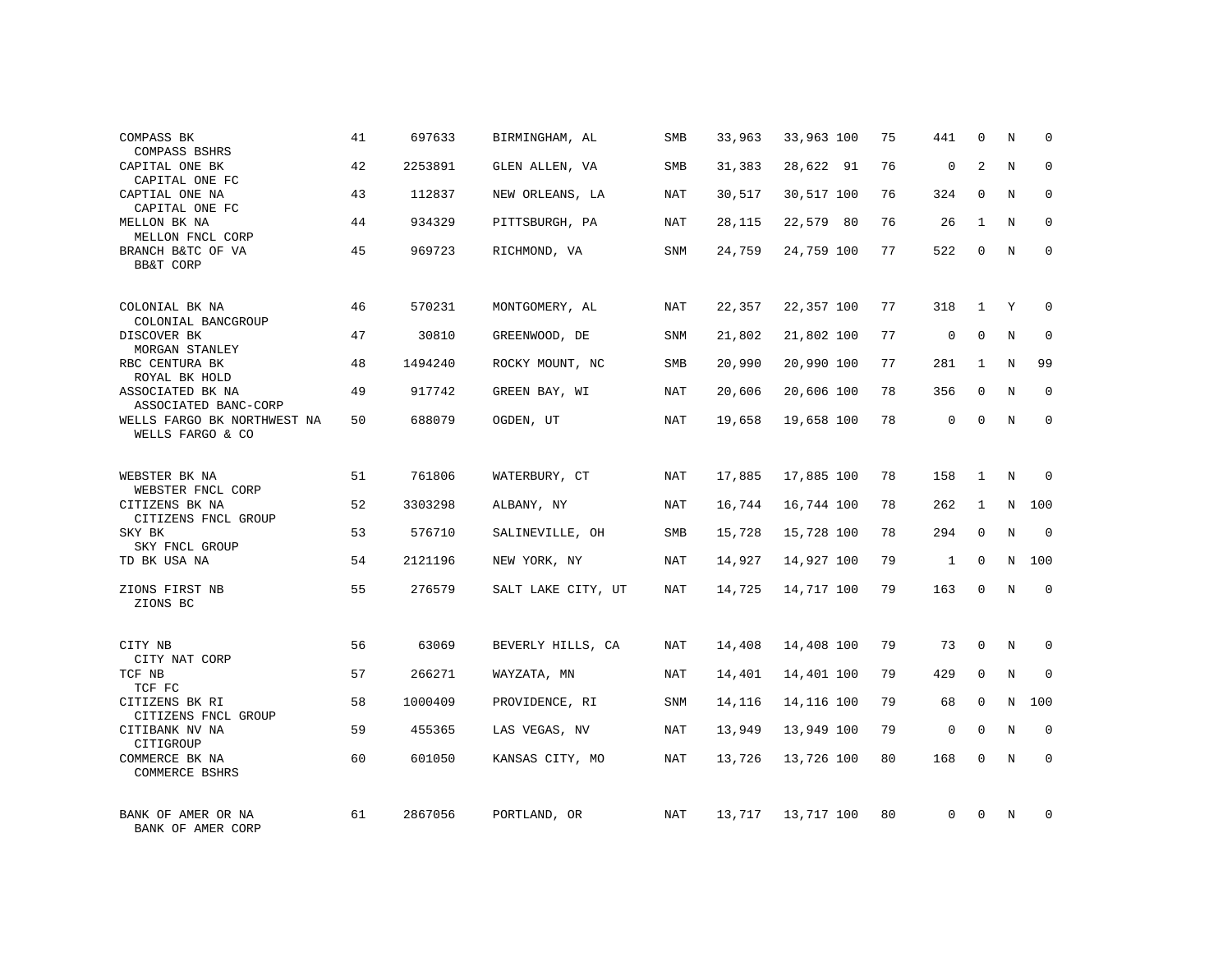| COMPASS BK<br>COMPASS BSHRS                                   | 41 | 697633  | BIRMINGHAM, AL     | SMB        | 33,963 | 33,963 100 | 75 | 441          | 0            | Ν       | $\mathbf 0$  |
|---------------------------------------------------------------|----|---------|--------------------|------------|--------|------------|----|--------------|--------------|---------|--------------|
| CAPITAL ONE BK<br>CAPITAL ONE FC                              | 42 | 2253891 | GLEN ALLEN, VA     | <b>SMB</b> | 31,383 | 28,622 91  | 76 | $\mathbf 0$  | 2            | N       | $\mathbf 0$  |
| CAPTIAL ONE NA<br>CAPITAL ONE FC                              | 43 | 112837  | NEW ORLEANS, LA    | NAT        | 30,517 | 30,517 100 | 76 | 324          | $\Omega$     | N       | $\mathbf 0$  |
| MELLON BK NA                                                  | 44 | 934329  | PITTSBURGH, PA     | NAT        | 28,115 | 22,579 80  | 76 | 26           | $\mathbf{1}$ | N       | 0            |
| MELLON FNCL CORP<br>BRANCH B&TC OF VA<br><b>BB&amp;T CORP</b> | 45 | 969723  | RICHMOND, VA       | <b>SNM</b> | 24,759 | 24,759 100 | 77 | 522          | $\mathbf 0$  | N       | $\mathbf{0}$ |
| COLONIAL BK NA                                                | 46 | 570231  | MONTGOMERY, AL     | NAT        | 22,357 | 22,357 100 | 77 | 318          | $\mathbf{1}$ | Y       | $\mathbf 0$  |
| COLONIAL BANCGROUP<br>DISCOVER BK<br>MORGAN STANLEY           | 47 | 30810   | GREENWOOD, DE      | <b>SNM</b> | 21,802 | 21,802 100 | 77 | $\mathbf{0}$ | $\mathbf 0$  | $\rm N$ | $\mathbf 0$  |
| RBC CENTURA BK<br>ROYAL BK HOLD                               | 48 | 1494240 | ROCKY MOUNT, NC    | SMB        | 20,990 | 20,990 100 | 77 | 281          | $\mathbf{1}$ | N       | 99           |
| ASSOCIATED BK NA<br>ASSOCIATED BANC-CORP                      | 49 | 917742  | GREEN BAY, WI      | NAT        | 20,606 | 20,606 100 | 78 | 356          | $\mathbf 0$  | N       | $\mathbf 0$  |
| WELLS FARGO BK NORTHWEST NA<br>WELLS FARGO & CO               | 50 | 688079  | OGDEN, UT          | NAT        | 19,658 | 19,658 100 | 78 | $\mathbf 0$  | $\mathbf 0$  | N       | $\mathbf 0$  |
| WEBSTER BK NA<br>WEBSTER FNCL CORP                            | 51 | 761806  | WATERBURY, CT      | NAT        | 17,885 | 17,885 100 | 78 | 158          | $\mathbf{1}$ | N       | $\Omega$     |
| CITIZENS BK NA<br>CITIZENS FNCL GROUP                         | 52 | 3303298 | ALBANY, NY         | NAT        | 16,744 | 16,744 100 | 78 | 262          | 1            | N       | 100          |
| SKY BK<br>SKY FNCL GROUP                                      | 53 | 576710  | SALINEVILLE, OH    | SMB        | 15,728 | 15,728 100 | 78 | 294          | $\mathbf 0$  | N       | $\mathbf 0$  |
| TD BK USA NA                                                  | 54 | 2121196 | NEW YORK, NY       | NAT        | 14,927 | 14,927 100 | 79 | 1            | $\mathbf 0$  | N       | 100          |
| ZIONS FIRST NB<br>ZIONS BC                                    | 55 | 276579  | SALT LAKE CITY, UT | NAT        | 14,725 | 14,717 100 | 79 | 163          | $\Omega$     | N       | $\mathbf 0$  |
| CITY NB<br>CITY NAT CORP                                      | 56 | 63069   | BEVERLY HILLS, CA  | NAT        | 14,408 | 14,408 100 | 79 | 73           | $\mathbf 0$  | N       | 0            |
| TCF NB<br>TCF FC                                              | 57 | 266271  | WAYZATA, MN        | NAT        | 14,401 | 14,401 100 | 79 | 429          | $\mathbf{0}$ | N       | $\mathbf 0$  |
| CITIZENS BK RI<br>CITIZENS FNCL GROUP                         | 58 | 1000409 | PROVIDENCE, RI     | SNM        | 14,116 | 14,116 100 | 79 | 68           | $\mathbf 0$  | N       | 100          |
| CITIBANK NV NA<br>CITIGROUP                                   | 59 | 455365  | LAS VEGAS, NV      | NAT        | 13,949 | 13,949 100 | 79 | $\mathsf 0$  | $\mathbf 0$  | N       | $\mathbf 0$  |
| COMMERCE BK NA<br>COMMERCE BSHRS                              | 60 | 601050  | KANSAS CITY, MO    | NAT        | 13,726 | 13,726 100 | 80 | 168          | $\Omega$     | N       | $\mathbf 0$  |
| BANK OF AMER OR NA<br>BANK OF AMER CORP                       | 61 | 2867056 | PORTLAND, OR       | NAT        | 13,717 | 13,717 100 | 80 | $\Omega$     | $\Omega$     | N       | $\mathbf 0$  |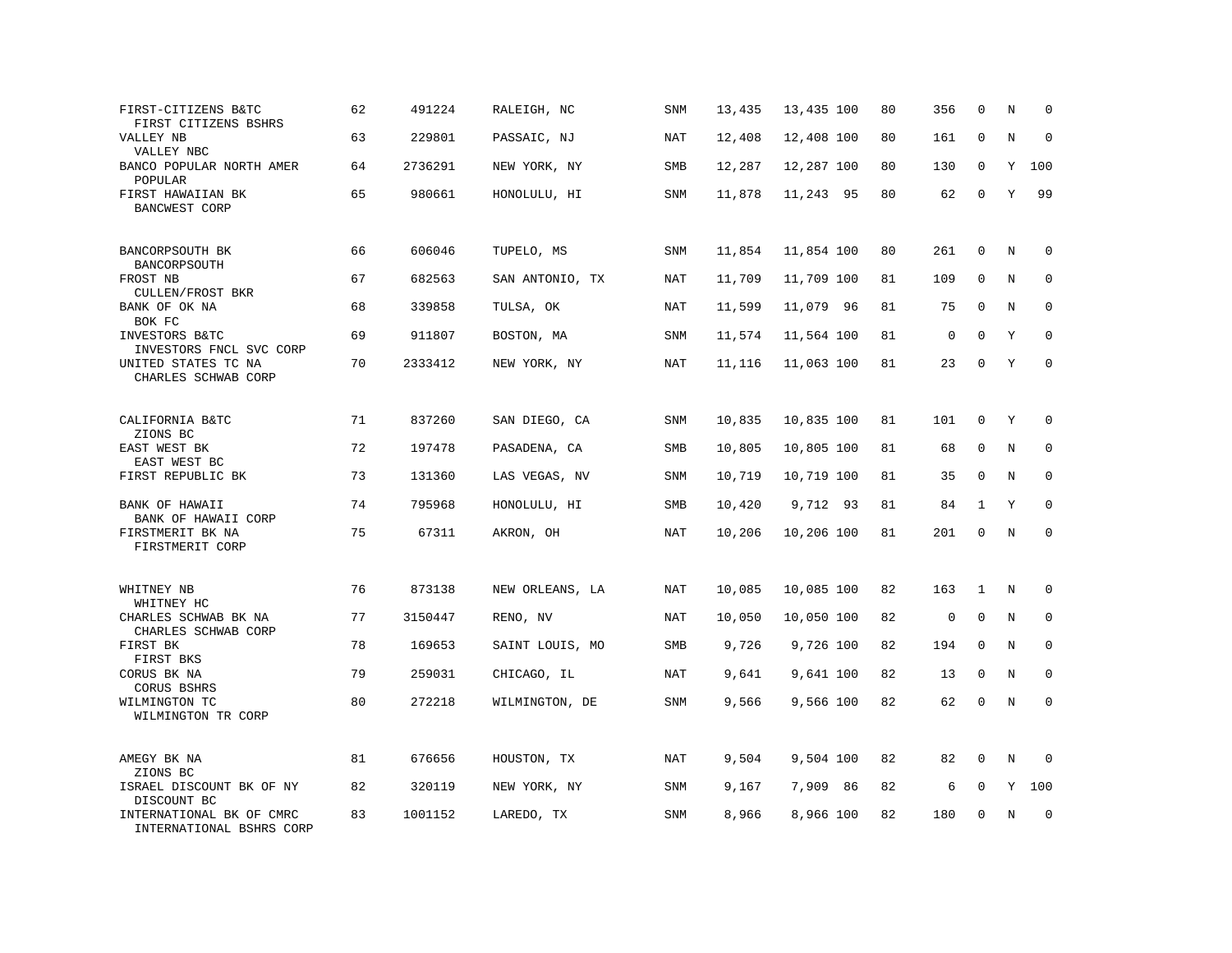| FIRST-CITIZENS B&TC<br>FIRST CITIZENS BSHRS               | 62 | 491224  | RALEIGH, NC     | <b>SNM</b> | 13,435 | 13,435 100 | 80 | 356         | $\mathbf 0$  | N       | $\mathbf 0$  |
|-----------------------------------------------------------|----|---------|-----------------|------------|--------|------------|----|-------------|--------------|---------|--------------|
| VALLEY NB<br>VALLEY NBC                                   | 63 | 229801  | PASSAIC, NJ     | <b>NAT</b> | 12,408 | 12,408 100 | 80 | 161         | $\mathbf 0$  | $\rm N$ | $\mathbf 0$  |
| BANCO POPULAR NORTH AMER<br>POPULAR                       | 64 | 2736291 | NEW YORK, NY    | SMB        | 12,287 | 12,287 100 | 80 | 130         | 0            | Y       | 100          |
| FIRST HAWAIIAN BK<br><b>BANCWEST CORP</b>                 | 65 | 980661  | HONOLULU, HI    | <b>SNM</b> | 11,878 | 11,243 95  | 80 | 62          | $\mathbf 0$  | Y       | 99           |
| BANCORPSOUTH BK<br>BANCORPSOUTH                           | 66 | 606046  | TUPELO, MS      | <b>SNM</b> | 11,854 | 11,854 100 | 80 | 261         | $\mathbf{0}$ | Ν       | 0            |
| FROST NB<br>CULLEN/FROST BKR                              | 67 | 682563  | SAN ANTONIO, TX | NAT        | 11,709 | 11,709 100 | 81 | 109         | 0            | N       | $\mathbf 0$  |
| BANK OF OK NA<br>BOK FC                                   | 68 | 339858  | TULSA, OK       | <b>NAT</b> | 11,599 | 11,079 96  | 81 | 75          | $\mathbf 0$  | N       | $\mathbf 0$  |
| INVESTORS B&TC<br>INVESTORS FNCL SVC CORP                 | 69 | 911807  | BOSTON, MA      | <b>SNM</b> | 11,574 | 11,564 100 | 81 | 0           | $\Omega$     | Υ       | $\mathbf 0$  |
| UNITED STATES TC NA<br>CHARLES SCHWAB CORP                | 70 | 2333412 | NEW YORK, NY    | NAT        | 11,116 | 11,063 100 | 81 | 23          | $\Omega$     | Y       | $\Omega$     |
| CALIFORNIA B&TC<br>ZIONS BC                               | 71 | 837260  | SAN DIEGO, CA   | SNM        | 10,835 | 10,835 100 | 81 | 101         | 0            | Y       | 0            |
| EAST WEST BK<br>EAST WEST BC                              | 72 | 197478  | PASADENA, CA    | SMB        | 10,805 | 10,805 100 | 81 | 68          | $\mathbf 0$  | N       | $\mathbf 0$  |
| FIRST REPUBLIC BK                                         | 73 | 131360  | LAS VEGAS, NV   | <b>SNM</b> | 10,719 | 10,719 100 | 81 | 35          | $\mathbf 0$  | N       | $\mathbf 0$  |
| BANK OF HAWAII<br>BANK OF HAWAII CORP                     | 74 | 795968  | HONOLULU, HI    | SMB        | 10,420 | 9,712 93   | 81 | 84          | 1            | Y       | $\Omega$     |
| FIRSTMERIT BK NA<br>FIRSTMERIT CORP                       | 75 | 67311   | AKRON, OH       | <b>NAT</b> | 10,206 | 10,206 100 | 81 | 201         | $\mathbf 0$  | N       | $\mathbf 0$  |
| WHITNEY NB                                                | 76 | 873138  | NEW ORLEANS, LA | NAT        | 10,085 | 10,085 100 | 82 | 163         | $\mathbf{1}$ | N       | 0            |
| WHITNEY HC<br>CHARLES SCHWAB BK NA<br>CHARLES SCHWAB CORP | 77 | 3150447 | RENO, NV        | <b>NAT</b> | 10,050 | 10,050 100 | 82 | $\mathbf 0$ | $\mathbf 0$  | N       | $\mathbf{0}$ |
| FIRST BK<br>FIRST BKS                                     | 78 | 169653  | SAINT LOUIS, MO | SMB        | 9,726  | 9,726 100  | 82 | 194         | 0            | N       | 0            |
| CORUS BK NA<br>CORUS BSHRS                                | 79 | 259031  | CHICAGO, IL     | <b>NAT</b> | 9,641  | 9,641 100  | 82 | 13          | $\mathbf 0$  | N       | $\mathbf 0$  |
| WILMINGTON TC<br>WILMINGTON TR CORP                       | 80 | 272218  | WILMINGTON, DE  | SNM        | 9,566  | 9,566 100  | 82 | 62          | $\mathbf 0$  | N       | $\mathbf 0$  |
| AMEGY BK NA<br>ZIONS BC                                   | 81 | 676656  | HOUSTON, TX     | NAT        | 9,504  | 9,504 100  | 82 | 82          | 0            | N       | $\Omega$     |
| ISRAEL DISCOUNT BK OF NY<br>DISCOUNT BC                   | 82 | 320119  | NEW YORK, NY    | <b>SNM</b> | 9,167  | 7,909 86   | 82 | 6           | 0            | Υ       | 100          |
| INTERNATIONAL BK OF CMRC<br>INTERNATIONAL BSHRS CORP      | 83 | 1001152 | LAREDO, TX      | <b>SNM</b> | 8,966  | 8,966 100  | 82 | 180         | $\mathbf 0$  | N       | $\mathbf 0$  |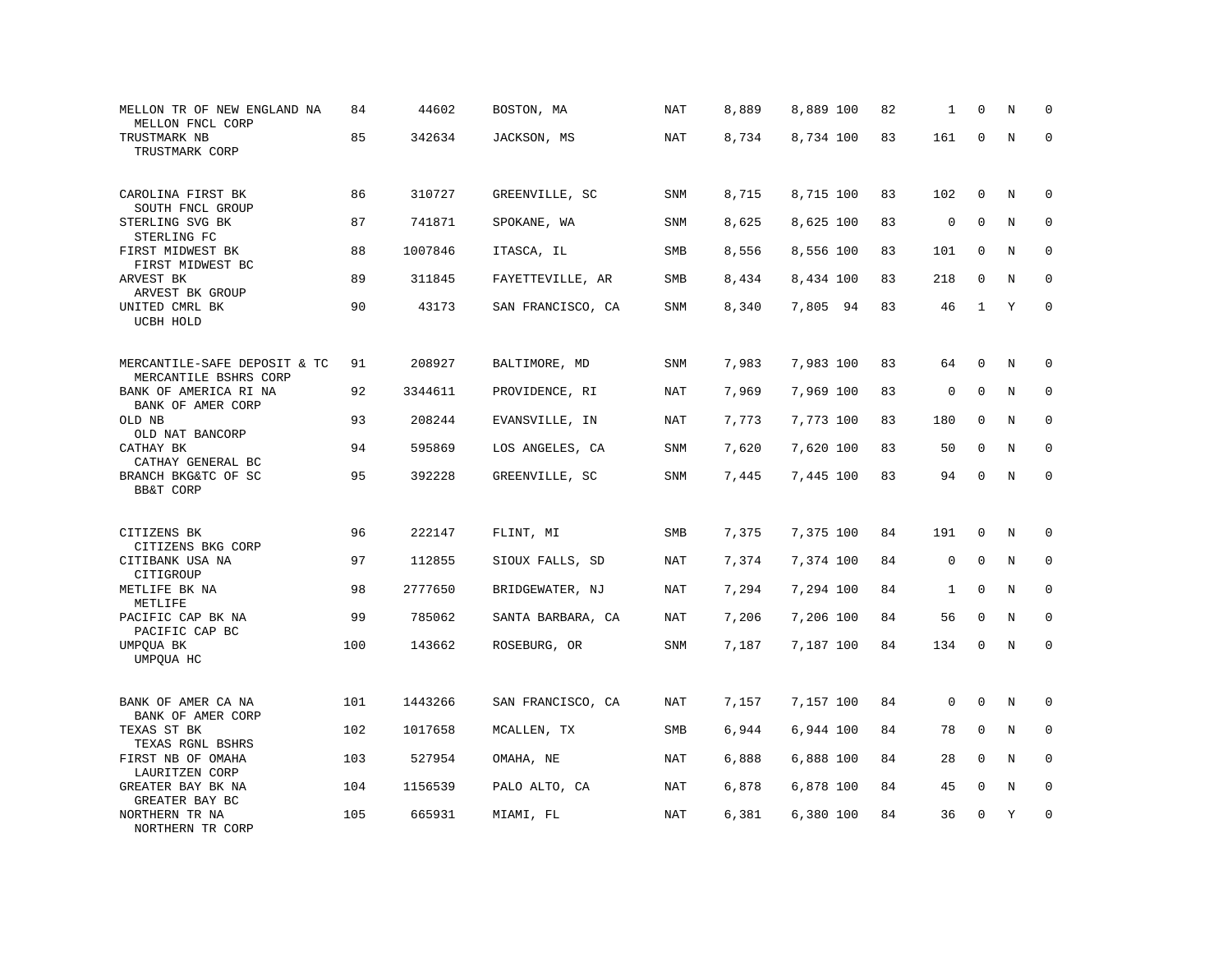| MELLON TR OF NEW ENGLAND NA<br>MELLON FNCL CORP                     | 84  | 44602   | BOSTON, MA        | NAT        | 8,889 | 8,889 100 | 82 | 1            | $\mathbf 0$  | N       | $\mathbf 0$ |
|---------------------------------------------------------------------|-----|---------|-------------------|------------|-------|-----------|----|--------------|--------------|---------|-------------|
| TRUSTMARK NB<br>TRUSTMARK CORP                                      | 85  | 342634  | JACKSON, MS       | NAT        | 8,734 | 8,734 100 | 83 | 161          | $\mathbf 0$  | N       | $\mathbf 0$ |
| CAROLINA FIRST BK<br>SOUTH FNCL GROUP                               | 86  | 310727  | GREENVILLE, SC    | <b>SNM</b> | 8,715 | 8,715 100 | 83 | 102          | 0            | N       | 0           |
| STERLING SVG BK<br>STERLING FC                                      | 87  | 741871  | SPOKANE, WA       | <b>SNM</b> | 8,625 | 8,625 100 | 83 | $\mathsf{0}$ | $\mathbf 0$  | N       | $\mathbf 0$ |
| FIRST MIDWEST BK<br>FIRST MIDWEST BC                                | 88  | 1007846 | ITASCA, IL        | SMB        | 8,556 | 8,556 100 | 83 | 101          | $\mathbf 0$  | N       | $\mathbf 0$ |
| ARVEST BK<br>ARVEST BK GROUP                                        | 89  | 311845  | FAYETTEVILLE, AR  | SMB        | 8,434 | 8,434 100 | 83 | 218          | $\mathbf 0$  | N       | $\mathbf 0$ |
| UNITED CMRL BK<br>UCBH HOLD                                         | 90  | 43173   | SAN FRANCISCO, CA | SNM        | 8,340 | 7,805 94  | 83 | 46           | $\mathbf{1}$ | Υ       | $\mathbf 0$ |
| MERCANTILE-SAFE DEPOSIT & TC                                        | 91  | 208927  | BALTIMORE, MD     | SNM        | 7,983 | 7,983 100 | 83 | 64           | $\mathbf 0$  | N       | 0           |
| MERCANTILE BSHRS CORP<br>BANK OF AMERICA RI NA<br>BANK OF AMER CORP | 92  | 3344611 | PROVIDENCE, RI    | NAT        | 7,969 | 7,969 100 | 83 | $\mathsf 0$  | $\mathbf 0$  | N       | 0           |
| OLD NB<br>OLD NAT BANCORP                                           | 93  | 208244  | EVANSVILLE, IN    | NAT        | 7,773 | 7,773 100 | 83 | 180          | $\mathbf 0$  | N       | $\mathbf 0$ |
| CATHAY BK<br>CATHAY GENERAL BC                                      | 94  | 595869  | LOS ANGELES, CA   | SNM        | 7,620 | 7,620 100 | 83 | 50           | $\mathbf 0$  | N       | $\mathbf 0$ |
| BRANCH BKG&TC OF SC<br><b>BB&amp;T CORP</b>                         | 95  | 392228  | GREENVILLE, SC    | SNM        | 7,445 | 7,445 100 | 83 | 94           | $\mathbf 0$  | $\rm N$ | $\mathbf 0$ |
| CITIZENS BK                                                         | 96  | 222147  | FLINT, MI         | SMB        | 7,375 | 7,375 100 | 84 | 191          | 0            | N       | 0           |
| CITIZENS BKG CORP<br>CITIBANK USA NA<br>CITIGROUP                   | 97  | 112855  | SIOUX FALLS, SD   | NAT        | 7,374 | 7,374 100 | 84 | $\mathbf 0$  | $\Omega$     | N       | $\Omega$    |
| METLIFE BK NA<br>METLIFE                                            | 98  | 2777650 | BRIDGEWATER, NJ   | NAT        | 7,294 | 7,294 100 | 84 | $\mathbf{1}$ | $\mathbf 0$  | N       | 0           |
| PACIFIC CAP BK NA<br>PACIFIC CAP BC                                 | 99  | 785062  | SANTA BARBARA, CA | NAT        | 7,206 | 7,206 100 | 84 | 56           | $\mathbf 0$  | N       | $\mathbf 0$ |
| UMPQUA BK<br>UMPQUA HC                                              | 100 | 143662  | ROSEBURG, OR      | SNM        | 7,187 | 7,187 100 | 84 | 134          | 0            | N       | $\mathbf 0$ |
| BANK OF AMER CA NA<br>BANK OF AMER CORP                             | 101 | 1443266 | SAN FRANCISCO, CA | <b>NAT</b> | 7,157 | 7,157 100 | 84 | $\mathsf 0$  | $\mathbf 0$  | N       | 0           |
| TEXAS ST BK<br>TEXAS RGNL BSHRS                                     | 102 | 1017658 | MCALLEN, TX       | SMB        | 6,944 | 6,944 100 | 84 | 78           | 0            | N       | $\mathbf 0$ |
| FIRST NB OF OMAHA<br>LAURITZEN CORP                                 | 103 | 527954  | OMAHA, NE         | NAT        | 6,888 | 6,888 100 | 84 | 28           | $\mathbf 0$  | N       | 0           |
| GREATER BAY BK NA<br>GREATER BAY BC                                 | 104 | 1156539 | PALO ALTO, CA     | NAT        | 6,878 | 6,878 100 | 84 | 45           | $\mathbf 0$  | N       | $\mathbf 0$ |
| NORTHERN TR NA<br>NORTHERN TR CORP                                  | 105 | 665931  | MIAMI, FL         | NAT        | 6,381 | 6,380 100 | 84 | 36           | $\mathbf 0$  | Y       | $\mathbf 0$ |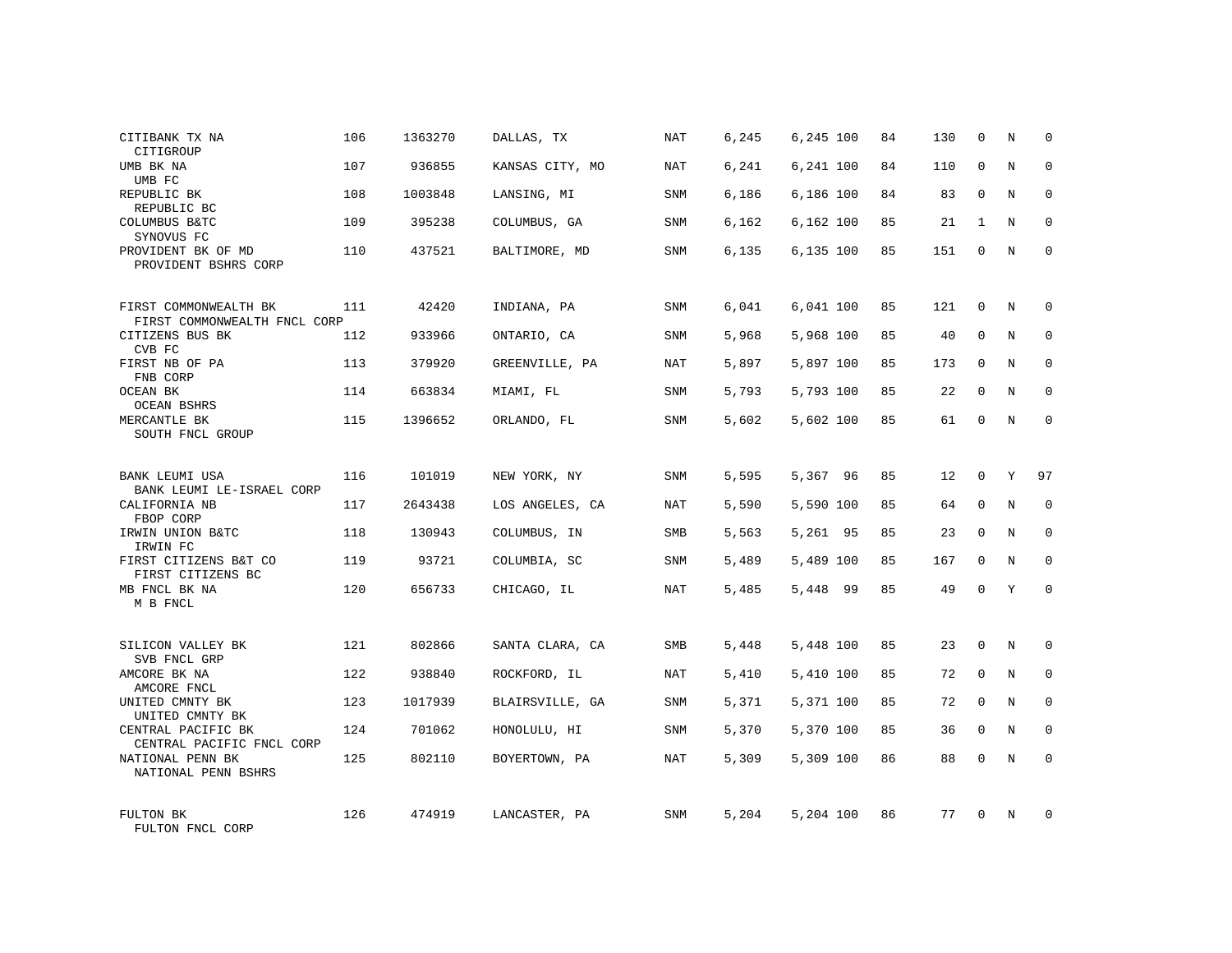| CITIBANK TX NA<br>CITIGROUP                           | 106 | 1363270 | DALLAS, TX      | <b>NAT</b> | 6,245 | 6,245 100 | 84 | 130 | 0            | Ν | 0            |
|-------------------------------------------------------|-----|---------|-----------------|------------|-------|-----------|----|-----|--------------|---|--------------|
| UMB BK NA<br>UMB FC                                   | 107 | 936855  | KANSAS CITY, MO | NAT        | 6,241 | 6,241 100 | 84 | 110 | $\mathbf 0$  | N | $\mathbf 0$  |
| REPUBLIC BK<br>REPUBLIC BC                            | 108 | 1003848 | LANSING, MI     | <b>SNM</b> | 6,186 | 6,186 100 | 84 | 83  | $\Omega$     | N | $\mathbf 0$  |
| COLUMBUS B&TC<br>SYNOVUS FC                           | 109 | 395238  | COLUMBUS, GA    | SNM        | 6,162 | 6,162 100 | 85 | 21  | 1            | N | 0            |
| PROVIDENT BK OF MD<br>PROVIDENT BSHRS CORP            | 110 | 437521  | BALTIMORE, MD   | <b>SNM</b> | 6,135 | 6,135 100 | 85 | 151 | $\mathbf 0$  | N | $\mathbf{0}$ |
| FIRST COMMONWEALTH BK<br>FIRST COMMONWEALTH FNCL CORP | 111 | 42420   | INDIANA, PA     | SNM        | 6,041 | 6,041 100 | 85 | 121 | 0            | N | 0            |
| CITIZENS BUS BK<br>CVB FC                             | 112 | 933966  | ONTARIO, CA     | <b>SNM</b> | 5,968 | 5,968 100 | 85 | 40  | $\mathbf 0$  | N | $\mathbf 0$  |
| FIRST NB OF PA<br>FNB CORP                            | 113 | 379920  | GREENVILLE, PA  | NAT        | 5,897 | 5,897 100 | 85 | 173 | $\mathbf 0$  | N | 0            |
| OCEAN BK<br><b>OCEAN BSHRS</b>                        | 114 | 663834  | MIAMI, FL       | SNM        | 5,793 | 5,793 100 | 85 | 22  | $\mathbf 0$  | N | $\mathbf 0$  |
| MERCANTLE BK<br>SOUTH FNCL GROUP                      | 115 | 1396652 | ORLANDO, FL     | SNM        | 5,602 | 5,602 100 | 85 | 61  | 0            | N | $\mathbf 0$  |
| BANK LEUMI USA<br>BANK LEUMI LE-ISRAEL CORP           | 116 | 101019  | NEW YORK, NY    | <b>SNM</b> | 5,595 | 5,367 96  | 85 | 12  | $\mathbf 0$  | Y | 97           |
| CALIFORNIA NB<br>FBOP CORP                            | 117 | 2643438 | LOS ANGELES, CA | NAT        | 5,590 | 5,590 100 | 85 | 64  | $\mathbf 0$  | N | 0            |
| IRWIN UNION B&TC<br>IRWIN FC                          | 118 | 130943  | COLUMBUS, IN    | SMB        | 5,563 | 5,261 95  | 85 | 23  | $\Omega$     | N | $\mathbf 0$  |
| FIRST CITIZENS B&T CO<br>FIRST CITIZENS BC            | 119 | 93721   | COLUMBIA, SC    | SNM        | 5,489 | 5,489 100 | 85 | 167 | $\mathbf 0$  | N | 0            |
| MB FNCL BK NA<br>M B FNCL                             | 120 | 656733  | CHICAGO, IL     | NAT        | 5,485 | 5,448 99  | 85 | 49  | $\mathbf 0$  | Y | $\mathbf 0$  |
| SILICON VALLEY BK<br>SVB FNCL GRP                     | 121 | 802866  | SANTA CLARA, CA | SMB        | 5,448 | 5,448 100 | 85 | 23  | $\mathbf 0$  | N | 0            |
| AMCORE BK NA<br>AMCORE FNCL                           | 122 | 938840  | ROCKFORD, IL    | NAT        | 5,410 | 5,410 100 | 85 | 72  | $\mathbf{0}$ | N | $\mathbf 0$  |
| UNITED CMNTY BK<br>UNITED CMNTY BK                    | 123 | 1017939 | BLAIRSVILLE, GA | SNM        | 5,371 | 5,371 100 | 85 | 72  | $\mathbf 0$  | N | 0            |
| CENTRAL PACIFIC BK<br>CENTRAL PACIFIC FNCL CORP       | 124 | 701062  | HONOLULU, HI    | SNM        | 5,370 | 5,370 100 | 85 | 36  | $\mathbf 0$  | N | $\mathbf 0$  |
| NATIONAL PENN BK<br>NATIONAL PENN BSHRS               | 125 | 802110  | BOYERTOWN, PA   | NAT        | 5,309 | 5,309 100 | 86 | 88  | $\Omega$     | N | $\mathbf 0$  |
| FULTON BK<br>FULTON FNCL CORP                         | 126 | 474919  | LANCASTER, PA   | SNM        | 5,204 | 5,204 100 | 86 | 77  | $\Omega$     | N | $\mathbf 0$  |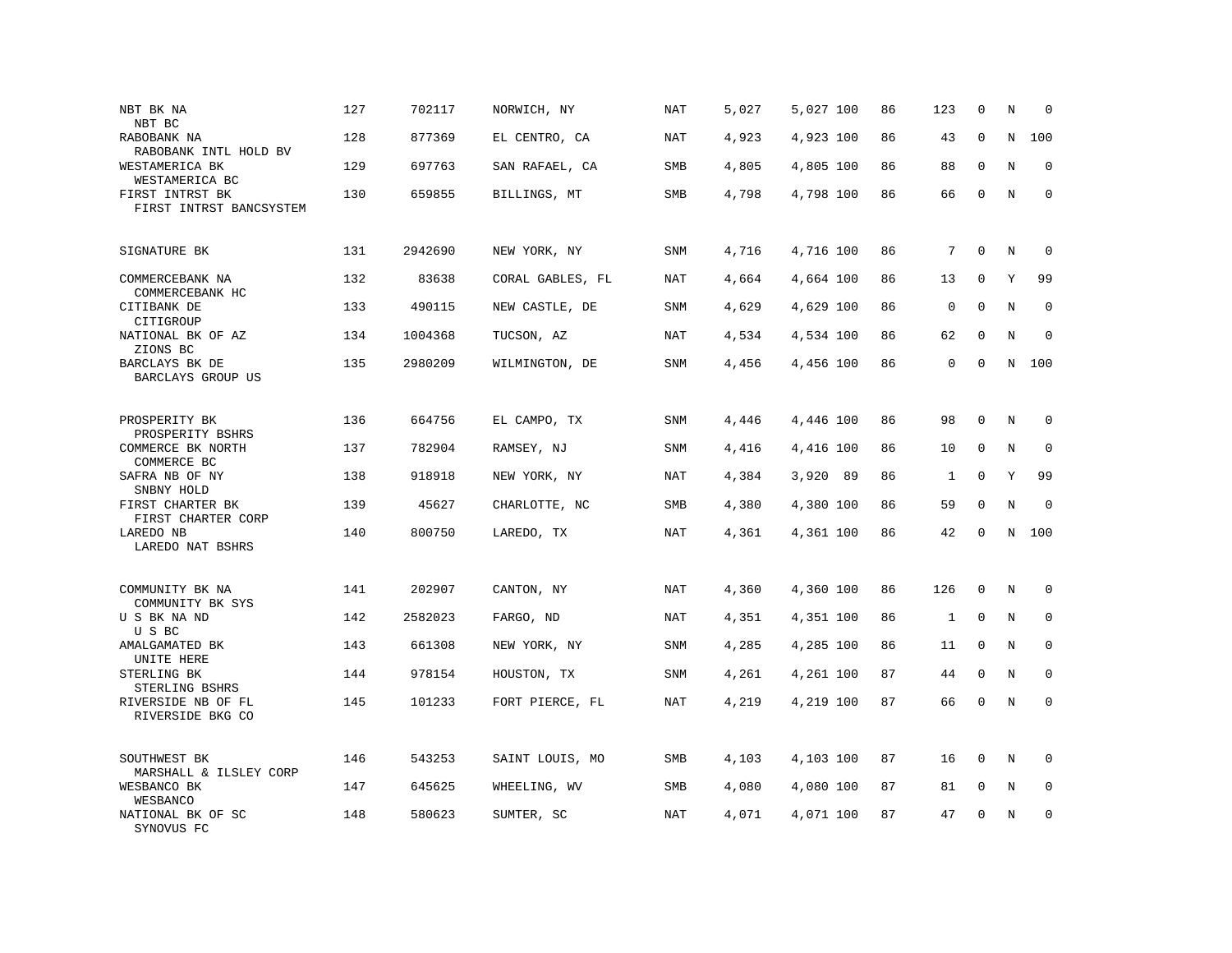| NBT BK NA<br>NBT BC                        | 127 | 702117  | NORWICH, NY      | <b>NAT</b> | 5,027 | 5,027 100 | 86 | 123         | $\mathbf 0$  | N           | $\mathbf 0$ |
|--------------------------------------------|-----|---------|------------------|------------|-------|-----------|----|-------------|--------------|-------------|-------------|
| RABOBANK NA<br>RABOBANK INTL HOLD BV       | 128 | 877369  | EL CENTRO, CA    | NAT        | 4,923 | 4,923 100 | 86 | 43          | $\mathbf{0}$ | $\mathbf N$ | 100         |
| WESTAMERICA BK<br>WESTAMERICA BC           | 129 | 697763  | SAN RAFAEL, CA   | SMB        | 4,805 | 4,805 100 | 86 | 88          | $\mathbf{0}$ | N           | $\mathbf 0$ |
| FIRST INTRST BK<br>FIRST INTRST BANCSYSTEM | 130 | 659855  | BILLINGS, MT     | SMB        | 4,798 | 4,798 100 | 86 | 66          | $\mathbf{0}$ | N           | $\mathbf 0$ |
| SIGNATURE BK                               | 131 | 2942690 | NEW YORK, NY     | <b>SNM</b> | 4,716 | 4,716 100 | 86 | 7           | $\mathbf 0$  | N           | $\mathbf 0$ |
| COMMERCEBANK NA<br>COMMERCEBANK HC         | 132 | 83638   | CORAL GABLES, FL | NAT        | 4,664 | 4,664 100 | 86 | 13          | $\mathbf 0$  | Υ           | 99          |
| CITIBANK DE<br>CITIGROUP                   | 133 | 490115  | NEW CASTLE, DE   | SNM        | 4,629 | 4,629 100 | 86 | $\mathbf 0$ | $\Omega$     | N           | $\mathbf 0$ |
| NATIONAL BK OF AZ<br>ZIONS BC              | 134 | 1004368 | TUCSON, AZ       | NAT        | 4,534 | 4,534 100 | 86 | 62          | $\Omega$     | N           | $\Omega$    |
| BARCLAYS BK DE<br>BARCLAYS GROUP US        | 135 | 2980209 | WILMINGTON, DE   | <b>SNM</b> | 4,456 | 4,456 100 | 86 | $\mathsf 0$ | $\mathbf{0}$ | N           | 100         |
| PROSPERITY BK<br>PROSPERITY BSHRS          | 136 | 664756  | EL CAMPO, TX     | SNM        | 4,446 | 4,446 100 | 86 | 98          | $\mathbf 0$  | N           | 0           |
| COMMERCE BK NORTH<br>COMMERCE BC           | 137 | 782904  | RAMSEY, NJ       | <b>SNM</b> | 4,416 | 4,416 100 | 86 | 10          | $\mathbf 0$  | N           | $\mathbf 0$ |
| SAFRA NB OF NY<br>SNBNY HOLD               | 138 | 918918  | NEW YORK, NY     | <b>NAT</b> | 4,384 | 3,920 89  | 86 | 1           | $\mathbf 0$  | Υ           | 99          |
| FIRST CHARTER BK<br>FIRST CHARTER CORP     | 139 | 45627   | CHARLOTTE, NC    | SMB        | 4,380 | 4,380 100 | 86 | 59          | $\Omega$     | N           | $\mathbf 0$ |
| LAREDO NB<br>LAREDO NAT BSHRS              | 140 | 800750  | LAREDO, TX       | NAT        | 4,361 | 4,361 100 | 86 | 42          | $\Omega$     | N           | 100         |
| COMMUNITY BK NA<br>COMMUNITY BK SYS        | 141 | 202907  | CANTON, NY       | <b>NAT</b> | 4,360 | 4,360 100 | 86 | 126         | $\mathbf 0$  | N           | $\mathbf 0$ |
| U S BK NA ND<br>U S BC                     | 142 | 2582023 | FARGO, ND        | NAT        | 4,351 | 4,351 100 | 86 | 1           | $\mathbf 0$  | N           | $\mathbf 0$ |
| AMALGAMATED BK<br>UNITE HERE               | 143 | 661308  | NEW YORK, NY     | SNM        | 4,285 | 4,285 100 | 86 | 11          | $\mathbf 0$  | N           | $\mathbf 0$ |
| STERLING BK<br>STERLING BSHRS              | 144 | 978154  | HOUSTON, TX      | <b>SNM</b> | 4,261 | 4,261 100 | 87 | 44          | $\mathbf 0$  | N           | $\mathbf 0$ |
| RIVERSIDE NB OF FL<br>RIVERSIDE BKG CO     | 145 | 101233  | FORT PIERCE, FL  | NAT        | 4,219 | 4,219 100 | 87 | 66          | $\mathbf{0}$ | N           | $\mathbf 0$ |
| SOUTHWEST BK<br>MARSHALL & ILSLEY CORP     | 146 | 543253  | SAINT LOUIS, MO  | SMB        | 4,103 | 4,103 100 | 87 | 16          | $\mathbf 0$  | N           | $\mathbf 0$ |
| WESBANCO BK<br>WESBANCO                    | 147 | 645625  | WHEELING, WV     | SMB        | 4,080 | 4,080 100 | 87 | 81          | 0            | Ν           | 0           |
| NATIONAL BK OF SC<br>SYNOVUS FC            | 148 | 580623  | SUMTER, SC       | <b>NAT</b> | 4,071 | 4,071 100 | 87 | 47          | $\mathbf 0$  | N           | $\mathbf 0$ |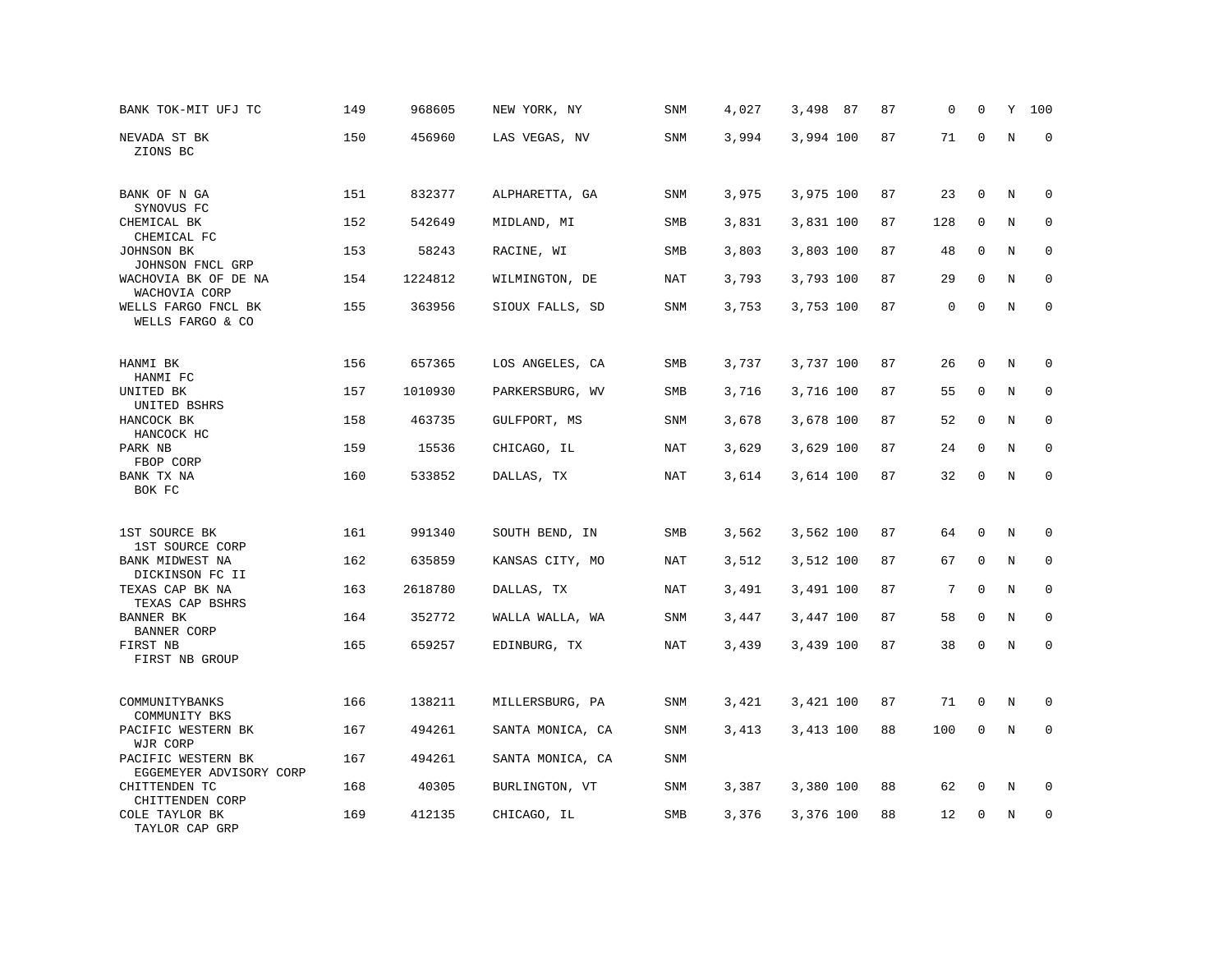| BANK TOK-MIT UFJ TC                                   | 149 | 968605  | NEW YORK, NY     | SNM        | 4,027 | 3,498<br>- 87 | 87 | 0   | 0            | Υ       | 100         |
|-------------------------------------------------------|-----|---------|------------------|------------|-------|---------------|----|-----|--------------|---------|-------------|
| NEVADA ST BK<br>ZIONS BC                              | 150 | 456960  | LAS VEGAS, NV    | <b>SNM</b> | 3,994 | 3,994 100     | 87 | 71  | $\mathbf 0$  | N       | $\mathbf 0$ |
| BANK OF N GA<br>SYNOVUS FC                            | 151 | 832377  | ALPHARETTA, GA   | SNM        | 3,975 | 3,975 100     | 87 | 23  | $\mathbf 0$  | N       | 0           |
| CHEMICAL BK                                           | 152 | 542649  | MIDLAND, MI      | SMB        | 3,831 | 3,831 100     | 87 | 128 | $\mathbf 0$  | N       | $\mathbf 0$ |
| CHEMICAL FC<br>JOHNSON BK<br>JOHNSON FNCL GRP         | 153 | 58243   | RACINE, WI       | SMB        | 3,803 | 3,803 100     | 87 | 48  | $\mathbf 0$  | N       | $\mathbf 0$ |
| WACHOVIA BK OF DE NA<br>WACHOVIA CORP                 | 154 | 1224812 | WILMINGTON, DE   | <b>NAT</b> | 3,793 | 3,793 100     | 87 | 29  | 0            | N       | 0           |
| WELLS FARGO FNCL BK<br>WELLS FARGO & CO               | 155 | 363956  | SIOUX FALLS, SD  | SNM        | 3,753 | 3,753 100     | 87 | 0   | $\mathbf{0}$ | N       | $\mathbf 0$ |
| HANMI BK                                              | 156 | 657365  | LOS ANGELES, CA  | SMB        | 3,737 | 3,737 100     | 87 | 26  | 0            | N       | 0           |
| HANMI FC<br>UNITED BK                                 | 157 | 1010930 | PARKERSBURG, WV  | SMB        | 3,716 | 3,716 100     | 87 | 55  | 0            | N       | 0           |
| UNITED BSHRS<br>HANCOCK BK<br>HANCOCK HC              | 158 | 463735  | GULFPORT, MS     | <b>SNM</b> | 3,678 | 3,678 100     | 87 | 52  | $\mathbf 0$  | N       | $\mathbf 0$ |
| PARK NB<br>FBOP CORP                                  | 159 | 15536   | CHICAGO, IL      | <b>NAT</b> | 3,629 | 3,629 100     | 87 | 24  | $\mathbf 0$  | N       | $\mathbf 0$ |
| BANK TX NA<br>BOK FC                                  | 160 | 533852  | DALLAS, TX       | <b>NAT</b> | 3,614 | 3,614 100     | 87 | 32  | $\mathbf 0$  | N       | $\mathbf 0$ |
| 1ST SOURCE BK                                         | 161 | 991340  | SOUTH BEND, IN   | SMB        | 3,562 | 3,562 100     | 87 | 64  | 0            | Ν       | $\mathbf 0$ |
| 1ST SOURCE CORP<br>BANK MIDWEST NA                    | 162 | 635859  | KANSAS CITY, MO  | <b>NAT</b> | 3,512 | 3,512 100     | 87 | 67  | $\mathbf 0$  | N       | $\mathbf 0$ |
| DICKINSON FC II<br>TEXAS CAP BK NA<br>TEXAS CAP BSHRS | 163 | 2618780 | DALLAS, TX       | NAT        | 3,491 | 3,491 100     | 87 | 7   | $\mathbf{0}$ | N       | $\mathbf 0$ |
| BANNER BK<br><b>BANNER CORP</b>                       | 164 | 352772  | WALLA WALLA, WA  | SNM        | 3,447 | 3,447 100     | 87 | 58  | 0            | N       | 0           |
| FIRST NB<br>FIRST NB GROUP                            | 165 | 659257  | EDINBURG, TX     | <b>NAT</b> | 3,439 | 3,439 100     | 87 | 38  | $\mathsf 0$  | $\rm N$ | $\mathbf 0$ |
| COMMUNITYBANKS<br>COMMUNITY BKS                       | 166 | 138211  | MILLERSBURG, PA  | <b>SNM</b> | 3,421 | 3,421 100     | 87 | 71  | 0            | Ν       | 0           |
| PACIFIC WESTERN BK<br>WJR CORP                        | 167 | 494261  | SANTA MONICA, CA | <b>SNM</b> | 3,413 | 3,413 100     | 88 | 100 | $\mathbf 0$  | N       | $\mathbf 0$ |
| PACIFIC WESTERN BK<br>EGGEMEYER ADVISORY CORP         | 167 | 494261  | SANTA MONICA, CA | SNM        |       |               |    |     |              |         |             |
| CHITTENDEN TC<br>CHITTENDEN CORP                      | 168 | 40305   | BURLINGTON, VT   | SNM        | 3,387 | 3,380 100     | 88 | 62  | 0            | N       | $\mathbf 0$ |
| COLE TAYLOR BK<br>TAYLOR CAP GRP                      | 169 | 412135  | CHICAGO, IL      | SMB        | 3,376 | 3,376 100     | 88 | 12  | $\mathbf 0$  | N       | $\mathbf 0$ |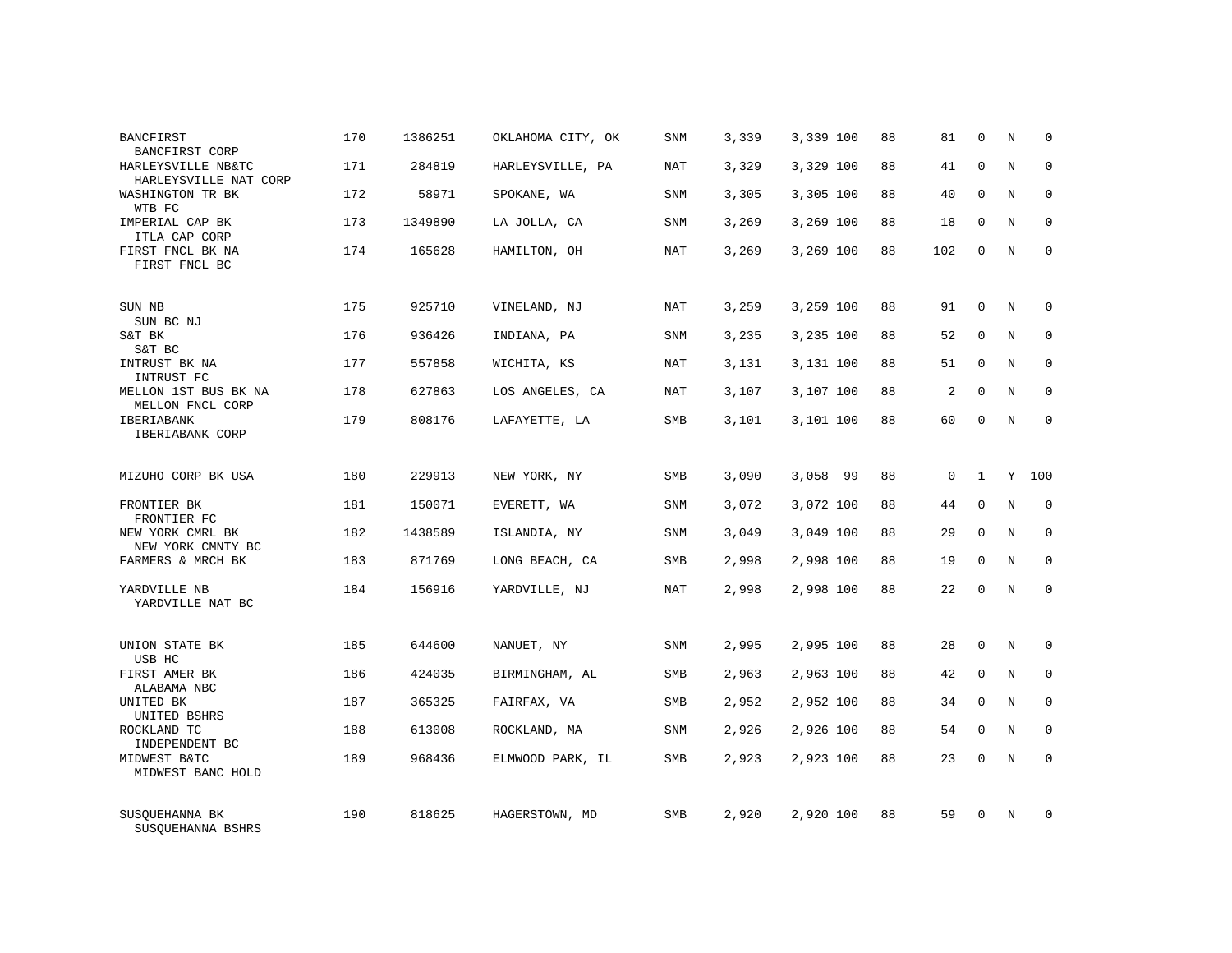| <b>BANCFIRST</b><br>BANCFIRST CORP          | 170 | 1386251 | OKLAHOMA CITY, OK | SNM        | 3,339 | 3,339 100 | 88 | 81          | $\mathbf 0$  | N       | $\Omega$    |
|---------------------------------------------|-----|---------|-------------------|------------|-------|-----------|----|-------------|--------------|---------|-------------|
| HARLEYSVILLE NB&TC<br>HARLEYSVILLE NAT CORP | 171 | 284819  | HARLEYSVILLE, PA  | <b>NAT</b> | 3,329 | 3,329 100 | 88 | 41          | $\Omega$     | N       | $\Omega$    |
| WASHINGTON TR BK<br>WTB FC                  | 172 | 58971   | SPOKANE, WA       | SNM        | 3,305 | 3,305 100 | 88 | 40          | $\mathbf 0$  | N       | $\mathbf 0$ |
| IMPERIAL CAP BK<br>ITLA CAP CORP            | 173 | 1349890 | LA JOLLA, CA      | <b>SNM</b> | 3,269 | 3,269 100 | 88 | 18          | $\Omega$     | N       | $\mathbf 0$ |
| FIRST FNCL BK NA<br>FIRST FNCL BC           | 174 | 165628  | HAMILTON, OH      | NAT        | 3,269 | 3,269 100 | 88 | 102         | $\mathbf 0$  | N       | $\mathbf 0$ |
| SUN NB<br>SUN BC NJ                         | 175 | 925710  | VINELAND, NJ      | <b>NAT</b> | 3,259 | 3,259 100 | 88 | 91          | $\mathbf 0$  | N       | $\mathbf 0$ |
| S&T BK<br>S&T BC                            | 176 | 936426  | INDIANA, PA       | <b>SNM</b> | 3,235 | 3,235 100 | 88 | 52          | $\mathbf{0}$ | N       | $\mathbf 0$ |
| INTRUST BK NA<br>INTRUST FC                 | 177 | 557858  | WICHITA, KS       | <b>NAT</b> | 3,131 | 3,131 100 | 88 | 51          | $\mathbf{0}$ | N       | $\mathbf 0$ |
| MELLON 1ST BUS BK NA<br>MELLON FNCL CORP    | 178 | 627863  | LOS ANGELES, CA   | NAT        | 3,107 | 3,107 100 | 88 | 2           | $\mathbf{0}$ | N       | $\mathbf 0$ |
| IBERIABANK<br>IBERIABANK CORP               | 179 | 808176  | LAFAYETTE, LA     | SMB        | 3,101 | 3,101 100 | 88 | 60          | $\mathbf{0}$ | N       | $\mathbf 0$ |
| MIZUHO CORP BK USA                          | 180 | 229913  | NEW YORK, NY      | <b>SMB</b> | 3,090 | 3,058 99  | 88 | $\mathbf 0$ | $\mathbf{1}$ | Y       | 100         |
| FRONTIER BK<br>FRONTIER FC                  | 181 | 150071  | EVERETT, WA       | <b>SNM</b> | 3,072 | 3,072 100 | 88 | 44          | $\mathbf{0}$ | N       | $\mathbf 0$ |
| NEW YORK CMRL BK<br>NEW YORK CMNTY BC       | 182 | 1438589 | ISLANDIA, NY      | <b>SNM</b> | 3,049 | 3,049 100 | 88 | 29          | $\Omega$     | N       | $\mathbf 0$ |
| FARMERS & MRCH BK                           | 183 | 871769  | LONG BEACH, CA    | SMB        | 2,998 | 2,998 100 | 88 | 19          | $\mathbf 0$  | N       | 0           |
| YARDVILLE NB<br>YARDVILLE NAT BC            | 184 | 156916  | YARDVILLE, NJ     | <b>NAT</b> | 2,998 | 2,998 100 | 88 | 22          | $\Omega$     | N       | $\mathbf 0$ |
| UNION STATE BK<br>USB HC                    | 185 | 644600  | NANUET, NY        | <b>SNM</b> | 2,995 | 2,995 100 | 88 | 28          | $\mathbf{0}$ | N       | $\mathbf 0$ |
| FIRST AMER BK<br>ALABAMA NBC                | 186 | 424035  | BIRMINGHAM, AL    | SMB        | 2,963 | 2,963 100 | 88 | 42          | 0            | $\rm N$ | 0           |
| UNITED BK<br>UNITED BSHRS                   | 187 | 365325  | FAIRFAX, VA       | <b>SMB</b> | 2,952 | 2,952 100 | 88 | 34          | $\Omega$     | N       | $\mathbf 0$ |
| ROCKLAND TC<br>INDEPENDENT BC               | 188 | 613008  | ROCKLAND, MA      | SNM        | 2,926 | 2,926 100 | 88 | 54          | $\mathbf 0$  | N       | 0           |
| MIDWEST B&TC<br>MIDWEST BANC HOLD           | 189 | 968436  | ELMWOOD PARK, IL  | SMB        | 2,923 | 2,923 100 | 88 | 23          | $\Omega$     | N       | $\mathbf 0$ |
| SUSQUEHANNA BK<br>SUSOUEHANNA BSHRS         | 190 | 818625  | HAGERSTOWN, MD    | <b>SMB</b> | 2,920 | 2,920 100 | 88 | 59          | $\Omega$     | N       | $\mathbf 0$ |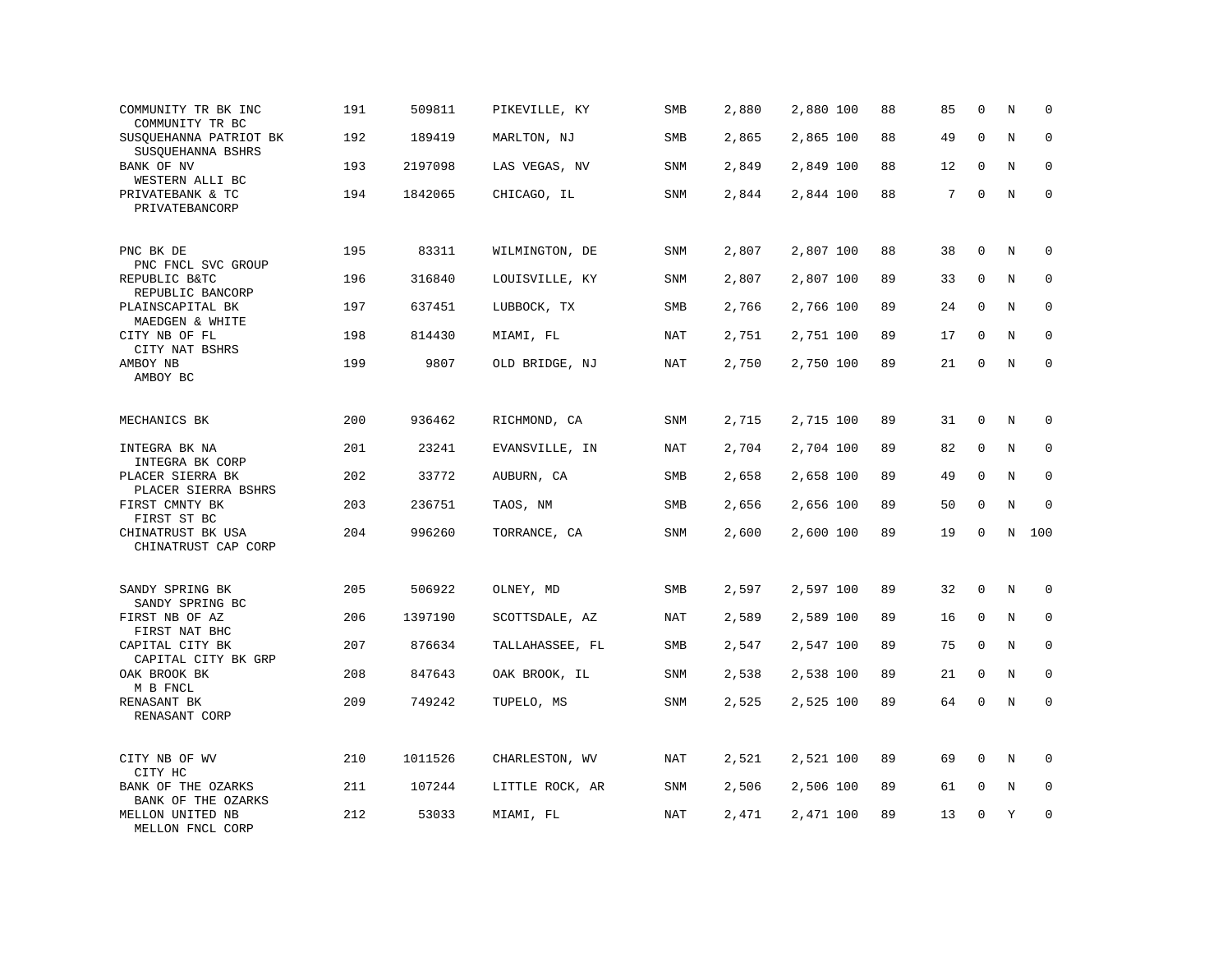| COMMUNITY TR BK INC<br>COMMUNITY TR BC      | 191 | 509811  | PIKEVILLE, KY   | SMB        | 2,880 | 2,880 100 | 88 | 85 | $\mathbf 0$  | N           | $\mathbf 0$ |
|---------------------------------------------|-----|---------|-----------------|------------|-------|-----------|----|----|--------------|-------------|-------------|
| SUSQUEHANNA PATRIOT BK<br>SUSOUEHANNA BSHRS | 192 | 189419  | MARLTON, NJ     | SMB        | 2,865 | 2,865 100 | 88 | 49 | $\mathbf{0}$ | $\rm N$     | $\mathbf 0$ |
| BANK OF NV<br>WESTERN ALLI BC               | 193 | 2197098 | LAS VEGAS, NV   | SNM        | 2,849 | 2,849 100 | 88 | 12 | $\mathbf 0$  | N           | $\mathbf 0$ |
| PRIVATEBANK & TC<br>PRIVATEBANCORP          | 194 | 1842065 | CHICAGO, IL     | <b>SNM</b> | 2,844 | 2,844 100 | 88 | 7  | $\mathbf 0$  | N           | $\mathbf 0$ |
| PNC BK DE<br>PNC FNCL SVC GROUP             | 195 | 83311   | WILMINGTON, DE  | <b>SNM</b> | 2,807 | 2,807 100 | 88 | 38 | $\mathbf 0$  | N           | $\mathbf 0$ |
| REPUBLIC B&TC<br>REPUBLIC BANCORP           | 196 | 316840  | LOUISVILLE, KY  | SNM        | 2,807 | 2,807 100 | 89 | 33 | 0            | N           | 0           |
| PLAINSCAPITAL BK<br>MAEDGEN & WHITE         | 197 | 637451  | LUBBOCK, TX     | SMB        | 2,766 | 2,766 100 | 89 | 24 | $\mathbf 0$  | N           | $\mathbf 0$ |
| CITY NB OF FL<br>CITY NAT BSHRS             | 198 | 814430  | MIAMI, FL       | <b>NAT</b> | 2,751 | 2,751 100 | 89 | 17 | $\mathbf 0$  | N           | $\mathbf 0$ |
| AMBOY NB<br>AMBOY BC                        | 199 | 9807    | OLD BRIDGE, NJ  | <b>NAT</b> | 2,750 | 2,750 100 | 89 | 21 | $\mathbf 0$  | N           | $\mathbf 0$ |
| MECHANICS BK                                | 200 | 936462  | RICHMOND, CA    | SNM        | 2,715 | 2,715 100 | 89 | 31 | $\mathbf 0$  | N           | $\mathbf 0$ |
| INTEGRA BK NA<br>INTEGRA BK CORP            | 201 | 23241   | EVANSVILLE, IN  | <b>NAT</b> | 2,704 | 2,704 100 | 89 | 82 | $\mathbf 0$  | N           | $\mathbf 0$ |
| PLACER SIERRA BK<br>PLACER SIERRA BSHRS     | 202 | 33772   | AUBURN, CA      | SMB        | 2,658 | 2,658 100 | 89 | 49 | $\mathbf 0$  | $\rm N$     | $\mathbf 0$ |
| FIRST CMNTY BK<br>FIRST ST BC               | 203 | 236751  | TAOS, NM        | SMB        | 2,656 | 2,656 100 | 89 | 50 | $\Omega$     | N           | $\mathbf 0$ |
| CHINATRUST BK USA<br>CHINATRUST CAP CORP    | 204 | 996260  | TORRANCE, CA    | SNM        | 2,600 | 2,600 100 | 89 | 19 | $\mathbf 0$  | N           | 100         |
| SANDY SPRING BK<br>SANDY SPRING BC          | 205 | 506922  | OLNEY, MD       | <b>SMB</b> | 2,597 | 2,597 100 | 89 | 32 | $\mathbf 0$  | N           | $\mathbf 0$ |
| FIRST NB OF AZ<br>FIRST NAT BHC             | 206 | 1397190 | SCOTTSDALE, AZ  | NAT        | 2,589 | 2,589 100 | 89 | 16 | $\mathbf 0$  | N           | 0           |
| CAPITAL CITY BK<br>CAPITAL CITY BK GRP      | 207 | 876634  | TALLAHASSEE, FL | SMB        | 2,547 | 2,547 100 | 89 | 75 | $\mathbf 0$  | N           | $\mathbf 0$ |
| OAK BROOK BK<br>M B FNCL                    | 208 | 847643  | OAK BROOK, IL   | SNM        | 2,538 | 2,538 100 | 89 | 21 | $\mathbf 0$  | N           | $\Omega$    |
| RENASANT BK<br>RENASANT CORP                | 209 | 749242  | TUPELO, MS      | SNM        | 2,525 | 2,525 100 | 89 | 64 | $\mathbf 0$  | $\mathbf N$ | $\mathbf 0$ |
| CITY NB OF WV<br>CITY HC                    | 210 | 1011526 | CHARLESTON, WV  | NAT        | 2,521 | 2,521 100 | 89 | 69 | 0            | N           | 0           |
| BANK OF THE OZARKS<br>BANK OF THE OZARKS    | 211 | 107244  | LITTLE ROCK, AR | SNM        | 2,506 | 2,506 100 | 89 | 61 | $\mathbf 0$  | N           | $\mathbf 0$ |
| MELLON UNITED NB<br>MELLON FNCL CORP        | 212 | 53033   | MIAMI, FL       | NAT        | 2,471 | 2,471 100 | 89 | 13 | $\mathbf 0$  | Y           | $\mathbf 0$ |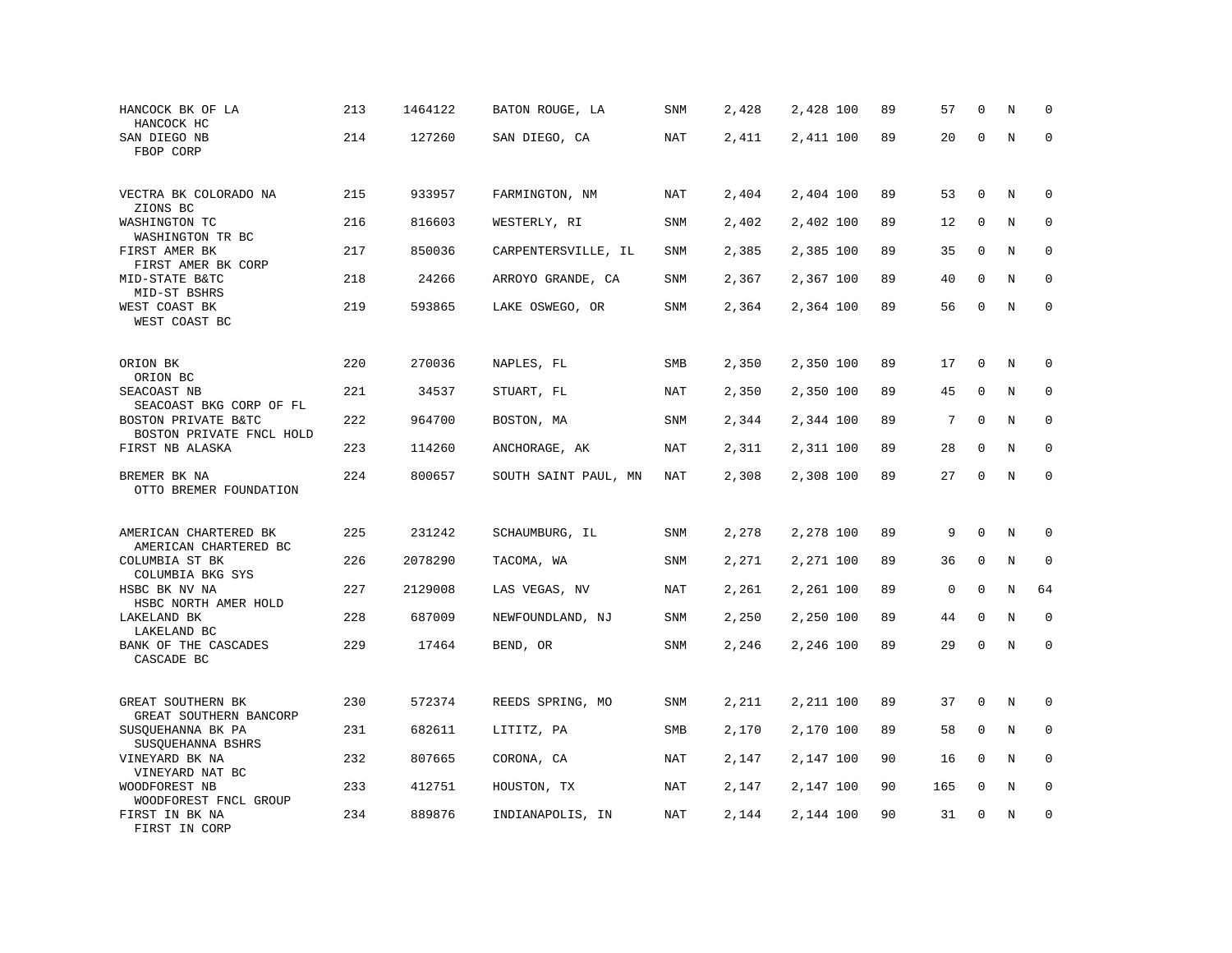| HANCOCK BK OF LA<br>HANCOCK HC                            | 213 | 1464122 | BATON ROUGE, LA      | SNM        | 2,428 | 2,428 100 | 89 | 57          | $\mathbf 0$  | N       | $\mathbf 0$ |
|-----------------------------------------------------------|-----|---------|----------------------|------------|-------|-----------|----|-------------|--------------|---------|-------------|
| SAN DIEGO NB<br>FBOP CORP                                 | 214 | 127260  | SAN DIEGO, CA        | <b>NAT</b> | 2,411 | 2,411 100 | 89 | 20          | $\mathbf 0$  | $\rm N$ | $\mathbf 0$ |
| VECTRA BK COLORADO NA<br>ZIONS BC                         | 215 | 933957  | FARMINGTON, NM       | NAT        | 2,404 | 2,404 100 | 89 | 53          | $\mathbf 0$  | N       | 0           |
| WASHINGTON TC<br>WASHINGTON TR BC                         | 216 | 816603  | WESTERLY, RI         | SNM        | 2,402 | 2,402 100 | 89 | 12          | $\mathbf 0$  | N       | $\mathbf 0$ |
| FIRST AMER BK<br>FIRST AMER BK CORP                       | 217 | 850036  | CARPENTERSVILLE, IL  | <b>SNM</b> | 2,385 | 2,385 100 | 89 | 35          | $\mathbf{0}$ | N       | $\mathbf 0$ |
| MID-STATE B&TC<br>MID-ST BSHRS                            | 218 | 24266   | ARROYO GRANDE, CA    | <b>SNM</b> | 2,367 | 2,367 100 | 89 | 40          | $\mathbf 0$  | N       | $\mathbf 0$ |
| WEST COAST BK<br>WEST COAST BC                            | 219 | 593865  | LAKE OSWEGO, OR      | SNM        | 2,364 | 2,364 100 | 89 | 56          | $\mathbf 0$  | N       | $\mathbf 0$ |
| ORION BK                                                  | 220 | 270036  | NAPLES, FL           | SMB        | 2,350 | 2,350 100 | 89 | 17          | $\mathbf 0$  | N       | $\mathbf 0$ |
| ORION BC<br>SEACOAST NB                                   | 221 | 34537   | STUART, FL           | NAT        | 2,350 | 2,350 100 | 89 | 45          | 0            | N       | 0           |
| SEACOAST BKG CORP OF FL<br>BOSTON PRIVATE B&TC            | 222 | 964700  | BOSTON, MA           | <b>SNM</b> | 2,344 | 2,344 100 | 89 | 7           | $\mathbf{0}$ | N       | $\mathbf 0$ |
| BOSTON PRIVATE FNCL HOLD<br>FIRST NB ALASKA               | 223 | 114260  | ANCHORAGE, AK        | NAT        | 2,311 | 2,311 100 | 89 | 28          | $\mathbf 0$  | N       | $\mathbf 0$ |
| BREMER BK NA<br>OTTO BREMER FOUNDATION                    | 224 | 800657  | SOUTH SAINT PAUL, MN | <b>NAT</b> | 2,308 | 2,308 100 | 89 | 27          | $\mathbf 0$  | $\rm N$ | $\mathbf 0$ |
| AMERICAN CHARTERED BK                                     | 225 | 231242  | SCHAUMBURG, IL       | SNM        | 2,278 | 2,278 100 | 89 | 9           | $\mathbf 0$  | N       | $\mathbf 0$ |
| AMERICAN CHARTERED BC<br>COLUMBIA ST BK                   | 226 | 2078290 | TACOMA, WA           | SNM        | 2,271 | 2,271 100 | 89 | 36          | $\mathbf 0$  | N       | $\mathbf 0$ |
| COLUMBIA BKG SYS<br>HSBC BK NV NA<br>HSBC NORTH AMER HOLD | 227 | 2129008 | LAS VEGAS, NV        | NAT        | 2,261 | 2,261 100 | 89 | $\mathsf 0$ | $\mathbf{0}$ | N       | 64          |
| LAKELAND BK<br>LAKELAND BC                                | 228 | 687009  | NEWFOUNDLAND, NJ     | SNM        | 2,250 | 2,250 100 | 89 | 44          | $\Omega$     | N       | 0           |
| BANK OF THE CASCADES<br>CASCADE BC                        | 229 | 17464   | BEND, OR             | SNM        | 2,246 | 2,246 100 | 89 | 29          | $\mathbf 0$  | $\rm N$ | $\mathbf 0$ |
| GREAT SOUTHERN BK<br>GREAT SOUTHERN BANCORP               | 230 | 572374  | REEDS SPRING, MO     | SNM        | 2,211 | 2,211 100 | 89 | 37          | $\mathbf 0$  | $\rm N$ | 0           |
| SUSQUEHANNA BK PA<br>SUSQUEHANNA BSHRS                    | 231 | 682611  | LITITZ, PA           | SMB        | 2,170 | 2,170 100 | 89 | 58          | $\mathbf 0$  | N       | 0           |
| VINEYARD BK NA<br>VINEYARD NAT BC                         | 232 | 807665  | CORONA, CA           | NAT        | 2,147 | 2,147 100 | 90 | 16          | 0            | N       | $\mathbf 0$ |
| WOODFOREST NB<br>WOODFOREST FNCL GROUP                    | 233 | 412751  | HOUSTON, TX          | NAT        | 2,147 | 2,147 100 | 90 | 165         | $\mathbf 0$  | N       | $\mathbf 0$ |
| FIRST IN BK NA<br>FIRST IN CORP                           | 234 | 889876  | INDIANAPOLIS, IN     | <b>NAT</b> | 2,144 | 2,144 100 | 90 | 31          | $\mathbf{0}$ | N       | $\mathbf 0$ |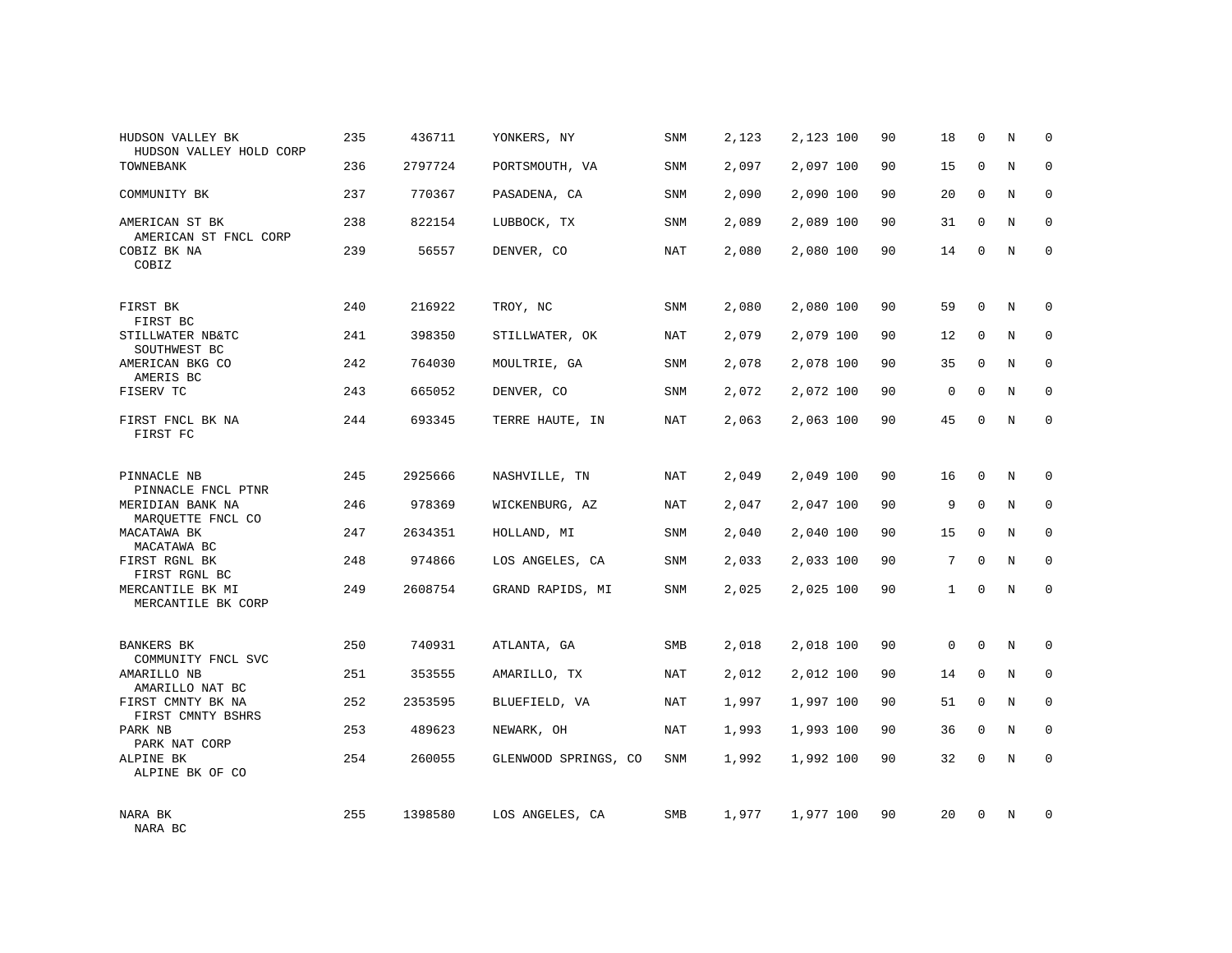| HUDSON VALLEY BK<br>HUDSON VALLEY HOLD CORP   | 235 | 436711  | YONKERS, NY          | SNM        | 2,123 | 2,123 100 | 90 | 18           | $\mathbf 0$  | N              | $\Omega$    |
|-----------------------------------------------|-----|---------|----------------------|------------|-------|-----------|----|--------------|--------------|----------------|-------------|
| TOWNEBANK                                     | 236 | 2797724 | PORTSMOUTH, VA       | <b>SNM</b> | 2,097 | 2,097 100 | 90 | 15           | $\Omega$     | N              | $\Omega$    |
| COMMUNITY BK                                  | 237 | 770367  | PASADENA, CA         | SNM        | 2,090 | 2,090 100 | 90 | 20           | $\mathbf 0$  | N              | $\mathbf 0$ |
| AMERICAN ST BK                                | 238 | 822154  | LUBBOCK, TX          | <b>SNM</b> | 2,089 | 2,089 100 | 90 | 31           | $\Omega$     | N              | $\Omega$    |
| AMERICAN ST FNCL CORP<br>COBIZ BK NA<br>COBIZ | 239 | 56557   | DENVER, CO           | NAT        | 2,080 | 2,080 100 | 90 | 14           | $\Omega$     | N              | $\Omega$    |
| FIRST BK                                      | 240 | 216922  | TROY, NC             | <b>SNM</b> | 2,080 | 2,080 100 | 90 | 59           | $\mathbf{0}$ | N              | $\mathbf 0$ |
| FIRST BC<br>STILLWATER NB&TC<br>SOUTHWEST BC  | 241 | 398350  | STILLWATER, OK       | NAT        | 2,079 | 2,079 100 | 90 | 12           | $\mathbf{0}$ | N              | $\mathbf 0$ |
| AMERICAN BKG CO<br>AMERIS BC                  | 242 | 764030  | MOULTRIE, GA         | <b>SNM</b> | 2,078 | 2,078 100 | 90 | 35           | $\Omega$     | N              | $\mathbf 0$ |
| FISERV TC                                     | 243 | 665052  | DENVER, CO           | SNM        | 2,072 | 2,072 100 | 90 | 0            | $\mathbf 0$  | N              | 0           |
| FIRST FNCL BK NA<br>FIRST FC                  | 244 | 693345  | TERRE HAUTE, IN      | <b>NAT</b> | 2,063 | 2,063 100 | 90 | 45           | $\Omega$     | $\overline{N}$ | $\mathbf 0$ |
| PINNACLE NB<br>PINNACLE FNCL PTNR             | 245 | 2925666 | NASHVILLE, TN        | NAT        | 2,049 | 2,049 100 | 90 | 16           | $\mathbf{0}$ | N              | $\mathbf 0$ |
| MERIDIAN BANK NA<br>MARQUETTE FNCL CO         | 246 | 978369  | WICKENBURG, AZ       | <b>NAT</b> | 2,047 | 2,047 100 | 90 | 9            | $\mathbf{0}$ | N              | 0           |
| MACATAWA BK<br>MACATAWA BC                    | 247 | 2634351 | HOLLAND, MI          | SNM        | 2,040 | 2,040 100 | 90 | 15           | $\mathbf{0}$ | N              | $\mathbf 0$ |
| FIRST RGNL BK<br>FIRST RGNL BC                | 248 | 974866  | LOS ANGELES, CA      | SNM        | 2,033 | 2,033 100 | 90 | 7            | $\mathbf{0}$ | N              | $\mathbf 0$ |
| MERCANTILE BK MI<br>MERCANTILE BK CORP        | 249 | 2608754 | GRAND RAPIDS, MI     | SNM        | 2,025 | 2,025 100 | 90 | $\mathbf{1}$ | $\mathbf 0$  | N              | $\mathbf 0$ |
| <b>BANKERS BK</b><br>COMMUNITY FNCL SVC       | 250 | 740931  | ATLANTA, GA          | SMB        | 2,018 | 2,018 100 | 90 | $\mathbf 0$  | $\mathbf 0$  | N              | $\mathbf 0$ |
| AMARILLO NB<br>AMARILLO NAT BC                | 251 | 353555  | AMARILLO, TX         | NAT        | 2,012 | 2,012 100 | 90 | 14           | $\mathbf 0$  | N              | $\mathbf 0$ |
| FIRST CMNTY BK NA<br>FIRST CMNTY BSHRS        | 252 | 2353595 | BLUEFIELD, VA        | NAT        | 1,997 | 1,997 100 | 90 | 51           | $\mathbf 0$  | N              | $\mathbf 0$ |
| PARK NB<br>PARK NAT CORP                      | 253 | 489623  | NEWARK, OH           | NAT        | 1,993 | 1,993 100 | 90 | 36           | $\mathbf 0$  | N              | $\mathbf 0$ |
| ALPINE BK<br>ALPINE BK OF CO                  | 254 | 260055  | GLENWOOD SPRINGS, CO | <b>SNM</b> | 1,992 | 1,992 100 | 90 | 32           | $\mathbf 0$  | N              | $\mathbf 0$ |
| NARA BK<br>NARA BC                            | 255 | 1398580 | LOS ANGELES, CA      | <b>SMB</b> | 1,977 | 1,977 100 | 90 | 20           | $\mathbf 0$  | N              | $\mathbf 0$ |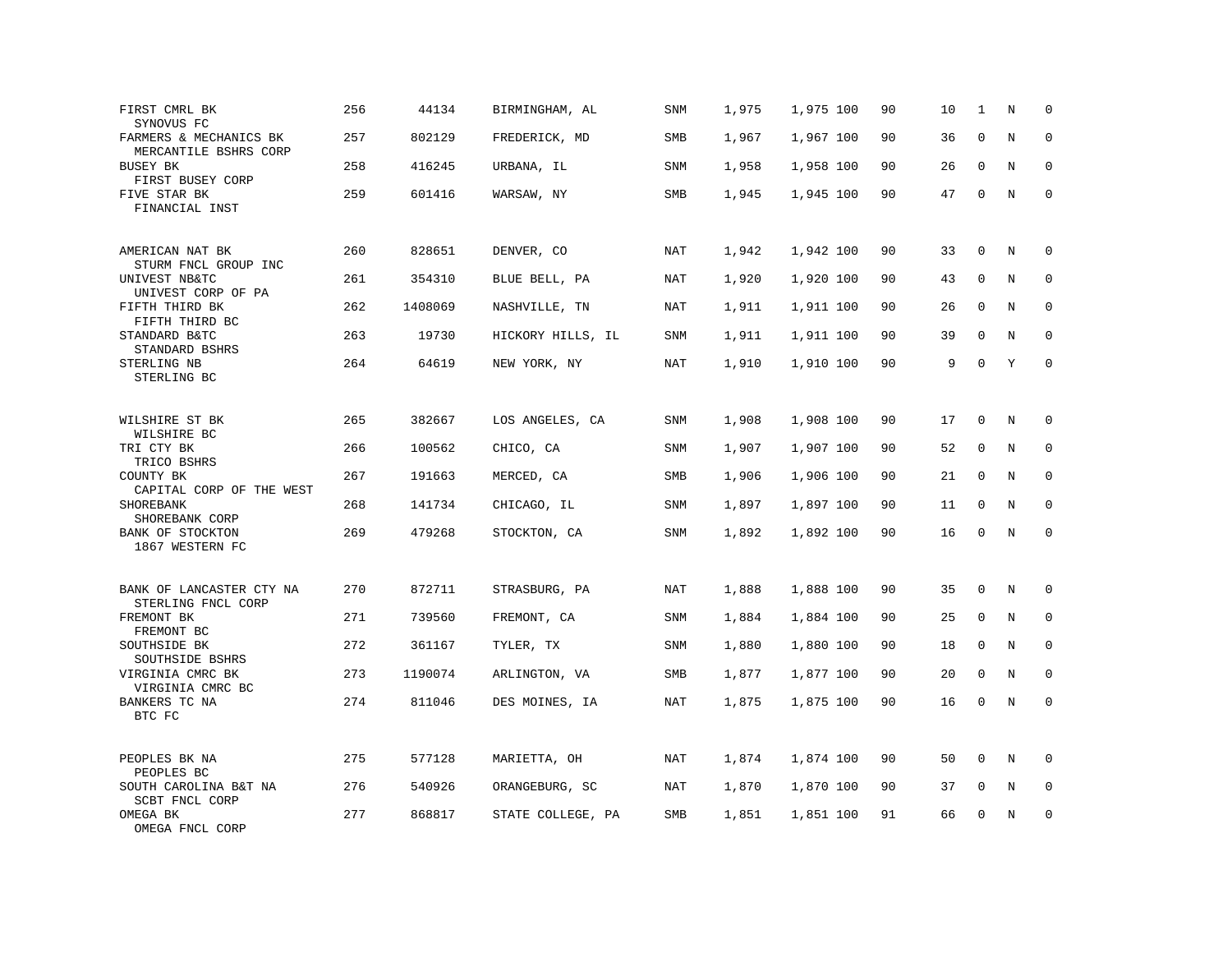| FIRST CMRL BK<br>SYNOVUS FC                     | 256 | 44134   | BIRMINGHAM, AL    | SNM        | 1,975 | 1,975 100 | 90 | 10 | 1           | N       | $\mathbf 0$         |
|-------------------------------------------------|-----|---------|-------------------|------------|-------|-----------|----|----|-------------|---------|---------------------|
| FARMERS & MECHANICS BK<br>MERCANTILE BSHRS CORP | 257 | 802129  | FREDERICK, MD     | <b>SMB</b> | 1,967 | 1,967 100 | 90 | 36 | $\mathbf 0$ | N       | $\mathbf 0$         |
| <b>BUSEY BK</b><br>FIRST BUSEY CORP             | 258 | 416245  | URBANA, IL        | SNM        | 1,958 | 1,958 100 | 90 | 26 | 0           | N       | 0                   |
| FIVE STAR BK<br>FINANCIAL INST                  | 259 | 601416  | WARSAW, NY        | SMB        | 1,945 | 1,945 100 | 90 | 47 | $\mathbf 0$ | N       | $\mathsf{O}\xspace$ |
| AMERICAN NAT BK<br>STURM FNCL GROUP INC         | 260 | 828651  | DENVER, CO        | <b>NAT</b> | 1,942 | 1,942 100 | 90 | 33 | $\mathbf 0$ | N       | $\mathbf 0$         |
| UNIVEST NB&TC<br>UNIVEST CORP OF PA             | 261 | 354310  | BLUE BELL, PA     | <b>NAT</b> | 1,920 | 1,920 100 | 90 | 43 | $\mathbf 0$ | N       | $\mathbf 0$         |
| FIFTH THIRD BK<br>FIFTH THIRD BC                | 262 | 1408069 | NASHVILLE, TN     | NAT        | 1,911 | 1,911 100 | 90 | 26 | 0           | N       | $\mathbf 0$         |
| STANDARD B&TC<br>STANDARD BSHRS                 | 263 | 19730   | HICKORY HILLS, IL | SNM        | 1,911 | 1,911 100 | 90 | 39 | $\mathbf 0$ | N       | $\mathbf 0$         |
| STERLING NB<br>STERLING BC                      | 264 | 64619   | NEW YORK, NY      | NAT        | 1,910 | 1,910 100 | 90 | 9  | $\Omega$    | Y       | $\Omega$            |
| WILSHIRE ST BK<br>WILSHIRE BC                   | 265 | 382667  | LOS ANGELES, CA   | <b>SNM</b> | 1,908 | 1,908 100 | 90 | 17 | $\mathbf 0$ | N       | 0                   |
| TRI CTY BK<br>TRICO BSHRS                       | 266 | 100562  | CHICO, CA         | SNM        | 1,907 | 1,907 100 | 90 | 52 | $\mathbf 0$ | N       | 0                   |
| COUNTY BK<br>CAPITAL CORP OF THE WEST           | 267 | 191663  | MERCED, CA        | <b>SMB</b> | 1,906 | 1,906 100 | 90 | 21 | $\mathbf 0$ | N       | $\mathbf 0$         |
| SHOREBANK<br>SHOREBANK CORP                     | 268 | 141734  | CHICAGO, IL       | <b>SNM</b> | 1,897 | 1,897 100 | 90 | 11 | $\mathbf 0$ | N       | 0                   |
| BANK OF STOCKTON<br>1867 WESTERN FC             | 269 | 479268  | STOCKTON, CA      | SNM        | 1,892 | 1,892 100 | 90 | 16 | $\mathbf 0$ | N       | $\mathbf 0$         |
| BANK OF LANCASTER CTY NA<br>STERLING FNCL CORP  | 270 | 872711  | STRASBURG, PA     | NAT        | 1,888 | 1,888 100 | 90 | 35 | 0           | $\rm N$ | 0                   |
| FREMONT BK<br>FREMONT BC                        | 271 | 739560  | FREMONT, CA       | SNM        | 1,884 | 1,884 100 | 90 | 25 | $\mathbf 0$ | N       | $\mathbf 0$         |
| SOUTHSIDE BK<br>SOUTHSIDE BSHRS                 | 272 | 361167  | TYLER, TX         | SNM        | 1,880 | 1,880 100 | 90 | 18 | 0           | N       | $\mathbf 0$         |
| VIRGINIA CMRC BK<br>VIRGINIA CMRC BC            | 273 | 1190074 | ARLINGTON, VA     | SMB        | 1,877 | 1,877 100 | 90 | 20 | $\mathbf 0$ | N       | $\mathbf 0$         |
| BANKERS TC NA<br>BTC FC                         | 274 | 811046  | DES MOINES, IA    | <b>NAT</b> | 1,875 | 1,875 100 | 90 | 16 | $\mathbf 0$ | N       | $\mathbf 0$         |
| PEOPLES BK NA<br>PEOPLES BC                     | 275 | 577128  | MARIETTA, OH      | NAT        | 1,874 | 1,874 100 | 90 | 50 | 0           | N       | 0                   |
| SOUTH CAROLINA B&T NA<br>SCBT FNCL CORP         | 276 | 540926  | ORANGEBURG, SC    | NAT        | 1,870 | 1,870 100 | 90 | 37 | 0           | N       | 0                   |
| OMEGA BK<br>OMEGA FNCL CORP                     | 277 | 868817  | STATE COLLEGE, PA | SMB        | 1,851 | 1,851 100 | 91 | 66 | $\mathbf 0$ | N       | $\mathbf 0$         |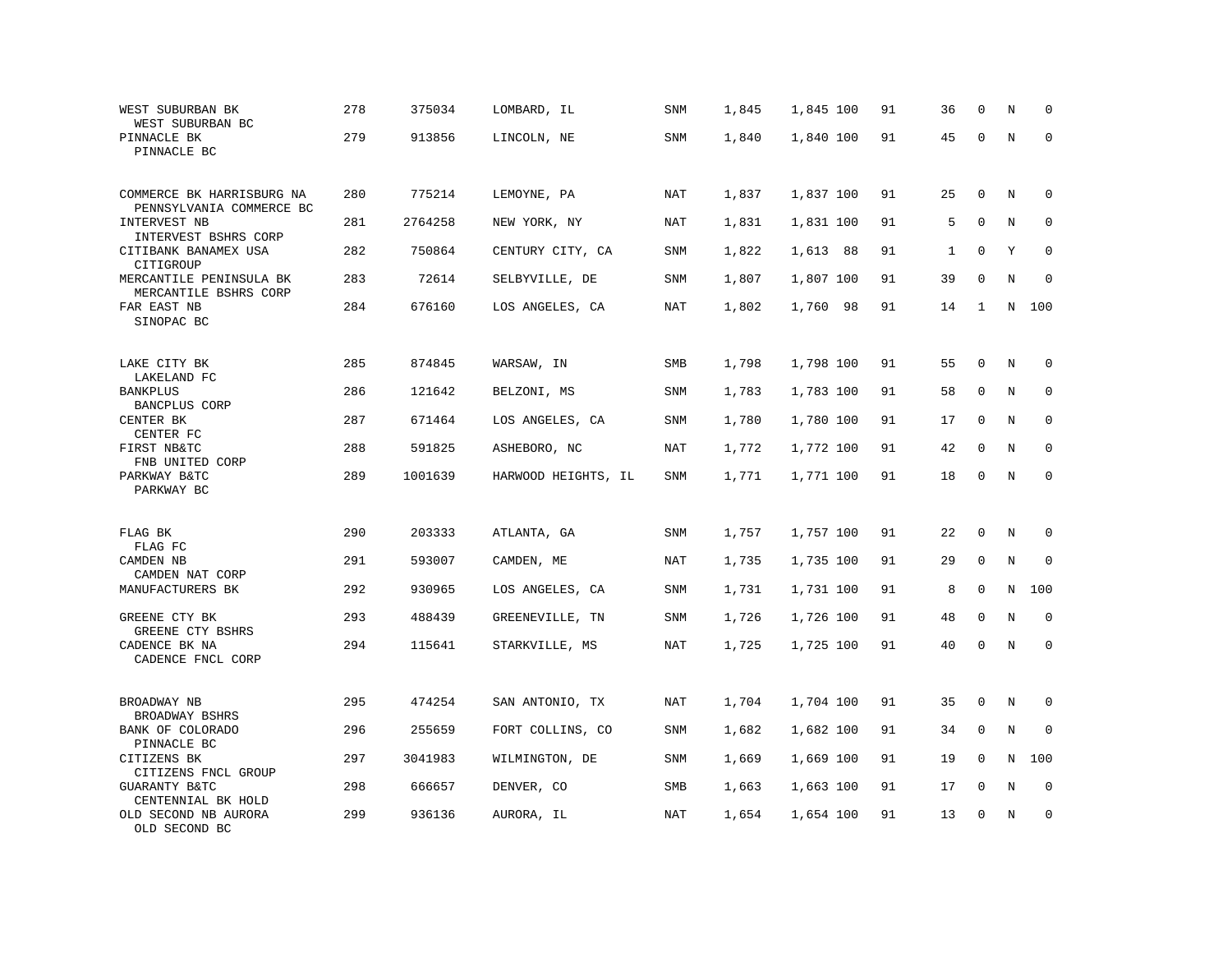| WEST SUBURBAN BK<br>WEST SUBURBAN BC                  | 278 | 375034  | LOMBARD, IL         | SNM        | 1,845 | 1,845 100 | 91 | 36           | $\mathbf 0$ | N       | $\mathbf 0$ |
|-------------------------------------------------------|-----|---------|---------------------|------------|-------|-----------|----|--------------|-------------|---------|-------------|
| PINNACLE BK<br>PINNACLE BC                            | 279 | 913856  | LINCOLN, NE         | SNM        | 1,840 | 1,840 100 | 91 | 45           | $\mathbf 0$ | $\rm N$ | $\mathbf 0$ |
| COMMERCE BK HARRISBURG NA<br>PENNSYLVANIA COMMERCE BC | 280 | 775214  | LEMOYNE, PA         | NAT        | 1,837 | 1,837 100 | 91 | 25           | $\mathbf 0$ | N       | 0           |
| INTERVEST NB<br>INTERVEST BSHRS CORP                  | 281 | 2764258 | NEW YORK, NY        | NAT        | 1,831 | 1,831 100 | 91 | 5            | $\mathbf 0$ | N       | $\mathbf 0$ |
| CITIBANK BANAMEX USA<br>CITIGROUP                     | 282 | 750864  | CENTURY CITY, CA    | <b>SNM</b> | 1,822 | 1,613 88  | 91 | $\mathbf{1}$ | $\mathbf 0$ | Υ       | $\mathbf 0$ |
| MERCANTILE PENINSULA BK<br>MERCANTILE BSHRS CORP      | 283 | 72614   | SELBYVILLE, DE      | SNM        | 1,807 | 1,807 100 | 91 | 39           | 0           | N       | $\mathbf 0$ |
| FAR EAST NB<br>SINOPAC BC                             | 284 | 676160  | LOS ANGELES, CA     | <b>NAT</b> | 1,802 | 1,760 98  | 91 | 14           | 1           | N       | 100         |
| LAKE CITY BK<br>LAKELAND FC                           | 285 | 874845  | WARSAW, IN          | <b>SMB</b> | 1,798 | 1,798 100 | 91 | 55           | $\mathbf 0$ | N       | $\mathbf 0$ |
| <b>BANKPLUS</b><br><b>BANCPLUS CORP</b>               | 286 | 121642  | BELZONI, MS         | SNM        | 1,783 | 1,783 100 | 91 | 58           | 0           | $\rm N$ | $\mathbf 0$ |
| CENTER BK<br>CENTER FC                                | 287 | 671464  | LOS ANGELES, CA     | SNM        | 1,780 | 1,780 100 | 91 | 17           | $\mathbf 0$ | N       | $\mathbf 0$ |
| FIRST NB&TC<br>FNB UNITED CORP                        | 288 | 591825  | ASHEBORO, NC        | NAT        | 1,772 | 1,772 100 | 91 | 42           | $\mathbf 0$ | N       | $\mathbf 0$ |
| PARKWAY B&TC<br>PARKWAY BC                            | 289 | 1001639 | HARWOOD HEIGHTS, IL | <b>SNM</b> | 1,771 | 1,771 100 | 91 | 18           | $\mathbf 0$ | N       | $\mathbf 0$ |
| FLAG BK<br>FLAG FC                                    | 290 | 203333  | ATLANTA, GA         | SNM        | 1,757 | 1,757 100 | 91 | 22           | $\mathbf 0$ | N       | 0           |
| CAMDEN NB<br>CAMDEN NAT CORP                          | 291 | 593007  | CAMDEN, ME          | NAT        | 1,735 | 1,735 100 | 91 | 29           | $\mathbf 0$ | N       | $\mathbf 0$ |
| MANUFACTURERS BK                                      | 292 | 930965  | LOS ANGELES, CA     | SNM        | 1,731 | 1,731 100 | 91 | 8            | 0           | N       | 100         |
| GREENE CTY BK<br>GREENE CTY BSHRS                     | 293 | 488439  | GREENEVILLE, TN     | <b>SNM</b> | 1,726 | 1,726 100 | 91 | 48           | $\mathbf 0$ | N       | $\mathbf 0$ |
| CADENCE BK NA<br>CADENCE FNCL CORP                    | 294 | 115641  | STARKVILLE, MS      | <b>NAT</b> | 1,725 | 1,725 100 | 91 | 40           | 0           | N       | $\mathbf 0$ |
| BROADWAY NB<br>BROADWAY BSHRS                         | 295 | 474254  | SAN ANTONIO, TX     | NAT        | 1,704 | 1,704 100 | 91 | 35           | 0           | N       | 0           |
| BANK OF COLORADO<br>PINNACLE BC                       | 296 | 255659  | FORT COLLINS, CO    | SNM        | 1,682 | 1,682 100 | 91 | 34           | 0           | $\rm N$ | 0           |
| CITIZENS BK<br>CITIZENS FNCL GROUP                    | 297 | 3041983 | WILMINGTON, DE      | SNM        | 1,669 | 1,669 100 | 91 | 19           | 0           | N       | 100         |
| GUARANTY B&TC<br>CENTENNIAL BK HOLD                   | 298 | 666657  | DENVER, CO          | SMB        | 1,663 | 1,663 100 | 91 | 17           | 0           | Ν       | 0           |
| OLD SECOND NB AURORA<br>OLD SECOND BC                 | 299 | 936136  | AURORA, IL          | <b>NAT</b> | 1,654 | 1,654 100 | 91 | 13           | $\mathbf 0$ | N       | $\mathbf 0$ |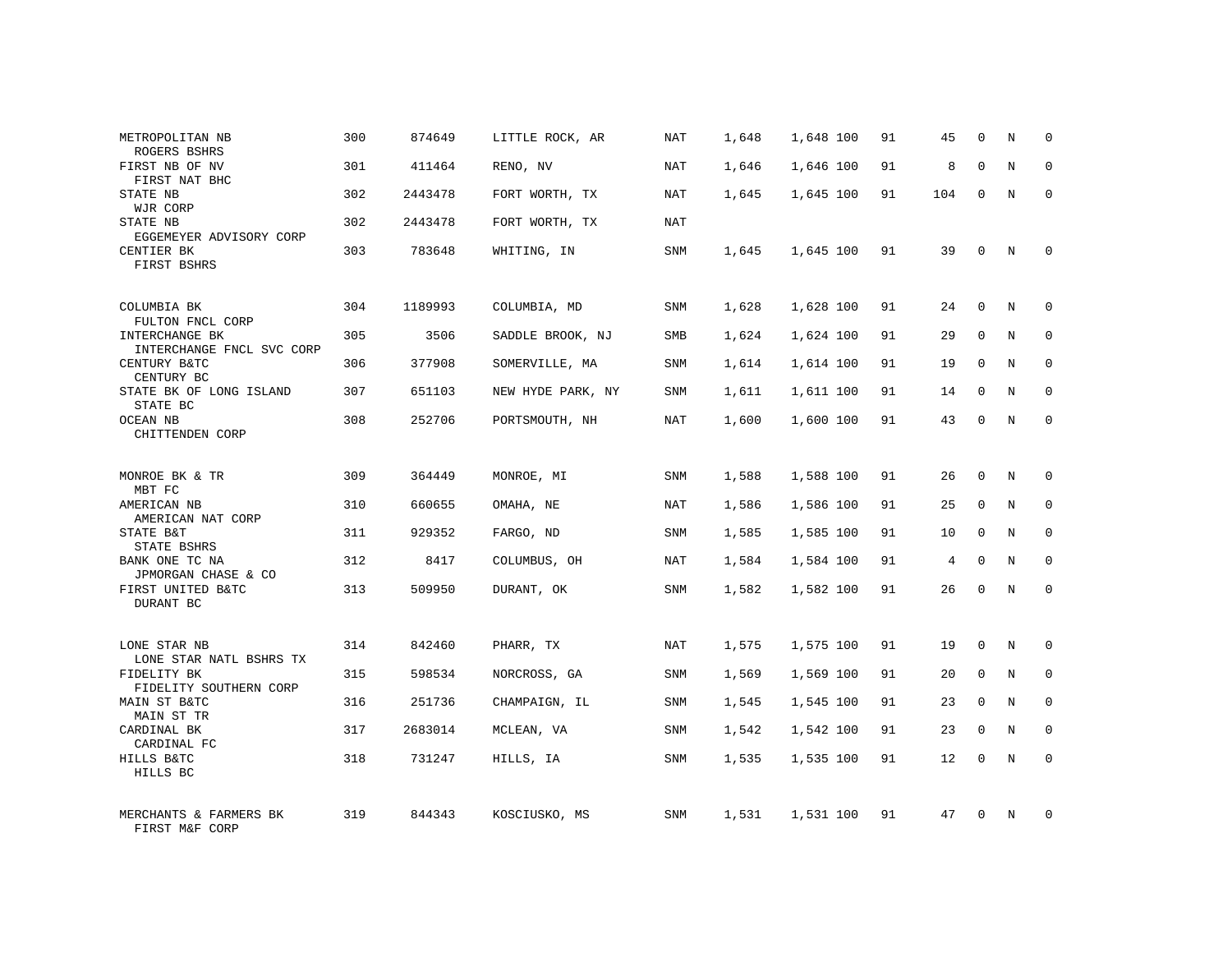| METROPOLITAN NB<br>ROGERS BSHRS                                 | 300 | 874649  | LITTLE ROCK, AR   | NAT        | 1,648 | 1,648 100 | 91 | 45  | $\mathbf 0$  | N | $\Omega$    |
|-----------------------------------------------------------------|-----|---------|-------------------|------------|-------|-----------|----|-----|--------------|---|-------------|
| FIRST NB OF NV<br>FIRST NAT BHC                                 | 301 | 411464  | RENO, NV          | NAT        | 1,646 | 1,646 100 | 91 | 8   | $\Omega$     | N | $\Omega$    |
| STATE NB<br>WJR CORP                                            | 302 | 2443478 | FORT WORTH, TX    | NAT        | 1,645 | 1,645 100 | 91 | 104 | 0            | N | $\Omega$    |
| STATE NB<br>EGGEMEYER ADVISORY CORP                             | 302 | 2443478 | FORT WORTH, TX    | <b>NAT</b> |       |           |    |     |              |   |             |
| CENTIER BK<br>FIRST BSHRS                                       | 303 | 783648  | WHITING, IN       | SNM        | 1,645 | 1,645 100 | 91 | 39  | 0            | N | $\Omega$    |
| COLUMBIA BK                                                     | 304 | 1189993 | COLUMBIA, MD      | SNM        | 1,628 | 1,628 100 | 91 | 24  | $\mathbf 0$  | N | $\mathbf 0$ |
| FULTON FNCL CORP<br>INTERCHANGE BK<br>INTERCHANGE FNCL SVC CORP | 305 | 3506    | SADDLE BROOK, NJ  | SMB        | 1,624 | 1,624 100 | 91 | 29  | 0            | N | 0           |
| CENTURY B&TC<br>CENTURY BC                                      | 306 | 377908  | SOMERVILLE, MA    | <b>SNM</b> | 1,614 | 1,614 100 | 91 | 19  | $\Omega$     | N | $\mathbf 0$ |
| STATE BK OF LONG ISLAND<br>STATE BC                             | 307 | 651103  | NEW HYDE PARK, NY | SNM        | 1,611 | 1,611 100 | 91 | 14  | 0            | N | 0           |
| <b>OCEAN NB</b><br>CHITTENDEN CORP                              | 308 | 252706  | PORTSMOUTH, NH    | NAT        | 1,600 | 1,600 100 | 91 | 43  | $\Omega$     | N | $\mathbf 0$ |
| MONROE BK & TR<br>MBT FC                                        | 309 | 364449  | MONROE, MI        | SNM        | 1,588 | 1,588 100 | 91 | 26  | $\mathbf 0$  | N | $\mathbf 0$ |
| AMERICAN NB<br>AMERICAN NAT CORP                                | 310 | 660655  | OMAHA, NE         | NAT        | 1,586 | 1,586 100 | 91 | 25  | $\mathbf 0$  | N | 0           |
| STATE B&T<br>STATE BSHRS                                        | 311 | 929352  | FARGO, ND         | SNM        | 1,585 | 1,585 100 | 91 | 10  | $\mathbf 0$  | N | $\mathbf 0$ |
| BANK ONE TC NA<br>JPMORGAN CHASE & CO                           | 312 | 8417    | COLUMBUS, OH      | NAT        | 1,584 | 1,584 100 | 91 | 4   | 0            | N | $\mathbf 0$ |
| FIRST UNITED B&TC<br>DURANT BC                                  | 313 | 509950  | DURANT, OK        | SNM        | 1,582 | 1,582 100 | 91 | 26  | 0            | N | $\mathbf 0$ |
| LONE STAR NB<br>LONE STAR NATL BSHRS TX                         | 314 | 842460  | PHARR, TX         | NAT        | 1,575 | 1,575 100 | 91 | 19  | 0            | N | $\mathbf 0$ |
| FIDELITY BK<br>FIDELITY SOUTHERN CORP                           | 315 | 598534  | NORCROSS, GA      | SNM        | 1,569 | 1,569 100 | 91 | 20  | $\mathbf 0$  | N | $\mathbf 0$ |
| MAIN ST B&TC<br>MAIN ST TR                                      | 316 | 251736  | CHAMPAIGN, IL     | SNM        | 1,545 | 1,545 100 | 91 | 23  | 0            | N | $\mathbf 0$ |
| CARDINAL BK<br>CARDINAL FC                                      | 317 | 2683014 | MCLEAN, VA        | <b>SNM</b> | 1,542 | 1,542 100 | 91 | 23  | $\mathbf 0$  | N | $\mathbf 0$ |
| HILLS B&TC<br>HILLS BC                                          | 318 | 731247  | HILLS, IA         | SNM        | 1,535 | 1,535 100 | 91 | 12  | $\mathbf{0}$ | N | $\mathbf 0$ |
| MERCHANTS & FARMERS BK<br>FIRST M&F CORP                        | 319 | 844343  | KOSCIUSKO, MS     | <b>SNM</b> | 1,531 | 1,531 100 | 91 | 47  | $\Omega$     | N | $\mathbf 0$ |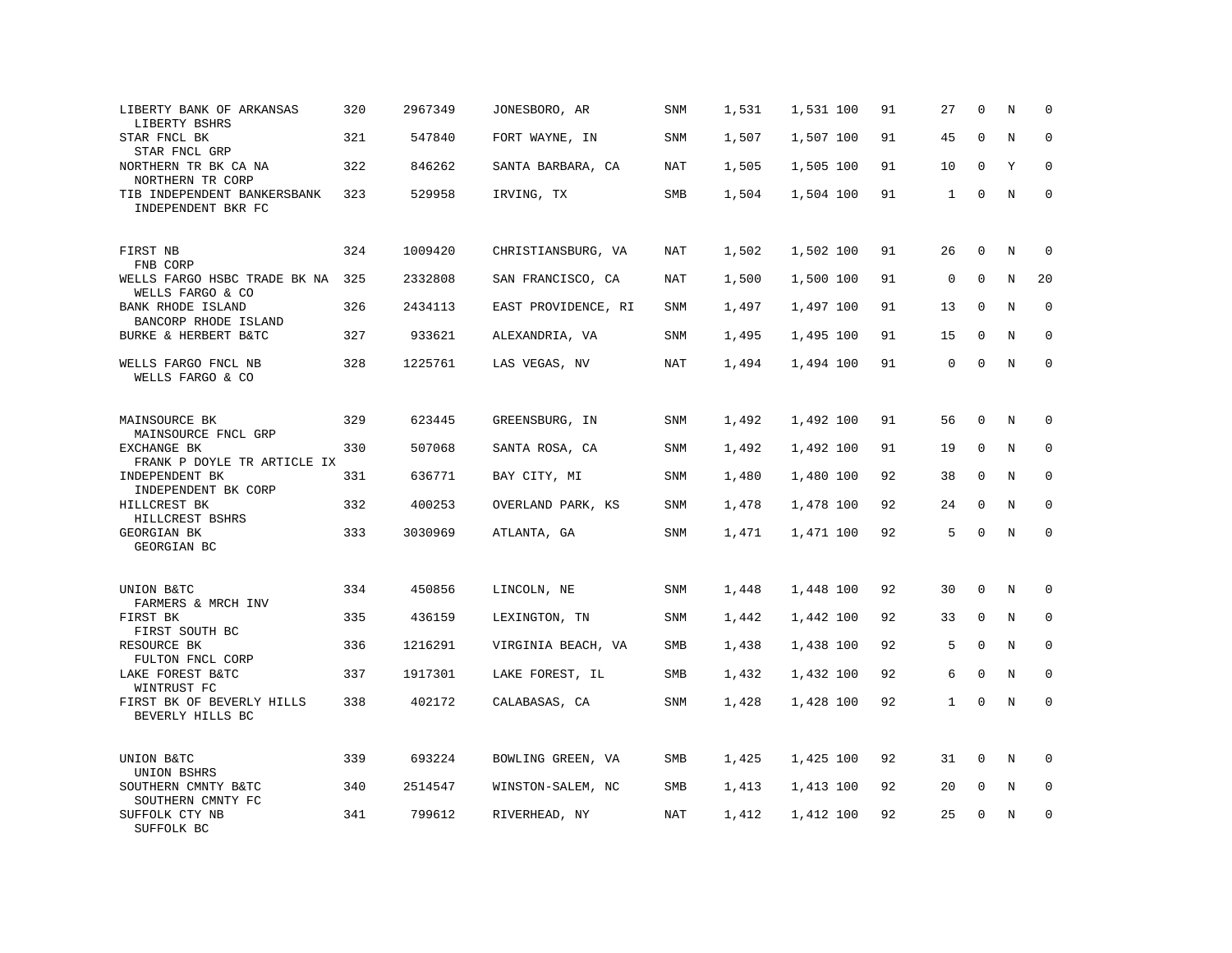| LIBERTY BANK OF ARKANSAS<br>LIBERTY BSHRS           | 320 | 2967349 | JONESBORO, AR       | <b>SNM</b> | 1,531 | 1,531 100 | 91 | 27           | $\mathbf 0$  | N       | $\mathbf 0$  |
|-----------------------------------------------------|-----|---------|---------------------|------------|-------|-----------|----|--------------|--------------|---------|--------------|
| STAR FNCL BK<br>STAR FNCL GRP                       | 321 | 547840  | FORT WAYNE, IN      | <b>SNM</b> | 1,507 | 1,507 100 | 91 | 45           | $\mathbf{0}$ | N       | $\mathbf 0$  |
| NORTHERN TR BK CA NA<br>NORTHERN TR CORP            | 322 | 846262  | SANTA BARBARA, CA   | NAT        | 1,505 | 1,505 100 | 91 | 10           | $\mathbf 0$  | Y       | $\mathbf 0$  |
| TIB INDEPENDENT BANKERSBANK<br>INDEPENDENT BKR FC   | 323 | 529958  | IRVING, TX          | SMB        | 1,504 | 1,504 100 | 91 | $\mathbf{1}$ | $\mathbf 0$  | N       | $\mathbf 0$  |
| FIRST NB<br>FNB CORP                                | 324 | 1009420 | CHRISTIANSBURG, VA  | <b>NAT</b> | 1,502 | 1,502 100 | 91 | 26           | $\mathbf 0$  | N       | $\mathbf 0$  |
| WELLS FARGO HSBC TRADE BK NA<br>WELLS FARGO & CO    | 325 | 2332808 | SAN FRANCISCO, CA   | NAT        | 1,500 | 1,500 100 | 91 | 0            | $\mathbf 0$  | N       | 20           |
| <b>BANK RHODE ISLAND</b><br>BANCORP RHODE ISLAND    | 326 | 2434113 | EAST PROVIDENCE, RI | SNM        | 1,497 | 1,497 100 | 91 | 13           | $\mathbf 0$  | N       | $\mathbf 0$  |
| BURKE & HERBERT B&TC                                | 327 | 933621  | ALEXANDRIA, VA      | SNM        | 1,495 | 1,495 100 | 91 | 15           | $\Omega$     | N       | $\Omega$     |
| WELLS FARGO FNCL NB<br>WELLS FARGO & CO             | 328 | 1225761 | LAS VEGAS, NV       | NAT        | 1,494 | 1,494 100 | 91 | $\mathbf 0$  | $\mathbf{0}$ | N       | $\mathbf 0$  |
| MAINSOURCE BK<br>MAINSOURCE FNCL GRP                | 329 | 623445  | GREENSBURG, IN      | SNM        | 1,492 | 1,492 100 | 91 | 56           | $\mathbf 0$  | N       | 0            |
| EXCHANGE BK<br>FRANK P DOYLE TR ARTICLE IX          | 330 | 507068  | SANTA ROSA, CA      | <b>SNM</b> | 1,492 | 1,492 100 | 91 | 19           | $\mathbf{0}$ | N       | $\mathbf 0$  |
| INDEPENDENT BK<br>INDEPENDENT BK CORP               | 331 | 636771  | BAY CITY, MI        | SNM        | 1,480 | 1,480 100 | 92 | 38           | $\mathbf 0$  | N       | 0            |
| HILLCREST BK<br>HILLCREST BSHRS                     | 332 | 400253  | OVERLAND PARK, KS   | <b>SNM</b> | 1,478 | 1,478 100 | 92 | 24           | $\Omega$     | N       | $\mathbf{0}$ |
| GEORGIAN BK<br>GEORGIAN BC                          | 333 | 3030969 | ATLANTA, GA         | SNM        | 1,471 | 1,471 100 | 92 | 5            | $\Omega$     | $\rm N$ | $\Omega$     |
| UNION B&TC<br>FARMERS & MRCH INV                    | 334 | 450856  | LINCOLN, NE         | SNM        | 1,448 | 1,448 100 | 92 | 30           | $\mathbf 0$  | N       | $\mathbf 0$  |
| FIRST BK<br>FIRST SOUTH BC                          | 335 | 436159  | LEXINGTON, TN       | SNM        | 1,442 | 1,442 100 | 92 | 33           | 0            | N       | $\mathbf 0$  |
| RESOURCE BK                                         | 336 | 1216291 | VIRGINIA BEACH, VA  | SMB        | 1,438 | 1,438 100 | 92 | 5            | $\mathbf 0$  | N       | $\mathbf 0$  |
| FULTON FNCL CORP<br>LAKE FOREST B&TC<br>WINTRUST FC | 337 | 1917301 | LAKE FOREST, IL     | SMB        | 1,432 | 1,432 100 | 92 | 6            | $\mathbf 0$  | N       | $\mathbf 0$  |
| FIRST BK OF BEVERLY HILLS<br>BEVERLY HILLS BC       | 338 | 402172  | CALABASAS, CA       | SNM        | 1,428 | 1,428 100 | 92 | $\mathbf{1}$ | $\mathbf 0$  | N       | $\mathbf 0$  |
| UNION B&TC<br>UNION BSHRS                           | 339 | 693224  | BOWLING GREEN, VA   | SMB        | 1,425 | 1,425 100 | 92 | 31           | 0            | N       | $\mathbf 0$  |
| SOUTHERN CMNTY B&TC<br>SOUTHERN CMNTY FC            | 340 | 2514547 | WINSTON-SALEM, NC   | SMB        | 1,413 | 1,413 100 | 92 | 20           | 0            | Ν       | 0            |
| SUFFOLK CTY NB<br>SUFFOLK BC                        | 341 | 799612  | RIVERHEAD, NY       | NAT        | 1,412 | 1,412 100 | 92 | 25           | $\mathbf 0$  | N       | $\mathbf 0$  |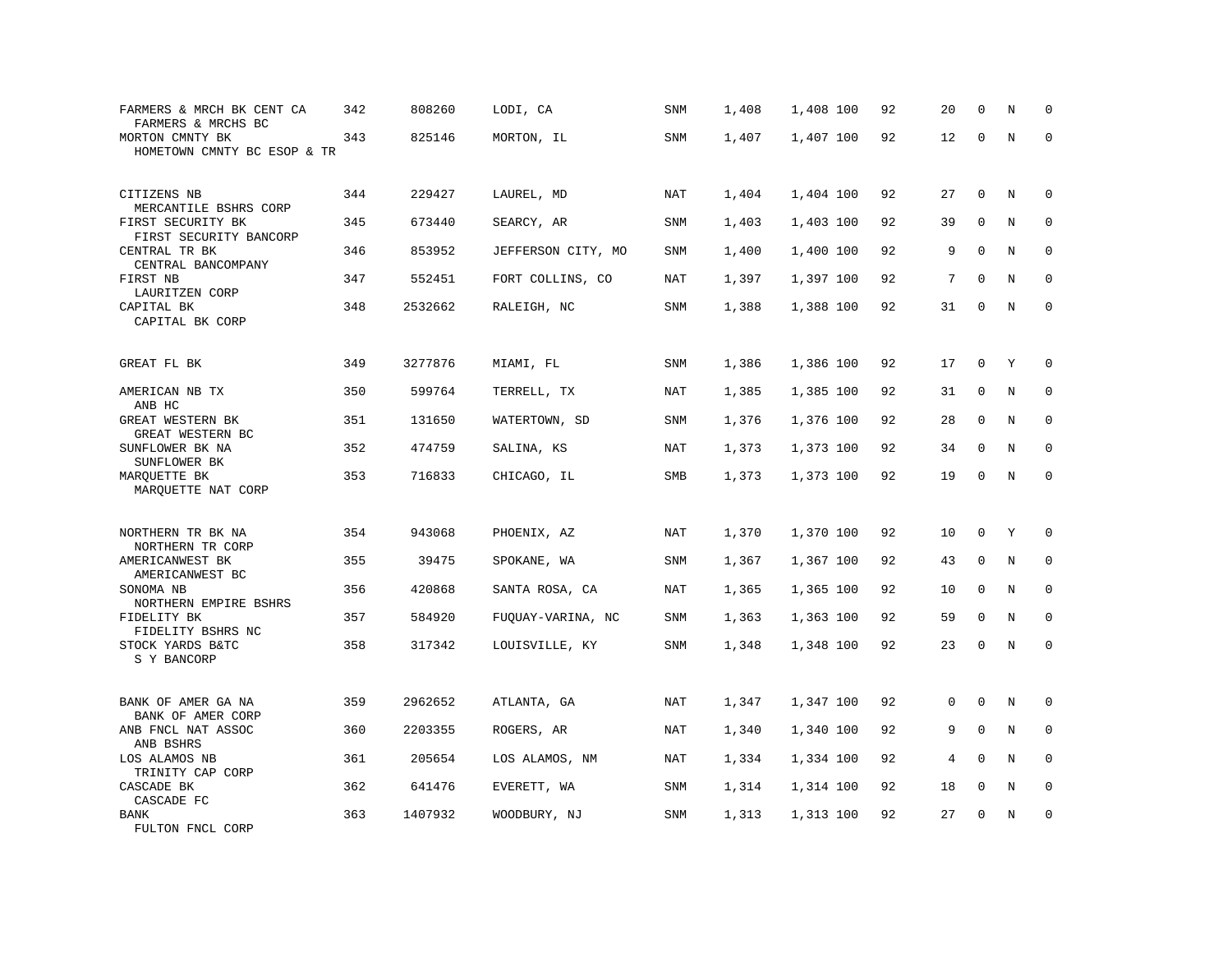| FARMERS & MRCH BK CENT CA<br>FARMERS & MRCHS BC        | 342 | 808260  | LODI, CA           | SNM        | 1,408 | 1,408 100 | 92 | 20             | $\mathbf 0$ | N       | $\mathbf 0$  |
|--------------------------------------------------------|-----|---------|--------------------|------------|-------|-----------|----|----------------|-------------|---------|--------------|
| MORTON CMNTY BK<br>HOMETOWN CMNTY BC ESOP & TR         | 343 | 825146  | MORTON, IL         | SNM        | 1,407 | 1,407 100 | 92 | 12             | $\mathbf 0$ | $\rm N$ | $\mathbf 0$  |
| CITIZENS NB<br>MERCANTILE BSHRS CORP                   | 344 | 229427  | LAUREL, MD         | NAT        | 1,404 | 1,404 100 | 92 | 27             | $\mathbf 0$ | N       | 0            |
| FIRST SECURITY BK<br>FIRST SECURITY BANCORP            | 345 | 673440  | SEARCY, AR         | SNM        | 1,403 | 1,403 100 | 92 | 39             | $\mathbf 0$ | N       | $\mathbf 0$  |
| CENTRAL TR BK<br>CENTRAL BANCOMPANY                    | 346 | 853952  | JEFFERSON CITY, MO | <b>SNM</b> | 1,400 | 1,400 100 | 92 | 9              | $\mathbf 0$ | N       | $\mathbf 0$  |
| FIRST NB<br>LAURITZEN CORP                             | 347 | 552451  | FORT COLLINS, CO   | NAT        | 1,397 | 1,397 100 | 92 | 7              | $\mathbf 0$ | N       | $\mathbf 0$  |
| CAPITAL BK<br>CAPITAL BK CORP                          | 348 | 2532662 | RALEIGH, NC        | SNM        | 1,388 | 1,388 100 | 92 | 31             | $\mathbf 0$ | N       | $\mathbf 0$  |
| GREAT FL BK                                            | 349 | 3277876 | MIAMI, FL          | SNM        | 1,386 | 1,386 100 | 92 | 17             | 0           | Y       | $\mathbf 0$  |
| AMERICAN NB TX<br>ANB HC                               | 350 | 599764  | TERRELL, TX        | NAT        | 1,385 | 1,385 100 | 92 | 31             | 0           | $\rm N$ | $\mathbf 0$  |
| GREAT WESTERN BK<br>GREAT WESTERN BC                   | 351 | 131650  | WATERTOWN, SD      | SNM        | 1,376 | 1,376 100 | 92 | 28             | $\mathbf 0$ | N       | $\mathbf 0$  |
| SUNFLOWER BK NA<br>SUNFLOWER BK                        | 352 | 474759  | SALINA, KS         | <b>NAT</b> | 1,373 | 1,373 100 | 92 | 34             | $\mathbf 0$ | N       | $\mathbf 0$  |
| MARQUETTE BK<br>MARQUETTE NAT CORP                     | 353 | 716833  | CHICAGO, IL        | SMB        | 1,373 | 1,373 100 | 92 | 19             | $\mathbf 0$ | N       | $\mathbf 0$  |
| NORTHERN TR BK NA                                      | 354 | 943068  | PHOENIX, AZ        | <b>NAT</b> | 1,370 | 1,370 100 | 92 | 10             | $\mathbf 0$ | Υ       | $\mathbf 0$  |
| NORTHERN TR CORP<br>AMERICANWEST BK<br>AMERICANWEST BC | 355 | 39475   | SPOKANE, WA        | <b>SNM</b> | 1,367 | 1,367 100 | 92 | 43             | 0           | N       | $\mathbf 0$  |
| SONOMA NB<br>NORTHERN EMPIRE BSHRS                     | 356 | 420868  | SANTA ROSA, CA     | NAT        | 1,365 | 1,365 100 | 92 | 10             | 0           | N       | $\mathbf 0$  |
| FIDELITY BK<br>FIDELITY BSHRS NC                       | 357 | 584920  | FUQUAY-VARINA, NC  | <b>SNM</b> | 1,363 | 1,363 100 | 92 | 59             | $\mathbf 0$ | N       | $\mathbf{0}$ |
| STOCK YARDS B&TC<br>S Y BANCORP                        | 358 | 317342  | LOUISVILLE, KY     | SNM        | 1,348 | 1,348 100 | 92 | 23             | 0           | N       | $\Omega$     |
| BANK OF AMER GA NA<br>BANK OF AMER CORP                | 359 | 2962652 | ATLANTA, GA        | NAT        | 1,347 | 1,347 100 | 92 | 0              | $\Omega$    | N       | 0            |
| ANB FNCL NAT ASSOC<br>ANB BSHRS                        | 360 | 2203355 | ROGERS, AR         | <b>NAT</b> | 1,340 | 1,340 100 | 92 | 9              | $\mathbf 0$ | N       | 0            |
| LOS ALAMOS NB<br>TRINITY CAP CORP                      | 361 | 205654  | LOS ALAMOS, NM     | NAT        | 1,334 | 1,334 100 | 92 | $\overline{4}$ | $\Omega$    | N       | $\mathbf 0$  |
| CASCADE BK<br>CASCADE FC                               | 362 | 641476  | EVERETT, WA        | SNM        | 1,314 | 1,314 100 | 92 | 18             | 0           | $\rm N$ | 0            |
| <b>BANK</b><br>FULTON FNCL CORP                        | 363 | 1407932 | WOODBURY, NJ       | SNM        | 1,313 | 1,313 100 | 92 | 27             | $\mathbf 0$ | N       | $\mathbf 0$  |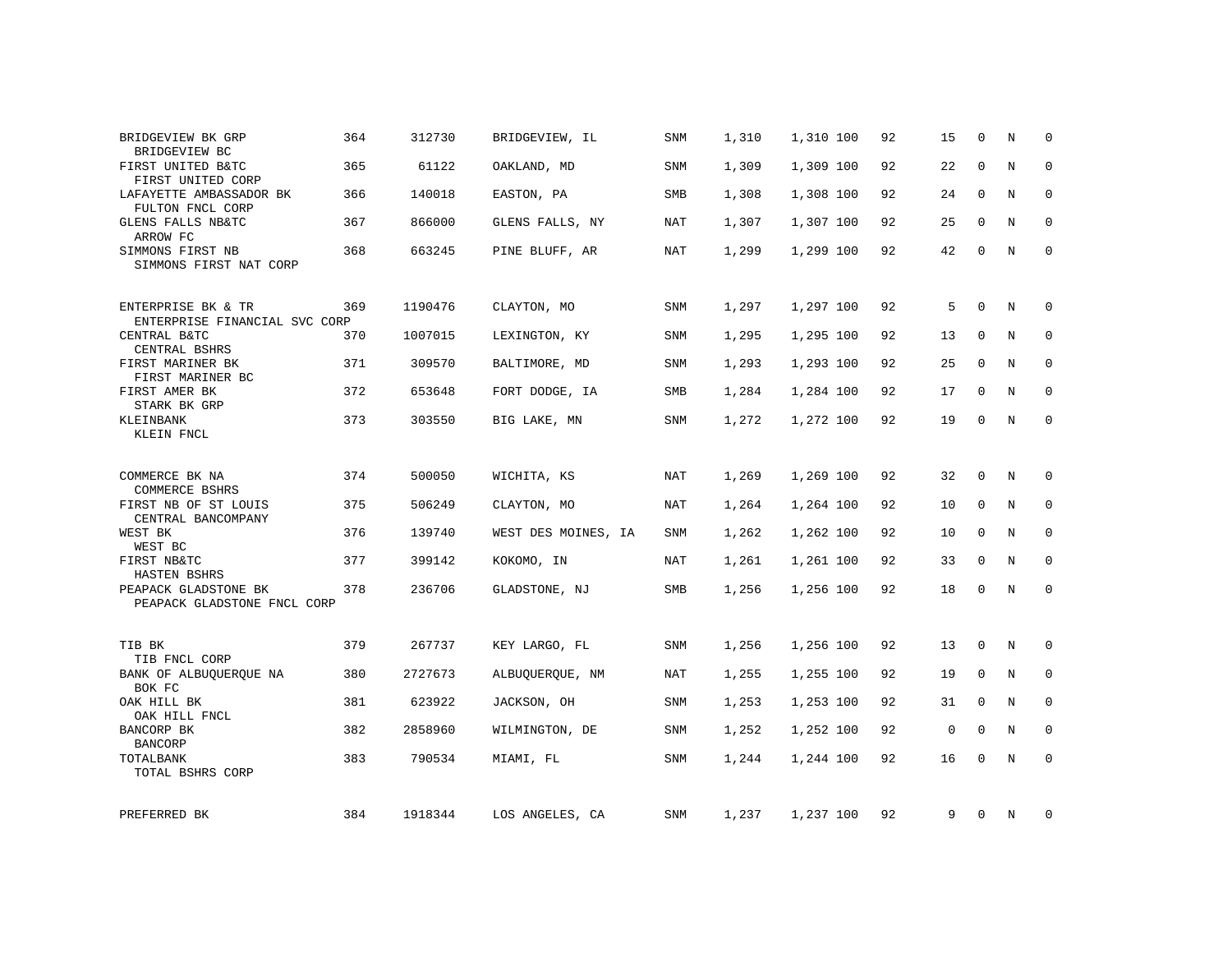| BRIDGEVIEW BK GRP<br>BRIDGEVIEW BC                  | 364 | 312730  | BRIDGEVIEW, IL      | <b>SNM</b> | 1,310 | 1,310 100 | 92 | 15          | $\mathbf 0$ | N       | $\Omega$     |
|-----------------------------------------------------|-----|---------|---------------------|------------|-------|-----------|----|-------------|-------------|---------|--------------|
| FIRST UNITED B&TC<br>FIRST UNITED CORP              | 365 | 61122   | OAKLAND, MD         | SNM        | 1,309 | 1,309 100 | 92 | 22          | $\mathbf 0$ | N       | $\mathbf 0$  |
| LAFAYETTE AMBASSADOR BK<br>FULTON FNCL CORP         | 366 | 140018  | EASTON, PA          | SMB        | 1,308 | 1,308 100 | 92 | 24          | $\mathbf 0$ | N       | $\mathbf 0$  |
| GLENS FALLS NB&TC<br>ARROW FC                       | 367 | 866000  | GLENS FALLS, NY     | NAT        | 1,307 | 1,307 100 | 92 | 25          | $\mathbf 0$ | N       | $\mathbf 0$  |
| SIMMONS FIRST NB<br>SIMMONS FIRST NAT CORP          | 368 | 663245  | PINE BLUFF, AR      | <b>NAT</b> | 1,299 | 1,299 100 | 92 | 42          | $\mathbf 0$ | N       | $\mathbf{0}$ |
| ENTERPRISE BK & TR<br>ENTERPRISE FINANCIAL SVC CORP | 369 | 1190476 | CLAYTON, MO         | SNM        | 1,297 | 1,297 100 | 92 | 5           | $\mathbf 0$ | N       | 0            |
| CENTRAL B&TC<br>CENTRAL BSHRS                       | 370 | 1007015 | LEXINGTON, KY       | SNM        | 1,295 | 1,295 100 | 92 | 13          | $\mathbf 0$ | N       | $\mathbf 0$  |
| FIRST MARINER BK<br>FIRST MARINER BC                | 371 | 309570  | BALTIMORE, MD       | SNM        | 1,293 | 1,293 100 | 92 | 25          | $\Omega$    | N       | 0            |
| FIRST AMER BK                                       | 372 | 653648  | FORT DODGE, IA      | SMB        | 1,284 | 1,284 100 | 92 | 17          | $\mathbf 0$ | N       | 0            |
| STARK BK GRP<br>KLEINBANK<br>KLEIN FNCL             | 373 | 303550  | BIG LAKE, MN        | <b>SNM</b> | 1,272 | 1,272 100 | 92 | 19          | $\mathbf 0$ | $\rm N$ | 0            |
| COMMERCE BK NA<br>COMMERCE BSHRS                    | 374 | 500050  | WICHITA, KS         | <b>NAT</b> | 1,269 | 1,269 100 | 92 | 32          | $\mathbf 0$ | N       | $\mathbf 0$  |
| FIRST NB OF ST LOUIS                                | 375 | 506249  | CLAYTON, MO         | NAT        | 1,264 | 1,264 100 | 92 | 10          | $\mathbf 0$ | N       | $\mathbf 0$  |
| CENTRAL BANCOMPANY<br>WEST BK<br>WEST BC            | 376 | 139740  | WEST DES MOINES, IA | <b>SNM</b> | 1,262 | 1,262 100 | 92 | 10          | $\Omega$    | N       | $\mathbf 0$  |
| FIRST NB&TC<br>HASTEN BSHRS                         | 377 | 399142  | KOKOMO, IN          | NAT        | 1,261 | 1,261 100 | 92 | 33          | $\mathbf 0$ | N       | $\mathbf 0$  |
| PEAPACK GLADSTONE BK<br>PEAPACK GLADSTONE FNCL CORP | 378 | 236706  | GLADSTONE, NJ       | SMB        | 1,256 | 1,256 100 | 92 | 18          | 0           | N       | $\mathbf 0$  |
| TIB BK<br>TIB FNCL CORP                             | 379 | 267737  | KEY LARGO, FL       | SNM        | 1,256 | 1,256 100 | 92 | 13          | $\mathbf 0$ | N       | 0            |
| BANK OF ALBUQUERQUE NA<br>BOK FC                    | 380 | 2727673 | ALBUQUERQUE, NM     | NAT        | 1,255 | 1,255 100 | 92 | 19          | $\mathbf 0$ | N       | 0            |
| OAK HILL BK<br>OAK HILL FNCL                        | 381 | 623922  | JACKSON, OH         | SNM        | 1,253 | 1,253 100 | 92 | 31          | 0           | N       | 0            |
| BANCORP BK<br><b>BANCORP</b>                        | 382 | 2858960 | WILMINGTON, DE      | SNM        | 1,252 | 1,252 100 | 92 | $\mathbf 0$ | $\Omega$    | N       | $\mathbf{0}$ |
| TOTALBANK<br>TOTAL BSHRS CORP                       | 383 | 790534  | MIAMI, FL           | SNM        | 1,244 | 1,244 100 | 92 | 16          | $\mathbf 0$ | N       | $\mathbf 0$  |
| PREFERRED BK                                        | 384 | 1918344 | LOS ANGELES, CA     | SNM        | 1,237 | 1,237 100 | 92 | 9           | 0           | N       | 0            |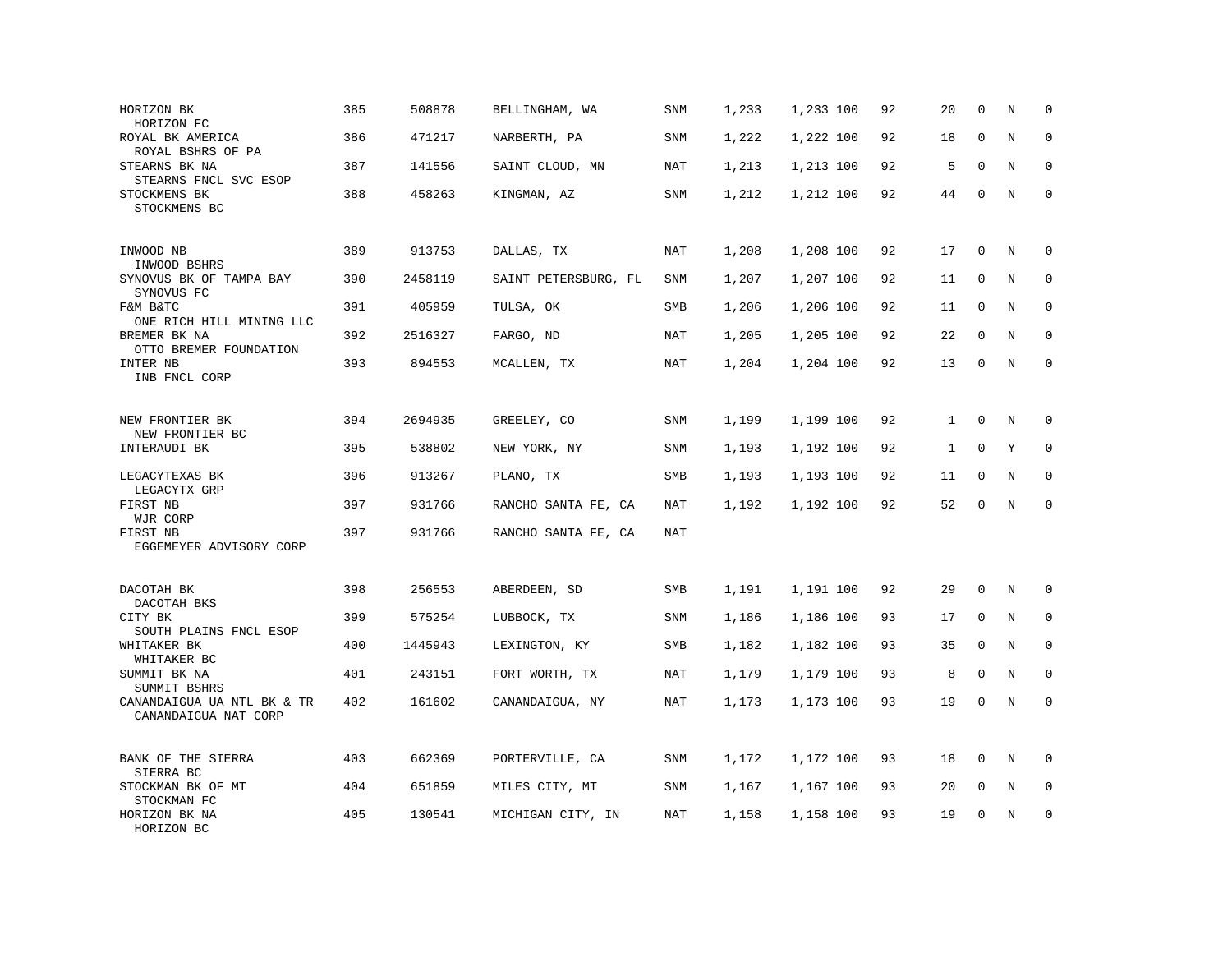| HORIZON BK<br>HORIZON FC                           | 385 | 508878  | BELLINGHAM, WA       | <b>SNM</b> | 1,233 | 1,233 100 | 92 | 20           | $\mathbf 0$  | N       | $\mathbf 0$ |
|----------------------------------------------------|-----|---------|----------------------|------------|-------|-----------|----|--------------|--------------|---------|-------------|
| ROYAL BK AMERICA<br>ROYAL BSHRS OF PA              | 386 | 471217  | NARBERTH, PA         | SNM        | 1,222 | 1,222 100 | 92 | 18           | $\mathbf{0}$ | N       | $\mathbf 0$ |
| STEARNS BK NA<br>STEARNS FNCL SVC ESOP             | 387 | 141556  | SAINT CLOUD, MN      | NAT        | 1,213 | 1,213 100 | 92 | 5            | $\Omega$     | N       | 0           |
| STOCKMENS BK<br>STOCKMENS BC                       | 388 | 458263  | KINGMAN, AZ          | SNM        | 1,212 | 1,212 100 | 92 | 44           | 0            | N       | $\mathbf 0$ |
| INWOOD NB<br>INWOOD BSHRS                          | 389 | 913753  | DALLAS, TX           | NAT        | 1,208 | 1,208 100 | 92 | 17           | $\mathbf{0}$ | N       | $\mathbf 0$ |
| SYNOVUS BK OF TAMPA BAY<br>SYNOVUS FC              | 390 | 2458119 | SAINT PETERSBURG, FL | SNM        | 1,207 | 1,207 100 | 92 | 11           | $\mathbf 0$  | N       | $\mathbf 0$ |
| F&M B&TC<br>ONE RICH HILL MINING LLC               | 391 | 405959  | TULSA, OK            | SMB        | 1,206 | 1,206 100 | 92 | 11           | $\Omega$     | N       | $\mathbf 0$ |
| BREMER BK NA<br>OTTO BREMER FOUNDATION             | 392 | 2516327 | FARGO, ND            | <b>NAT</b> | 1,205 | 1,205 100 | 92 | 22           | $\mathbf 0$  | N       | $\mathbf 0$ |
| INTER NB<br>INB FNCL CORP                          | 393 | 894553  | MCALLEN, TX          | <b>NAT</b> | 1,204 | 1,204 100 | 92 | 13           | $\mathbf 0$  | N       | $\mathbf 0$ |
| NEW FRONTIER BK<br>NEW FRONTIER BC                 | 394 | 2694935 | GREELEY, CO          | SNM        | 1,199 | 1,199 100 | 92 | $\mathbf{1}$ | $\mathbf 0$  | N       | $\mathbf 0$ |
| INTERAUDI BK                                       | 395 | 538802  | NEW YORK, NY         | SNM        | 1,193 | 1,192 100 | 92 | 1            | $\mathbf 0$  | Υ       | 0           |
| LEGACYTEXAS BK<br>LEGACYTX GRP                     | 396 | 913267  | PLANO, TX            | SMB        | 1,193 | 1,193 100 | 92 | 11           | $\mathbf 0$  | N       | 0           |
| FIRST NB<br>WJR CORP                               | 397 | 931766  | RANCHO SANTA FE, CA  | <b>NAT</b> | 1,192 | 1,192 100 | 92 | 52           | $\mathbf{0}$ | N       | $\mathbf 0$ |
| FIRST NB<br>EGGEMEYER ADVISORY CORP                | 397 | 931766  | RANCHO SANTA FE, CA  | NAT        |       |           |    |              |              |         |             |
| DACOTAH BK<br>DACOTAH BKS                          | 398 | 256553  | ABERDEEN, SD         | SMB        | 1,191 | 1,191 100 | 92 | 29           | $\mathbf{0}$ | N       | $\mathbf 0$ |
| CITY BK<br>SOUTH PLAINS FNCL ESOP                  | 399 | 575254  | LUBBOCK, TX          | SNM        | 1,186 | 1,186 100 | 93 | 17           | 0            | N       | 0           |
| WHITAKER BK<br>WHITAKER BC                         | 400 | 1445943 | LEXINGTON, KY        | SMB        | 1,182 | 1,182 100 | 93 | 35           | 0            | N       | $\mathbf 0$ |
| SUMMIT BK NA<br>SUMMIT BSHRS                       | 401 | 243151  | FORT WORTH, TX       | NAT        | 1,179 | 1,179 100 | 93 | 8            | $\mathbf 0$  | N       | $\Omega$    |
| CANANDAIGUA UA NTL BK & TR<br>CANANDAIGUA NAT CORP | 402 | 161602  | CANANDAIGUA, NY      | <b>NAT</b> | 1,173 | 1,173 100 | 93 | 19           | $\mathsf 0$  | $\rm N$ | $\mathbf 0$ |
| BANK OF THE SIERRA<br>SIERRA BC                    | 403 | 662369  | PORTERVILLE, CA      | <b>SNM</b> | 1,172 | 1,172 100 | 93 | 18           | 0            | N       | 0           |
| STOCKMAN BK OF MT<br>STOCKMAN FC                   | 404 | 651859  | MILES CITY, MT       | SNM        | 1,167 | 1,167 100 | 93 | 20           | $\mathbf 0$  | N       | 0           |
| HORIZON BK NA<br>HORIZON BC                        | 405 | 130541  | MICHIGAN CITY, IN    | <b>NAT</b> | 1,158 | 1,158 100 | 93 | 19           | $\mathbf{0}$ | N       | $\mathbf 0$ |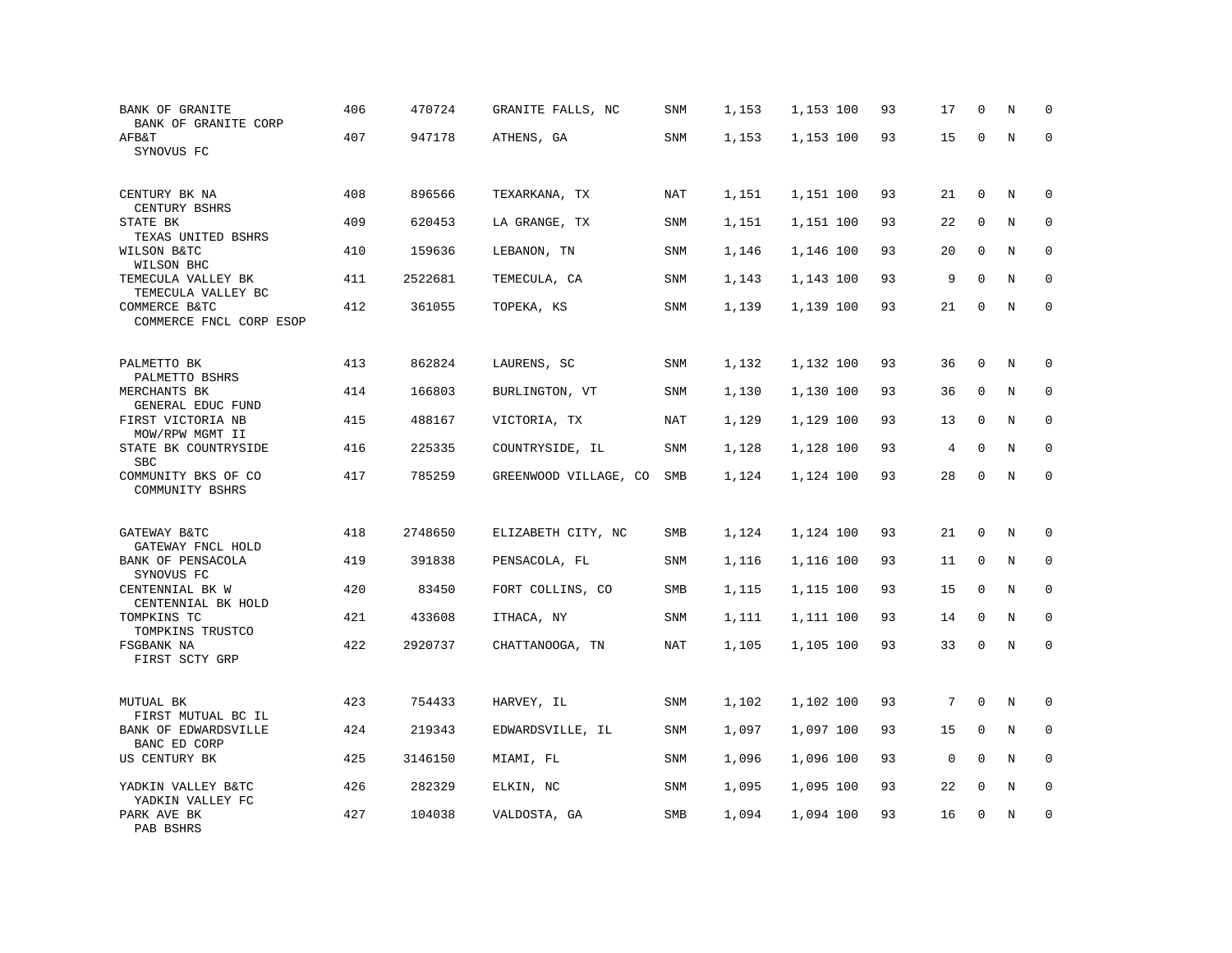| <b>BANK OF GRANITE</b><br>BANK OF GRANITE CORP       | 406 | 470724  | GRANITE FALLS, NC     | <b>SNM</b> | 1,153 | 1,153 100 | 93 | 17          | $\mathbf 0$ | $\rm N$ | 0           |
|------------------------------------------------------|-----|---------|-----------------------|------------|-------|-----------|----|-------------|-------------|---------|-------------|
| AFB&T<br>SYNOVUS FC                                  | 407 | 947178  | ATHENS, GA            | SNM        | 1,153 | 1,153 100 | 93 | 15          | 0           | N       | $\Omega$    |
| CENTURY BK NA<br>CENTURY BSHRS                       | 408 | 896566  | TEXARKANA, TX         | NAT        | 1,151 | 1,151 100 | 93 | 21          | $\mathbf 0$ | N       | 0           |
| STATE BK<br>TEXAS UNITED BSHRS                       | 409 | 620453  | LA GRANGE, TX         | SNM        | 1,151 | 1,151 100 | 93 | 22          | $\mathbf 0$ | N       | 0           |
| WILSON B&TC<br>WILSON BHC                            | 410 | 159636  | LEBANON, TN           | <b>SNM</b> | 1,146 | 1,146 100 | 93 | 20          | $\mathbf 0$ | N       | $\mathbf 0$ |
| TEMECULA VALLEY BK<br>TEMECULA VALLEY BC             | 411 | 2522681 | TEMECULA, CA          | SNM        | 1,143 | 1,143 100 | 93 | 9           | $\mathbf 0$ | N       | 0           |
| COMMERCE B&TC<br>COMMERCE FNCL CORP ESOP             | 412 | 361055  | TOPEKA, KS            | SNM        | 1,139 | 1,139 100 | 93 | 21          | $\mathbf 0$ | N       | $\mathbf 0$ |
| PALMETTO BK<br>PALMETTO BSHRS                        | 413 | 862824  | LAURENS, SC           | SNM        | 1,132 | 1,132 100 | 93 | 36          | $\Omega$    | N       | $\Omega$    |
| MERCHANTS BK<br>GENERAL EDUC FUND                    | 414 | 166803  | BURLINGTON, VT        | SNM        | 1,130 | 1,130 100 | 93 | 36          | $\mathbf 0$ | N       | $\mathbf 0$ |
| FIRST VICTORIA NB<br>MOW/RPW MGMT II                 | 415 | 488167  | VICTORIA, TX          | NAT        | 1,129 | 1,129 100 | 93 | 13          | $\mathbf 0$ | N       | $\mathbf 0$ |
| STATE BK COUNTRYSIDE<br><b>SBC</b>                   | 416 | 225335  | COUNTRYSIDE, IL       | SNM        | 1,128 | 1,128 100 | 93 | 4           | 0           | N       | $\mathbf 0$ |
| COMMUNITY BKS OF CO<br>COMMUNITY BSHRS               | 417 | 785259  | GREENWOOD VILLAGE, CO | SMB        | 1,124 | 1,124 100 | 93 | 28          | $\mathbf 0$ | $\rm N$ | $\mathbf 0$ |
| GATEWAY B&TC                                         | 418 | 2748650 | ELIZABETH CITY, NC    | SMB        | 1,124 | 1,124 100 | 93 | 21          | $\mathbf 0$ | N       | 0           |
| GATEWAY FNCL HOLD<br>BANK OF PENSACOLA<br>SYNOVUS FC | 419 | 391838  | PENSACOLA, FL         | SNM        | 1,116 | 1,116 100 | 93 | 11          | $\mathbf 0$ | N       | $\Omega$    |
| CENTENNIAL BK W<br>CENTENNIAL BK HOLD                | 420 | 83450   | FORT COLLINS, CO      | SMB        | 1,115 | 1,115 100 | 93 | 15          | $\mathbf 0$ | N       | $\mathbf 0$ |
| TOMPKINS TC<br>TOMPKINS TRUSTCO                      | 421 | 433608  | ITHACA, NY            | SNM        | 1,111 | 1,111 100 | 93 | 14          | $\mathbf 0$ | N       | $\mathbf 0$ |
| FSGBANK NA<br>FIRST SCTY GRP                         | 422 | 2920737 | CHATTANOOGA, TN       | <b>NAT</b> | 1,105 | 1,105 100 | 93 | 33          | $\mathsf 0$ | $\rm N$ | $\mathbf 0$ |
| MUTUAL BK<br>FIRST MUTUAL BC IL                      | 423 | 754433  | HARVEY, IL            | <b>SNM</b> | 1,102 | 1,102 100 | 93 | 7           | $\mathbf 0$ | N       | $\mathbf 0$ |
| BANK OF EDWARDSVILLE<br>BANC ED CORP                 | 424 | 219343  | EDWARDSVILLE, IL      | SNM        | 1,097 | 1,097 100 | 93 | 15          | $\mathbf 0$ | N       | 0           |
| US CENTURY BK                                        | 425 | 3146150 | MIAMI, FL             | <b>SNM</b> | 1,096 | 1,096 100 | 93 | $\mathbf 0$ | $\mathbf 0$ | N       | $\mathbf 0$ |
| YADKIN VALLEY B&TC<br>YADKIN VALLEY FC               | 426 | 282329  | ELKIN, NC             | SNM        | 1,095 | 1,095 100 | 93 | 22          | $\mathbf 0$ | N       | $\mathbf 0$ |
| PARK AVE BK<br>PAB BSHRS                             | 427 | 104038  | VALDOSTA, GA          | SMB        | 1,094 | 1,094 100 | 93 | 16          | $\mathbf 0$ | N       | $\mathbf 0$ |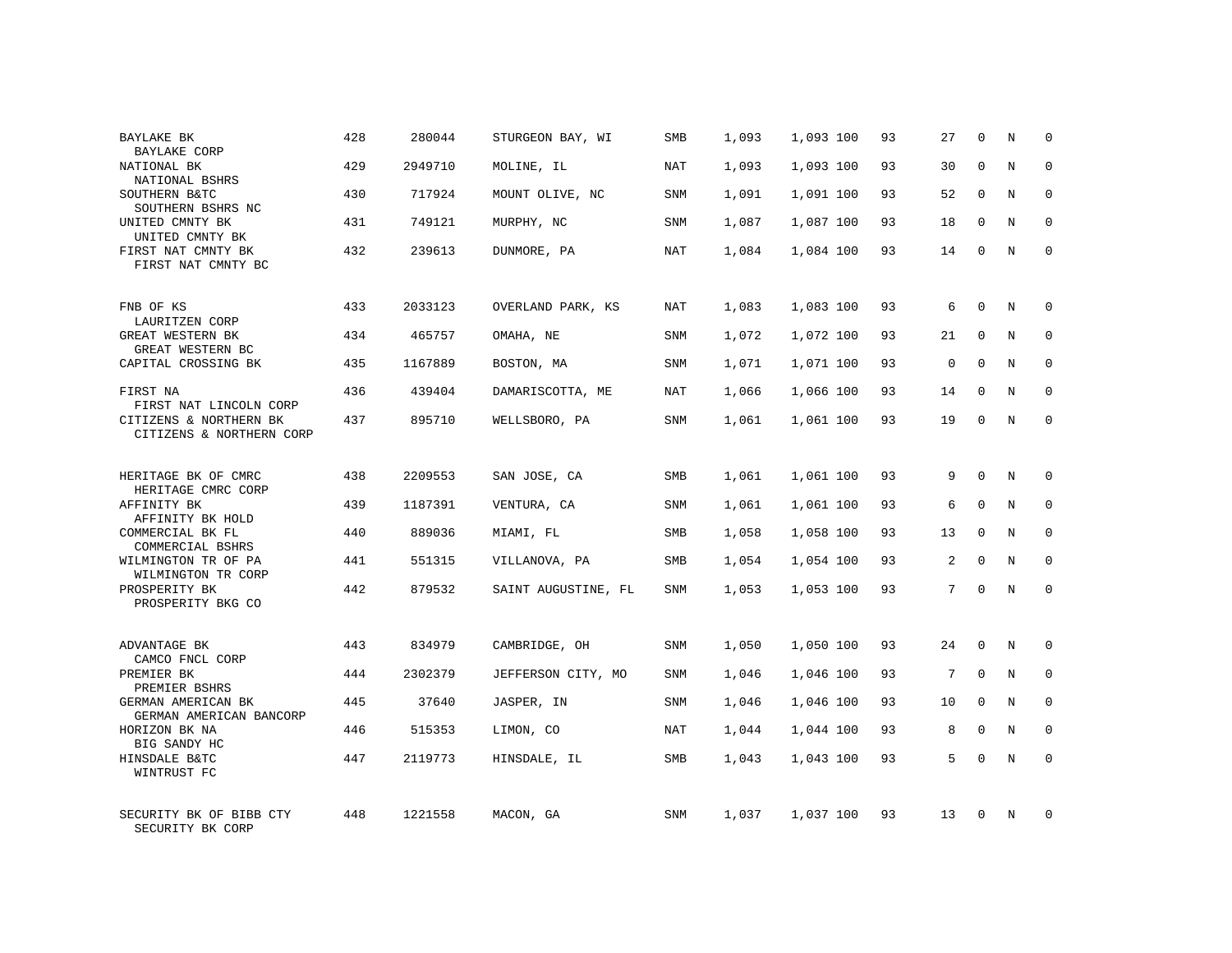| BAYLAKE BK<br><b>BAYLAKE CORP</b>                      | 428 | 280044  | STURGEON BAY, WI    | SMB        | 1,093 | 1,093 100 | 93 | 27             | $\mathbf 0$  | N | $\mathbf 0$  |
|--------------------------------------------------------|-----|---------|---------------------|------------|-------|-----------|----|----------------|--------------|---|--------------|
| NATIONAL BK<br>NATIONAL BSHRS                          | 429 | 2949710 | MOLINE, IL          | NAT        | 1,093 | 1,093 100 | 93 | 30             | $\Omega$     | N | $\mathbf 0$  |
| SOUTHERN B&TC<br>SOUTHERN BSHRS NC                     | 430 | 717924  | MOUNT OLIVE, NC     | <b>SNM</b> | 1,091 | 1,091 100 | 93 | 52             | $\mathbf 0$  | N | $\mathbf 0$  |
| UNITED CMNTY BK<br>UNITED CMNTY BK                     | 431 | 749121  | MURPHY, NC          | <b>SNM</b> | 1,087 | 1,087 100 | 93 | 18             | $\mathbf 0$  | N | $\mathbf 0$  |
| FIRST NAT CMNTY BK<br>FIRST NAT CMNTY BC               | 432 | 239613  | DUNMORE, PA         | <b>NAT</b> | 1,084 | 1,084 100 | 93 | 14             | $\Omega$     | N | $\Omega$     |
| FNB OF KS                                              | 433 | 2033123 | OVERLAND PARK, KS   | <b>NAT</b> | 1,083 | 1,083 100 | 93 | 6              | $\Omega$     | N | $\mathbf 0$  |
| LAURITZEN CORP<br>GREAT WESTERN BK<br>GREAT WESTERN BC | 434 | 465757  | OMAHA, NE           | SNM        | 1,072 | 1,072 100 | 93 | 21             | $\mathbf 0$  | N | 0            |
| CAPITAL CROSSING BK                                    | 435 | 1167889 | BOSTON, MA          | <b>SNM</b> | 1,071 | 1,071 100 | 93 | $\mathbf 0$    | $\Omega$     | N | $\mathbf 0$  |
| FIRST NA<br>FIRST NAT LINCOLN CORP                     | 436 | 439404  | DAMARISCOTTA, ME    | NAT        | 1,066 | 1,066 100 | 93 | 14             | $\mathbf 0$  | N | 0            |
| CITIZENS & NORTHERN BK<br>CITIZENS & NORTHERN CORP     | 437 | 895710  | WELLSBORO, PA       | <b>SNM</b> | 1,061 | 1,061 100 | 93 | 19             | $\mathbf 0$  | N | $\mathbf 0$  |
| HERITAGE BK OF CMRC<br>HERITAGE CMRC CORP              | 438 | 2209553 | SAN JOSE, CA        | SMB        | 1,061 | 1,061 100 | 93 | 9              | $\mathbf 0$  | N | $\mathbf 0$  |
| AFFINITY BK<br>AFFINITY BK HOLD                        | 439 | 1187391 | VENTURA, CA         | <b>SNM</b> | 1,061 | 1,061 100 | 93 | 6              | $\mathbf{0}$ | N | $\mathbf 0$  |
| COMMERCIAL BK FL<br>COMMERCIAL BSHRS                   | 440 | 889036  | MIAMI, FL           | SMB        | 1,058 | 1,058 100 | 93 | 13             | $\mathbf 0$  | N | $\mathbf 0$  |
| WILMINGTON TR OF PA<br>WILMINGTON TR CORP              | 441 | 551315  | VILLANOVA, PA       | <b>SMB</b> | 1,054 | 1,054 100 | 93 | $\overline{a}$ | $\mathbf{0}$ | N | $\mathbf 0$  |
| PROSPERITY BK<br>PROSPERITY BKG CO                     | 442 | 879532  | SAINT AUGUSTINE, FL | SNM        | 1,053 | 1,053 100 | 93 | 7              | $\mathbf{0}$ | N | $\mathbf 0$  |
| ADVANTAGE BK<br>CAMCO FNCL CORP                        | 443 | 834979  | CAMBRIDGE, OH       | SNM        | 1,050 | 1,050 100 | 93 | 24             | $\mathbf 0$  | N | 0            |
| PREMIER BK<br>PREMIER BSHRS                            | 444 | 2302379 | JEFFERSON CITY, MO  | SNM        | 1,046 | 1,046 100 | 93 | 7              | $\mathbf{0}$ | N | 0            |
| GERMAN AMERICAN BK<br>GERMAN AMERICAN BANCORP          | 445 | 37640   | JASPER, IN          | SNM        | 1,046 | 1,046 100 | 93 | 10             | $\Omega$     | N | $\mathbf{0}$ |
| HORIZON BK NA<br>BIG SANDY HC                          | 446 | 515353  | LIMON, CO           | NAT        | 1,044 | 1,044 100 | 93 | 8              | $\mathbf 0$  | N | 0            |
| HINSDALE B&TC<br>WINTRUST FC                           | 447 | 2119773 | HINSDALE, IL        | SMB        | 1,043 | 1,043 100 | 93 | 5              | $\Omega$     | N | $\mathbf 0$  |
| SECURITY BK OF BIBB CTY<br>SECURITY BK CORP            | 448 | 1221558 | MACON, GA           | <b>SNM</b> | 1,037 | 1,037 100 | 93 | 13             | $\Omega$     | N | $\mathbf 0$  |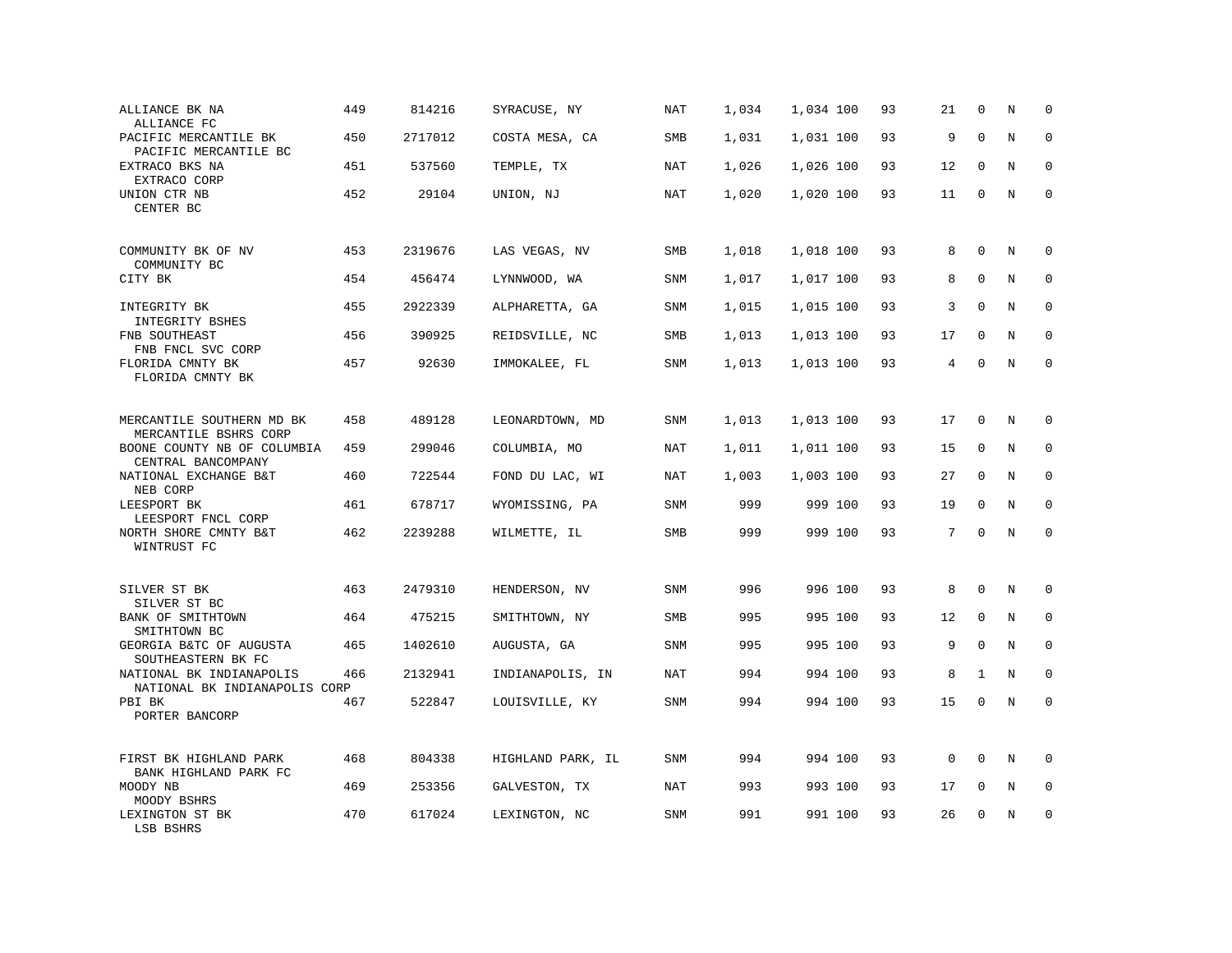| ALLIANCE BK NA<br>ALLIANCE FC                                              | 449 | 814216  | SYRACUSE, NY      | <b>NAT</b> | 1,034 | 1,034 100 | 93 | 21          | $\mathbf 0$  | N       | $\mathbf 0$ |
|----------------------------------------------------------------------------|-----|---------|-------------------|------------|-------|-----------|----|-------------|--------------|---------|-------------|
| PACIFIC MERCANTILE BK<br>PACIFIC MERCANTILE BC                             | 450 | 2717012 | COSTA MESA, CA    | SMB        | 1,031 | 1,031 100 | 93 | 9           | $\mathbf{0}$ | $\rm N$ | $\mathbf 0$ |
| EXTRACO BKS NA<br>EXTRACO CORP                                             | 451 | 537560  | TEMPLE, TX        | NAT        | 1,026 | 1,026 100 | 93 | 12          | $\mathbf 0$  | N       | 0           |
| UNION CTR NB<br>CENTER BC                                                  | 452 | 29104   | UNION, NJ         | NAT        | 1,020 | 1,020 100 | 93 | 11          | $\mathbf 0$  | N       | $\mathbf 0$ |
| COMMUNITY BK OF NV<br>COMMUNITY BC                                         | 453 | 2319676 | LAS VEGAS, NV     | SMB        | 1,018 | 1,018 100 | 93 | 8           | $\mathbf{0}$ | $\rm N$ | 0           |
| CITY BK                                                                    | 454 | 456474  | LYNNWOOD, WA      | SNM        | 1,017 | 1,017 100 | 93 | 8           | $\mathbf 0$  | N       | $\mathbf 0$ |
| INTEGRITY BK<br>INTEGRITY BSHES                                            | 455 | 2922339 | ALPHARETTA, GA    | <b>SNM</b> | 1,015 | 1,015 100 | 93 | 3           | $\Omega$     | N       | $\mathbf 0$ |
| FNB SOUTHEAST<br>FNB FNCL SVC CORP                                         | 456 | 390925  | REIDSVILLE, NC    | <b>SMB</b> | 1,013 | 1,013 100 | 93 | 17          | $\mathbf 0$  | N       | $\mathbf 0$ |
| FLORIDA CMNTY BK<br>FLORIDA CMNTY BK                                       | 457 | 92630   | IMMOKALEE, FL     | <b>SNM</b> | 1,013 | 1,013 100 | 93 | 4           | $\Omega$     | N       | $\mathbf 0$ |
| MERCANTILE SOUTHERN MD BK                                                  | 458 | 489128  | LEONARDTOWN, MD   | SNM        | 1,013 | 1,013 100 | 93 | 17          | $\mathbf 0$  | N       | 0           |
| MERCANTILE BSHRS CORP<br>BOONE COUNTY NB OF COLUMBIA<br>CENTRAL BANCOMPANY | 459 | 299046  | COLUMBIA, MO      | NAT        | 1,011 | 1,011 100 | 93 | 15          | $\mathbf{0}$ | N       | $\mathbf 0$ |
| NATIONAL EXCHANGE B&T<br>NEB CORP                                          | 460 | 722544  | FOND DU LAC, WI   | <b>NAT</b> | 1,003 | 1,003 100 | 93 | 27          | $\mathbf 0$  | N       | $\mathbf 0$ |
| LEESPORT BK<br>LEESPORT FNCL CORP                                          | 461 | 678717  | WYOMISSING, PA    | SNM        | 999   | 999 100   | 93 | 19          | $\Omega$     | N       | $\Omega$    |
| NORTH SHORE CMNTY B&T<br>WINTRUST FC                                       | 462 | 2239288 | WILMETTE, IL      | SMB        | 999   | 999 100   | 93 | 7           | $\Omega$     | N       | $\mathbf 0$ |
| SILVER ST BK<br>SILVER ST BC                                               | 463 | 2479310 | HENDERSON, NV     | <b>SNM</b> | 996   | 996 100   | 93 | 8           | $\mathbf 0$  | N       | 0           |
| BANK OF SMITHTOWN<br>SMITHTOWN BC                                          | 464 | 475215  | SMITHTOWN, NY     | <b>SMB</b> | 995   | 995 100   | 93 | 12          | $\mathbf{0}$ | N       | $\mathbf 0$ |
| GEORGIA B&TC OF AUGUSTA<br>SOUTHEASTERN BK FC                              | 465 | 1402610 | AUGUSTA, GA       | <b>SNM</b> | 995   | 995 100   | 93 | 9           | $\Omega$     | N       | $\Omega$    |
| NATIONAL BK INDIANAPOLIS<br>NATIONAL BK INDIANAPOLIS CORP                  | 466 | 2132941 | INDIANAPOLIS, IN  | <b>NAT</b> | 994   | 994 100   | 93 | 8           | $\mathbf{1}$ | N       | $\mathbf 0$ |
| PBI BK<br>PORTER BANCORP                                                   | 467 | 522847  | LOUISVILLE, KY    | SNM        | 994   | 994 100   | 93 | 15          | $\mathbf 0$  | N       | $\mathbf 0$ |
| FIRST BK HIGHLAND PARK<br>BANK HIGHLAND PARK FC                            | 468 | 804338  | HIGHLAND PARK, IL | SNM        | 994   | 994 100   | 93 | $\mathbf 0$ | $\Omega$     | N       | $\Omega$    |
| MOODY NB<br>MOODY BSHRS                                                    | 469 | 253356  | GALVESTON, TX     | <b>NAT</b> | 993   | 993 100   | 93 | 17          | 0            | $\rm N$ | 0           |
| LEXINGTON ST BK<br>LSB BSHRS                                               | 470 | 617024  | LEXINGTON, NC     | SNM        | 991   | 991 100   | 93 | 26          | $\mathbf 0$  | N       | $\mathbf 0$ |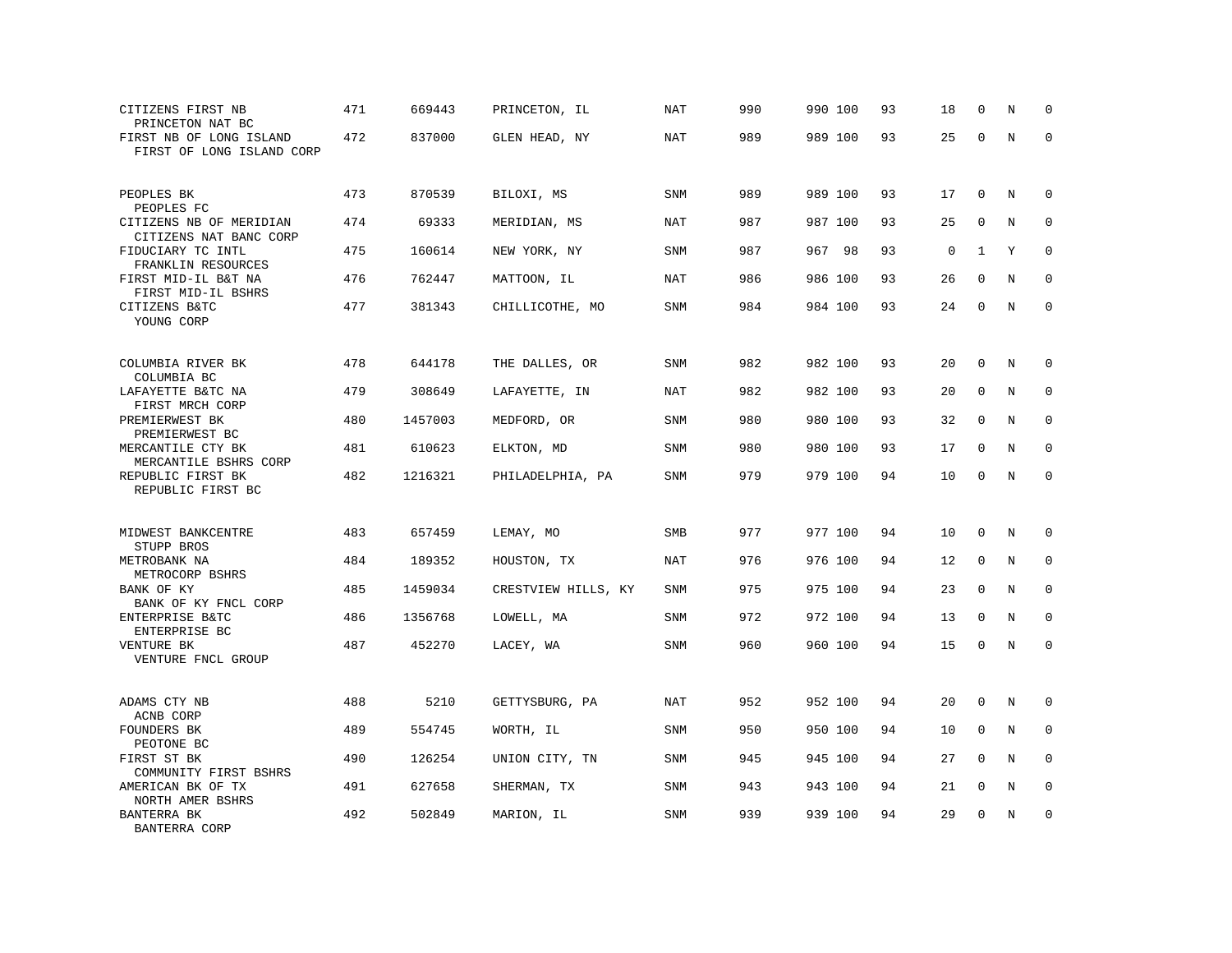| CITIZENS FIRST NB<br>PRINCETON NAT BC                | 471 | 669443  | PRINCETON, IL       | <b>NAT</b> | 990 | 990 100 | 93 | 18          | $\mathbf 0$  | N       | $\mathbf 0$ |
|------------------------------------------------------|-----|---------|---------------------|------------|-----|---------|----|-------------|--------------|---------|-------------|
| FIRST NB OF LONG ISLAND<br>FIRST OF LONG ISLAND CORP | 472 | 837000  | GLEN HEAD, NY       | <b>NAT</b> | 989 | 989 100 | 93 | 25          | $\mathbf 0$  | $\rm N$ | $\mathbf 0$ |
| PEOPLES BK<br>PEOPLES FC                             | 473 | 870539  | BILOXI, MS          | <b>SNM</b> | 989 | 989 100 | 93 | 17          | $\mathbf 0$  | N       | 0           |
| CITIZENS NB OF MERIDIAN<br>CITIZENS NAT BANC CORP    | 474 | 69333   | MERIDIAN, MS        | NAT        | 987 | 987 100 | 93 | 25          | $\mathbf 0$  | N       | $\mathbf 0$ |
| FIDUCIARY TC INTL<br>FRANKLIN RESOURCES              | 475 | 160614  | NEW YORK, NY        | <b>SNM</b> | 987 | 967 98  | 93 | $\mathsf 0$ | 1            | Υ       | $\mathbf 0$ |
| FIRST MID-IL B&T NA<br>FIRST MID-IL BSHRS            | 476 | 762447  | MATTOON, IL         | <b>NAT</b> | 986 | 986 100 | 93 | 26          | $\mathbf 0$  | N       | $\mathbf 0$ |
| CITIZENS B&TC<br>YOUNG CORP                          | 477 | 381343  | CHILLICOTHE, MO     | <b>SNM</b> | 984 | 984 100 | 93 | 24          | $\Omega$     | N       | $\mathbf 0$ |
| COLUMBIA RIVER BK<br>COLUMBIA BC                     | 478 | 644178  | THE DALLES, OR      | SNM        | 982 | 982 100 | 93 | 20          | $\mathbf 0$  | N       | $\mathbf 0$ |
| LAFAYETTE B&TC NA<br>FIRST MRCH CORP                 | 479 | 308649  | LAFAYETTE, IN       | <b>NAT</b> | 982 | 982 100 | 93 | 20          | 0            | N       | 0           |
| PREMIERWEST BK<br>PREMIERWEST BC                     | 480 | 1457003 | MEDFORD, OR         | SNM        | 980 | 980 100 | 93 | 32          | $\mathbf 0$  | N       | $\mathbf 0$ |
| MERCANTILE CTY BK<br>MERCANTILE BSHRS CORP           | 481 | 610623  | ELKTON, MD          | SNM        | 980 | 980 100 | 93 | 17          | $\mathbf 0$  | N       | $\mathbf 0$ |
| REPUBLIC FIRST BK<br>REPUBLIC FIRST BC               | 482 | 1216321 | PHILADELPHIA, PA    | <b>SNM</b> | 979 | 979 100 | 94 | 10          | $\mathbf 0$  | $\rm N$ | $\mathbf 0$ |
| MIDWEST BANKCENTRE<br>STUPP BROS                     | 483 | 657459  | LEMAY, MO           | <b>SMB</b> | 977 | 977 100 | 94 | 10          | $\mathbf 0$  | N       | $\mathbf 0$ |
| METROBANK NA<br>METROCORP BSHRS                      | 484 | 189352  | HOUSTON, TX         | <b>NAT</b> | 976 | 976 100 | 94 | 12          | $\mathbf 0$  | N       | $\mathbf 0$ |
| BANK OF KY<br>BANK OF KY FNCL CORP                   | 485 | 1459034 | CRESTVIEW HILLS, KY | SNM        | 975 | 975 100 | 94 | 23          | $\mathbf{0}$ | N       | $\mathbf 0$ |
| ENTERPRISE B&TC<br>ENTERPRISE BC                     | 486 | 1356768 | LOWELL, MA          | SNM        | 972 | 972 100 | 94 | 13          | $\Omega$     | N       | 0           |
| VENTURE BK<br>VENTURE FNCL GROUP                     | 487 | 452270  | LACEY, WA           | <b>SNM</b> | 960 | 960 100 | 94 | 15          | $\mathbf 0$  | N       | $\mathbf 0$ |
| ADAMS CTY NB<br>ACNB CORP                            | 488 | 5210    | GETTYSBURG, PA      | <b>NAT</b> | 952 | 952 100 | 94 | 20          | $\mathbf{0}$ | N       | 0           |
| FOUNDERS BK<br>PEOTONE BC                            | 489 | 554745  | WORTH, IL           | <b>SNM</b> | 950 | 950 100 | 94 | 10          | $\mathbf 0$  | N       | 0           |
| FIRST ST BK<br>COMMUNITY FIRST BSHRS                 | 490 | 126254  | UNION CITY, TN      | <b>SNM</b> | 945 | 945 100 | 94 | 27          | $\Omega$     | N       | $\mathbf 0$ |
| AMERICAN BK OF TX<br>NORTH AMER BSHRS                | 491 | 627658  | SHERMAN, TX         | <b>SNM</b> | 943 | 943 100 | 94 | 21          | $\mathbf 0$  | N       | $\mathbf 0$ |
| BANTERRA BK<br>BANTERRA CORP                         | 492 | 502849  | MARION, IL          | <b>SNM</b> | 939 | 939 100 | 94 | 29          | $\mathbf{0}$ | N       | $\mathbf 0$ |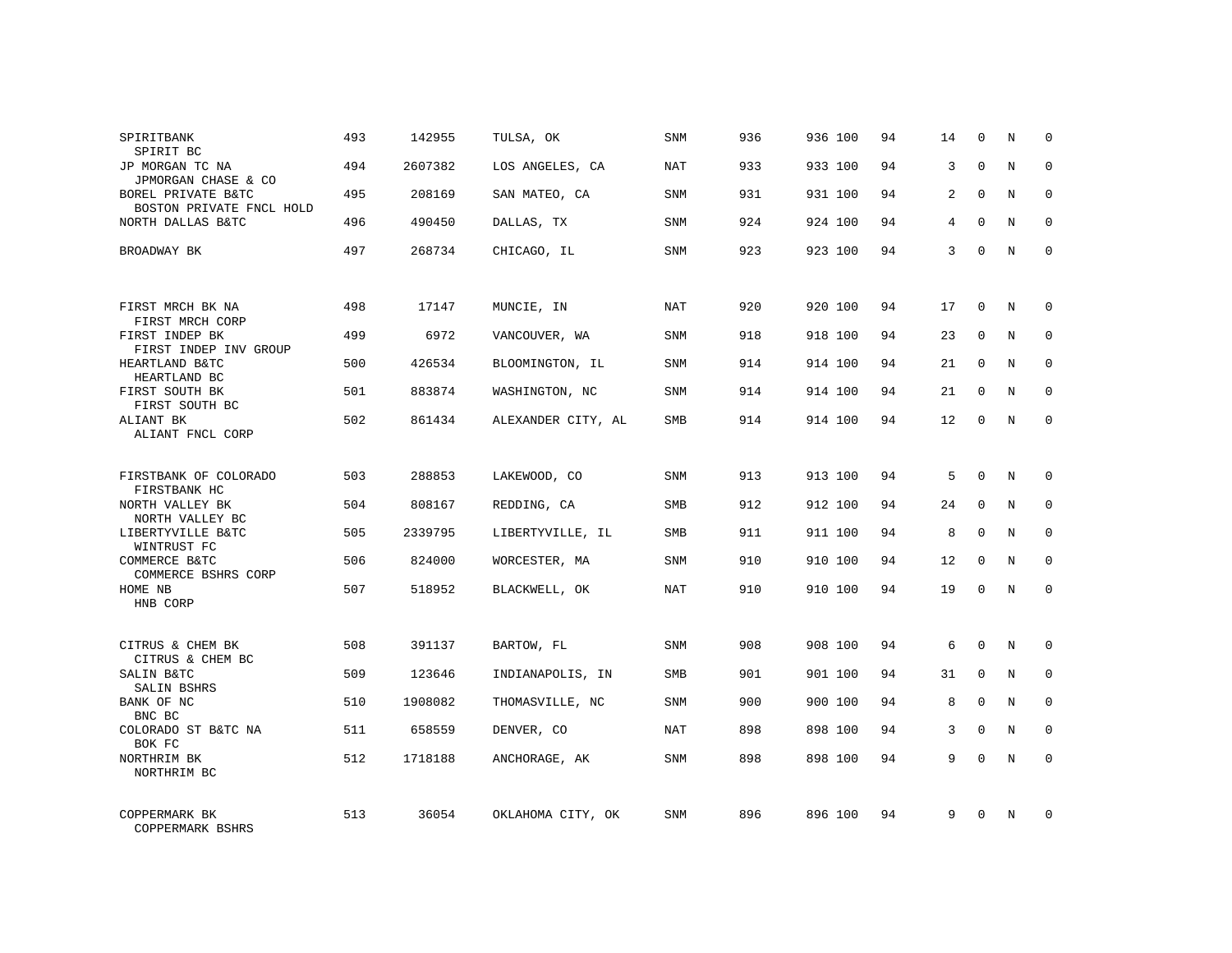| SPIRITBANK<br>SPIRIT BC                                 | 493 | 142955  | TULSA, OK          | <b>SNM</b> | 936 | 936 100 | 94 | 14 | $\mathbf 0$  | N | $\Omega$    |
|---------------------------------------------------------|-----|---------|--------------------|------------|-----|---------|----|----|--------------|---|-------------|
| JP MORGAN TC NA<br>JPMORGAN CHASE & CO                  | 494 | 2607382 | LOS ANGELES, CA    | <b>NAT</b> | 933 | 933 100 | 94 | 3  | $\Omega$     | N | $\Omega$    |
| BOREL PRIVATE B&TC<br>BOSTON PRIVATE FNCL HOLD          | 495 | 208169  | SAN MATEO, CA      | SNM        | 931 | 931 100 | 94 | 2  | $\Omega$     | N | $\mathbf 0$ |
| NORTH DALLAS B&TC                                       | 496 | 490450  | DALLAS, TX         | <b>SNM</b> | 924 | 924 100 | 94 | 4  | $\Omega$     | N | $\Omega$    |
| BROADWAY BK                                             | 497 | 268734  | CHICAGO, IL        | SNM        | 923 | 923 100 | 94 | 3  | $\Omega$     | N | $\mathbf 0$ |
| FIRST MRCH BK NA                                        | 498 | 17147   | MUNCIE, IN         | <b>NAT</b> | 920 | 920 100 | 94 | 17 | $\mathbf 0$  | N | $\mathbf 0$ |
| FIRST MRCH CORP<br>FIRST INDEP BK                       | 499 | 6972    | VANCOUVER, WA      | SNM        | 918 | 918 100 | 94 | 23 | $\mathbf{0}$ | N | $\mathbf 0$ |
| FIRST INDEP INV GROUP<br>HEARTLAND B&TC<br>HEARTLAND BC | 500 | 426534  | BLOOMINGTON, IL    | SNM        | 914 | 914 100 | 94 | 21 | $\mathbf 0$  | N | $\mathbf 0$ |
| FIRST SOUTH BK<br>FIRST SOUTH BC                        | 501 | 883874  | WASHINGTON, NC     | <b>SNM</b> | 914 | 914 100 | 94 | 21 | $\mathbf{0}$ | N | $\mathbf 0$ |
| ALIANT BK<br>ALIANT FNCL CORP                           | 502 | 861434  | ALEXANDER CITY, AL | SMB        | 914 | 914 100 | 94 | 12 | $\mathbf 0$  | N | $\mathbf 0$ |
| FIRSTBANK OF COLORADO<br>FIRSTBANK HC                   | 503 | 288853  | LAKEWOOD, CO       | SNM        | 913 | 913 100 | 94 | 5  | $\Omega$     | N | $\mathbf 0$ |
| NORTH VALLEY BK<br>NORTH VALLEY BC                      | 504 | 808167  | REDDING, CA        | <b>SMB</b> | 912 | 912 100 | 94 | 24 | $\mathbf 0$  | N | $\mathbf 0$ |
| LIBERTYVILLE B&TC<br>WINTRUST FC                        | 505 | 2339795 | LIBERTYVILLE, IL   | <b>SMB</b> | 911 | 911 100 | 94 | 8  | $\Omega$     | N | $\mathbf 0$ |
| COMMERCE B&TC<br>COMMERCE BSHRS CORP                    | 506 | 824000  | WORCESTER, MA      | SNM        | 910 | 910 100 | 94 | 12 | $\mathbf 0$  | N | 0           |
| HOME NB<br>HNB CORP                                     | 507 | 518952  | BLACKWELL, OK      | NAT        | 910 | 910 100 | 94 | 19 | $\Omega$     | N | $\mathbf 0$ |
| CITRUS & CHEM BK                                        | 508 | 391137  | BARTOW, FL         | <b>SNM</b> | 908 | 908 100 | 94 | 6  | $\Omega$     | N | $\mathbf 0$ |
| CITRUS & CHEM BC<br>SALIN B&TC<br>SALIN BSHRS           | 509 | 123646  | INDIANAPOLIS, IN   | SMB        | 901 | 901 100 | 94 | 31 | $\mathbf 0$  | N | 0           |
| BANK OF NC<br>BNC BC                                    | 510 | 1908082 | THOMASVILLE, NC    | <b>SNM</b> | 900 | 900 100 | 94 | 8  | $\Omega$     | N | $\mathbf 0$ |
| COLORADO ST B&TC NA<br>BOK FC                           | 511 | 658559  | DENVER, CO         | NAT        | 898 | 898 100 | 94 | 3  | $\mathbf 0$  | N | 0           |
| NORTHRIM BK<br>NORTHRIM BC                              | 512 | 1718188 | ANCHORAGE, AK      | SNM        | 898 | 898 100 | 94 | 9  | $\Omega$     | N | $\mathbf 0$ |
| COPPERMARK BK<br>COPPERMARK BSHRS                       | 513 | 36054   | OKLAHOMA CITY, OK  | <b>SNM</b> | 896 | 896 100 | 94 | 9  | $\Omega$     | N | $\mathbf 0$ |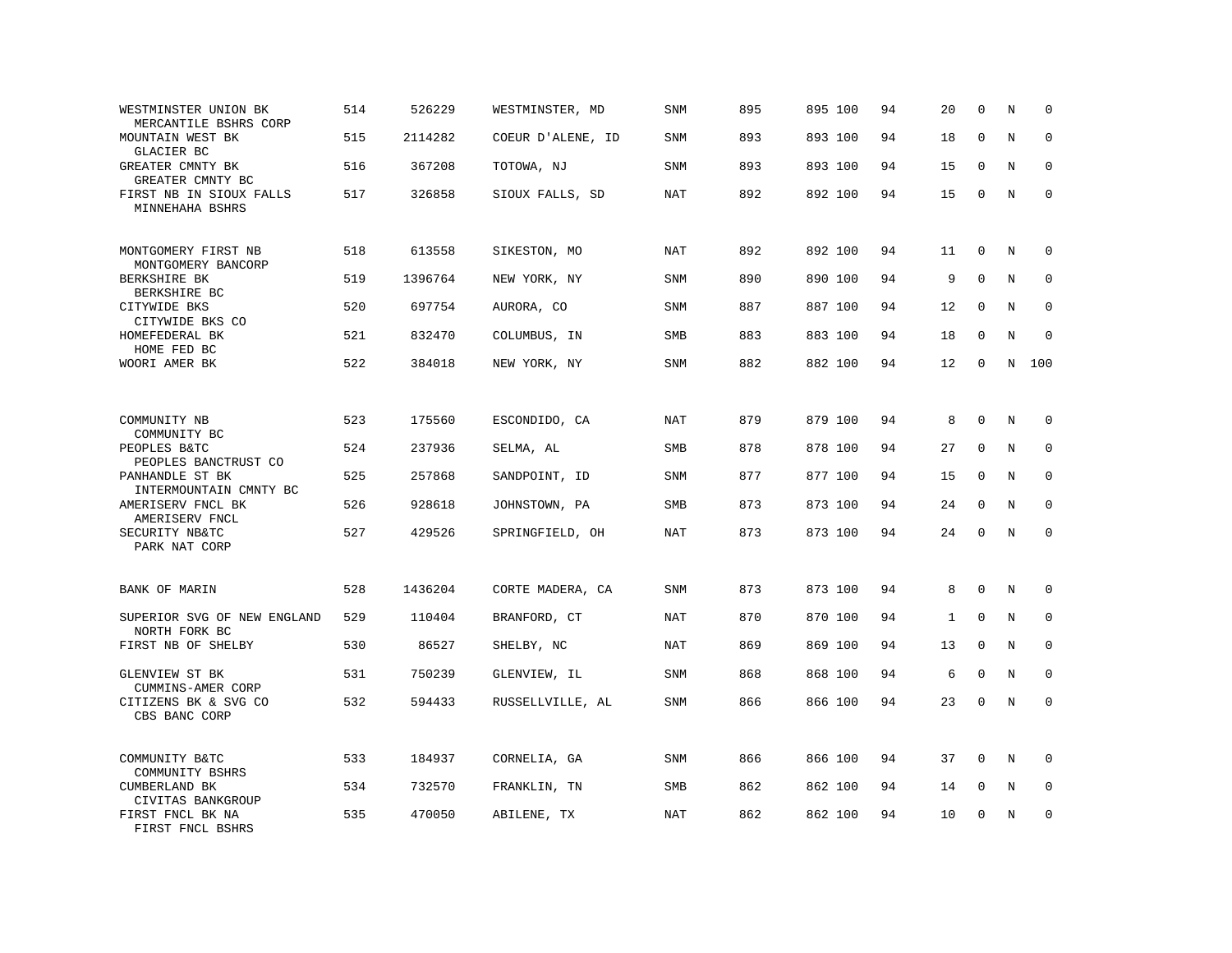| WESTMINSTER UNION BK<br>MERCANTILE BSHRS CORP | 514 | 526229  | WESTMINSTER, MD   | SNM        | 895 | 895 100 | 94 | 20           | $\mathbf 0$  | N       | $\mathbf 0$ |
|-----------------------------------------------|-----|---------|-------------------|------------|-----|---------|----|--------------|--------------|---------|-------------|
| MOUNTAIN WEST BK<br>GLACIER BC                | 515 | 2114282 | COEUR D'ALENE, ID | <b>SNM</b> | 893 | 893 100 | 94 | 18           | $\mathbf 0$  | N       | $\mathbf 0$ |
| GREATER CMNTY BK<br>GREATER CMNTY BC          | 516 | 367208  | TOTOWA, NJ        | SNM        | 893 | 893 100 | 94 | 15           | $\Omega$     | N       | 0           |
| FIRST NB IN SIOUX FALLS<br>MINNEHAHA BSHRS    | 517 | 326858  | SIOUX FALLS, SD   | <b>NAT</b> | 892 | 892 100 | 94 | 15           | $\mathbf 0$  | N       | $\mathbf 0$ |
| MONTGOMERY FIRST NB<br>MONTGOMERY BANCORP     | 518 | 613558  | SIKESTON, MO      | NAT        | 892 | 892 100 | 94 | 11           | $\mathbf 0$  | N       | $\mathbf 0$ |
| BERKSHIRE BK<br>BERKSHIRE BC                  | 519 | 1396764 | NEW YORK, NY      | SNM        | 890 | 890 100 | 94 | 9            | $\mathbf 0$  | N       | $\mathbf 0$ |
| CITYWIDE BKS<br>CITYWIDE BKS CO               | 520 | 697754  | AURORA, CO        | <b>SNM</b> | 887 | 887 100 | 94 | 12           | $\Omega$     | N       | $\mathbf 0$ |
| HOMEFEDERAL BK<br>HOME FED BC                 | 521 | 832470  | COLUMBUS, IN      | SMB        | 883 | 883 100 | 94 | 18           | $\mathbf 0$  | N       | $\mathbf 0$ |
| WOORI AMER BK                                 | 522 | 384018  | NEW YORK, NY      | <b>SNM</b> | 882 | 882 100 | 94 | 12           | $\mathbf{0}$ | N       | 100         |
|                                               |     |         |                   |            |     |         |    |              |              |         |             |
| COMMUNITY NB<br>COMMUNITY BC                  | 523 | 175560  | ESCONDIDO, CA     | <b>NAT</b> | 879 | 879 100 | 94 | 8            | $\mathbf 0$  | N       | $\mathbf 0$ |
| PEOPLES B&TC<br>PEOPLES BANCTRUST CO          | 524 | 237936  | SELMA, AL         | SMB        | 878 | 878 100 | 94 | 27           | $\mathbf 0$  | N       | $\mathbf 0$ |
| PANHANDLE ST BK<br>INTERMOUNTAIN CMNTY BC     | 525 | 257868  | SANDPOINT, ID     | SNM        | 877 | 877 100 | 94 | 15           | $\mathbf{0}$ | N       | $\mathbf 0$ |
| AMERISERV FNCL BK<br>AMERISERV FNCL           | 526 | 928618  | JOHNSTOWN, PA     | SMB        | 873 | 873 100 | 94 | 24           | $\Omega$     | N       | $\mathbf 0$ |
| SECURITY NB&TC<br>PARK NAT CORP               | 527 | 429526  | SPRINGFIELD, OH   | NAT        | 873 | 873 100 | 94 | 24           | $\mathbf 0$  | N       | $\mathbf 0$ |
| <b>BANK OF MARIN</b>                          | 528 | 1436204 | CORTE MADERA, CA  | SNM        | 873 | 873 100 | 94 | 8            | $\mathbf{0}$ | N       | $\mathbf 0$ |
| SUPERIOR SVG OF NEW ENGLAND<br>NORTH FORK BC  | 529 | 110404  | BRANFORD, CT      | NAT        | 870 | 870 100 | 94 | $\mathbf{1}$ | $\Omega$     | N       | 0           |
| FIRST NB OF SHELBY                            | 530 | 86527   | SHELBY, NC        | <b>NAT</b> | 869 | 869 100 | 94 | 13           | $\mathbf 0$  | N       | $\mathbf 0$ |
| GLENVIEW ST BK<br>CUMMINS-AMER CORP           | 531 | 750239  | GLENVIEW, IL      | SNM        | 868 | 868 100 | 94 | 6            | $\mathbf 0$  | N       | $\Omega$    |
| CITIZENS BK & SVG CO<br>CBS BANC CORP         | 532 | 594433  | RUSSELLVILLE, AL  | SNM        | 866 | 866 100 | 94 | 23           | $\mathbf{0}$ | $\rm N$ | $\mathbf 0$ |
| COMMUNITY B&TC<br>COMMUNITY BSHRS             | 533 | 184937  | CORNELIA, GA      | <b>SNM</b> | 866 | 866 100 | 94 | 37           | 0            | N       | 0           |
| CUMBERLAND BK<br>CIVITAS BANKGROUP            | 534 | 732570  | FRANKLIN, TN      | SMB        | 862 | 862 100 | 94 | 14           | $\mathbf 0$  | N       | $\mathbf 0$ |
| FIRST FNCL BK NA<br>FIRST FNCL BSHRS          | 535 | 470050  | ABILENE, TX       | <b>NAT</b> | 862 | 862 100 | 94 | 10           | $\mathbf{0}$ | N       | $\mathbf 0$ |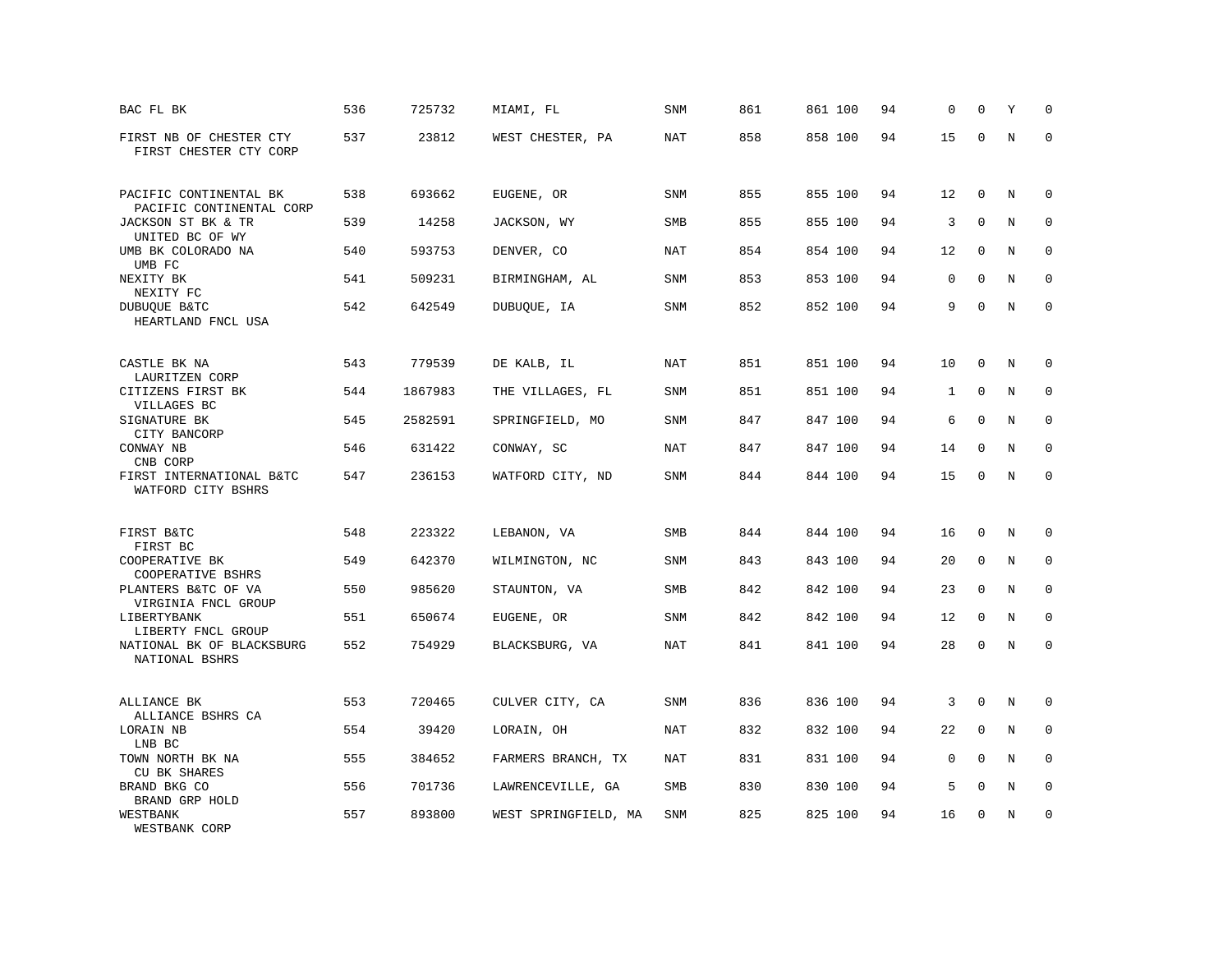| BAC FL BK                                                         | 536 | 725732  | MIAMI, FL            | <b>SNM</b> | 861 | 861 100 | 94 | 0            | $\mathbf 0$  | Υ       | $\mathbf 0$ |
|-------------------------------------------------------------------|-----|---------|----------------------|------------|-----|---------|----|--------------|--------------|---------|-------------|
| FIRST NB OF CHESTER CTY<br>FIRST CHESTER CTY CORP                 | 537 | 23812   | WEST CHESTER, PA     | <b>NAT</b> | 858 | 858 100 | 94 | 15           | $\mathbf 0$  | N       | $\mathbf 0$ |
| PACIFIC CONTINENTAL BK                                            | 538 | 693662  | EUGENE, OR           | SNM        | 855 | 855 100 | 94 | 12           | 0            | N       | 0           |
| PACIFIC CONTINENTAL CORP<br>JACKSON ST BK & TR<br>UNITED BC OF WY | 539 | 14258   | JACKSON, WY          | SMB        | 855 | 855 100 | 94 | 3            | $\mathbf{0}$ | N       | $\mathbf 0$ |
| UMB BK COLORADO NA<br>UMB FC                                      | 540 | 593753  | DENVER, CO           | <b>NAT</b> | 854 | 854 100 | 94 | 12           | $\mathbf 0$  | N       | $\mathbf 0$ |
| NEXITY BK<br>NEXITY FC                                            | 541 | 509231  | BIRMINGHAM, AL       | <b>SNM</b> | 853 | 853 100 | 94 | 0            | $\Omega$     | N       | $\mathbf 0$ |
| DUBUQUE B&TC<br>HEARTLAND FNCL USA                                | 542 | 642549  | DUBUQUE, IA          | SNM        | 852 | 852 100 | 94 | 9            | $\mathbf 0$  | N       | $\mathbf 0$ |
| CASTLE BK NA                                                      | 543 | 779539  | DE KALB, IL          | NAT        | 851 | 851 100 | 94 | 10           | $\mathbf 0$  | N       | $\mathbf 0$ |
| LAURITZEN CORP<br>CITIZENS FIRST BK<br>VILLAGES BC                | 544 | 1867983 | THE VILLAGES, FL     | SNM        | 851 | 851 100 | 94 | $\mathbf{1}$ | 0            | N       | 0           |
| SIGNATURE BK<br>CITY BANCORP                                      | 545 | 2582591 | SPRINGFIELD, MO      | <b>SNM</b> | 847 | 847 100 | 94 | 6            | $\mathbf{0}$ | N       | $\mathbf 0$ |
| CONWAY NB<br>CNB CORP                                             | 546 | 631422  | CONWAY, SC           | NAT        | 847 | 847 100 | 94 | 14           | $\Omega$     | N       | $\Omega$    |
| FIRST INTERNATIONAL B&TC<br>WATFORD CITY BSHRS                    | 547 | 236153  | WATFORD CITY, ND     | SNM        | 844 | 844 100 | 94 | 15           | 0            | $\rm N$ | $\mathbf 0$ |
| FIRST B&TC                                                        | 548 | 223322  | LEBANON, VA          | SMB        | 844 | 844 100 | 94 | 16           | $\mathbf{0}$ | N       | 0           |
| FIRST BC<br>COOPERATIVE BK                                        | 549 | 642370  | WILMINGTON, NC       | <b>SNM</b> | 843 | 843 100 | 94 | 20           | $\Omega$     | N       | $\Omega$    |
| COOPERATIVE BSHRS<br>PLANTERS B&TC OF VA<br>VIRGINIA FNCL GROUP   | 550 | 985620  | STAUNTON, VA         | SMB        | 842 | 842 100 | 94 | 23           | $\mathbf{0}$ | N       | 0           |
| LIBERTYBANK<br>LIBERTY FNCL GROUP                                 | 551 | 650674  | EUGENE, OR           | <b>SNM</b> | 842 | 842 100 | 94 | 12           | $\mathbf 0$  | N       | $\mathbf 0$ |
| NATIONAL BK OF BLACKSBURG<br>NATIONAL BSHRS                       | 552 | 754929  | BLACKSBURG, VA       | <b>NAT</b> | 841 | 841 100 | 94 | 28           | $\mathbf 0$  | N       | $\mathbf 0$ |
| ALLIANCE BK<br>ALLIANCE BSHRS CA                                  | 553 | 720465  | CULVER CITY, CA      | SNM        | 836 | 836 100 | 94 | 3            | $\mathbf 0$  | N       | $\mathbf 0$ |
| LORAIN NB<br>LNB BC                                               | 554 | 39420   | LORAIN, OH           | NAT        | 832 | 832 100 | 94 | 22           | $\mathbf 0$  | N       | $\mathbf 0$ |
| TOWN NORTH BK NA<br>CU BK SHARES                                  | 555 | 384652  | FARMERS BRANCH, TX   | NAT        | 831 | 831 100 | 94 | 0            | $\mathbf 0$  | N       | 0           |
| BRAND BKG CO<br>BRAND GRP HOLD                                    | 556 | 701736  | LAWRENCEVILLE, GA    | SMB        | 830 | 830 100 | 94 | 5            | $\mathbf 0$  | N       | $\mathbf 0$ |
| WESTBANK<br>WESTBANK CORP                                         | 557 | 893800  | WEST SPRINGFIELD, MA | SNM        | 825 | 825 100 | 94 | 16           | $\mathbf{0}$ | N       | $\mathbf 0$ |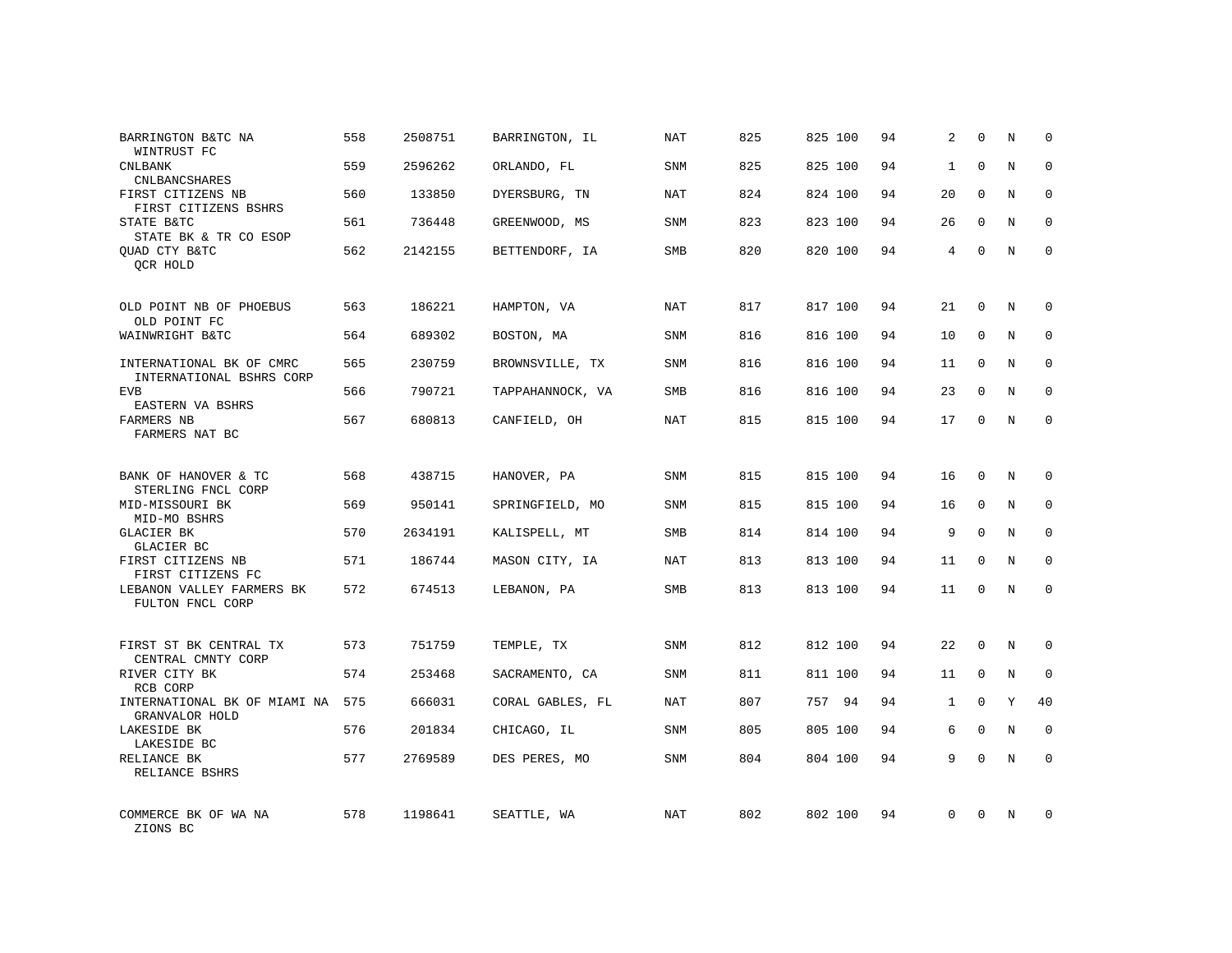| BARRINGTON B&TC NA<br>WINTRUST FC                    | 558 | 2508751 | BARRINGTON, IL   | NAT        | 825 | 825 100 | 94 | 2            | $\mathbf 0$  | N | $\Omega$    |
|------------------------------------------------------|-----|---------|------------------|------------|-----|---------|----|--------------|--------------|---|-------------|
| <b>CNLBANK</b><br><b>CNLBANCSHARES</b>               | 559 | 2596262 | ORLANDO, FL      | SNM        | 825 | 825 100 | 94 | $\mathbf{1}$ | $\Omega$     | N | $\Omega$    |
| FIRST CITIZENS NB<br>FIRST CITIZENS BSHRS            | 560 | 133850  | DYERSBURG, TN    | NAT        | 824 | 824 100 | 94 | 20           | $\Omega$     | N | $\mathbf 0$ |
| STATE B&TC<br>STATE BK & TR CO ESOP                  | 561 | 736448  | GREENWOOD, MS    | SNM        | 823 | 823 100 | 94 | 26           | $\Omega$     | N | $\Omega$    |
| QUAD CTY B&TC<br>QCR HOLD                            | 562 | 2142155 | BETTENDORF, IA   | SMB        | 820 | 820 100 | 94 | 4            | $\mathbf 0$  | N | $\Omega$    |
| OLD POINT NB OF PHOEBUS                              | 563 | 186221  | HAMPTON, VA      | NAT        | 817 | 817 100 | 94 | 21           | $\mathbf 0$  | N | $\mathbf 0$ |
| OLD POINT FC<br>WAINWRIGHT B&TC                      | 564 | 689302  | BOSTON, MA       | <b>SNM</b> | 816 | 816 100 | 94 | 10           | $\mathbf{0}$ | N | $\mathbf 0$ |
| INTERNATIONAL BK OF CMRC<br>INTERNATIONAL BSHRS CORP | 565 | 230759  | BROWNSVILLE, TX  | <b>SNM</b> | 816 | 816 100 | 94 | 11           | $\mathbf 0$  | N | $\mathbf 0$ |
| <b>EVB</b><br>EASTERN VA BSHRS                       | 566 | 790721  | TAPPAHANNOCK, VA | <b>SMB</b> | 816 | 816 100 | 94 | 23           | $\mathbf{0}$ | N | $\mathbf 0$ |
| FARMERS NB<br>FARMERS NAT BC                         | 567 | 680813  | CANFIELD, OH     | <b>NAT</b> | 815 | 815 100 | 94 | 17           | $\mathbf 0$  | N | $\mathbf 0$ |
| BANK OF HANOVER & TC<br>STERLING FNCL CORP           | 568 | 438715  | HANOVER, PA      | SNM        | 815 | 815 100 | 94 | 16           | $\Omega$     | N | $\mathbf 0$ |
| MID-MISSOURI BK<br>MID-MO BSHRS                      | 569 | 950141  | SPRINGFIELD, MO  | <b>SNM</b> | 815 | 815 100 | 94 | 16           | $\mathbf{0}$ | N | $\mathbf 0$ |
| <b>GLACIER BK</b><br>GLACIER BC                      | 570 | 2634191 | KALISPELL, MT    | <b>SMB</b> | 814 | 814 100 | 94 | 9            | $\Omega$     | N | $\mathbf 0$ |
| FIRST CITIZENS NB<br>FIRST CITIZENS FC               | 571 | 186744  | MASON CITY, IA   | <b>NAT</b> | 813 | 813 100 | 94 | 11           | $\mathbf 0$  | N | 0           |
| LEBANON VALLEY FARMERS BK<br>FULTON FNCL CORP        | 572 | 674513  | LEBANON, PA      | SMB        | 813 | 813 100 | 94 | 11           | $\Omega$     | N | $\mathbf 0$ |
| FIRST ST BK CENTRAL TX                               | 573 | 751759  | TEMPLE, TX       | SNM        | 812 | 812 100 | 94 | 22           | $\mathbf 0$  | N | $\mathbf 0$ |
| CENTRAL CMNTY CORP<br>RIVER CITY BK<br>RCB CORP      | 574 | 253468  | SACRAMENTO, CA   | <b>SNM</b> | 811 | 811 100 | 94 | 11           | $\mathbf{0}$ | N | 0           |
| INTERNATIONAL BK OF MIAMI NA<br>GRANVALOR HOLD       | 575 | 666031  | CORAL GABLES, FL | NAT        | 807 | 757 94  | 94 | $\mathbf{1}$ | $\Omega$     | Y | 40          |
| LAKESIDE BK<br>LAKESIDE BC                           | 576 | 201834  | CHICAGO, IL      | SNM        | 805 | 805 100 | 94 | 6            | $\mathbf{0}$ | N | 0           |
| RELIANCE BK<br>RELIANCE BSHRS                        | 577 | 2769589 | DES PERES, MO    | <b>SNM</b> | 804 | 804 100 | 94 | 9            | $\Omega$     | N | $\mathbf 0$ |
| COMMERCE BK OF WA NA<br>ZIONS BC                     | 578 | 1198641 | SEATTLE, WA      | NAT        | 802 | 802 100 | 94 | $\Omega$     | $\Omega$     | N | $\mathbf 0$ |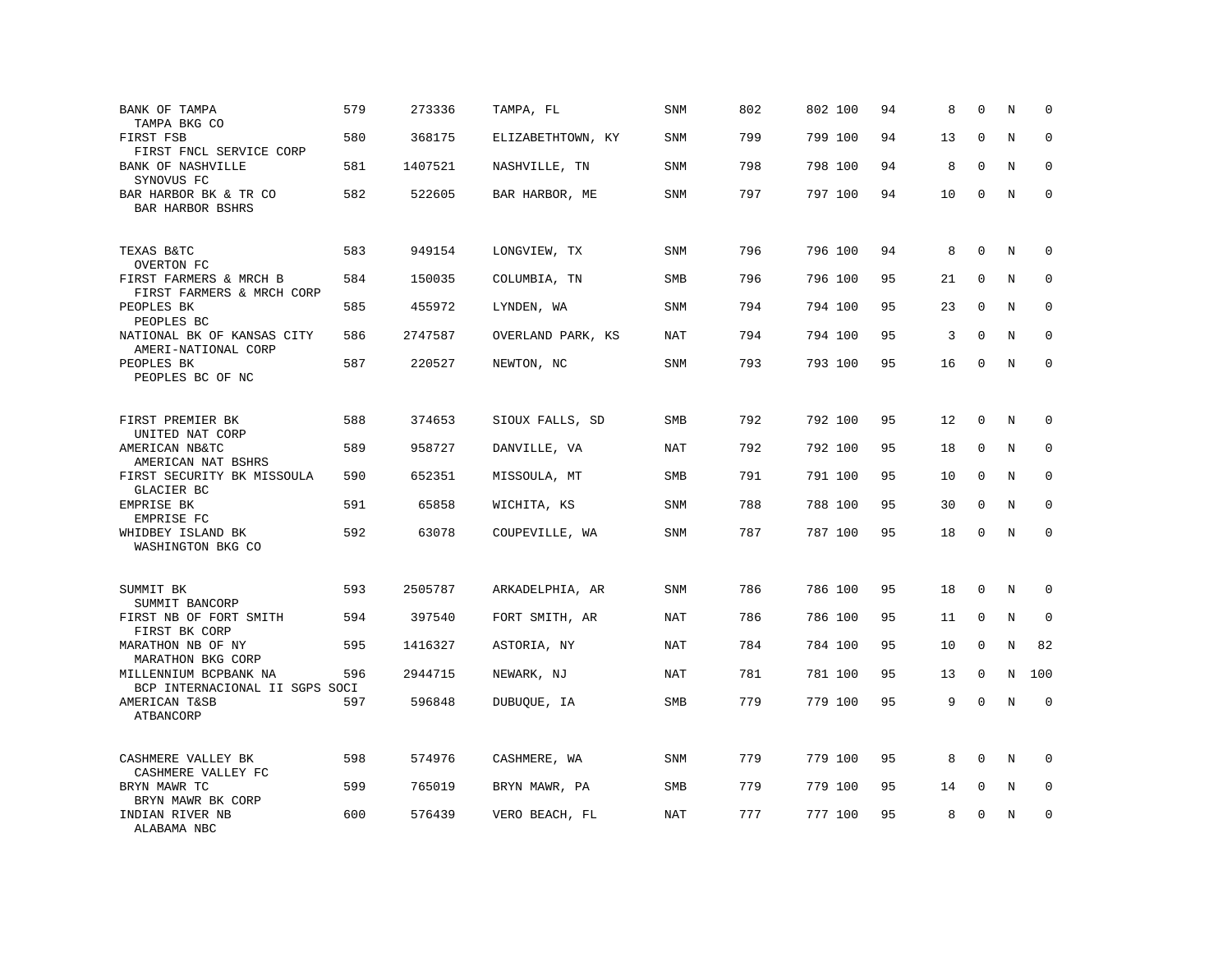| BANK OF TAMPA<br>TAMPA BKG CO                           | 579 | 273336  | TAMPA, FL         | <b>SNM</b> | 802 | 802 100 | 94 | 8  | $\Omega$    | N           | $\mathbf 0$ |
|---------------------------------------------------------|-----|---------|-------------------|------------|-----|---------|----|----|-------------|-------------|-------------|
| FIRST FSB<br>FIRST FNCL SERVICE CORP                    | 580 | 368175  | ELIZABETHTOWN, KY | <b>SNM</b> | 799 | 799 100 | 94 | 13 | $\mathbf 0$ | N           | $\mathbf 0$ |
| <b>BANK OF NASHVILLE</b><br>SYNOVUS FC                  | 581 | 1407521 | NASHVILLE, TN     | <b>SNM</b> | 798 | 798 100 | 94 | 8  | $\mathbf 0$ | N           | $\mathbf 0$ |
| BAR HARBOR BK & TR CO<br>BAR HARBOR BSHRS               | 582 | 522605  | BAR HARBOR, ME    | SNM        | 797 | 797 100 | 94 | 10 | $\mathbf 0$ | $\mathbf N$ | $\mathbf 0$ |
| TEXAS B&TC<br>OVERTON FC                                | 583 | 949154  | LONGVIEW, TX      | <b>SNM</b> | 796 | 796 100 | 94 | 8  | $\mathbf 0$ | N           | $\mathbf 0$ |
| FIRST FARMERS & MRCH B<br>FIRST FARMERS & MRCH CORP     | 584 | 150035  | COLUMBIA, TN      | <b>SMB</b> | 796 | 796 100 | 95 | 21 | $\Omega$    | N           | $\mathbf 0$ |
| PEOPLES BK<br>PEOPLES BC                                | 585 | 455972  | LYNDEN, WA        | <b>SNM</b> | 794 | 794 100 | 95 | 23 | $\Omega$    | N           | $\mathbf 0$ |
| NATIONAL BK OF KANSAS CITY<br>AMERI-NATIONAL CORP       | 586 | 2747587 | OVERLAND PARK, KS | NAT        | 794 | 794 100 | 95 | 3  | $\Omega$    | N           | $\Omega$    |
| PEOPLES BK<br>PEOPLES BC OF NC                          | 587 | 220527  | NEWTON, NC        | <b>SNM</b> | 793 | 793 100 | 95 | 16 | $\mathbf 0$ | N           | $\mathbf 0$ |
| FIRST PREMIER BK<br>UNITED NAT CORP                     | 588 | 374653  | SIOUX FALLS, SD   | SMB        | 792 | 792 100 | 95 | 12 | $\mathbf 0$ | N           | $\mathbf 0$ |
| AMERICAN NB&TC<br>AMERICAN NAT BSHRS                    | 589 | 958727  | DANVILLE, VA      | NAT        | 792 | 792 100 | 95 | 18 | $\mathbf 0$ | N           | $\mathbf 0$ |
| FIRST SECURITY BK MISSOULA<br>GLACIER BC                | 590 | 652351  | MISSOULA, MT      | SMB        | 791 | 791 100 | 95 | 10 | $\mathbf 0$ | N           | 0           |
| EMPRISE BK<br>EMPRISE FC                                | 591 | 65858   | WICHITA, KS       | SNM        | 788 | 788 100 | 95 | 30 | $\Omega$    | N           | $\mathbf 0$ |
| WHIDBEY ISLAND BK<br>WASHINGTON BKG CO                  | 592 | 63078   | COUPEVILLE, WA    | SNM        | 787 | 787 100 | 95 | 18 | $\Omega$    | N           | $\Omega$    |
| SUMMIT BK<br>SUMMIT BANCORP                             | 593 | 2505787 | ARKADELPHIA, AR   | <b>SNM</b> | 786 | 786 100 | 95 | 18 | $\mathbf 0$ | N           | 0           |
| FIRST NB OF FORT SMITH<br>FIRST BK CORP                 | 594 | 397540  | FORT SMITH, AR    | NAT        | 786 | 786 100 | 95 | 11 | 0           | N           | $\mathbf 0$ |
| MARATHON NB OF NY<br>MARATHON BKG CORP                  | 595 | 1416327 | ASTORIA, NY       | NAT        | 784 | 784 100 | 95 | 10 | $\mathbf 0$ | N           | 82          |
| MILLENNIUM BCPBANK NA<br>BCP INTERNACIONAL II SGPS SOCI | 596 | 2944715 | NEWARK, NJ        | <b>NAT</b> | 781 | 781 100 | 95 | 13 | $\mathbf 0$ | N           | 100         |
| AMERICAN T&SB<br>ATBANCORP                              | 597 | 596848  | DUBUQUE, IA       | SMB        | 779 | 779 100 | 95 | 9  | $\Omega$    | N           | $\mathbf 0$ |
| CASHMERE VALLEY BK<br>CASHMERE VALLEY FC                | 598 | 574976  | CASHMERE, WA      | SNM        | 779 | 779 100 | 95 | 8  | $\Omega$    | N           | $\Omega$    |
| BRYN MAWR TC<br>BRYN MAWR BK CORP                       | 599 | 765019  | BRYN MAWR, PA     | SMB        | 779 | 779 100 | 95 | 14 | $\mathbf 0$ | Ν           | 0           |
| INDIAN RIVER NB<br>ALABAMA NBC                          | 600 | 576439  | VERO BEACH, FL    | NAT        | 777 | 777 100 | 95 | 8  | $\mathbf 0$ | N           | $\mathbf 0$ |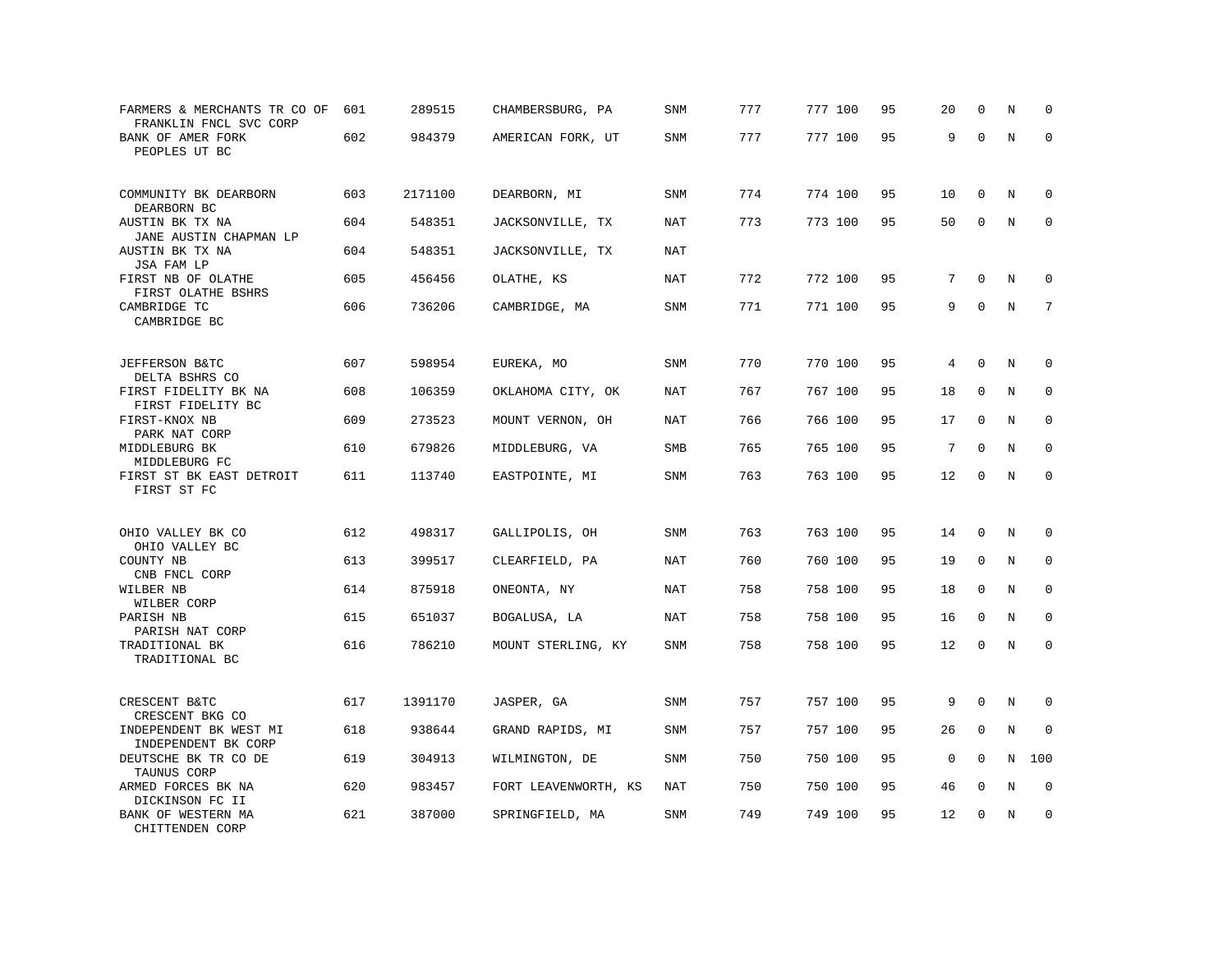| FARMERS & MERCHANTS TR CO OF<br>FRANKLIN FNCL SVC CORP      | 601 | 289515  | CHAMBERSBURG, PA     | <b>SNM</b> | 777 | 777 100 | 95 | 20          | $\mathbf 0$  | N       | $\mathbf 0$  |
|-------------------------------------------------------------|-----|---------|----------------------|------------|-----|---------|----|-------------|--------------|---------|--------------|
| BANK OF AMER FORK<br>PEOPLES UT BC                          | 602 | 984379  | AMERICAN FORK, UT    | <b>SNM</b> | 777 | 777 100 | 95 | 9           | $\mathbf 0$  | $\rm N$ | $\mathbf 0$  |
| COMMUNITY BK DEARBORN<br>DEARBORN BC                        | 603 | 2171100 | DEARBORN, MI         | SNM        | 774 | 774 100 | 95 | 10          | $\mathbf 0$  | N       | 0            |
| AUSTIN BK TX NA<br>JANE AUSTIN CHAPMAN LP                   | 604 | 548351  | JACKSONVILLE, TX     | NAT        | 773 | 773 100 | 95 | 50          | $\mathbf 0$  | N       | $\Omega$     |
| AUSTIN BK TX NA<br>JSA FAM LP                               | 604 | 548351  | JACKSONVILLE, TX     | NAT        |     |         |    |             |              |         |              |
| FIRST NB OF OLATHE<br>FIRST OLATHE BSHRS                    | 605 | 456456  | OLATHE, KS           | NAT        | 772 | 772 100 | 95 | 7           | $\mathbf 0$  | N       | $\mathbf 0$  |
| CAMBRIDGE TC<br>CAMBRIDGE BC                                | 606 | 736206  | CAMBRIDGE, MA        | <b>SNM</b> | 771 | 771 100 | 95 | 9           | $\Omega$     | N       | 7            |
| JEFFERSON B&TC                                              | 607 | 598954  | EUREKA, MO           | <b>SNM</b> | 770 | 770 100 | 95 | 4           | $\mathbf 0$  | N       | $\mathbf 0$  |
| DELTA BSHRS CO<br>FIRST FIDELITY BK NA<br>FIRST FIDELITY BC | 608 | 106359  | OKLAHOMA CITY, OK    | NAT        | 767 | 767 100 | 95 | 18          | 0            | N       | 0            |
| FIRST-KNOX NB<br>PARK NAT CORP                              | 609 | 273523  | MOUNT VERNON, OH     | NAT        | 766 | 766 100 | 95 | 17          | 0            | N       | $\mathbf{0}$ |
| MIDDLEBURG BK<br>MIDDLEBURG FC                              | 610 | 679826  | MIDDLEBURG, VA       | SMB        | 765 | 765 100 | 95 | 7           | $\Omega$     | N       | $\mathbf 0$  |
| FIRST ST BK EAST DETROIT<br>FIRST ST FC                     | 611 | 113740  | EASTPOINTE, MI       | SNM        | 763 | 763 100 | 95 | 12          | $\mathbf 0$  | $\rm N$ | $\mathbf 0$  |
| OHIO VALLEY BK CO                                           | 612 | 498317  | GALLIPOLIS, OH       | <b>SNM</b> | 763 | 763 100 | 95 | 14          | $\mathbf 0$  | N       | 0            |
| OHIO VALLEY BC<br>COUNTY NB<br>CNB FNCL CORP                | 613 | 399517  | CLEARFIELD, PA       | NAT        | 760 | 760 100 | 95 | 19          | $\mathbf 0$  | N       | $\mathbf 0$  |
| WILBER NB<br>WILBER CORP                                    | 614 | 875918  | ONEONTA, NY          | NAT        | 758 | 758 100 | 95 | 18          | $\mathbf 0$  | N       | $\mathbf 0$  |
| PARISH NB<br>PARISH NAT CORP                                | 615 | 651037  | BOGALUSA, LA         | NAT        | 758 | 758 100 | 95 | 16          | $\Omega$     | N       | 0            |
| TRADITIONAL BK<br>TRADITIONAL BC                            | 616 | 786210  | MOUNT STERLING, KY   | SNM        | 758 | 758 100 | 95 | 12          | $\mathbf 0$  | N       | $\mathbf 0$  |
| CRESCENT B&TC<br>CRESCENT BKG CO                            | 617 | 1391170 | JASPER, GA           | SNM        | 757 | 757 100 | 95 | 9           | $\mathbf 0$  | N       | 0            |
| INDEPENDENT BK WEST MI<br>INDEPENDENT BK CORP               | 618 | 938644  | GRAND RAPIDS, MI     | SNM        | 757 | 757 100 | 95 | 26          | $\mathbf 0$  | N       | $\mathbf 0$  |
| DEUTSCHE BK TR CO DE<br>TAUNUS CORP                         | 619 | 304913  | WILMINGTON, DE       | <b>SNM</b> | 750 | 750 100 | 95 | $\mathbf 0$ | $\mathbf 0$  | N       | 100          |
| ARMED FORCES BK NA<br>DICKINSON FC II                       | 620 | 983457  | FORT LEAVENWORTH, KS | NAT        | 750 | 750 100 | 95 | 46          | $\mathbf 0$  | N       | $\mathbf 0$  |
| BANK OF WESTERN MA<br>CHITTENDEN CORP                       | 621 | 387000  | SPRINGFIELD, MA      | SNM        | 749 | 749 100 | 95 | 12          | $\mathbf{0}$ | N       | $\mathbf 0$  |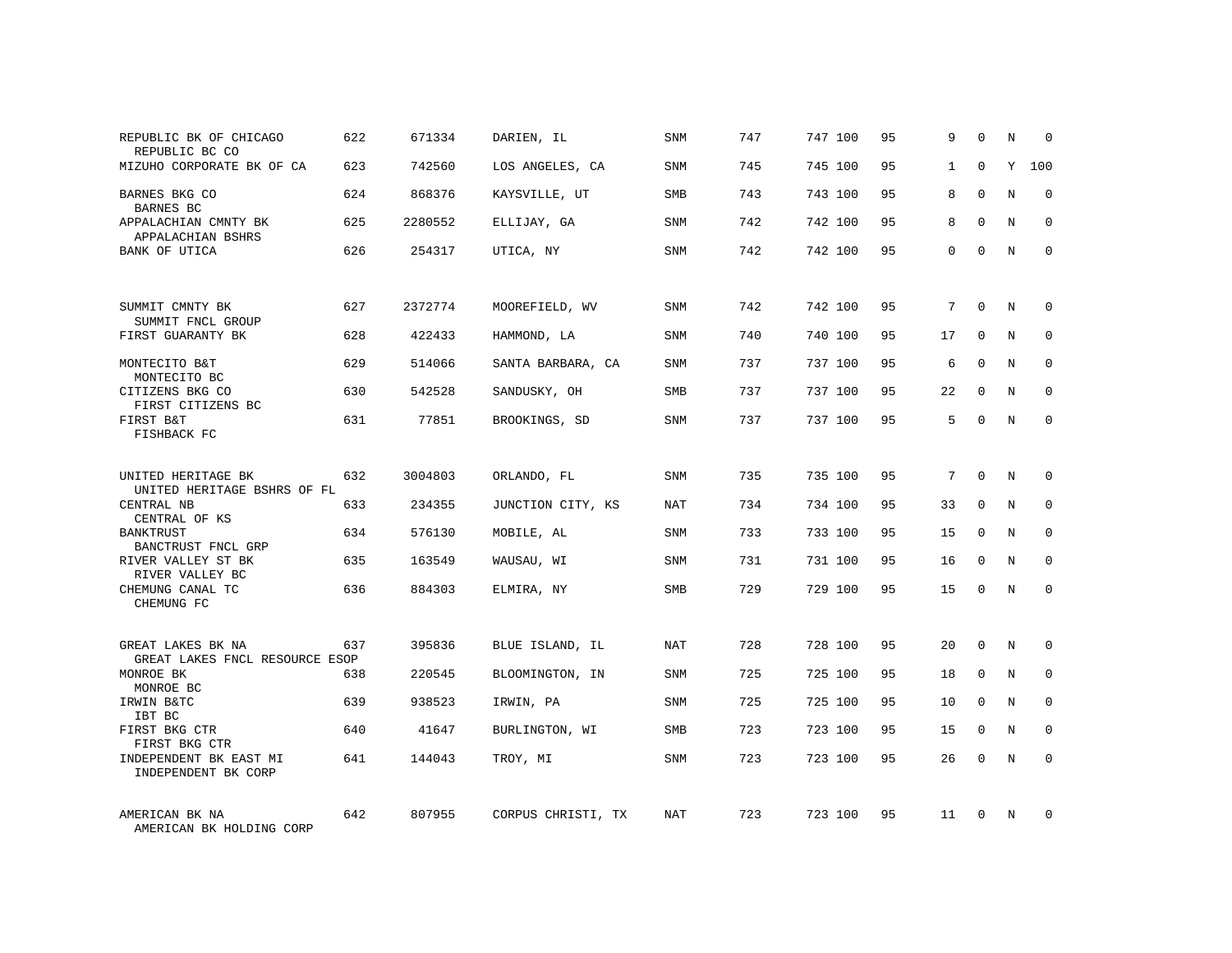| REPUBLIC BK OF CHICAGO<br>REPUBLIC BC CO                 | 622 | 671334  | DARIEN, IL         | SNM        | 747 | 747 100 | 95 | 9            | $\Omega$    | N          | $\Omega$     |
|----------------------------------------------------------|-----|---------|--------------------|------------|-----|---------|----|--------------|-------------|------------|--------------|
| MIZUHO CORPORATE BK OF CA                                | 623 | 742560  | LOS ANGELES, CA    | SNM        | 745 | 745 100 | 95 | $\mathbf{1}$ | $\Omega$    | Y          | 100          |
| BARNES BKG CO<br>BARNES BC                               | 624 | 868376  | KAYSVILLE, UT      | SMB        | 743 | 743 100 | 95 | 8            | $\Omega$    | N          | $\Omega$     |
| APPALACHIAN CMNTY BK<br>APPALACHIAN BSHRS                | 625 | 2280552 | ELLIJAY, GA        | <b>SNM</b> | 742 | 742 100 | 95 | 8            | $\Omega$    | N          | $\Omega$     |
| BANK OF UTICA                                            | 626 | 254317  | UTICA, NY          | SNM        | 742 | 742 100 | 95 | 0            | $\Omega$    | N          | $\Omega$     |
| SUMMIT CMNTY BK                                          | 627 | 2372774 | MOOREFIELD, WV     | SNM        | 742 | 742 100 | 95 | 7            | $\mathbf 0$ | N          | $\mathbf 0$  |
| SUMMIT FNCL GROUP<br>FIRST GUARANTY BK                   | 628 | 422433  | HAMMOND, LA        | SNM        | 740 | 740 100 | 95 | 17           | $\Omega$    | N          | $\mathbf 0$  |
| MONTECITO B&T<br>MONTECITO BC                            | 629 | 514066  | SANTA BARBARA, CA  | SNM        | 737 | 737 100 | 95 | 6            | $\mathbf 0$ | N          | $\mathbf 0$  |
| CITIZENS BKG CO<br>FIRST CITIZENS BC                     | 630 | 542528  | SANDUSKY, OH       | <b>SMB</b> | 737 | 737 100 | 95 | 22           | $\Omega$    | N          | $\mathbf 0$  |
| FIRST B&T<br>FISHBACK FC                                 | 631 | 77851   | BROOKINGS, SD      | SNM        | 737 | 737 100 | 95 | 5            | $\mathbf 0$ | N          | $\mathbf 0$  |
| UNITED HERITAGE BK<br>UNITED HERITAGE BSHRS OF FL        | 632 | 3004803 | ORLANDO, FL        | SNM        | 735 | 735 100 | 95 | $7^{\circ}$  | $\Omega$    | $_{\rm N}$ | $\Omega$     |
| CENTRAL NB<br>CENTRAL OF KS                              | 633 | 234355  | JUNCTION CITY, KS  | NAT        | 734 | 734 100 | 95 | 33           | $\mathbf 0$ | N          | $\mathbf 0$  |
| <b>BANKTRUST</b><br>BANCTRUST FNCL GRP                   | 634 | 576130  | MOBILE, AL         | <b>SNM</b> | 733 | 733 100 | 95 | 15           | $\Omega$    | N          | $\mathbf 0$  |
| RIVER VALLEY ST BK<br>RIVER VALLEY BC                    | 635 | 163549  | WAUSAU, WI         | SNM        | 731 | 731 100 | 95 | 16           | 0           | N          | 0            |
| CHEMUNG CANAL TC<br>CHEMUNG FC                           | 636 | 884303  | ELMIRA, NY         | SMB        | 729 | 729 100 | 95 | 15           | $\Omega$    | N          | $\Omega$     |
| GREAT LAKES BK NA                                        | 637 | 395836  | BLUE ISLAND, IL    | NAT        | 728 | 728 100 | 95 | 20           | $\Omega$    | N          | $\mathbf 0$  |
| GREAT LAKES FNCL RESOURCE ESOP<br>MONROE BK<br>MONROE BC | 638 | 220545  | BLOOMINGTON, IN    | SNM        | 725 | 725 100 | 95 | 18           | 0           | N          | 0            |
| IRWIN B&TC<br>IBT BC                                     | 639 | 938523  | IRWIN, PA          | <b>SNM</b> | 725 | 725 100 | 95 | 10           | $\Omega$    | N          | $\mathbf{0}$ |
| FIRST BKG CTR<br>FIRST BKG CTR                           | 640 | 41647   | BURLINGTON, WI     | SMB        | 723 | 723 100 | 95 | 15           | $\mathbf 0$ | N          | 0            |
| INDEPENDENT BK EAST MI<br>INDEPENDENT BK CORP            | 641 | 144043  | TROY, MI           | SNM        | 723 | 723 100 | 95 | 26           | $\Omega$    | N          | $\mathbf 0$  |
| AMERICAN BK NA<br>AMERICAN BK HOLDING CORP               | 642 | 807955  | CORPUS CHRISTI, TX | NAT        | 723 | 723 100 | 95 | 11           | $\Omega$    | N          | $\mathbf 0$  |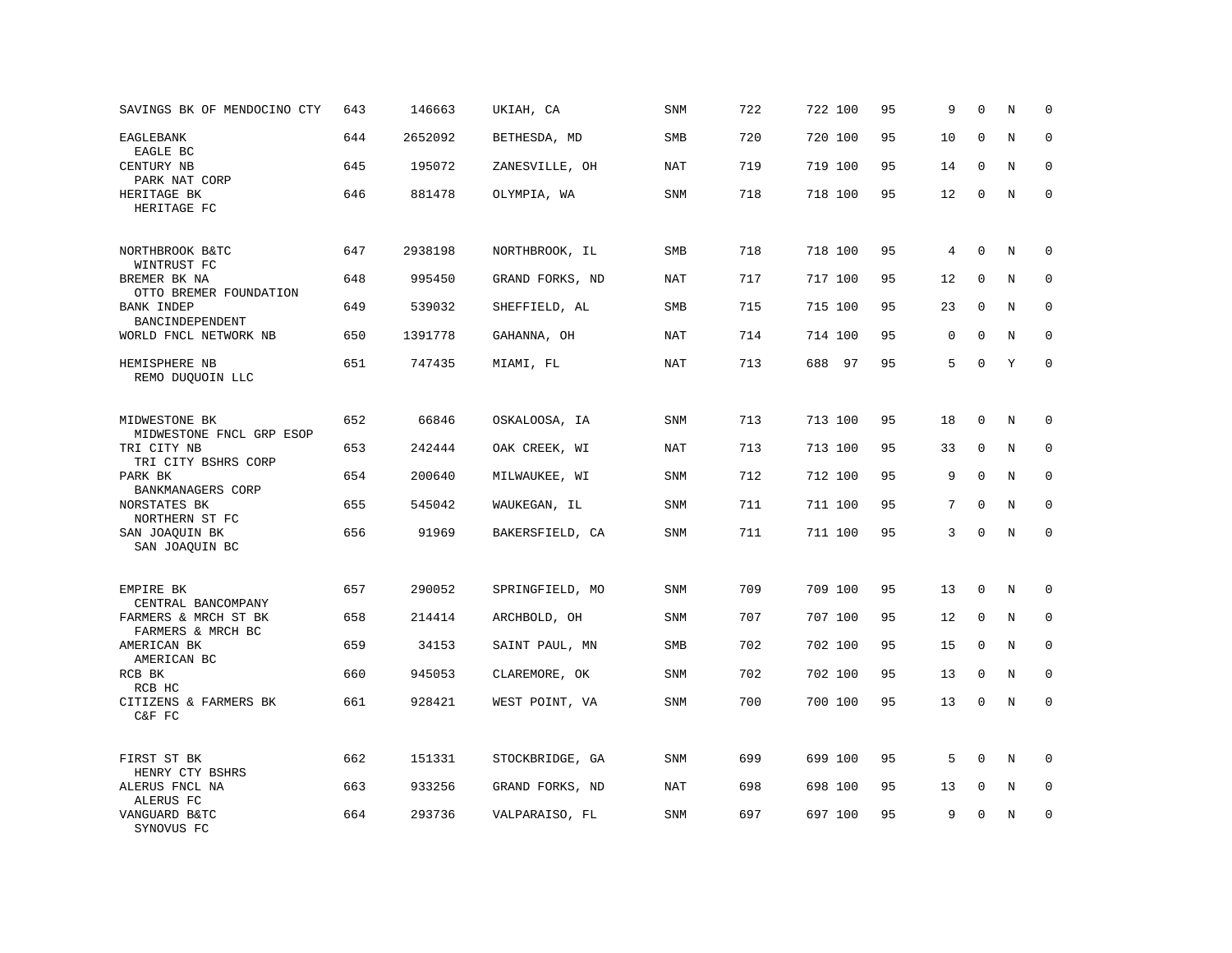| SAVINGS BK OF MENDOCINO CTY               | 643 | 146663  | UKIAH, CA       | SNM        | 722 | 722 100 | 95 | 9           | $\mathbf 0$ | N       | $\mathbf 0$ |
|-------------------------------------------|-----|---------|-----------------|------------|-----|---------|----|-------------|-------------|---------|-------------|
| <b>EAGLEBANK</b><br>EAGLE BC              | 644 | 2652092 | BETHESDA, MD    | SMB        | 720 | 720 100 | 95 | 10          | $\mathbf 0$ | $\rm N$ | $\mathbf 0$ |
| CENTURY NB<br>PARK NAT CORP               | 645 | 195072  | ZANESVILLE, OH  | <b>NAT</b> | 719 | 719 100 | 95 | 14          | $\mathbf 0$ | N       | 0           |
| HERITAGE BK<br>HERITAGE FC                | 646 | 881478  | OLYMPIA, WA     | SNM        | 718 | 718 100 | 95 | 12          | $\mathbf 0$ | N       | $\mathbf 0$ |
| NORTHBROOK B&TC<br>WINTRUST FC            | 647 | 2938198 | NORTHBROOK, IL  | SMB        | 718 | 718 100 | 95 | 4           | $\mathbf 0$ | $\rm N$ | 0           |
| BREMER BK NA<br>OTTO BREMER FOUNDATION    | 648 | 995450  | GRAND FORKS, ND | NAT        | 717 | 717 100 | 95 | 12          | $\mathbf 0$ | N       | $\mathbf 0$ |
| <b>BANK INDEP</b><br>BANCINDEPENDENT      | 649 | 539032  | SHEFFIELD, AL   | SMB        | 715 | 715 100 | 95 | 23          | $\mathbf 0$ | N       | $\mathbf 0$ |
| WORLD FNCL NETWORK NB                     | 650 | 1391778 | GAHANNA, OH     | <b>NAT</b> | 714 | 714 100 | 95 | $\mathbf 0$ | $\mathbf 0$ | N       | $\mathbf 0$ |
| HEMISPHERE NB<br>REMO DUQUOIN LLC         | 651 | 747435  | MIAMI, FL       | <b>NAT</b> | 713 | 688 97  | 95 | 5           | $\Omega$    | Y       | $\mathbf 0$ |
| MIDWESTONE BK<br>MIDWESTONE FNCL GRP ESOP | 652 | 66846   | OSKALOOSA, IA   | SNM        | 713 | 713 100 | 95 | 18          | $\mathbf 0$ | N       | $\mathbf 0$ |
| TRI CITY NB<br>TRI CITY BSHRS CORP        | 653 | 242444  | OAK CREEK, WI   | <b>NAT</b> | 713 | 713 100 | 95 | 33          | $\mathbf 0$ | N       | $\mathbf 0$ |
| PARK BK<br>BANKMANAGERS CORP              | 654 | 200640  | MILWAUKEE, WI   | SNM        | 712 | 712 100 | 95 | 9           | $\mathbf 0$ | N       | $\mathbf 0$ |
| NORSTATES BK<br>NORTHERN ST FC            | 655 | 545042  | WAUKEGAN, IL    | SNM        | 711 | 711 100 | 95 | 7           | $\Omega$    | N       | $\Omega$    |
| SAN JOAQUIN BK<br>SAN JOAQUIN BC          | 656 | 91969   | BAKERSFIELD, CA | SNM        | 711 | 711 100 | 95 | 3           | $\Omega$    | N       | $\mathbf 0$ |
| EMPIRE BK<br>CENTRAL BANCOMPANY           | 657 | 290052  | SPRINGFIELD, MO | SNM        | 709 | 709 100 | 95 | 13          | $\mathbf 0$ | N       | 0           |
| FARMERS & MRCH ST BK<br>FARMERS & MRCH BC | 658 | 214414  | ARCHBOLD, OH    | <b>SNM</b> | 707 | 707 100 | 95 | 12          | $\mathbf 0$ | N       | $\mathbf 0$ |
| AMERICAN BK<br>AMERICAN BC                | 659 | 34153   | SAINT PAUL, MN  | SMB        | 702 | 702 100 | 95 | 15          | 0           | N       | 0           |
| RCB BK<br>RCB HC                          | 660 | 945053  | CLAREMORE, OK   | <b>SNM</b> | 702 | 702 100 | 95 | 13          | $\mathbf 0$ | N       | $\mathbf 0$ |
| CITIZENS & FARMERS BK<br>C&F FC           | 661 | 928421  | WEST POINT, VA  | SNM        | 700 | 700 100 | 95 | 13          | $\mathbf 0$ | N       | $\mathbf 0$ |
| FIRST ST BK<br>HENRY CTY BSHRS            | 662 | 151331  | STOCKBRIDGE, GA | SNM        | 699 | 699 100 | 95 | 5           | $\Omega$    | N       | $\Omega$    |
| ALERUS FNCL NA<br>ALERUS FC               | 663 | 933256  | GRAND FORKS, ND | <b>NAT</b> | 698 | 698 100 | 95 | 13          | $\mathbf 0$ | Ν       | 0           |
| VANGUARD B&TC<br>SYNOVUS FC               | 664 | 293736  | VALPARAISO, FL  | SNM        | 697 | 697 100 | 95 | 9           | $\mathbf 0$ | N       | $\mathbf 0$ |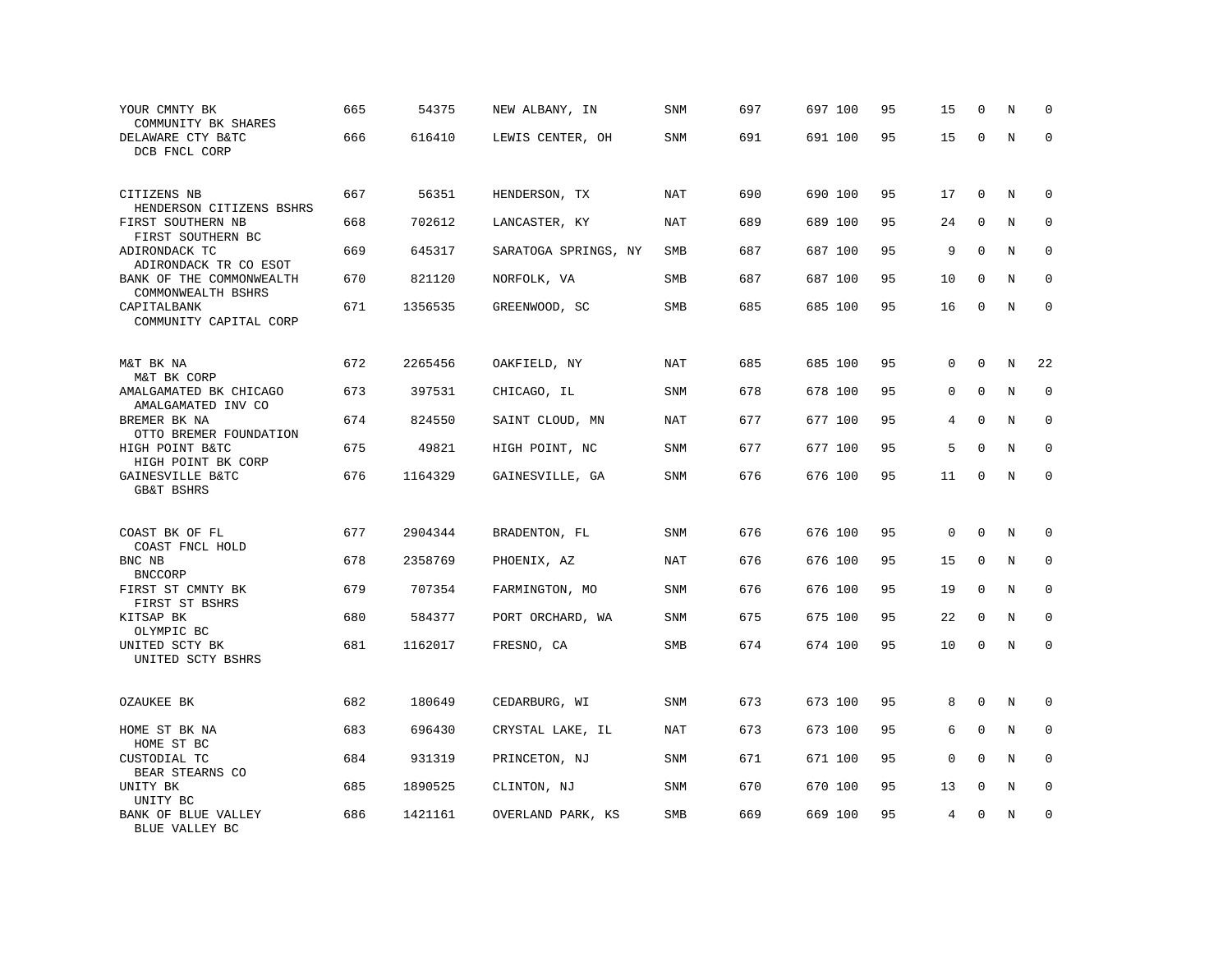| YOUR CMNTY BK<br>COMMUNITY BK SHARES                         | 665 | 54375   | NEW ALBANY, IN       | <b>SNM</b> | 697 | 697 100 | 95 | 15 | $\mathbf 0$  | N | $\mathbf 0$  |
|--------------------------------------------------------------|-----|---------|----------------------|------------|-----|---------|----|----|--------------|---|--------------|
| DELAWARE CTY B&TC<br>DCB FNCL CORP                           | 666 | 616410  | LEWIS CENTER, OH     | SNM        | 691 | 691 100 | 95 | 15 | $\mathbf 0$  | N | $\mathbf 0$  |
| CITIZENS NB<br>HENDERSON CITIZENS BSHRS                      | 667 | 56351   | HENDERSON, TX        | NAT        | 690 | 690 100 | 95 | 17 | $\mathbf 0$  | N | $\mathbf 0$  |
| FIRST SOUTHERN NB<br>FIRST SOUTHERN BC                       | 668 | 702612  | LANCASTER, KY        | <b>NAT</b> | 689 | 689 100 | 95 | 24 | $\mathbf 0$  | N | $\mathbf 0$  |
| ADIRONDACK TC<br>ADIRONDACK TR CO ESOT                       | 669 | 645317  | SARATOGA SPRINGS, NY | SMB        | 687 | 687 100 | 95 | 9  | $\mathbf 0$  | N | $\mathbf 0$  |
| BANK OF THE COMMONWEALTH<br>COMMONWEALTH BSHRS               | 670 | 821120  | NORFOLK, VA          | <b>SMB</b> | 687 | 687 100 | 95 | 10 | $\Omega$     | N | $\mathbf 0$  |
| CAPITALBANK<br>COMMUNITY CAPITAL CORP                        | 671 | 1356535 | GREENWOOD, SC        | SMB        | 685 | 685 100 | 95 | 16 | $\mathbf 0$  | N | $\mathbf 0$  |
| M&T BK NA                                                    | 672 | 2265456 | OAKFIELD, NY         | <b>NAT</b> | 685 | 685 100 | 95 | 0  | $\mathbf{0}$ | N | 22           |
| M&T BK CORP<br>AMALGAMATED BK CHICAGO                        | 673 | 397531  | CHICAGO, IL          | SNM        | 678 | 678 100 | 95 | 0  | $\mathbf 0$  | N | $\mathbf 0$  |
| AMALGAMATED INV CO<br>BREMER BK NA<br>OTTO BREMER FOUNDATION | 674 | 824550  | SAINT CLOUD, MN      | NAT        | 677 | 677 100 | 95 | 4  | $\mathbf{0}$ | N | $\mathbf 0$  |
| HIGH POINT B&TC<br>HIGH POINT BK CORP                        | 675 | 49821   | HIGH POINT, NC       | <b>SNM</b> | 677 | 677 100 | 95 | 5  | $\mathbf 0$  | N | $\Omega$     |
| GAINESVILLE B&TC<br><b>GB&amp;T BSHRS</b>                    | 676 | 1164329 | GAINESVILLE, GA      | SNM        | 676 | 676 100 | 95 | 11 | $\mathbf 0$  | N | $\mathbf 0$  |
| COAST BK OF FL                                               | 677 | 2904344 | BRADENTON, FL        | SNM        | 676 | 676 100 | 95 | 0  | $\Omega$     | N | 0            |
| COAST FNCL HOLD<br>BNC NB                                    | 678 | 2358769 | PHOENIX, AZ          | <b>NAT</b> | 676 | 676 100 | 95 | 15 | $\mathbf 0$  | N | $\mathbf 0$  |
| <b>BNCCORP</b><br>FIRST ST CMNTY BK                          | 679 | 707354  | FARMINGTON, MO       | SNM        | 676 | 676 100 | 95 | 19 | $\mathbf 0$  | N | $\mathbf 0$  |
| FIRST ST BSHRS<br>KITSAP BK<br>OLYMPIC BC                    | 680 | 584377  | PORT ORCHARD, WA     | SNM        | 675 | 675 100 | 95 | 22 | 0            | N | $\mathbf{0}$ |
| UNITED SCTY BK<br>UNITED SCTY BSHRS                          | 681 | 1162017 | FRESNO, CA           | SMB        | 674 | 674 100 | 95 | 10 | $\mathbf 0$  | N | $\mathbf 0$  |
| OZAUKEE BK                                                   | 682 | 180649  | CEDARBURG, WI        | SNM        | 673 | 673 100 | 95 | 8  | $\mathbf 0$  | N | 0            |
| HOME ST BK NA                                                | 683 | 696430  | CRYSTAL LAKE, IL     | NAT        | 673 | 673 100 | 95 | 6  | $\mathbf 0$  | N | 0            |
| HOME ST BC<br>CUSTODIAL TC<br>BEAR STEARNS CO                | 684 | 931319  | PRINCETON, NJ        | <b>SNM</b> | 671 | 671 100 | 95 | 0  | $\Omega$     | N | $\mathbf 0$  |
| UNITY BK<br>UNITY BC                                         | 685 | 1890525 | CLINTON, NJ          | SNM        | 670 | 670 100 | 95 | 13 | 0            | Ν | 0            |
| BANK OF BLUE VALLEY<br>BLUE VALLEY BC                        | 686 | 1421161 | OVERLAND PARK, KS    | <b>SMB</b> | 669 | 669 100 | 95 | 4  | $\mathbf 0$  | N | $\mathbf 0$  |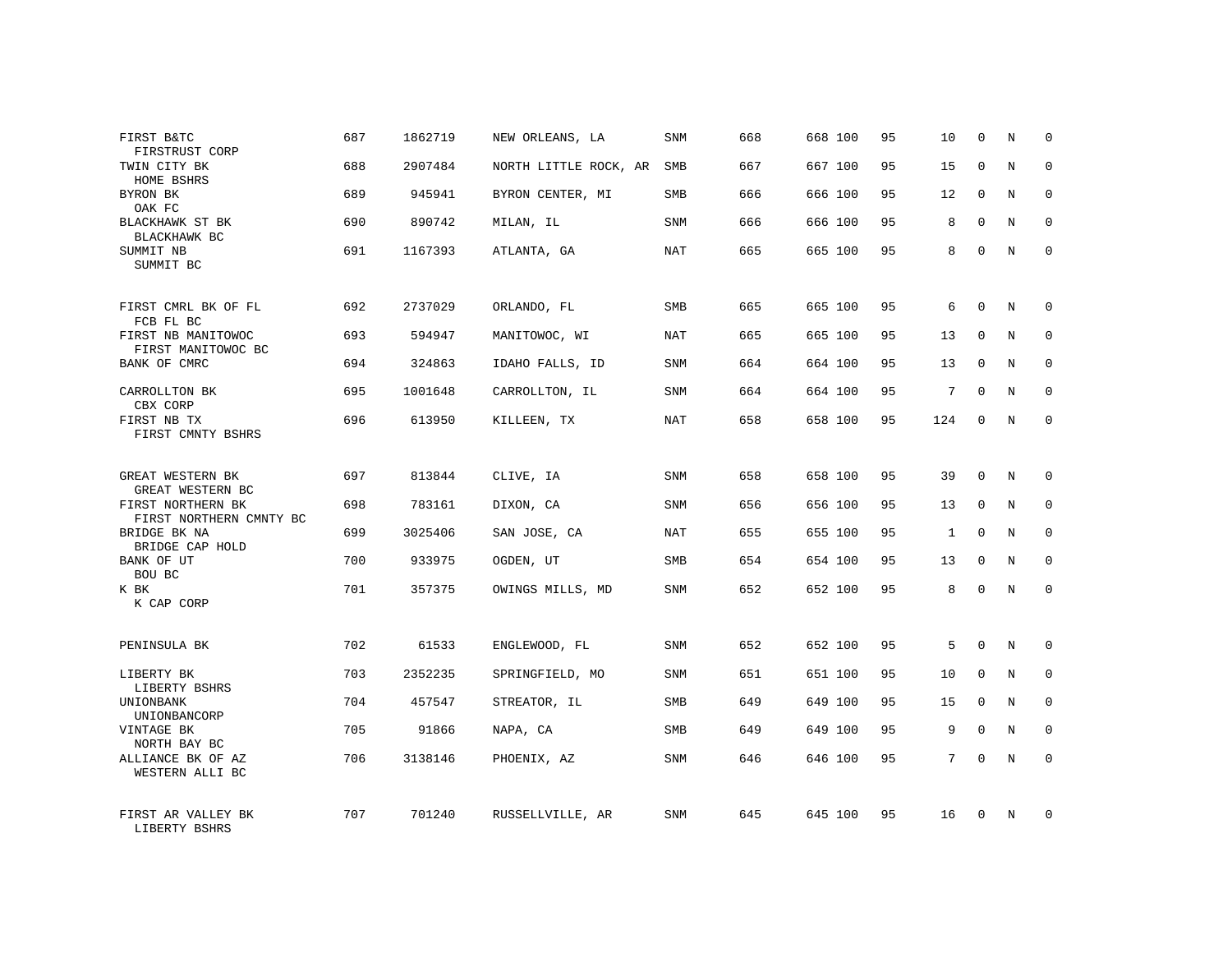| FIRST B&TC<br>FIRSTRUST CORP                          | 687 | 1862719 | NEW ORLEANS, LA       | SNM        | 668 | 668 100 | 95 | 10           | $\mathbf 0$  | N | $\Omega$     |
|-------------------------------------------------------|-----|---------|-----------------------|------------|-----|---------|----|--------------|--------------|---|--------------|
| TWIN CITY BK<br>HOME BSHRS                            | 688 | 2907484 | NORTH LITTLE ROCK, AR | SMB        | 667 | 667 100 | 95 | 15           | $\Omega$     | N | $\Omega$     |
| BYRON BK<br>OAK FC                                    | 689 | 945941  | BYRON CENTER, MI      | SMB        | 666 | 666 100 | 95 | 12           | $\mathbf 0$  | N | $\mathbf 0$  |
| BLACKHAWK ST BK<br>BLACKHAWK BC                       | 690 | 890742  | MILAN, IL             | SNM        | 666 | 666 100 | 95 | 8            | $\Omega$     | N | $\mathbf 0$  |
| SUMMIT NB<br>SUMMIT BC                                | 691 | 1167393 | ATLANTA, GA           | NAT        | 665 | 665 100 | 95 | 8            | $\mathbf 0$  | N | $\mathbf 0$  |
| FIRST CMRL BK OF FL                                   | 692 | 2737029 | ORLANDO, FL           | SMB        | 665 | 665 100 | 95 | 6            | $\mathbf{0}$ | N | $\mathbf 0$  |
| FCB FL BC<br>FIRST NB MANITOWOC<br>FIRST MANITOWOC BC | 693 | 594947  | MANITOWOC, WI         | <b>NAT</b> | 665 | 665 100 | 95 | 13           | $\mathbf{0}$ | N | $\mathbf 0$  |
| BANK OF CMRC                                          | 694 | 324863  | IDAHO FALLS, ID       | <b>SNM</b> | 664 | 664 100 | 95 | 13           | $\mathbf 0$  | N | $\mathbf 0$  |
| CARROLLTON BK<br>CBX CORP                             | 695 | 1001648 | CARROLLTON, IL        | SNM        | 664 | 664 100 | 95 | 7            | $\mathbf{0}$ | N | $\mathbf 0$  |
| FIRST NB TX<br>FIRST CMNTY BSHRS                      | 696 | 613950  | KILLEEN, TX           | <b>NAT</b> | 658 | 658 100 | 95 | 124          | $\mathbf{0}$ | N | $\mathbf 0$  |
| GREAT WESTERN BK<br>GREAT WESTERN BC                  | 697 | 813844  | CLIVE, IA             | SNM        | 658 | 658 100 | 95 | 39           | $\Omega$     | N | $\mathbf 0$  |
| FIRST NORTHERN BK<br>FIRST NORTHERN CMNTY BC          | 698 | 783161  | DIXON, CA             | <b>SNM</b> | 656 | 656 100 | 95 | 13           | $\mathbf{0}$ | N | 0            |
| BRIDGE BK NA<br>BRIDGE CAP HOLD                       | 699 | 3025406 | SAN JOSE, CA          | NAT        | 655 | 655 100 | 95 | $\mathbf{1}$ | $\Omega$     | N | $\mathbf 0$  |
| BANK OF UT<br>BOU BC                                  | 700 | 933975  | OGDEN, UT             | SMB        | 654 | 654 100 | 95 | 13           | $\mathbf 0$  | N | 0            |
| K BK<br>K CAP CORP                                    | 701 | 357375  | OWINGS MILLS, MD      | SNM        | 652 | 652 100 | 95 | 8            | $\Omega$     | N | $\mathbf 0$  |
| PENINSULA BK                                          | 702 | 61533   | ENGLEWOOD, FL         | SNM        | 652 | 652 100 | 95 | 5            | $\Omega$     | N | $\mathbf 0$  |
| LIBERTY BK<br>LIBERTY BSHRS                           | 703 | 2352235 | SPRINGFIELD, MO       | <b>SNM</b> | 651 | 651 100 | 95 | 10           | $\mathbf 0$  | N | 0            |
| UNIONBANK<br>UNIONBANCORP                             | 704 | 457547  | STREATOR, IL          | <b>SMB</b> | 649 | 649 100 | 95 | 15           | $\Omega$     | N | $\mathbf{0}$ |
| VINTAGE BK<br>NORTH BAY BC                            | 705 | 91866   | NAPA, CA              | SMB        | 649 | 649 100 | 95 | 9            | $\mathbf 0$  | N | 0            |
| ALLIANCE BK OF AZ<br>WESTERN ALLI BC                  | 706 | 3138146 | PHOENIX, AZ           | <b>SNM</b> | 646 | 646 100 | 95 | 7            | $\Omega$     | N | $\mathbf 0$  |
| FIRST AR VALLEY BK<br>LIBERTY BSHRS                   | 707 | 701240  | RUSSELLVILLE, AR      | SNM        | 645 | 645 100 | 95 | 16           | $\Omega$     | N | $\mathbf 0$  |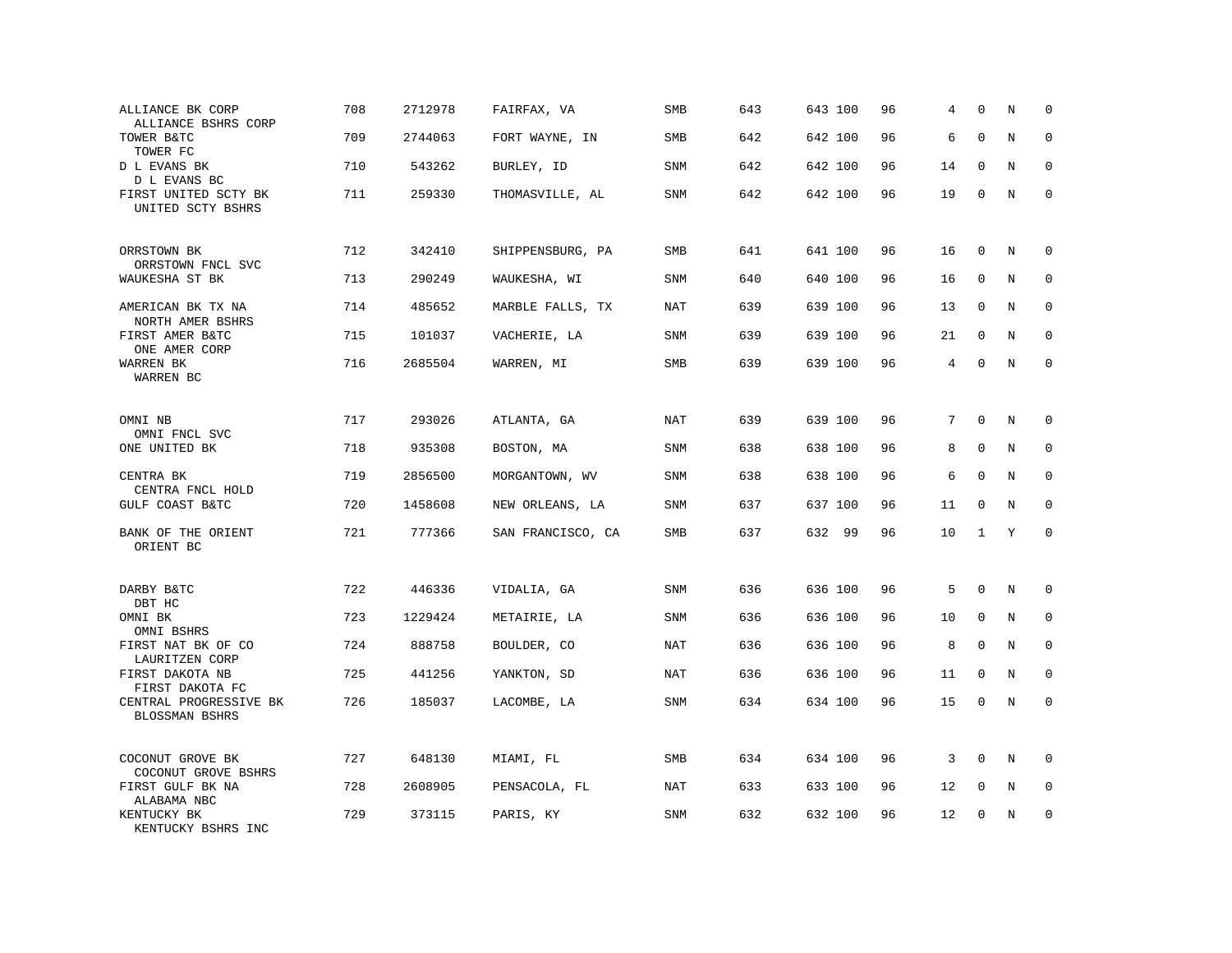| ALLIANCE BK CORP<br>ALLIANCE BSHRS CORP   | 708 | 2712978 | FAIRFAX, VA       | SMB        | 643 | 643 100 | 96 | 4  | $\mathbf 0$  | N       | $\mathbf 0$  |
|-------------------------------------------|-----|---------|-------------------|------------|-----|---------|----|----|--------------|---------|--------------|
| TOWER B&TC<br>TOWER FC                    | 709 | 2744063 | FORT WAYNE, IN    | SMB        | 642 | 642 100 | 96 | 6  | $\mathbf{0}$ | $\rm N$ | $\mathbf 0$  |
| D L EVANS BK<br>D L EVANS BC              | 710 | 543262  | BURLEY, ID        | <b>SNM</b> | 642 | 642 100 | 96 | 14 | $\mathbf 0$  | N       | 0            |
| FIRST UNITED SCTY BK<br>UNITED SCTY BSHRS | 711 | 259330  | THOMASVILLE, AL   | <b>SNM</b> | 642 | 642 100 | 96 | 19 | $\mathbf 0$  | N       | $\mathbf 0$  |
| ORRSTOWN BK<br>ORRSTOWN FNCL SVC          | 712 | 342410  | SHIPPENSBURG, PA  | SMB        | 641 | 641 100 | 96 | 16 | $\mathbf 0$  | $\rm N$ | 0            |
| WAUKESHA ST BK                            | 713 | 290249  | WAUKESHA, WI      | SNM        | 640 | 640 100 | 96 | 16 | 0            | N       | $\mathbf 0$  |
| AMERICAN BK TX NA<br>NORTH AMER BSHRS     | 714 | 485652  | MARBLE FALLS, TX  | <b>NAT</b> | 639 | 639 100 | 96 | 13 | $\mathbf 0$  | N       | 0            |
| FIRST AMER B&TC<br>ONE AMER CORP          | 715 | 101037  | VACHERIE, LA      | <b>SNM</b> | 639 | 639 100 | 96 | 21 | $\mathbf 0$  | N       | $\mathbf 0$  |
| WARREN BK<br>WARREN BC                    | 716 | 2685504 | WARREN, MI        | <b>SMB</b> | 639 | 639 100 | 96 | 4  | $\mathbf 0$  | N       | $\mathbf 0$  |
| OMNI NB                                   | 717 | 293026  | ATLANTA, GA       | NAT        | 639 | 639 100 | 96 | 7  | $\mathbf 0$  | N       | 0            |
| OMNI FNCL SVC<br>ONE UNITED BK            | 718 | 935308  | BOSTON, MA        | <b>SNM</b> | 638 | 638 100 | 96 | 8  | $\mathbf 0$  | N       | $\mathbf 0$  |
| CENTRA BK<br>CENTRA FNCL HOLD             | 719 | 2856500 | MORGANTOWN, WV    | <b>SNM</b> | 638 | 638 100 | 96 | 6  | $\mathbf 0$  | N       | $\mathbf 0$  |
| GULF COAST B&TC                           | 720 | 1458608 | NEW ORLEANS, LA   | SNM        | 637 | 637 100 | 96 | 11 | $\Omega$     | N       | $\Omega$     |
| BANK OF THE ORIENT<br>ORIENT BC           | 721 | 777366  | SAN FRANCISCO, CA | SMB        | 637 | 632 99  | 96 | 10 | 1            | Y       | $\mathbf 0$  |
| DARBY B&TC<br>DBT HC                      | 722 | 446336  | VIDALIA, GA       | <b>SNM</b> | 636 | 636 100 | 96 | 5  | $\mathbf 0$  | N       | 0            |
| OMNI BK<br>OMNI BSHRS                     | 723 | 1229424 | METAIRIE, LA      | <b>SNM</b> | 636 | 636 100 | 96 | 10 | $\mathbf 0$  | N       | $\mathbf{0}$ |
| FIRST NAT BK OF CO<br>LAURITZEN CORP      | 724 | 888758  | BOULDER, CO       | <b>NAT</b> | 636 | 636 100 | 96 | 8  | 0            | N       | 0            |
| FIRST DAKOTA NB<br>FIRST DAKOTA FC        | 725 | 441256  | YANKTON, SD       | <b>NAT</b> | 636 | 636 100 | 96 | 11 | $\mathbf 0$  | N       | $\mathbf 0$  |
| CENTRAL PROGRESSIVE BK<br>BLOSSMAN BSHRS  | 726 | 185037  | LACOMBE, LA       | <b>SNM</b> | 634 | 634 100 | 96 | 15 | $\mathbf 0$  | N       | $\mathbf 0$  |
| COCONUT GROVE BK<br>COCONUT GROVE BSHRS   | 727 | 648130  | MIAMI, FL         | SMB        | 634 | 634 100 | 96 | 3  | $\Omega$     | N       | 0            |
| FIRST GULF BK NA<br>ALABAMA NBC           | 728 | 2608905 | PENSACOLA, FL     | <b>NAT</b> | 633 | 633 100 | 96 | 12 | 0            | Ν       | 0            |
| KENTUCKY BK<br>KENTUCKY BSHRS INC         | 729 | 373115  | PARIS, KY         | <b>SNM</b> | 632 | 632 100 | 96 | 12 | $\mathbf 0$  | N       | $\mathbf 0$  |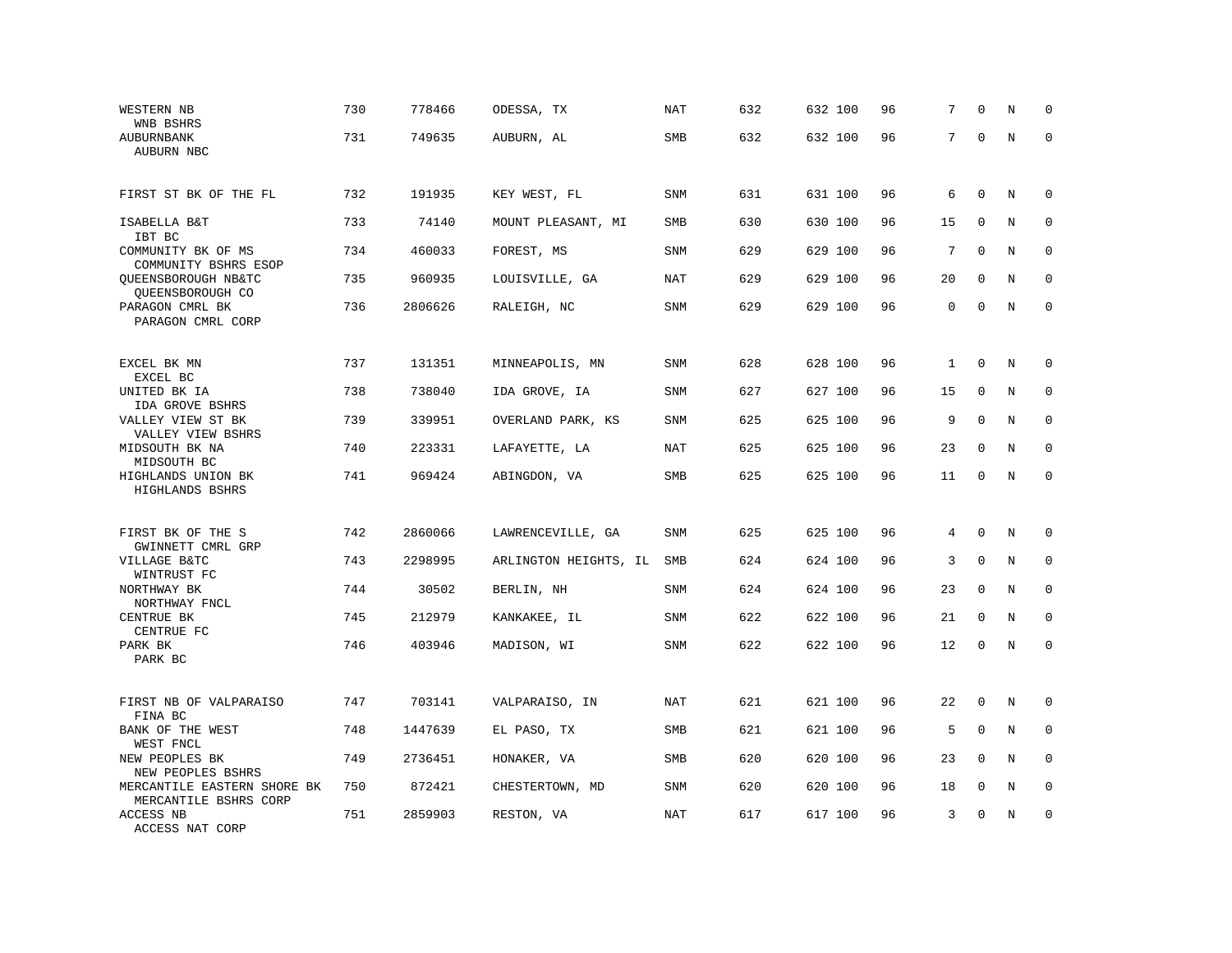| WESTERN NB<br>WNB BSHRS                              | 730 | 778466  | ODESSA, TX            | <b>NAT</b> | 632 | 632 100 | 96 | 7           | $\mathbf 0$  | N       | $\mathbf 0$  |
|------------------------------------------------------|-----|---------|-----------------------|------------|-----|---------|----|-------------|--------------|---------|--------------|
| AUBURNBANK<br>AUBURN NBC                             | 731 | 749635  | AUBURN, AL            | <b>SMB</b> | 632 | 632 100 | 96 | 7           | $\Omega$     | N       | $\Omega$     |
| FIRST ST BK OF THE FL                                | 732 | 191935  | KEY WEST, FL          | <b>SNM</b> | 631 | 631 100 | 96 | 6           | $\mathbf 0$  | N       | $\mathbf 0$  |
| ISABELLA B&T<br>IBT BC                               | 733 | 74140   | MOUNT PLEASANT, MI    | SMB        | 630 | 630 100 | 96 | 15          | $\mathbf 0$  | N       | 0            |
| COMMUNITY BK OF MS<br>COMMUNITY BSHRS ESOP           | 734 | 460033  | FOREST, MS            | <b>SNM</b> | 629 | 629 100 | 96 | 7           | $\Omega$     | N       | $\mathbf 0$  |
| QUEENSBOROUGH NB&TC<br>QUEENSBOROUGH CO              | 735 | 960935  | LOUISVILLE, GA        | <b>NAT</b> | 629 | 629 100 | 96 | 20          | $\mathbf 0$  | N       | $\mathbf 0$  |
| PARAGON CMRL BK<br>PARAGON CMRL CORP                 | 736 | 2806626 | RALEIGH, NC           | <b>SNM</b> | 629 | 629 100 | 96 | $\mathbf 0$ | $\mathbf{0}$ | N       | $\mathbf{0}$ |
| EXCEL BK MN<br>EXCEL BC                              | 737 | 131351  | MINNEAPOLIS, MN       | <b>SNM</b> | 628 | 628 100 | 96 | 1           | $\mathbf{0}$ | N       | 0            |
| UNITED BK IA<br>IDA GROVE BSHRS                      | 738 | 738040  | IDA GROVE, IA         | SNM        | 627 | 627 100 | 96 | 15          | 0            | N       | 0            |
| VALLEY VIEW ST BK<br>VALLEY VIEW BSHRS               | 739 | 339951  | OVERLAND PARK, KS     | <b>SNM</b> | 625 | 625 100 | 96 | 9           | $\mathbf 0$  | N       | $\mathbf 0$  |
| MIDSOUTH BK NA<br>MIDSOUTH BC                        | 740 | 223331  | LAFAYETTE, LA         | <b>NAT</b> | 625 | 625 100 | 96 | 23          | $\mathbf 0$  | N       | $\mathbf 0$  |
| HIGHLANDS UNION BK<br>HIGHLANDS BSHRS                | 741 | 969424  | ABINGDON, VA          | SMB        | 625 | 625 100 | 96 | 11          | $\mathbf 0$  | $\rm N$ | $\mathbf 0$  |
| FIRST BK OF THE S                                    | 742 | 2860066 | LAWRENCEVILLE, GA     | <b>SNM</b> | 625 | 625 100 | 96 | 4           | $\mathbf 0$  | N       | $\mathbf 0$  |
| GWINNETT CMRL GRP<br>VILLAGE B&TC<br>WINTRUST FC     | 743 | 2298995 | ARLINGTON HEIGHTS, IL | SMB        | 624 | 624 100 | 96 | 3           | $\mathbf 0$  | N       | $\mathbf 0$  |
| NORTHWAY BK<br>NORTHWAY FNCL                         | 744 | 30502   | BERLIN, NH            | <b>SNM</b> | 624 | 624 100 | 96 | 23          | $\mathbf{0}$ | $\rm N$ | $\mathbf 0$  |
| CENTRUE BK<br>CENTRUE FC                             | 745 | 212979  | KANKAKEE, IL          | SNM        | 622 | 622 100 | 96 | 21          | $\mathbf 0$  | N       | 0            |
| PARK BK<br>PARK BC                                   | 746 | 403946  | MADISON, WI           | <b>SNM</b> | 622 | 622 100 | 96 | 12          | $\mathbf 0$  | N       | $\mathbf 0$  |
| FIRST NB OF VALPARAISO<br>FINA BC                    | 747 | 703141  | VALPARAISO, IN        | <b>NAT</b> | 621 | 621 100 | 96 | 22          | $\mathbf 0$  | N       | $\mathbf 0$  |
| BANK OF THE WEST<br>WEST FNCL                        | 748 | 1447639 | EL PASO, TX           | SMB        | 621 | 621 100 | 96 | 5           | $\Omega$     | $\rm N$ | 0            |
| NEW PEOPLES BK<br>NEW PEOPLES BSHRS                  | 749 | 2736451 | HONAKER, VA           | SMB        | 620 | 620 100 | 96 | 23          | $\Omega$     | N       | $\mathbf 0$  |
| MERCANTILE EASTERN SHORE BK<br>MERCANTILE BSHRS CORP | 750 | 872421  | CHESTERTOWN, MD       | <b>SNM</b> | 620 | 620 100 | 96 | 18          | $\mathbf 0$  | N       | $\mathbf 0$  |
| ACCESS NB<br>ACCESS NAT CORP                         | 751 | 2859903 | RESTON, VA            | <b>NAT</b> | 617 | 617 100 | 96 | 3           | $\mathbf 0$  | N       | $\mathbf 0$  |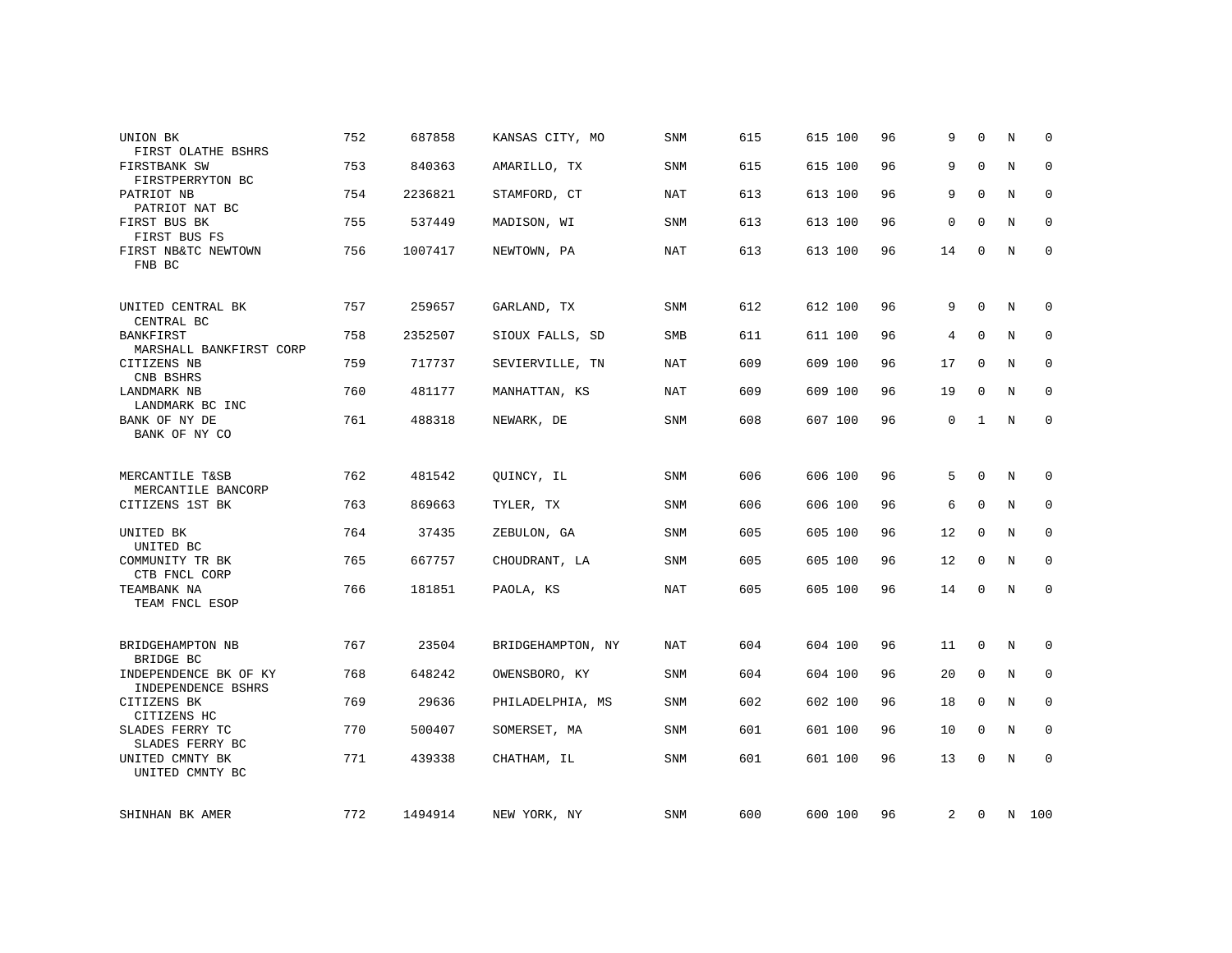| UNION BK<br>FIRST OLATHE BSHRS                 | 752 | 687858  | KANSAS CITY, MO   | <b>SNM</b> | 615 | 615 100 | 96 | 9  | $\Omega$     | N       | $\Omega$     |
|------------------------------------------------|-----|---------|-------------------|------------|-----|---------|----|----|--------------|---------|--------------|
| FIRSTBANK SW<br>FIRSTPERRYTON BC               | 753 | 840363  | AMARILLO, TX      | <b>SNM</b> | 615 | 615 100 | 96 | 9  | $\Omega$     | N       | $\mathbf 0$  |
| PATRIOT NB<br>PATRIOT NAT BC                   | 754 | 2236821 | STAMFORD, CT      | NAT        | 613 | 613 100 | 96 | 9  | $\Omega$     | N       | 0            |
| FIRST BUS BK<br>FIRST BUS FS                   | 755 | 537449  | MADISON, WI       | <b>SNM</b> | 613 | 613 100 | 96 | 0  | $\Omega$     | $\rm N$ | $\mathbf 0$  |
| FIRST NB&TC NEWTOWN<br>FNB BC                  | 756 | 1007417 | NEWTOWN, PA       | NAT        | 613 | 613 100 | 96 | 14 | $\mathbf 0$  | N       | $\mathbf{0}$ |
| UNITED CENTRAL BK<br>CENTRAL BC                | 757 | 259657  | GARLAND, TX       | <b>SNM</b> | 612 | 612 100 | 96 | 9  | $\Omega$     | N       | $\mathbf 0$  |
| BANKFIRST<br>MARSHALL BANKFIRST CORP           | 758 | 2352507 | SIOUX FALLS, SD   | SMB        | 611 | 611 100 | 96 | 4  | $\mathbf 0$  | N       | $\mathbf 0$  |
| CITIZENS NB<br>CNB BSHRS                       | 759 | 717737  | SEVIERVILLE, TN   | <b>NAT</b> | 609 | 609 100 | 96 | 17 | $\mathbf 0$  | N       | 0            |
| LANDMARK NB<br>LANDMARK BC INC                 | 760 | 481177  | MANHATTAN, KS     | <b>NAT</b> | 609 | 609 100 | 96 | 19 | $\Omega$     | N       | $\mathbf 0$  |
| BANK OF NY DE<br>BANK OF NY CO                 | 761 | 488318  | NEWARK, DE        | <b>SNM</b> | 608 | 607 100 | 96 | 0  | $\mathbf{1}$ | N       | $\mathbf 0$  |
| MERCANTILE T&SB<br>MERCANTILE BANCORP          | 762 | 481542  | OUINCY, IL        | <b>SNM</b> | 606 | 606 100 | 96 | 5  | $\mathbf 0$  | N       | 0            |
| CITIZENS 1ST BK                                | 763 | 869663  | TYLER, TX         | <b>SNM</b> | 606 | 606 100 | 96 | 6  | $\mathbf{0}$ | N       | $\mathbf 0$  |
| UNITED BK                                      | 764 | 37435   | ZEBULON, GA       | <b>SNM</b> | 605 | 605 100 | 96 | 12 | 0            | N       | 0            |
| UNITED BC<br>COMMUNITY TR BK                   | 765 | 667757  | CHOUDRANT, LA     | <b>SNM</b> | 605 | 605 100 | 96 | 12 | 0            | N       | $\mathbf 0$  |
| CTB FNCL CORP<br>TEAMBANK NA<br>TEAM FNCL ESOP | 766 | 181851  | PAOLA, KS         | <b>NAT</b> | 605 | 605 100 | 96 | 14 | $\mathbf 0$  | $\rm N$ | $\mathbf 0$  |
| BRIDGEHAMPTON NB<br>BRIDGE BC                  | 767 | 23504   | BRIDGEHAMPTON, NY | NAT        | 604 | 604 100 | 96 | 11 | 0            | N       | 0            |
| INDEPENDENCE BK OF KY<br>INDEPENDENCE BSHRS    | 768 | 648242  | OWENSBORO, KY     | <b>SNM</b> | 604 | 604 100 | 96 | 20 | $\mathbf 0$  | N       | 0            |
| CITIZENS BK<br>CITIZENS HC                     | 769 | 29636   | PHILADELPHIA, MS  | <b>SNM</b> | 602 | 602 100 | 96 | 18 | $\mathbf 0$  | N       | 0            |
| SLADES FERRY TC<br>SLADES FERRY BC             | 770 | 500407  | SOMERSET, MA      | SNM        | 601 | 601 100 | 96 | 10 | 0            | N       | 0            |
| UNITED CMNTY BK<br>UNITED CMNTY BC             | 771 | 439338  | CHATHAM, IL       | <b>SNM</b> | 601 | 601 100 | 96 | 13 | $\mathbf 0$  | N       | $\mathbf 0$  |
| SHINHAN BK AMER                                | 772 | 1494914 | NEW YORK, NY      | SNM        | 600 | 600 100 | 96 | 2  | 0            |         | N 100        |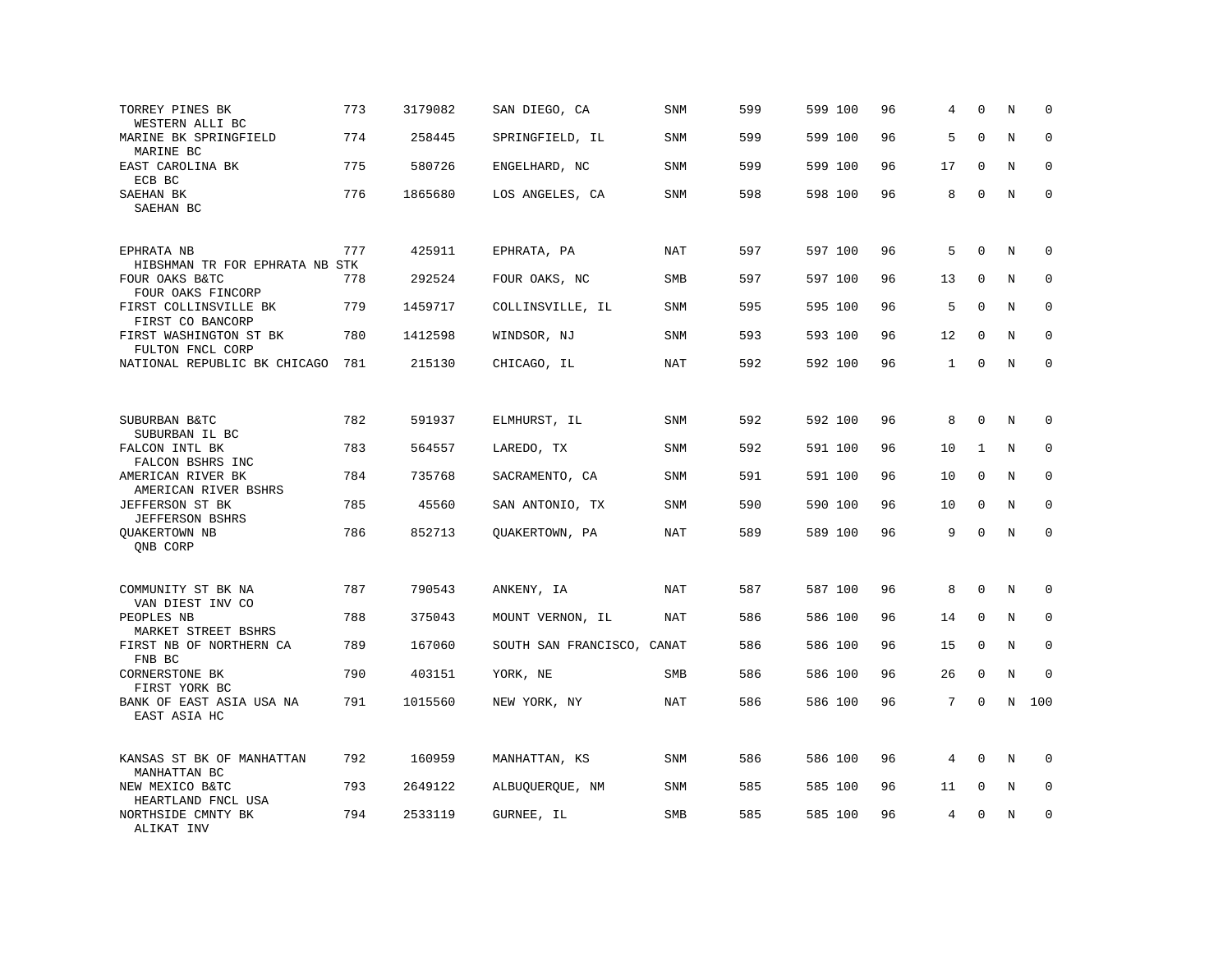| TORREY PINES BK<br>WESTERN ALLI BC             | 773 | 3179082 | SAN DIEGO, CA              | <b>SNM</b> | 599 | 599 100 | 96 | 4            | $\Omega$     | N           | $\mathbf 0$  |
|------------------------------------------------|-----|---------|----------------------------|------------|-----|---------|----|--------------|--------------|-------------|--------------|
| MARINE BK SPRINGFIELD<br>MARINE BC             | 774 | 258445  | SPRINGFIELD, IL            | <b>SNM</b> | 599 | 599 100 | 96 | 5            | $\Omega$     | N           | $\Omega$     |
| EAST CAROLINA BK<br>ECB BC                     | 775 | 580726  | ENGELHARD, NC              | <b>SNM</b> | 599 | 599 100 | 96 | 17           | $\mathbf 0$  | N           | $\mathbf 0$  |
| SAEHAN BK<br>SAEHAN BC                         | 776 | 1865680 | LOS ANGELES, CA            | <b>SNM</b> | 598 | 598 100 | 96 | 8            | $\Omega$     | N           | $\mathbf 0$  |
| EPHRATA NB<br>HIBSHMAN TR FOR EPHRATA NB STK   | 777 | 425911  | EPHRATA, PA                | NAT        | 597 | 597 100 | 96 | 5            | $\Omega$     | N           | $\Omega$     |
| FOUR OAKS B&TC<br>FOUR OAKS FINCORP            | 778 | 292524  | FOUR OAKS, NC              | SMB        | 597 | 597 100 | 96 | 13           | $\mathbf 0$  | N           | 0            |
| FIRST COLLINSVILLE BK<br>FIRST CO BANCORP      | 779 | 1459717 | COLLINSVILLE, IL           | <b>SNM</b> | 595 | 595 100 | 96 | 5            | $\Omega$     | N           | $\mathbf{0}$ |
| FIRST WASHINGTON ST BK<br>FULTON FNCL CORP     | 780 | 1412598 | WINDSOR, NJ                | <b>SNM</b> | 593 | 593 100 | 96 | 12           | $\mathbf 0$  | N           | $\mathbf 0$  |
| NATIONAL REPUBLIC BK CHICAGO                   | 781 | 215130  | CHICAGO, IL                | NAT        | 592 | 592 100 | 96 | $\mathbf{1}$ | $\Omega$     | N           | $\mathbf 0$  |
| SUBURBAN B&TC                                  | 782 | 591937  | ELMHURST, IL               | SNM        | 592 | 592 100 | 96 | 8            | $\mathbf{0}$ | N           | $\mathbf 0$  |
| SUBURBAN IL BC<br>FALCON INTL BK               | 783 | 564557  | LAREDO, TX                 | <b>SNM</b> | 592 | 591 100 | 96 | 10           | 1            | N           | $\mathbf 0$  |
| FALCON BSHRS INC                               | 784 |         |                            | SNM        | 591 |         | 96 | 10           | $\mathbf{0}$ | $\mathbf N$ | $\mathbf 0$  |
| AMERICAN RIVER BK<br>AMERICAN RIVER BSHRS      |     | 735768  | SACRAMENTO, CA             |            |     | 591 100 |    |              |              |             |              |
| JEFFERSON ST BK<br><b>JEFFERSON BSHRS</b>      | 785 | 45560   | SAN ANTONIO, TX            | SNM        | 590 | 590 100 | 96 | 10           | $\mathbf 0$  | N           | $\mathbf 0$  |
| <b>OUAKERTOWN NB</b><br>ONB CORP               | 786 | 852713  | QUAKERTOWN, PA             | <b>NAT</b> | 589 | 589 100 | 96 | 9            | $\Omega$     | $\rm N$     | $\mathbf 0$  |
| COMMUNITY ST BK NA                             | 787 | 790543  | ANKENY, IA                 | NAT        | 587 | 587 100 | 96 | 8            | $\mathbf{0}$ | N           | 0            |
| VAN DIEST INV CO<br>PEOPLES NB                 | 788 | 375043  | MOUNT VERNON, IL           | NAT        | 586 | 586 100 | 96 | 14           | $\mathbf 0$  | N           | 0            |
| MARKET STREET BSHRS<br>FIRST NB OF NORTHERN CA | 789 | 167060  | SOUTH SAN FRANCISCO, CANAT |            | 586 | 586 100 | 96 | 15           | $\mathbf{0}$ | N           | $\mathbf 0$  |
| FNB BC<br>CORNERSTONE BK<br>FIRST YORK BC      | 790 | 403151  | YORK, NE                   | SMB        | 586 | 586 100 | 96 | 26           | $\mathbf 0$  | N           | $\mathbf 0$  |
| BANK OF EAST ASIA USA NA<br>EAST ASIA HC       | 791 | 1015560 | NEW YORK, NY               | NAT        | 586 | 586 100 | 96 | 7            | $\mathbf{0}$ | N           | 100          |
| KANSAS ST BK OF MANHATTAN<br>MANHATTAN BC      | 792 | 160959  | MANHATTAN, KS              | <b>SNM</b> | 586 | 586 100 | 96 | 4            | $\Omega$     | N           | $\mathbf 0$  |
| NEW MEXICO B&TC<br>HEARTLAND FNCL USA          | 793 | 2649122 | ALBUQUERQUE, NM            | <b>SNM</b> | 585 | 585 100 | 96 | 11           | $\mathbf 0$  | N           | $\mathbf 0$  |
| NORTHSIDE CMNTY BK<br>ALIKAT INV               | 794 | 2533119 | GURNEE, IL                 | <b>SMB</b> | 585 | 585 100 | 96 | 4            | $\mathbf 0$  | N           | $\mathbf 0$  |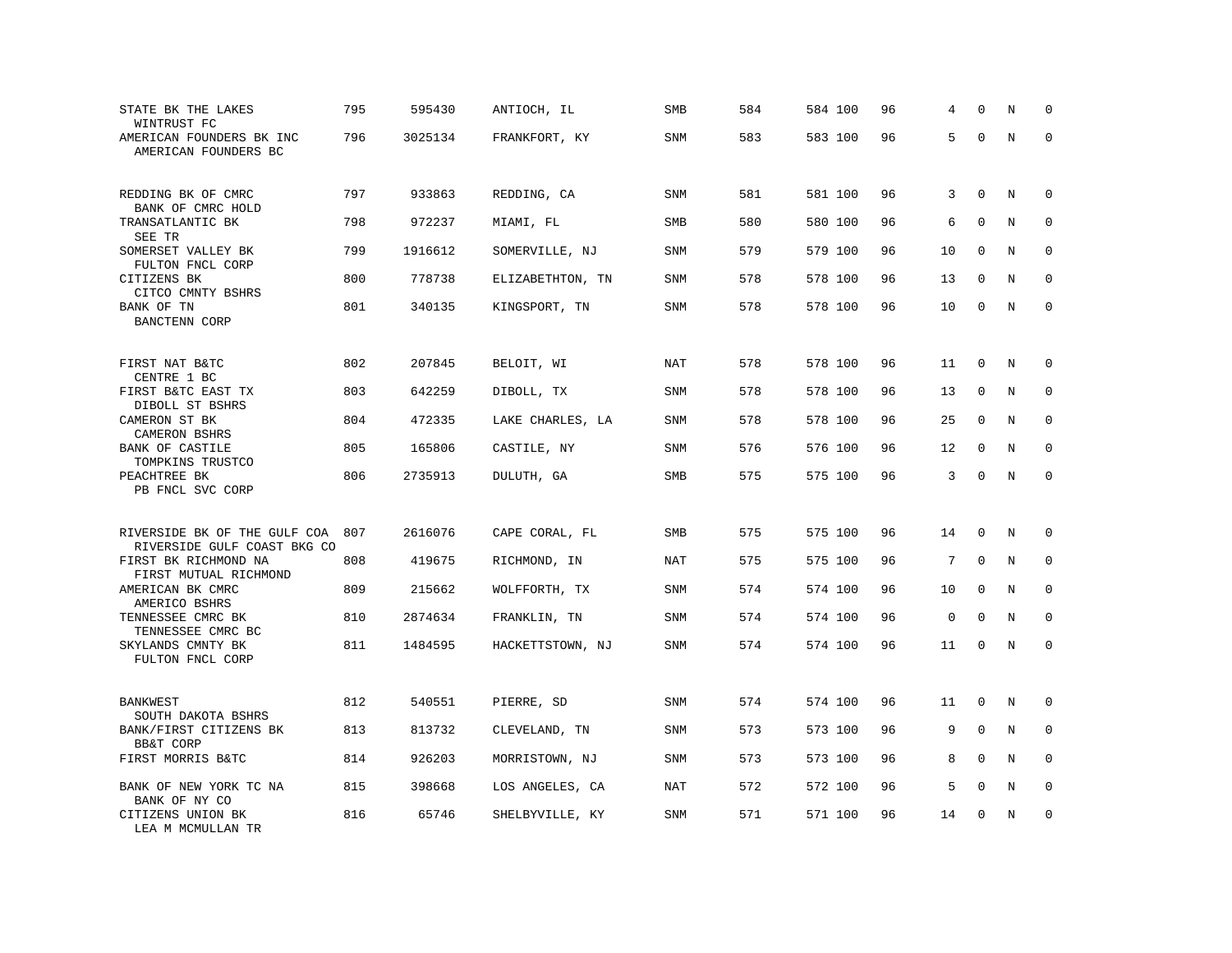| STATE BK THE LAKES<br>WINTRUST FC                           | 795 | 595430  | ANTIOCH, IL      | SMB        | 584 | 584 100 | 96 | 4           | 0            | N       | $\mathbf 0$ |
|-------------------------------------------------------------|-----|---------|------------------|------------|-----|---------|----|-------------|--------------|---------|-------------|
| AMERICAN FOUNDERS BK INC<br>AMERICAN FOUNDERS BC            | 796 | 3025134 | FRANKFORT, KY    | SNM        | 583 | 583 100 | 96 | 5           | $\Omega$     | $\rm N$ | $\mathbf 0$ |
| REDDING BK OF CMRC<br>BANK OF CMRC HOLD                     | 797 | 933863  | REDDING, CA      | SNM        | 581 | 581 100 | 96 | 3           | $\mathbf 0$  | N       | 0           |
| TRANSATLANTIC BK                                            | 798 | 972237  | MIAMI, FL        | SMB        | 580 | 580 100 | 96 | 6           | $\mathbf 0$  | N       | $\mathbf 0$ |
| SEE TR<br>SOMERSET VALLEY BK<br>FULTON FNCL CORP            | 799 | 1916612 | SOMERVILLE, NJ   | <b>SNM</b> | 579 | 579 100 | 96 | 10          | $\Omega$     | N       | $\mathbf 0$ |
| CITIZENS BK<br>CITCO CMNTY BSHRS                            | 800 | 778738  | ELIZABETHTON, TN | <b>SNM</b> | 578 | 578 100 | 96 | 13          | $\mathbf 0$  | N       | $\mathbf 0$ |
| BANK OF TN<br><b>BANCTENN CORP</b>                          | 801 | 340135  | KINGSPORT, TN    | <b>SNM</b> | 578 | 578 100 | 96 | 10          | $\mathbf 0$  | N       | $\mathbf 0$ |
| FIRST NAT B&TC                                              | 802 | 207845  | BELOIT, WI       | NAT        | 578 | 578 100 | 96 | 11          | 0            | N       | 0           |
| CENTRE 1 BC<br>FIRST B&TC EAST TX                           | 803 | 642259  | DIBOLL, TX       | <b>SNM</b> | 578 | 578 100 | 96 | 13          | $\mathbf 0$  | N       | 0           |
| DIBOLL ST BSHRS<br>CAMERON ST BK                            | 804 | 472335  | LAKE CHARLES, LA | <b>SNM</b> | 578 | 578 100 | 96 | 25          | 0            | N       | $\mathbf 0$ |
| CAMERON BSHRS<br>BANK OF CASTILE                            | 805 | 165806  | CASTILE, NY      | <b>SNM</b> | 576 | 576 100 | 96 | 12          | $\mathbf 0$  | N       | $\mathbf 0$ |
| TOMPKINS TRUSTCO<br>PEACHTREE BK<br>PB FNCL SVC CORP        | 806 | 2735913 | DULUTH, GA       | SMB        | 575 | 575 100 | 96 | 3           | $\mathbf 0$  | $\rm N$ | $\mathbf 0$ |
|                                                             |     |         |                  |            |     |         |    |             |              |         |             |
| RIVERSIDE BK OF THE GULF COA<br>RIVERSIDE GULF COAST BKG CO | 807 | 2616076 | CAPE CORAL, FL   | SMB        | 575 | 575 100 | 96 | 14          | $\mathbf 0$  | N       | $\mathbf 0$ |
| FIRST BK RICHMOND NA<br>FIRST MUTUAL RICHMOND               | 808 | 419675  | RICHMOND, IN     | NAT        | 575 | 575 100 | 96 | 7           | $\Omega$     | N       | $\mathbf 0$ |
| AMERICAN BK CMRC<br>AMERICO BSHRS                           | 809 | 215662  | WOLFFORTH, TX    | <b>SNM</b> | 574 | 574 100 | 96 | 10          | $\mathbf 0$  | N       | $\mathbf 0$ |
| TENNESSEE CMRC BK<br>TENNESSEE CMRC BC                      | 810 | 2874634 | FRANKLIN, TN     | <b>SNM</b> | 574 | 574 100 | 96 | $\mathbf 0$ | $\mathbf 0$  | N       | 0           |
| SKYLANDS CMNTY BK<br>FULTON FNCL CORP                       | 811 | 1484595 | HACKETTSTOWN, NJ | <b>SNM</b> | 574 | 574 100 | 96 | 11          | $\mathbf 0$  | N       | $\mathbf 0$ |
| <b>BANKWEST</b>                                             | 812 | 540551  | PIERRE, SD       | <b>SNM</b> | 574 | 574 100 | 96 | 11          | $\mathbf{0}$ | N       | $\mathbf 0$ |
| SOUTH DAKOTA BSHRS<br>BANK/FIRST CITIZENS BK                | 813 | 813732  | CLEVELAND, TN    | <b>SNM</b> | 573 | 573 100 | 96 | 9           | $\mathbf 0$  | N       | $\mathbf 0$ |
| BB&T CORP                                                   |     |         |                  |            |     |         |    |             |              |         |             |
| FIRST MORRIS B&TC                                           | 814 | 926203  | MORRISTOWN, NJ   | SNM        | 573 | 573 100 | 96 | 8           | $\Omega$     | N       | 0           |
| BANK OF NEW YORK TC NA<br>BANK OF NY CO                     | 815 | 398668  | LOS ANGELES, CA  | NAT        | 572 | 572 100 | 96 | 5           | $\mathbf 0$  | N       | $\mathbf 0$ |
| CITIZENS UNION BK<br>LEA M MCMULLAN TR                      | 816 | 65746   | SHELBYVILLE, KY  | <b>SNM</b> | 571 | 571 100 | 96 | 14          | $\mathbf{0}$ | N       | $\mathbf 0$ |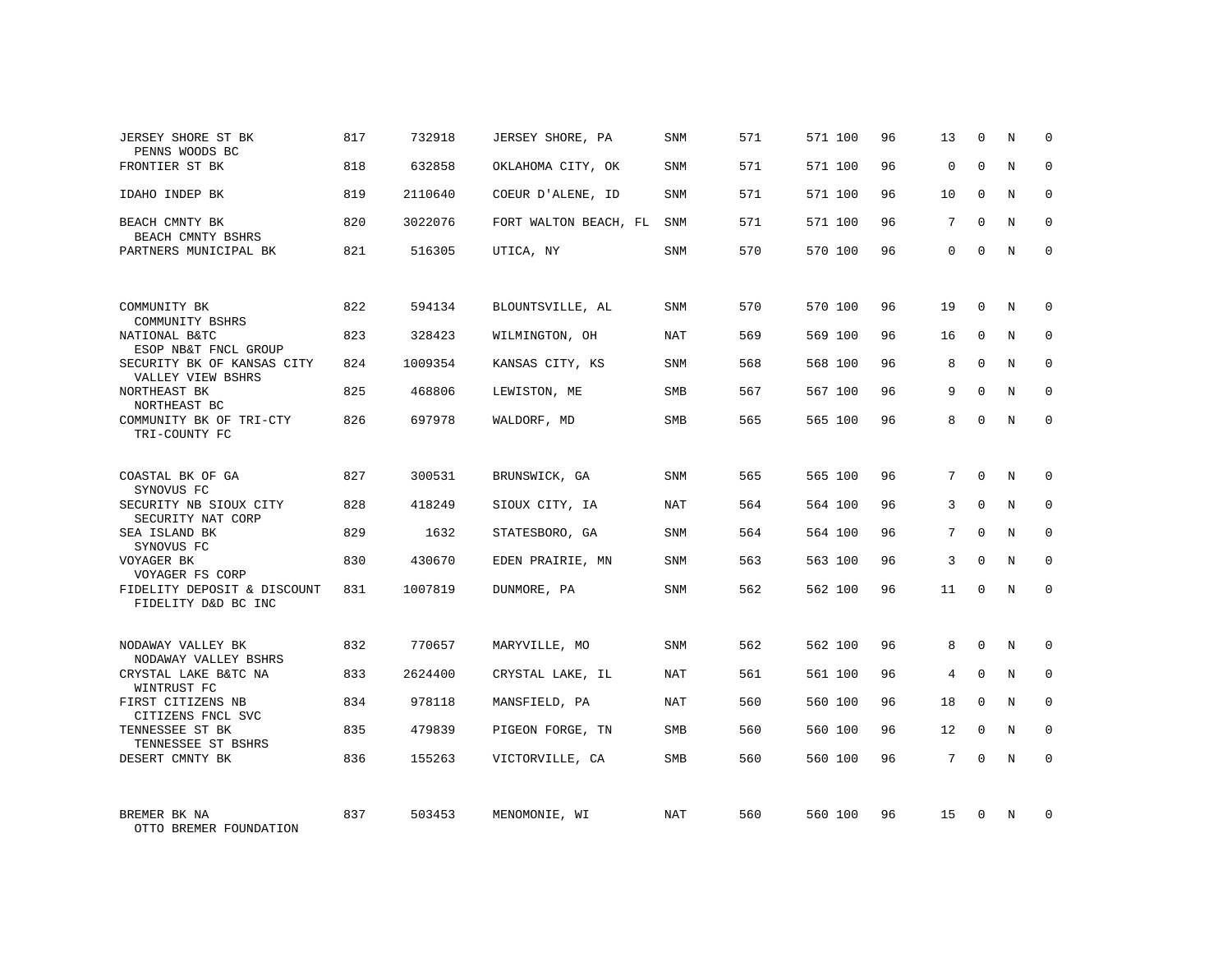| JERSEY SHORE ST BK<br>PENNS WOODS BC               | 817 | 732918  | JERSEY SHORE, PA      | SNM        | 571 | 571 100 | 96 | 13          | 0           | N | 0           |
|----------------------------------------------------|-----|---------|-----------------------|------------|-----|---------|----|-------------|-------------|---|-------------|
| FRONTIER ST BK                                     | 818 | 632858  | OKLAHOMA CITY, OK     | SNM        | 571 | 571 100 | 96 | $\mathbf 0$ | $\Omega$    | N | $\Omega$    |
| IDAHO INDEP BK                                     | 819 | 2110640 | COEUR D'ALENE, ID     | <b>SNM</b> | 571 | 571 100 | 96 | 10          | $\Omega$    | N | $\mathbf 0$ |
| BEACH CMNTY BK<br>BEACH CMNTY BSHRS                | 820 | 3022076 | FORT WALTON BEACH, FL | SNM        | 571 | 571 100 | 96 | 7           | $\Omega$    | N | $\Omega$    |
| PARTNERS MUNICIPAL BK                              | 821 | 516305  | UTICA, NY             | SNM        | 570 | 570 100 | 96 | $\Omega$    | $\Omega$    | N | $\Omega$    |
|                                                    |     |         |                       |            |     |         |    |             |             |   |             |
| COMMUNITY BK<br>COMMUNITY BSHRS                    | 822 | 594134  | BLOUNTSVILLE, AL      | SNM        | 570 | 570 100 | 96 | 19          | $\Omega$    | N | $\Omega$    |
| NATIONAL B&TC<br>ESOP NB&T FNCL GROUP              | 823 | 328423  | WILMINGTON, OH        | NAT        | 569 | 569 100 | 96 | 16          | $\mathbf 0$ | N | $\mathbf 0$ |
| SECURITY BK OF KANSAS CITY<br>VALLEY VIEW BSHRS    | 824 | 1009354 | KANSAS CITY, KS       | <b>SNM</b> | 568 | 568 100 | 96 | 8           | $\Omega$    | N | $\Omega$    |
| NORTHEAST BK<br>NORTHEAST BC                       | 825 | 468806  | LEWISTON, ME          | <b>SMB</b> | 567 | 567 100 | 96 | 9           | $\Omega$    | N | $\mathbf 0$ |
| COMMUNITY BK OF TRI-CTY<br>TRI-COUNTY FC           | 826 | 697978  | WALDORF, MD           | <b>SMB</b> | 565 | 565 100 | 96 | 8           | $\Omega$    | N | $\Omega$    |
|                                                    |     |         |                       |            |     |         |    |             |             |   |             |
| COASTAL BK OF GA<br>SYNOVUS FC                     | 827 | 300531  | BRUNSWICK, GA         | SNM        | 565 | 565 100 | 96 | 7           | $\Omega$    | N | $\Omega$    |
| SECURITY NB SIOUX CITY<br>SECURITY NAT CORP        | 828 | 418249  | SIOUX CITY, IA        | NAT        | 564 | 564 100 | 96 | 3           | $\Omega$    | N | $\mathbf 0$ |
| SEA ISLAND BK<br>SYNOVUS FC                        | 829 | 1632    | STATESBORO, GA        | SNM        | 564 | 564 100 | 96 | 7           | $\Omega$    | N | $\mathbf 0$ |
| VOYAGER BK<br>VOYAGER FS CORP                      | 830 | 430670  | EDEN PRAIRIE, MN      | <b>SNM</b> | 563 | 563 100 | 96 | 3           | $\Omega$    | N | $\mathbf 0$ |
| FIDELITY DEPOSIT & DISCOUNT<br>FIDELITY D&D BC INC | 831 | 1007819 | DUNMORE, PA           | SNM        | 562 | 562 100 | 96 | 11          | $\Omega$    | N | $\mathbf 0$ |
|                                                    |     |         |                       |            |     |         |    |             |             |   |             |
| NODAWAY VALLEY BK<br>NODAWAY VALLEY BSHRS          | 832 | 770657  | MARYVILLE, MO         | SNM        | 562 | 562 100 | 96 | 8           | 0           | N | 0           |
| CRYSTAL LAKE B&TC NA<br>WINTRUST FC                | 833 | 2624400 | CRYSTAL LAKE, IL      | NAT        | 561 | 561 100 | 96 | 4           | $\Omega$    | N | $\mathbf 0$ |
| FIRST CITIZENS NB<br>CITIZENS FNCL SVC             | 834 | 978118  | MANSFIELD, PA         | NAT        | 560 | 560 100 | 96 | 18          | $\Omega$    | N | $\mathbf 0$ |
| TENNESSEE ST BK<br>TENNESSEE ST BSHRS              | 835 | 479839  | PIGEON FORGE, TN      | SMB        | 560 | 560 100 | 96 | 12          | $\Omega$    | N | $\mathbf 0$ |
| DESERT CMNTY BK                                    | 836 | 155263  | VICTORVILLE, CA       | SMB        | 560 | 560 100 | 96 | $7^{\circ}$ | $\Omega$    | N | $\mathbf 0$ |
|                                                    |     |         |                       |            |     |         |    |             |             |   |             |
| BREMER BK NA<br>OTTO BREMER FOUNDATION             | 837 | 503453  | MENOMONIE, WI         | NAT        | 560 | 560 100 | 96 | 15          | $\Omega$    | N | $\Omega$    |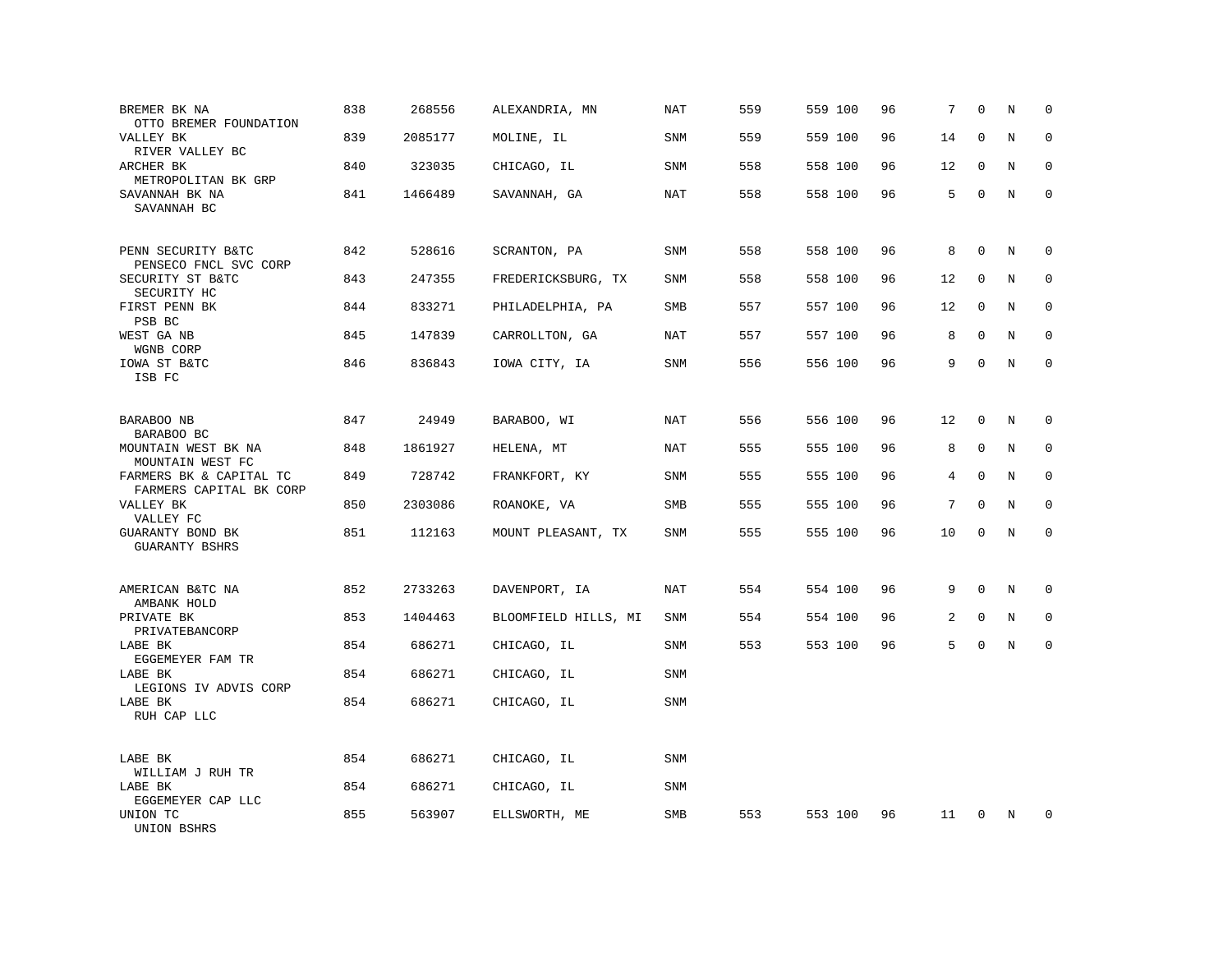| BREMER BK NA<br>OTTO BREMER FOUNDATION             | 838 | 268556  | ALEXANDRIA, MN       | NAT        | 559 | 559 100 | 96 | 7  | $\mathbf 0$  | N | $\mathbf 0$  |
|----------------------------------------------------|-----|---------|----------------------|------------|-----|---------|----|----|--------------|---|--------------|
| VALLEY BK<br>RIVER VALLEY BC                       | 839 | 2085177 | MOLINE, IL           | SNM        | 559 | 559 100 | 96 | 14 | $\mathbf 0$  | N | $\mathbf 0$  |
| ARCHER BK<br>METROPOLITAN BK GRP                   | 840 | 323035  | CHICAGO, IL          | SNM        | 558 | 558 100 | 96 | 12 | $\mathbf 0$  | N | $\mathbf 0$  |
| SAVANNAH BK NA<br>SAVANNAH BC                      | 841 | 1466489 | SAVANNAH, GA         | NAT        | 558 | 558 100 | 96 | 5  | $\mathbf 0$  | N | $\mathbf 0$  |
| PENN SECURITY B&TC<br>PENSECO FNCL SVC CORP        | 842 | 528616  | SCRANTON, PA         | SNM        | 558 | 558 100 | 96 | 8  | $\mathbf 0$  | N | 0            |
| SECURITY ST B&TC<br>SECURITY HC                    | 843 | 247355  | FREDERICKSBURG, TX   | SNM        | 558 | 558 100 | 96 | 12 | 0            | N | 0            |
| FIRST PENN BK<br>PSB BC                            | 844 | 833271  | PHILADELPHIA, PA     | SMB        | 557 | 557 100 | 96 | 12 | 0            | N | $\mathbf{0}$ |
| WEST GA NB<br>WGNB CORP                            | 845 | 147839  | CARROLLTON, GA       | NAT        | 557 | 557 100 | 96 | 8  | $\mathbf 0$  | N | $\mathbf 0$  |
| IOWA ST B&TC<br>ISB FC                             | 846 | 836843  | IOWA CITY, IA        | <b>SNM</b> | 556 | 556 100 | 96 | 9  | $\mathbf 0$  | N | $\mathbf 0$  |
| BARABOO NB<br>BARABOO BC                           | 847 | 24949   | BARABOO, WI          | NAT        | 556 | 556 100 | 96 | 12 | $\mathbf 0$  | N | 0            |
| MOUNTAIN WEST BK NA<br>MOUNTAIN WEST FC            | 848 | 1861927 | HELENA, MT           | <b>NAT</b> | 555 | 555 100 | 96 | 8  | $\mathbf 0$  | N | $\mathbf 0$  |
| FARMERS BK & CAPITAL TC<br>FARMERS CAPITAL BK CORP | 849 | 728742  | FRANKFORT, KY        | <b>SNM</b> | 555 | 555 100 | 96 | 4  | $\mathbf{0}$ | N | $\mathbf 0$  |
| VALLEY BK<br>VALLEY FC                             | 850 | 2303086 | ROANOKE, VA          | SMB        | 555 | 555 100 | 96 | 7  | $\mathbf 0$  | N | $\mathbf 0$  |
| GUARANTY BOND BK<br>GUARANTY BSHRS                 | 851 | 112163  | MOUNT PLEASANT, TX   | <b>SNM</b> | 555 | 555 100 | 96 | 10 | $\mathbf 0$  | N | $\mathbf 0$  |
| AMERICAN B&TC NA<br>AMBANK HOLD                    | 852 | 2733263 | DAVENPORT, IA        | <b>NAT</b> | 554 | 554 100 | 96 | 9  | $\mathbf{0}$ | N | 0            |
| PRIVATE BK<br>PRIVATEBANCORP                       | 853 | 1404463 | BLOOMFIELD HILLS, MI | SNM        | 554 | 554 100 | 96 | 2  | 0            | N | 0            |
| LABE BK<br>EGGEMEYER FAM TR                        | 854 | 686271  | CHICAGO, IL          | <b>SNM</b> | 553 | 553 100 | 96 | 5  | $\mathbf 0$  | N | $\mathbf 0$  |
| LABE BK<br>LEGIONS IV ADVIS CORP                   | 854 | 686271  | CHICAGO, IL          | SNM        |     |         |    |    |              |   |              |
| LABE BK<br>RUH CAP LLC                             | 854 | 686271  | CHICAGO, IL          | <b>SNM</b> |     |         |    |    |              |   |              |
| LABE BK<br>WILLIAM J RUH TR                        | 854 | 686271  | CHICAGO, IL          | <b>SNM</b> |     |         |    |    |              |   |              |
| LABE BK<br>EGGEMEYER CAP LLC                       | 854 | 686271  | CHICAGO, IL          | <b>SNM</b> |     |         |    |    |              |   |              |
| UNION TC<br>UNION BSHRS                            | 855 | 563907  | ELLSWORTH, ME        | SMB        | 553 | 553 100 | 96 | 11 | $\mathbf 0$  | N | $\mathbf 0$  |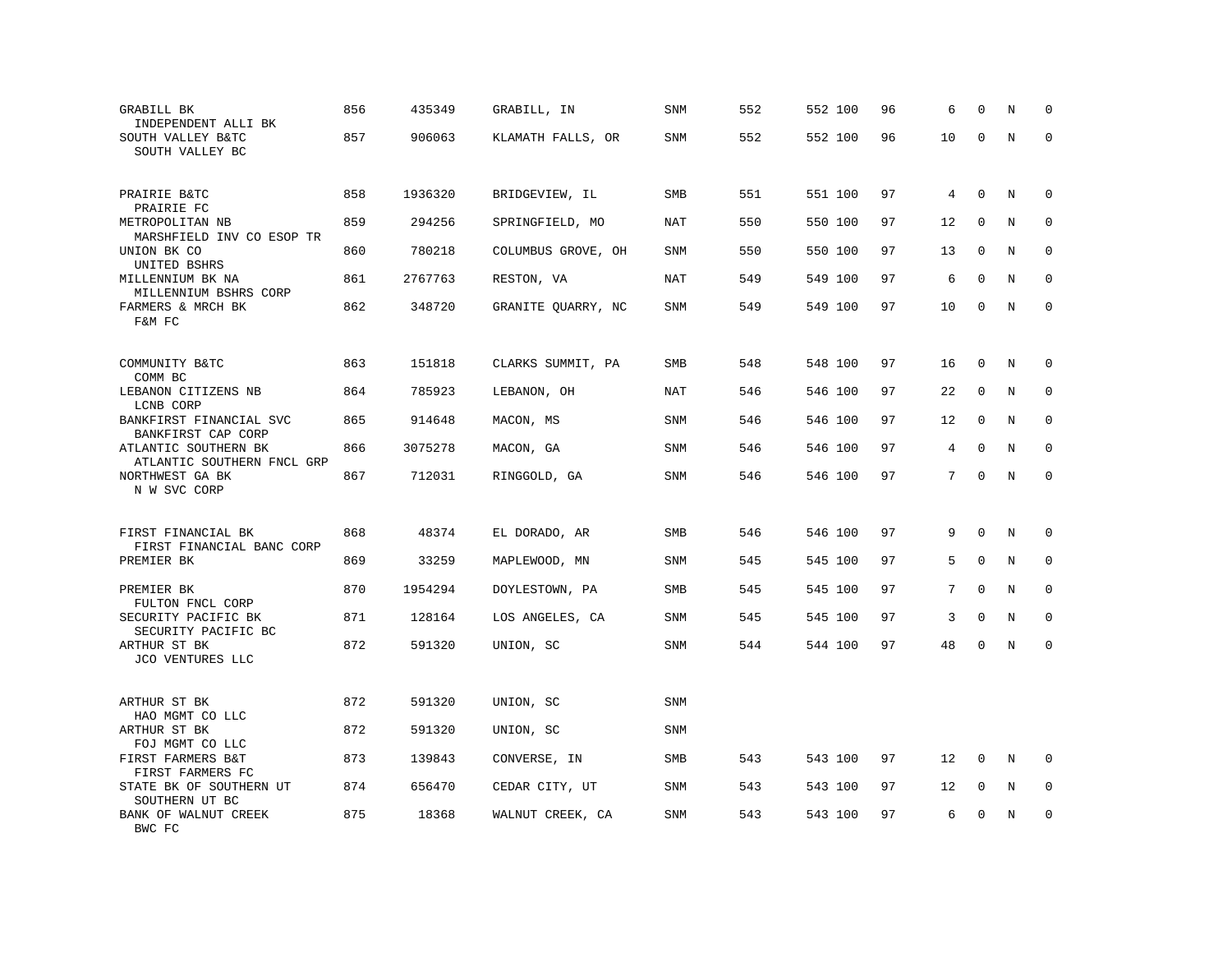| GRABILL BK<br>INDEPENDENT ALLI BK<br>SOUTH VALLEY B&TC     | 856 | 435349  | GRABILL, IN        | <b>SNM</b> | 552 | 552 100 | 96 | 6  | $\Omega$     | N           | $\mathbf 0$  |
|------------------------------------------------------------|-----|---------|--------------------|------------|-----|---------|----|----|--------------|-------------|--------------|
| SOUTH VALLEY BC                                            | 857 | 906063  | KLAMATH FALLS, OR  | SNM        | 552 | 552 100 | 96 | 10 | $\Omega$     | N           | $\Omega$     |
| PRAIRIE B&TC<br>PRAIRIE FC                                 | 858 | 1936320 | BRIDGEVIEW, IL     | <b>SMB</b> | 551 | 551 100 | 97 | 4  | $\mathbf 0$  | N           | 0            |
| METROPOLITAN NB<br>MARSHFIELD INV CO ESOP TR               | 859 | 294256  | SPRINGFIELD, MO    | <b>NAT</b> | 550 | 550 100 | 97 | 12 | $\mathbf 0$  | N           | $\mathbf 0$  |
| UNION BK CO<br>UNITED BSHRS                                | 860 | 780218  | COLUMBUS GROVE, OH | <b>SNM</b> | 550 | 550 100 | 97 | 13 | $\Omega$     | N           | $\Omega$     |
| MILLENNIUM BK NA<br>MILLENNIUM BSHRS CORP                  | 861 | 2767763 | RESTON, VA         | <b>NAT</b> | 549 | 549 100 | 97 | 6  | $\mathbf{0}$ | N           | $\mathbf 0$  |
| FARMERS & MRCH BK<br>F&M FC                                | 862 | 348720  | GRANITE QUARRY, NC | <b>SNM</b> | 549 | 549 100 | 97 | 10 | $\mathbf 0$  | N           | $\mathbf{0}$ |
| COMMUNITY B&TC                                             | 863 | 151818  | CLARKS SUMMIT, PA  | <b>SMB</b> | 548 | 548 100 | 97 | 16 | $\mathbf 0$  | N           | 0            |
| COMM BC<br>LEBANON CITIZENS NB                             | 864 | 785923  | LEBANON, OH        | NAT        | 546 | 546 100 | 97 | 22 | 0            | N           | 0            |
| LCNB CORP<br>BANKFIRST FINANCIAL SVC<br>BANKFIRST CAP CORP | 865 | 914648  | MACON, MS          | <b>SNM</b> | 546 | 546 100 | 97 | 12 | $\mathbf 0$  | N           | $\mathbf{0}$ |
| ATLANTIC SOUTHERN BK<br>ATLANTIC SOUTHERN FNCL GRP         | 866 | 3075278 | MACON, GA          | <b>SNM</b> | 546 | 546 100 | 97 | 4  | $\mathbf{0}$ | N           | $\mathbf 0$  |
| NORTHWEST GA BK<br>N W SVC CORP                            | 867 | 712031  | RINGGOLD, GA       | SNM        | 546 | 546 100 | 97 | 7  | $\mathbf 0$  | $\rm N$     | $\mathbf 0$  |
| FIRST FINANCIAL BK                                         | 868 | 48374   | EL DORADO, AR      | SMB        | 546 | 546 100 | 97 | 9  | $\Omega$     | N           | $\mathbf 0$  |
| FIRST FINANCIAL BANC CORP<br>PREMIER BK                    | 869 | 33259   | MAPLEWOOD, MN      | SNM        | 545 | 545 100 | 97 | 5  | $\mathbf 0$  | N           | $\mathbf 0$  |
| PREMIER BK<br>FULTON FNCL CORP                             | 870 | 1954294 | DOYLESTOWN, PA     | SMB        | 545 | 545 100 | 97 | 7  | $\mathbf 0$  | $\mathbf N$ | $\mathbf 0$  |
| SECURITY PACIFIC BK<br>SECURITY PACIFIC BC                 | 871 | 128164  | LOS ANGELES, CA    | SNM        | 545 | 545 100 | 97 | 3  | $\mathbf 0$  | N           | 0            |
| ARTHUR ST BK<br>JCO VENTURES LLC                           | 872 | 591320  | UNION, SC          | <b>SNM</b> | 544 | 544 100 | 97 | 48 | $\mathbf 0$  | N           | $\mathbf 0$  |
| ARTHUR ST BK                                               | 872 | 591320  | UNION, SC          | <b>SNM</b> |     |         |    |    |              |             |              |
| HAO MGMT CO LLC<br>ARTHUR ST BK<br>FOJ MGMT CO LLC         | 872 | 591320  | UNION, SC          | SNM        |     |         |    |    |              |             |              |
| FIRST FARMERS B&T<br>FIRST FARMERS FC                      | 873 | 139843  | CONVERSE, IN       | SMB        | 543 | 543 100 | 97 | 12 | $\mathbf 0$  | N           | $\Omega$     |
| STATE BK OF SOUTHERN UT<br>SOUTHERN UT BC                  | 874 | 656470  | CEDAR CITY, UT     | <b>SNM</b> | 543 | 543 100 | 97 | 12 | $\mathbf 0$  | N           | $\mathbf 0$  |
| BANK OF WALNUT CREEK<br>BWC FC                             | 875 | 18368   | WALNUT CREEK, CA   | <b>SNM</b> | 543 | 543 100 | 97 | 6  | $\mathbf 0$  | N           | $\mathbf 0$  |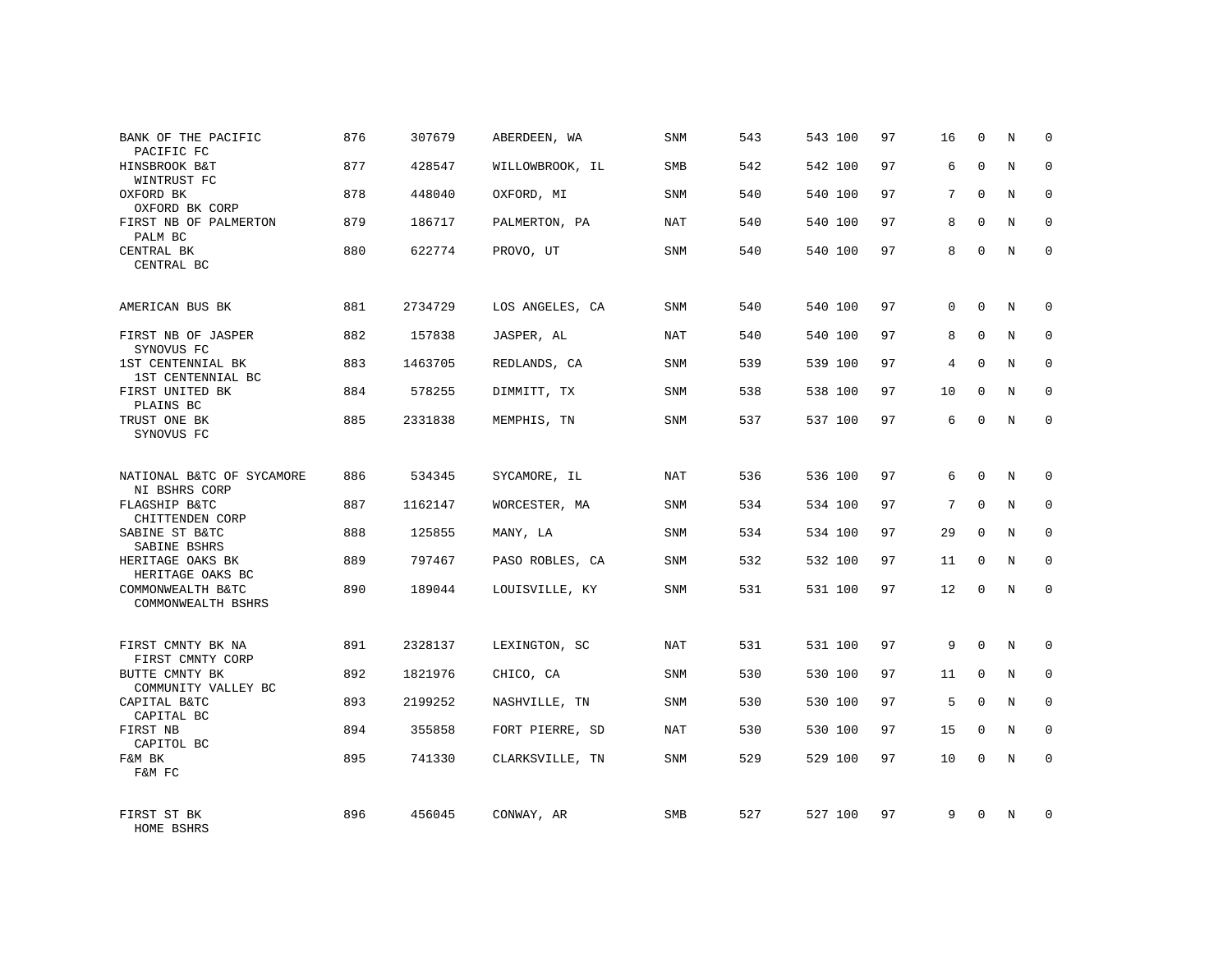| BANK OF THE PACIFIC<br>PACIFIC FC          | 876 | 307679  | ABERDEEN, WA    | <b>SNM</b> | 543 | 543 100 | 97 | 16              | $\mathbf 0$  | N           | $\Omega$     |
|--------------------------------------------|-----|---------|-----------------|------------|-----|---------|----|-----------------|--------------|-------------|--------------|
| HINSBROOK B&T<br>WINTRUST FC               | 877 | 428547  | WILLOWBROOK, IL | <b>SMB</b> | 542 | 542 100 | 97 | 6               | $\Omega$     | N           | $\Omega$     |
| OXFORD BK<br>OXFORD BK CORP                | 878 | 448040  | OXFORD, MI      | SNM        | 540 | 540 100 | 97 | 7               | $\Omega$     | N           | $\mathbf 0$  |
| FIRST NB OF PALMERTON<br>PALM BC           | 879 | 186717  | PALMERTON, PA   | NAT        | 540 | 540 100 | 97 | 8               | $\Omega$     | N           | $\Omega$     |
| CENTRAL BK<br>CENTRAL BC                   | 880 | 622774  | PROVO, UT       | <b>SNM</b> | 540 | 540 100 | 97 | 8               | $\mathbf 0$  | N           | $\Omega$     |
| AMERICAN BUS BK                            | 881 | 2734729 | LOS ANGELES, CA | SNM        | 540 | 540 100 | 97 | 0               | $\mathbf 0$  | N           | $\mathbf 0$  |
| FIRST NB OF JASPER<br>SYNOVUS FC           | 882 | 157838  | JASPER, AL      | NAT        | 540 | 540 100 | 97 | 8               | $\mathbf{0}$ | N           | $\mathbf 0$  |
| 1ST CENTENNIAL BK<br>1ST CENTENNIAL BC     | 883 | 1463705 | REDLANDS, CA    | <b>SNM</b> | 539 | 539 100 | 97 | 4               | $\mathbf{0}$ | N           | $\mathbf 0$  |
| FIRST UNITED BK<br>PLAINS BC               | 884 | 578255  | DIMMITT, TX     | SNM        | 538 | 538 100 | 97 | 10              | $\mathbf{0}$ | N           | $\mathbf 0$  |
| TRUST ONE BK<br>SYNOVUS FC                 | 885 | 2331838 | MEMPHIS, TN     | SNM        | 537 | 537 100 | 97 | 6               | $\mathbf 0$  | N           | $\mathbf 0$  |
| NATIONAL B&TC OF SYCAMORE<br>NI BSHRS CORP | 886 | 534345  | SYCAMORE, IL    | <b>NAT</b> | 536 | 536 100 | 97 | 6               | $\Omega$     | $\mathbf N$ | $\mathbf 0$  |
| FLAGSHIP B&TC<br>CHITTENDEN CORP           | 887 | 1162147 | WORCESTER, MA   | <b>SNM</b> | 534 | 534 100 | 97 | $7\phantom{.0}$ | $\mathbf{0}$ | N           | $\mathbf 0$  |
| SABINE ST B&TC<br>SABINE BSHRS             | 888 | 125855  | MANY, LA        | SNM        | 534 | 534 100 | 97 | 29              | $\Omega$     | N           | $\mathbf 0$  |
| HERITAGE OAKS BK<br>HERITAGE OAKS BC       | 889 | 797467  | PASO ROBLES, CA | <b>SNM</b> | 532 | 532 100 | 97 | 11              | 0            | N           | 0            |
| COMMONWEALTH B&TC<br>COMMONWEALTH BSHRS    | 890 | 189044  | LOUISVILLE, KY  | SNM        | 531 | 531 100 | 97 | 12              | $\Omega$     | N           | $\mathbf 0$  |
| FIRST CMNTY BK NA<br>FIRST CMNTY CORP      | 891 | 2328137 | LEXINGTON, SC   | NAT        | 531 | 531 100 | 97 | 9               | $\Omega$     | N           | $\mathbf 0$  |
| BUTTE CMNTY BK<br>COMMUNITY VALLEY BC      | 892 | 1821976 | CHICO, CA       | <b>SNM</b> | 530 | 530 100 | 97 | 11              | $\mathbf 0$  | N           | 0            |
| CAPITAL B&TC<br>CAPITAL BC                 | 893 | 2199252 | NASHVILLE, TN   | SNM        | 530 | 530 100 | 97 | 5               | $\Omega$     | N           | $\mathbf{0}$ |
| FIRST NB<br>CAPITOL BC                     | 894 | 355858  | FORT PIERRE, SD | <b>NAT</b> | 530 | 530 100 | 97 | 15              | $\mathbf 0$  | N           | 0            |
| F&M BK<br>F&M FC                           | 895 | 741330  | CLARKSVILLE, TN | <b>SNM</b> | 529 | 529 100 | 97 | 10              | $\Omega$     | N           | $\mathbf 0$  |
| FIRST ST BK<br>HOME BSHRS                  | 896 | 456045  | CONWAY, AR      | <b>SMB</b> | 527 | 527 100 | 97 | 9               | $\Omega$     | N           | $\mathbf 0$  |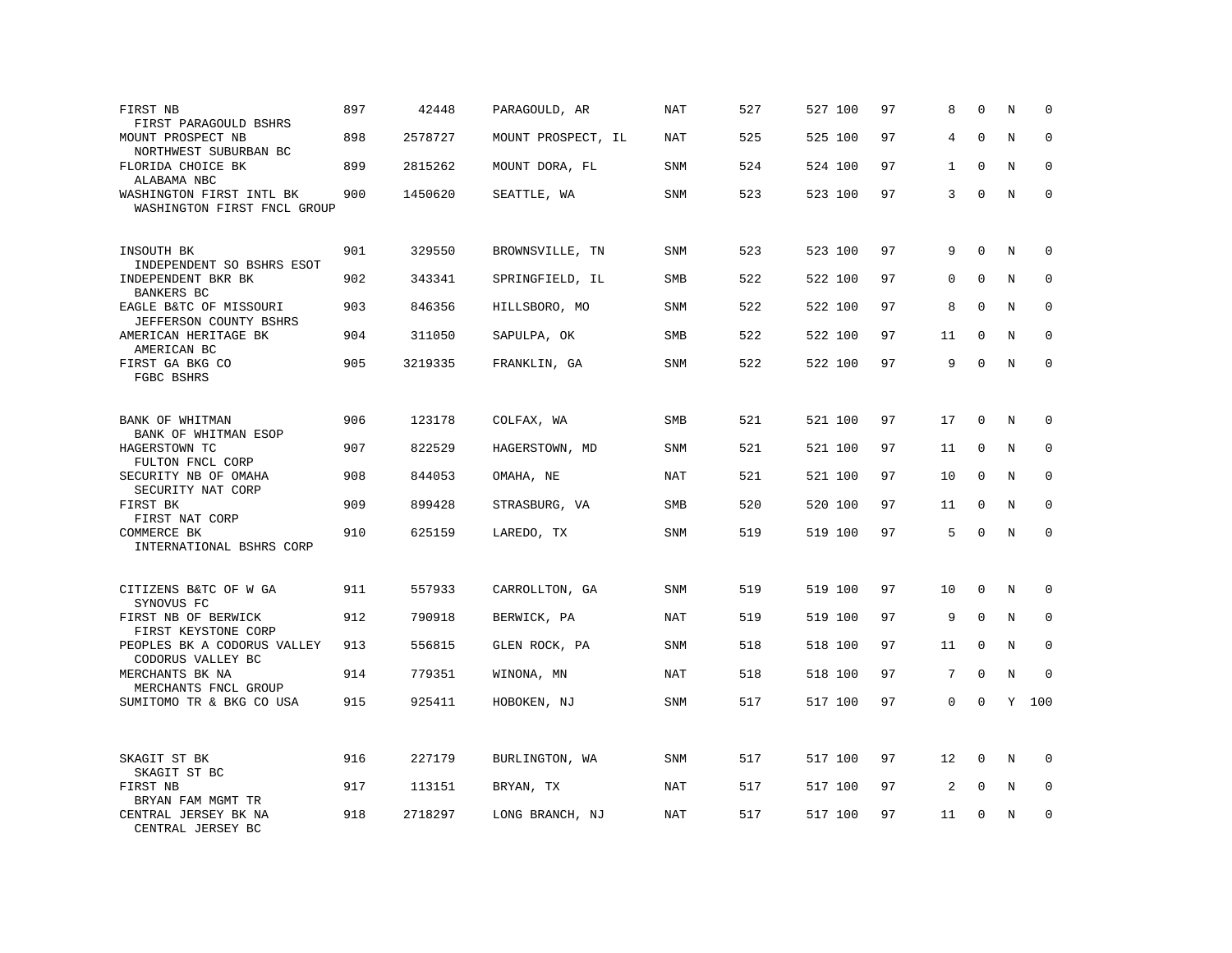| FIRST NB<br>FIRST PARAGOULD BSHRS                       | 897 | 42448   | PARAGOULD, AR      | <b>NAT</b> | 527 | 527 100 | 97 | 8            | $\Omega$     | N       | $\mathbf 0$ |
|---------------------------------------------------------|-----|---------|--------------------|------------|-----|---------|----|--------------|--------------|---------|-------------|
| MOUNT PROSPECT NB<br>NORTHWEST SUBURBAN BC              | 898 | 2578727 | MOUNT PROSPECT, IL | NAT        | 525 | 525 100 | 97 | 4            | $\Omega$     | N       | $\Omega$    |
| FLORIDA CHOICE BK<br>ALABAMA NBC                        | 899 | 2815262 | MOUNT DORA, FL     | <b>SNM</b> | 524 | 524 100 | 97 | $\mathbf{1}$ | $\mathbf{0}$ | N       | $\mathbf 0$ |
| WASHINGTON FIRST INTL BK<br>WASHINGTON FIRST FNCL GROUP | 900 | 1450620 | SEATTLE, WA        | <b>SNM</b> | 523 | 523 100 | 97 | 3            | $\mathbf{0}$ | N       | $\mathbf 0$ |
| INSOUTH BK<br>INDEPENDENT SO BSHRS ESOT                 | 901 | 329550  | BROWNSVILLE, TN    | <b>SNM</b> | 523 | 523 100 | 97 | 9            | $\Omega$     | N       | $\mathbf 0$ |
| INDEPENDENT BKR BK<br>BANKERS BC                        | 902 | 343341  | SPRINGFIELD, IL    | SMB        | 522 | 522 100 | 97 | 0            | $\Omega$     | N       | $\mathbf 0$ |
| EAGLE B&TC OF MISSOURI<br>JEFFERSON COUNTY BSHRS        | 903 | 846356  | HILLSBORO, MO      | SNM        | 522 | 522 100 | 97 | 8            | $\mathbf 0$  | N       | $\mathbf 0$ |
| AMERICAN HERITAGE BK<br>AMERICAN BC                     | 904 | 311050  | SAPULPA, OK        | <b>SMB</b> | 522 | 522 100 | 97 | 11           | $\Omega$     | N       | $\mathbf 0$ |
| FIRST GA BKG CO<br>FGBC BSHRS                           | 905 | 3219335 | FRANKLIN, GA       | SNM        | 522 | 522 100 | 97 | 9            | $\Omega$     | N       | $\Omega$    |
| BANK OF WHITMAN<br>BANK OF WHITMAN ESOP                 | 906 | 123178  | COLFAX, WA         | <b>SMB</b> | 521 | 521 100 | 97 | 17           | $\Omega$     | N       | 0           |
| HAGERSTOWN TC<br>FULTON FNCL CORP                       | 907 | 822529  | HAGERSTOWN, MD     | <b>SNM</b> | 521 | 521 100 | 97 | 11           | 0            | N       | 0           |
| SECURITY NB OF OMAHA<br>SECURITY NAT CORP               | 908 | 844053  | OMAHA, NE          | <b>NAT</b> | 521 | 521 100 | 97 | 10           | $\Omega$     | $\rm N$ | $\mathbf 0$ |
| FIRST BK<br>FIRST NAT CORP                              | 909 | 899428  | STRASBURG, VA      | SMB        | 520 | 520 100 | 97 | 11           | $\mathbf 0$  | N       | $\mathbf 0$ |
| COMMERCE BK<br>INTERNATIONAL BSHRS CORP                 | 910 | 625159  | LAREDO, TX         | <b>SNM</b> | 519 | 519 100 | 97 | 5            | $\mathbf 0$  | N       | $\mathbf 0$ |
| CITIZENS B&TC OF W GA<br>SYNOVUS FC                     | 911 | 557933  | CARROLLTON, GA     | SNM        | 519 | 519 100 | 97 | 10           | $\mathbf 0$  | N       | $\mathbf 0$ |
| FIRST NB OF BERWICK<br>FIRST KEYSTONE CORP              | 912 | 790918  | BERWICK, PA        | NAT        | 519 | 519 100 | 97 | 9            | $\Omega$     | N       | $\mathbf 0$ |
| PEOPLES BK A CODORUS VALLEY<br>CODORUS VALLEY BC        | 913 | 556815  | GLEN ROCK, PA      | <b>SNM</b> | 518 | 518 100 | 97 | 11           | $\mathbf 0$  | N       | 0           |
| MERCHANTS BK NA<br>MERCHANTS FNCL GROUP                 | 914 | 779351  | WINONA, MN         | <b>NAT</b> | 518 | 518 100 | 97 | 7            | $\mathbf 0$  | N       | $\Omega$    |
| SUMITOMO TR & BKG CO USA                                | 915 | 925411  | HOBOKEN, NJ        | <b>SNM</b> | 517 | 517 100 | 97 | 0            | $\mathbf 0$  |         | Y 100       |
| SKAGIT ST BK<br>SKAGIT ST BC                            | 916 | 227179  | BURLINGTON, WA     | <b>SNM</b> | 517 | 517 100 | 97 | 12           | 0            | N       | 0           |
| FIRST NB<br>BRYAN FAM MGMT TR                           | 917 | 113151  | BRYAN, TX          | <b>NAT</b> | 517 | 517 100 | 97 | 2            | $\mathbf 0$  | N       | $\mathbf 0$ |
| CENTRAL JERSEY BK NA<br>CENTRAL JERSEY BC               | 918 | 2718297 | LONG BRANCH, NJ    | <b>NAT</b> | 517 | 517 100 | 97 | 11           | $\Omega$     | N       | $\mathbf 0$ |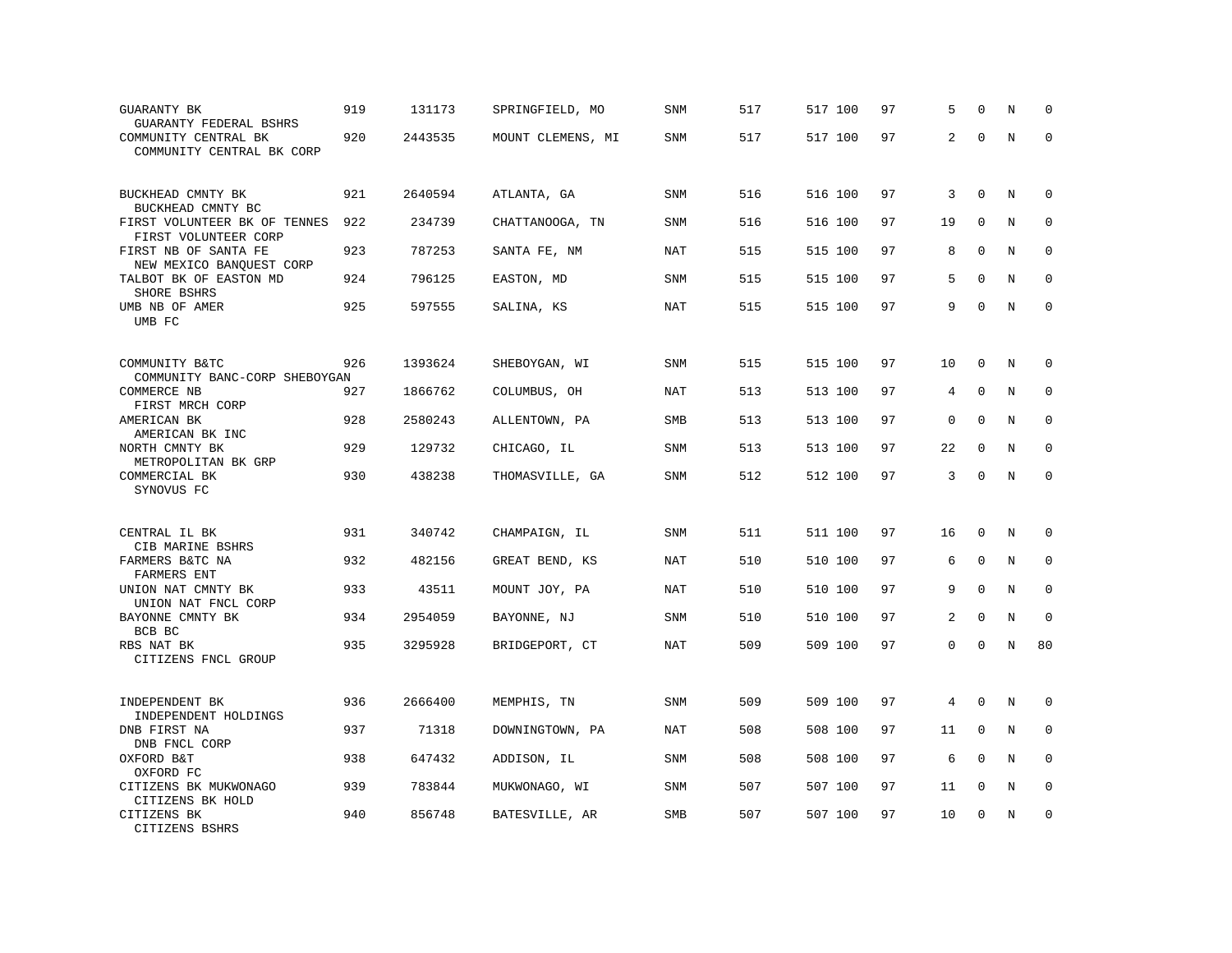| <b>GUARANTY BK</b><br>GUARANTY FEDERAL BSHRS              | 919 | 131173  | SPRINGFIELD, MO   | SNM        | 517 | 517 100 | 97 | 5           | $\Omega$    | N       | $\mathbf 0$ |
|-----------------------------------------------------------|-----|---------|-------------------|------------|-----|---------|----|-------------|-------------|---------|-------------|
| COMMUNITY CENTRAL BK<br>COMMUNITY CENTRAL BK CORP         | 920 | 2443535 | MOUNT CLEMENS, MI | <b>SNM</b> | 517 | 517 100 | 97 | 2           | $\Omega$    | $\rm N$ | $\mathbf 0$ |
| BUCKHEAD CMNTY BK<br>BUCKHEAD CMNTY BC                    | 921 | 2640594 | ATLANTA, GA       | <b>SNM</b> | 516 | 516 100 | 97 | 3           | $\mathbf 0$ | N       | $\mathbf 0$ |
| FIRST VOLUNTEER BK OF TENNES<br>FIRST VOLUNTEER CORP      | 922 | 234739  | CHATTANOOGA, TN   | SNM        | 516 | 516 100 | 97 | 19          | $\mathbf 0$ | N       | $\mathbf 0$ |
| FIRST NB OF SANTA FE<br>NEW MEXICO BANQUEST CORP          | 923 | 787253  | SANTA FE, NM      | <b>NAT</b> | 515 | 515 100 | 97 | 8           | $\Omega$    | N       | $\mathbf 0$ |
| TALBOT BK OF EASTON MD<br>SHORE BSHRS                     | 924 | 796125  | EASTON, MD        | SNM        | 515 | 515 100 | 97 | 5           | $\Omega$    | N       | $\mathbf 0$ |
| UMB NB OF AMER<br>UMB FC                                  | 925 | 597555  | SALINA, KS        | <b>NAT</b> | 515 | 515 100 | 97 | 9           | $\Omega$    | N       | $\mathbf 0$ |
| COMMUNITY B&TC<br>COMMUNITY BANC-CORP SHEBOYGAN           | 926 | 1393624 | SHEBOYGAN, WI     | SNM        | 515 | 515 100 | 97 | 10          | $\mathbf 0$ | N       | 0           |
| COMMERCE NB<br>FIRST MRCH CORP                            | 927 | 1866762 | COLUMBUS, OH      | NAT        | 513 | 513 100 | 97 | 4           | $\mathbf 0$ | N       | $\mathbf 0$ |
| AMERICAN BK<br>AMERICAN BK INC                            | 928 | 2580243 | ALLENTOWN, PA     | SMB        | 513 | 513 100 | 97 | $\mathbf 0$ | $\mathbf 0$ | N       | $\mathbf 0$ |
| NORTH CMNTY BK<br>METROPOLITAN BK GRP                     | 929 | 129732  | CHICAGO, IL       | <b>SNM</b> | 513 | 513 100 | 97 | 22          | $\mathbf 0$ | N       | $\Omega$    |
| COMMERCIAL BK<br>SYNOVUS FC                               | 930 | 438238  | THOMASVILLE, GA   | SNM        | 512 | 512 100 | 97 | 3           | $\mathbf 0$ | N       | $\mathbf 0$ |
| CENTRAL IL BK                                             | 931 | 340742  | CHAMPAIGN, IL     | SNM        | 511 | 511 100 | 97 | 16          | $\Omega$    | Ν       | 0           |
| CIB MARINE BSHRS<br>FARMERS B&TC NA<br><b>FARMERS ENT</b> | 932 | 482156  | GREAT BEND, KS    | NAT        | 510 | 510 100 | 97 | 6           | $\mathbf 0$ | N       | $\mathbf 0$ |
| UNION NAT CMNTY BK<br>UNION NAT FNCL CORP                 | 933 | 43511   | MOUNT JOY, PA     | NAT        | 510 | 510 100 | 97 | 9           | $\Omega$    | N       | $\mathbf 0$ |
| BAYONNE CMNTY BK<br>BCB BC                                | 934 | 2954059 | BAYONNE, NJ       | <b>SNM</b> | 510 | 510 100 | 97 | 2           | $\mathbf 0$ | N       | $\mathbf 0$ |
| RBS NAT BK<br>CITIZENS FNCL GROUP                         | 935 | 3295928 | BRIDGEPORT, CT    | <b>NAT</b> | 509 | 509 100 | 97 | 0           | $\Omega$    | N       | 80          |
| INDEPENDENT BK<br>INDEPENDENT HOLDINGS                    | 936 | 2666400 | MEMPHIS, TN       | SNM        | 509 | 509 100 | 97 | 4           | $\Omega$    | N       | 0           |
| DNB FIRST NA<br>DNB FNCL CORP                             | 937 | 71318   | DOWNINGTOWN, PA   | <b>NAT</b> | 508 | 508 100 | 97 | 11          | $\mathbf 0$ | N       | 0           |
| OXFORD B&T<br>OXFORD FC                                   | 938 | 647432  | ADDISON, IL       | SNM        | 508 | 508 100 | 97 | 6           | $\Omega$    | N       | $\mathbf 0$ |
| CITIZENS BK MUKWONAGO<br>CITIZENS BK HOLD                 | 939 | 783844  | MUKWONAGO, WI     | SNM        | 507 | 507 100 | 97 | 11          | $\mathbf 0$ | N       | 0           |
| CITIZENS BK<br>CITIZENS BSHRS                             | 940 | 856748  | BATESVILLE, AR    | <b>SMB</b> | 507 | 507 100 | 97 | 10          | $\mathbf 0$ | N       | $\mathbf 0$ |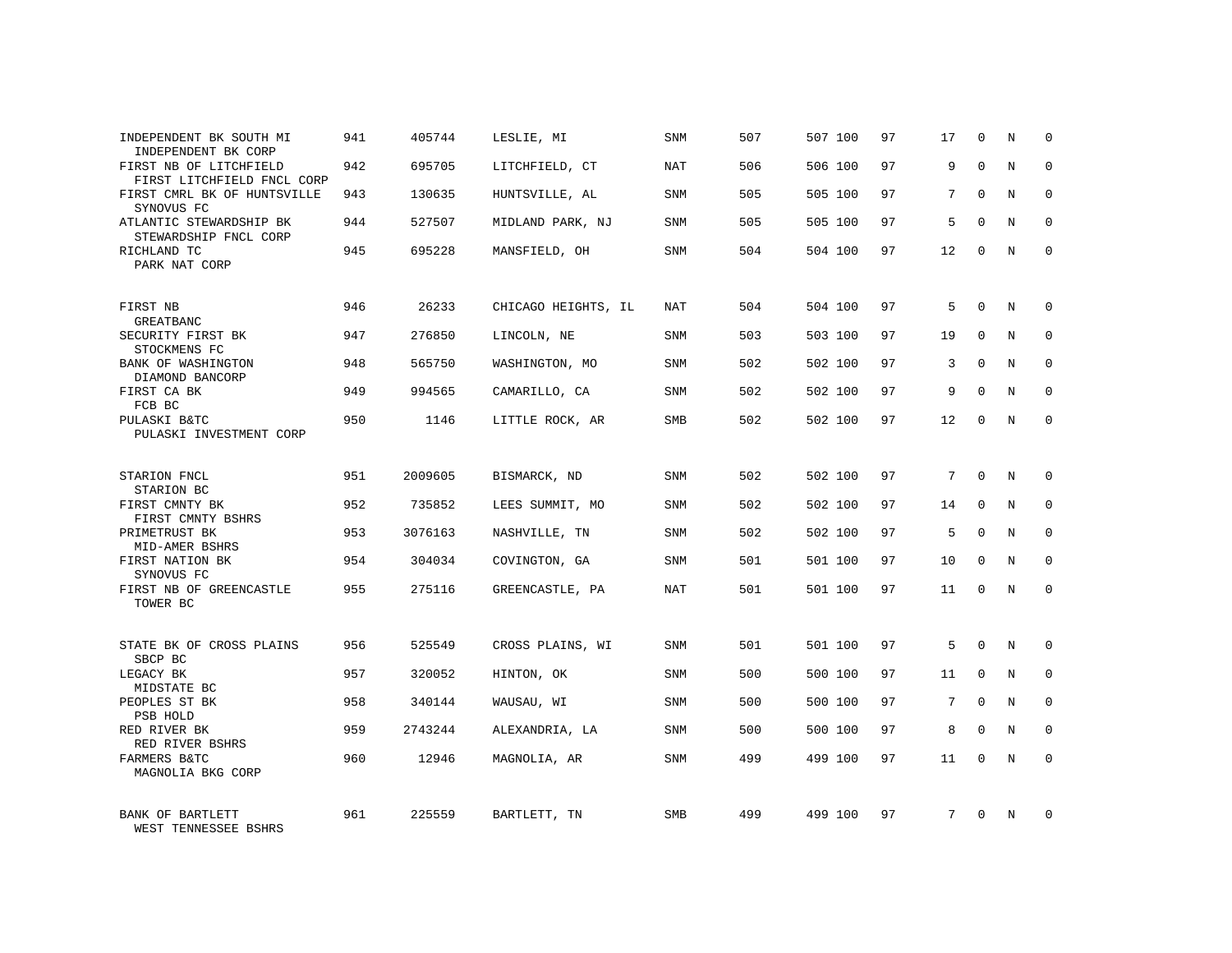| INDEPENDENT BK SOUTH MI<br>INDEPENDENT BK CORP       | 941 | 405744  | LESLIE, MI          | <b>SNM</b> | 507 | 507 100 | 97 | 17              | 0           | N           | $\Omega$    |
|------------------------------------------------------|-----|---------|---------------------|------------|-----|---------|----|-----------------|-------------|-------------|-------------|
| FIRST NB OF LITCHFIELD<br>FIRST LITCHFIELD FNCL CORP | 942 | 695705  | LITCHFIELD, CT      | <b>NAT</b> | 506 | 506 100 | 97 | 9               | $\Omega$    | N           | $\Omega$    |
| FIRST CMRL BK OF HUNTSVILLE<br>SYNOVUS FC            | 943 | 130635  | HUNTSVILLE, AL      | SNM        | 505 | 505 100 | 97 | 7               | $\Omega$    | N           | $\Omega$    |
| ATLANTIC STEWARDSHIP BK<br>STEWARDSHIP FNCL CORP     | 944 | 527507  | MIDLAND PARK, NJ    | SNM        | 505 | 505 100 | 97 | 5               | $\Omega$    | N           | $\Omega$    |
| RICHLAND TC<br>PARK NAT CORP                         | 945 | 695228  | MANSFIELD, OH       | SNM        | 504 | 504 100 | 97 | 12              | $\Omega$    | N           | $\Omega$    |
| FIRST NB<br>GREATBANC                                | 946 | 26233   | CHICAGO HEIGHTS, IL | NAT        | 504 | 504 100 | 97 | 5               | $\Omega$    | N           | $\Omega$    |
| SECURITY FIRST BK<br>STOCKMENS FC                    | 947 | 276850  | LINCOLN, NE         | SNM        | 503 | 503 100 | 97 | 19              | $\Omega$    | N           | $\Omega$    |
| BANK OF WASHINGTON<br>DIAMOND BANCORP                | 948 | 565750  | WASHINGTON, MO      | SNM        | 502 | 502 100 | 97 | 3               | $\Omega$    | N           | $\Omega$    |
| FIRST CA BK<br>FCB BC                                | 949 | 994565  | CAMARILLO, CA       | SNM        | 502 | 502 100 | 97 | 9               | $\Omega$    | N           | $\Omega$    |
| PULASKI B&TC<br>PULASKI INVESTMENT CORP              | 950 | 1146    | LITTLE ROCK, AR     | <b>SMB</b> | 502 | 502 100 | 97 | 12              | $\Omega$    | N           | $\Omega$    |
| STARION FNCL<br>STARION BC                           | 951 | 2009605 | BISMARCK, ND        | SNM        | 502 | 502 100 | 97 | $7\overline{ }$ | $\Omega$    | N           | $\mathbf 0$ |
| FIRST CMNTY BK<br>FIRST CMNTY BSHRS                  | 952 | 735852  | LEES SUMMIT, MO     | <b>SNM</b> | 502 | 502 100 | 97 | 14              | $\Omega$    | N           | $\Omega$    |
| PRIMETRUST BK<br>MID-AMER BSHRS                      | 953 | 3076163 | NASHVILLE, TN       | SNM        | 502 | 502 100 | 97 | 5               | $\Omega$    | N           | $\mathbf 0$ |
| FIRST NATION BK<br>SYNOVUS FC                        | 954 | 304034  | COVINGTON, GA       | SNM        | 501 | 501 100 | 97 | 10              | $\mathbf 0$ | $\mathbf N$ | $\mathbf 0$ |
| FIRST NB OF GREENCASTLE<br>TOWER BC                  | 955 | 275116  | GREENCASTLE, PA     | <b>NAT</b> | 501 | 501 100 | 97 | 11              | $\Omega$    | N           | $\Omega$    |
| STATE BK OF CROSS PLAINS<br>SBCP BC                  | 956 | 525549  | CROSS PLAINS, WI    | <b>SNM</b> | 501 | 501 100 | 97 | 5               | $\Omega$    | N           | $\mathbf 0$ |
| LEGACY BK<br>MIDSTATE BC                             | 957 | 320052  | HINTON, OK          | SNM        | 500 | 500 100 | 97 | 11              | $\mathbf 0$ | $\mathbf N$ | $\mathbf 0$ |
| PEOPLES ST BK<br>PSB HOLD                            | 958 | 340144  | WAUSAU, WI          | SNM        | 500 | 500 100 | 97 | 7               | $\Omega$    | N           | $\mathbf 0$ |
| RED RIVER BK<br>RED RIVER BSHRS                      | 959 | 2743244 | ALEXANDRIA, LA      | SNM        | 500 | 500 100 | 97 | 8               | $\mathbf 0$ | N           | $\mathbf 0$ |
| FARMERS B&TC<br>MAGNOLIA BKG CORP                    | 960 | 12946   | MAGNOLIA, AR        | SNM        | 499 | 499 100 | 97 | 11              | $\Omega$    | N           | $\mathbf 0$ |
| BANK OF BARTLETT<br>WEST TENNESSEE BSHRS             | 961 | 225559  | BARTLETT, TN        | <b>SMB</b> | 499 | 499 100 | 97 | 7               | $\Omega$    | N           | $\Omega$    |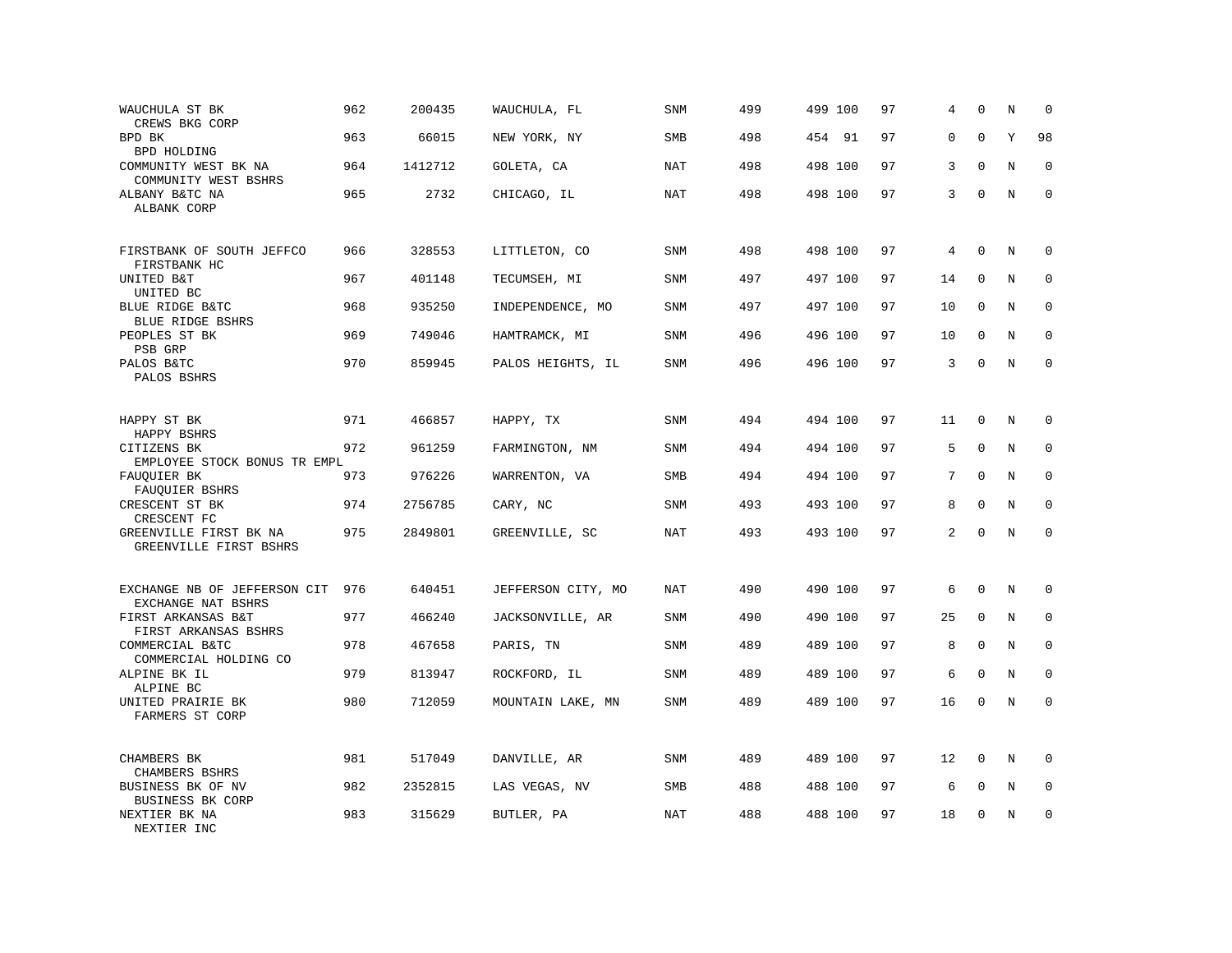| WAUCHULA ST BK<br>CREWS BKG CORP                   | 962 | 200435  | WAUCHULA, FL       | SNM        | 499 | 499 100 | 97 | 4  | $\Omega$    | N       | $\mathbf 0$  |
|----------------------------------------------------|-----|---------|--------------------|------------|-----|---------|----|----|-------------|---------|--------------|
| BPD BK<br>BPD HOLDING                              | 963 | 66015   | NEW YORK, NY       | <b>SMB</b> | 498 | 454 91  | 97 | 0  | $\Omega$    | Υ       | 98           |
| COMMUNITY WEST BK NA<br>COMMUNITY WEST BSHRS       | 964 | 1412712 | GOLETA, CA         | <b>NAT</b> | 498 | 498 100 | 97 | 3  | $\Omega$    | N       | $\mathbf 0$  |
| ALBANY B&TC NA<br>ALBANK CORP                      | 965 | 2732    | CHICAGO, IL        | NAT        | 498 | 498 100 | 97 | 3  | $\mathbf 0$ | N       | $\mathbf 0$  |
| FIRSTBANK OF SOUTH JEFFCO<br>FIRSTBANK HC          | 966 | 328553  | LITTLETON, CO      | <b>SNM</b> | 498 | 498 100 | 97 | 4  | $\mathbf 0$ | N       | 0            |
| UNITED B&T<br>UNITED BC                            | 967 | 401148  | TECUMSEH, MI       | SNM        | 497 | 497 100 | 97 | 14 | $\mathbf 0$ | N       | $\mathbf 0$  |
| BLUE RIDGE B&TC<br>BLUE RIDGE BSHRS                | 968 | 935250  | INDEPENDENCE, MO   | <b>SNM</b> | 497 | 497 100 | 97 | 10 | $\Omega$    | N       | $\mathbf{0}$ |
| PEOPLES ST BK<br>PSB GRP                           | 969 | 749046  | HAMTRAMCK, MI      | SNM        | 496 | 496 100 | 97 | 10 | $\mathbf 0$ | N       | $\mathbf 0$  |
| PALOS B&TC<br>PALOS BSHRS                          | 970 | 859945  | PALOS HEIGHTS, IL  | <b>SNM</b> | 496 | 496 100 | 97 | 3  | $\mathbf 0$ | N       | $\mathbf 0$  |
| HAPPY ST BK<br>HAPPY BSHRS                         | 971 | 466857  | HAPPY, TX          | <b>SNM</b> | 494 | 494 100 | 97 | 11 | $\mathbf 0$ | N       | $\mathbf 0$  |
| CITIZENS BK<br>EMPLOYEE STOCK BONUS TR EMPL        | 972 | 961259  | FARMINGTON, NM     | SNM        | 494 | 494 100 | 97 | 5  | $\mathbf 0$ | N       | $\mathbf 0$  |
| FAUOUIER BK<br>FAUQUIER BSHRS                      | 973 | 976226  | WARRENTON, VA      | SMB        | 494 | 494 100 | 97 | 7  | $\mathbf 0$ | $\rm N$ | $\mathbf 0$  |
| CRESCENT ST BK<br>CRESCENT FC                      | 974 | 2756785 | CARY, NC           | SNM        | 493 | 493 100 | 97 | 8  | $\mathbf 0$ | N       | $\mathbf 0$  |
| GREENVILLE FIRST BK NA<br>GREENVILLE FIRST BSHRS   | 975 | 2849801 | GREENVILLE, SC     | <b>NAT</b> | 493 | 493 100 | 97 | 2  | $\Omega$    | $\rm N$ | $\mathbf 0$  |
| EXCHANGE NB OF JEFFERSON CIT<br>EXCHANGE NAT BSHRS | 976 | 640451  | JEFFERSON CITY, MO | NAT        | 490 | 490 100 | 97 | 6  | $\mathbf 0$ | N       | 0            |
| FIRST ARKANSAS B&T<br>FIRST ARKANSAS BSHRS         | 977 | 466240  | JACKSONVILLE, AR   | SNM        | 490 | 490 100 | 97 | 25 | $\mathbf 0$ | N       | 0            |
| COMMERCIAL B&TC<br>COMMERCIAL HOLDING CO           | 978 | 467658  | PARIS, TN          | SNM        | 489 | 489 100 | 97 | 8  | $\mathbf 0$ | N       | $\mathbf 0$  |
| ALPINE BK IL<br>ALPINE BC                          | 979 | 813947  | ROCKFORD, IL       | SNM        | 489 | 489 100 | 97 | 6  | $\mathbf 0$ | N       | $\mathbf 0$  |
| UNITED PRAIRIE BK<br>FARMERS ST CORP               | 980 | 712059  | MOUNTAIN LAKE, MN  | <b>SNM</b> | 489 | 489 100 | 97 | 16 | $\mathbf 0$ | N       | $\mathbf 0$  |
| CHAMBERS BK<br>CHAMBERS BSHRS                      | 981 | 517049  | DANVILLE, AR       | SNM        | 489 | 489 100 | 97 | 12 | $\mathbf 0$ | N       | $\Omega$     |
| BUSINESS BK OF NV<br>BUSINESS BK CORP              | 982 | 2352815 | LAS VEGAS, NV      | <b>SMB</b> | 488 | 488 100 | 97 | 6  | $\mathbf 0$ | N       | $\mathbf 0$  |
| NEXTIER BK NA<br>NEXTIER INC                       | 983 | 315629  | BUTLER, PA         | NAT        | 488 | 488 100 | 97 | 18 | $\mathbf 0$ | N       | $\mathbf 0$  |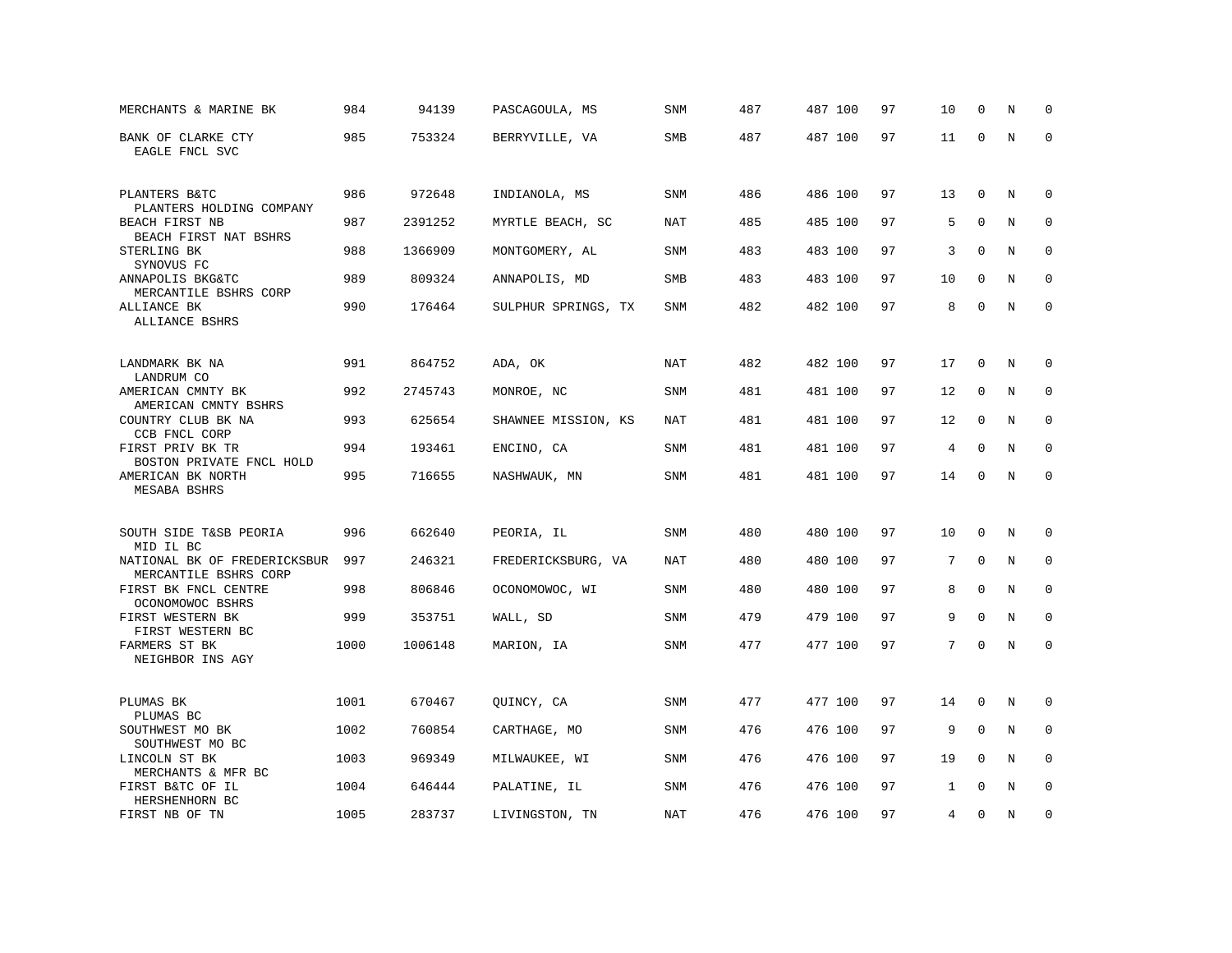| MERCHANTS & MARINE BK                                         | 984  | 94139   | PASCAGOULA, MS      | <b>SNM</b> | 487 | 487 100 | 97 | 10           | 0           | N | $\Omega$    |
|---------------------------------------------------------------|------|---------|---------------------|------------|-----|---------|----|--------------|-------------|---|-------------|
| BANK OF CLARKE CTY<br>EAGLE FNCL SVC                          | 985  | 753324  | BERRYVILLE, VA      | <b>SMB</b> | 487 | 487 100 | 97 | 11           | $\mathbf 0$ | N | $\mathbf 0$ |
| PLANTERS B&TC                                                 | 986  | 972648  | INDIANOLA, MS       | SNM        | 486 | 486 100 | 97 | 13           | $\mathbf 0$ | N | $\mathbf 0$ |
| PLANTERS HOLDING COMPANY<br>BEACH FIRST NB                    | 987  | 2391252 | MYRTLE BEACH, SC    | NAT        | 485 | 485 100 | 97 | 5            | $\mathbf 0$ | N | $\mathbf 0$ |
| BEACH FIRST NAT BSHRS<br>STERLING BK                          | 988  | 1366909 | MONTGOMERY, AL      | <b>SNM</b> | 483 | 483 100 | 97 | 3            | $\mathbf 0$ | N | $\mathbf 0$ |
| SYNOVUS FC<br>ANNAPOLIS BKG&TC                                | 989  | 809324  | ANNAPOLIS, MD       | SMB        | 483 | 483 100 | 97 | 10           | $\mathbf 0$ | N | $\Omega$    |
| MERCANTILE BSHRS CORP<br>ALLIANCE BK<br>ALLIANCE BSHRS        | 990  | 176464  | SULPHUR SPRINGS, TX | SNM        | 482 | 482 100 | 97 | 8            | $\mathbf 0$ | N | $\mathbf 0$ |
|                                                               |      |         |                     |            |     |         |    |              |             |   |             |
| LANDMARK BK NA<br>LANDRUM CO                                  | 991  | 864752  | ADA, OK             | NAT        | 482 | 482 100 | 97 | 17           | $\Omega$    | N | 0           |
| AMERICAN CMNTY BK<br>AMERICAN CMNTY BSHRS                     | 992  | 2745743 | MONROE, NC          | SNM        | 481 | 481 100 | 97 | 12           | 0           | N | $\mathbf 0$ |
| COUNTRY CLUB BK NA<br>CCB FNCL CORP                           | 993  | 625654  | SHAWNEE MISSION, KS | NAT        | 481 | 481 100 | 97 | 12           | $\mathbf 0$ | N | $\mathbf 0$ |
| FIRST PRIV BK TR                                              | 994  | 193461  | ENCINO, CA          | SNM        | 481 | 481 100 | 97 | 4            | $\Omega$    | N | $\Omega$    |
| BOSTON PRIVATE FNCL HOLD<br>AMERICAN BK NORTH<br>MESABA BSHRS | 995  | 716655  | NASHWAUK, MN        | SNM        | 481 | 481 100 | 97 | 14           | $\mathbf 0$ | N | $\mathbf 0$ |
|                                                               |      |         |                     |            |     |         |    |              |             |   |             |
| SOUTH SIDE T&SB PEORIA<br>MID IL BC                           | 996  | 662640  | PEORIA, IL          | SNM        | 480 | 480 100 | 97 | 10           | $\mathbf 0$ | N | $\mathbf 0$ |
| NATIONAL BK OF FREDERICKSBUR<br>MERCANTILE BSHRS CORP         | 997  | 246321  | FREDERICKSBURG, VA  | NAT        | 480 | 480 100 | 97 | 7            | $\mathbf 0$ | N | 0           |
| FIRST BK FNCL CENTRE<br>OCONOMOWOC BSHRS                      | 998  | 806846  | OCONOMOWOC, WI      | SNM        | 480 | 480 100 | 97 | 8            | $\mathbf 0$ | N | $\mathbf 0$ |
| FIRST WESTERN BK<br>FIRST WESTERN BC                          | 999  | 353751  | WALL, SD            | <b>SNM</b> | 479 | 479 100 | 97 | 9            | $\Omega$    | N | $\Omega$    |
| FARMERS ST BK<br>NEIGHBOR INS AGY                             | 1000 | 1006148 | MARION, IA          | SNM        | 477 | 477 100 | 97 | 7            | $\mathbf 0$ | N | $\mathbf 0$ |
|                                                               |      |         |                     |            |     |         |    |              |             |   |             |
| PLUMAS BK<br>PLUMAS BC                                        | 1001 | 670467  | QUINCY, CA          | SNM        | 477 | 477 100 | 97 | 14           | $\Omega$    | N | $\mathbf 0$ |
| SOUTHWEST MO BK<br>SOUTHWEST MO BC                            | 1002 | 760854  | CARTHAGE, MO        | <b>SNM</b> | 476 | 476 100 | 97 | 9            | $\mathbf 0$ | N | $\mathbf 0$ |
| LINCOLN ST BK                                                 | 1003 | 969349  | MILWAUKEE, WI       | SNM        | 476 | 476 100 | 97 | 19           | $\mathbf 0$ | N | $\mathbf 0$ |
| MERCHANTS & MFR BC<br>FIRST B&TC OF IL<br>HERSHENHORN BC      | 1004 | 646444  | PALATINE, IL        | <b>SNM</b> | 476 | 476 100 | 97 | $\mathbf{1}$ | $\Omega$    | N | $\Omega$    |
| FIRST NB OF TN                                                | 1005 | 283737  | LIVINGSTON, TN      | NAT        | 476 | 476 100 | 97 | 4            | $\mathbf 0$ | N | $\mathbf 0$ |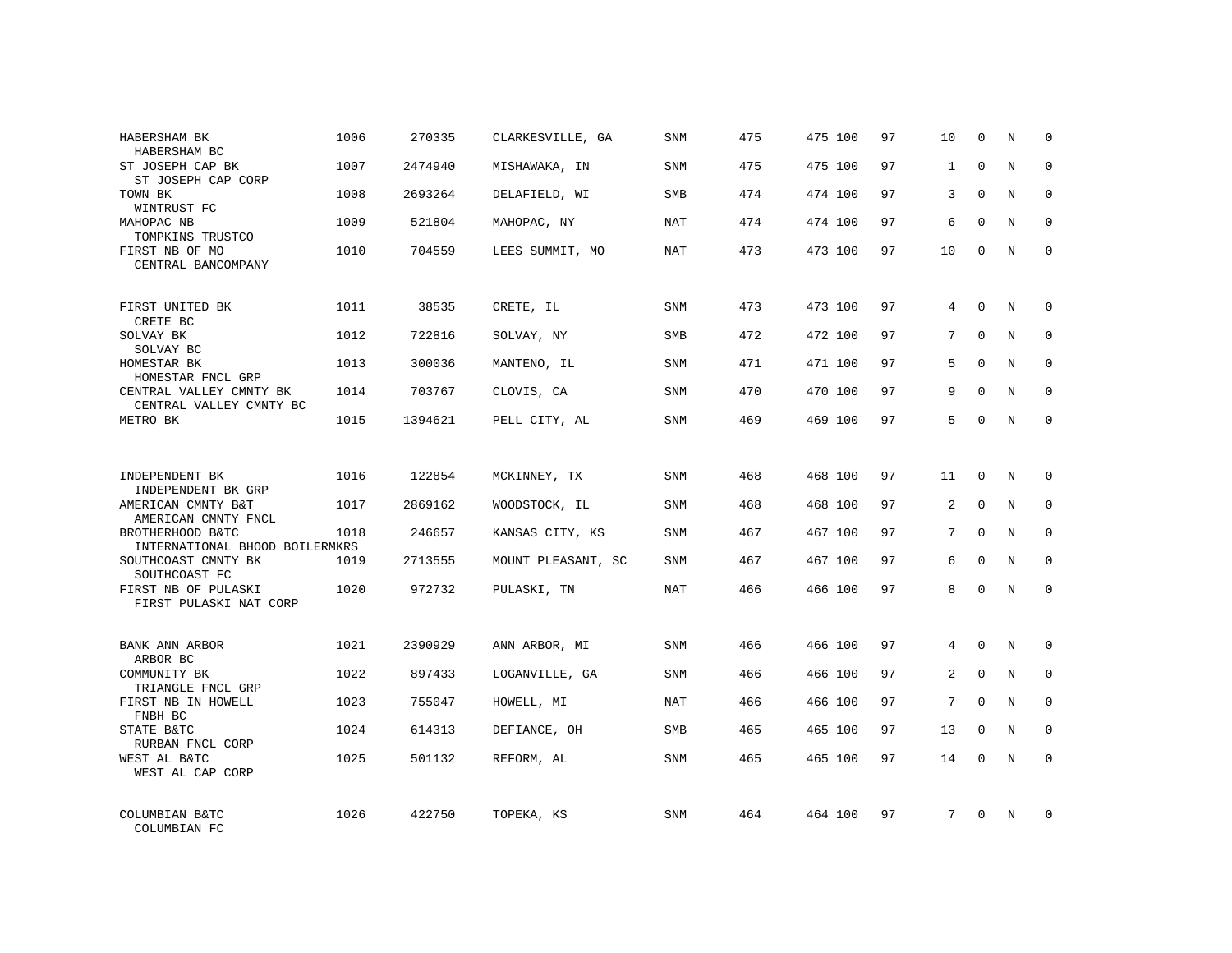| HABERSHAM BK<br>HABERSHAM BC                       | 1006 | 270335  | CLARKESVILLE, GA   | SNM        | 475 | 475 100 | 97 | 10           | $\mathbf 0$  | N | $\Omega$    |
|----------------------------------------------------|------|---------|--------------------|------------|-----|---------|----|--------------|--------------|---|-------------|
| ST JOSEPH CAP BK<br>ST JOSEPH CAP CORP             | 1007 | 2474940 | MISHAWAKA, IN      | <b>SNM</b> | 475 | 475 100 | 97 | $\mathbf{1}$ | $\Omega$     | N | $\Omega$    |
| TOWN BK<br>WINTRUST FC                             | 1008 | 2693264 | DELAFIELD, WI      | SMB        | 474 | 474 100 | 97 | 3            | $\Omega$     | N | $\mathbf 0$ |
| MAHOPAC NB<br>TOMPKINS TRUSTCO                     | 1009 | 521804  | MAHOPAC, NY        | NAT        | 474 | 474 100 | 97 | 6            | $\Omega$     | N | $\Omega$    |
| FIRST NB OF MO<br>CENTRAL BANCOMPANY               | 1010 | 704559  | LEES SUMMIT, MO    | NAT        | 473 | 473 100 | 97 | 10           | $\Omega$     | N | $\Omega$    |
| FIRST UNITED BK<br>CRETE BC                        | 1011 | 38535   | CRETE, IL          | SNM        | 473 | 473 100 | 97 | 4            | $\mathbf 0$  | N | $\mathbf 0$ |
| SOLVAY BK<br>SOLVAY BC                             | 1012 | 722816  | SOLVAY, NY         | <b>SMB</b> | 472 | 472 100 | 97 | 7            | $\Omega$     | N | $\mathbf 0$ |
| HOMESTAR BK<br>HOMESTAR FNCL GRP                   | 1013 | 300036  | MANTENO, IL        | SNM        | 471 | 471 100 | 97 | 5            | $\Omega$     | N | $\mathbf 0$ |
| CENTRAL VALLEY CMNTY BK<br>CENTRAL VALLEY CMNTY BC | 1014 | 703767  | CLOVIS, CA         | <b>SNM</b> | 470 | 470 100 | 97 | 9            | $\Omega$     | N | $\mathbf 0$ |
| METRO BK                                           | 1015 | 1394621 | PELL CITY, AL      | <b>SNM</b> | 469 | 469 100 | 97 | 5            | $\mathbf 0$  | N | $\mathbf 0$ |
| INDEPENDENT BK<br>INDEPENDENT BK GRP               | 1016 | 122854  | MCKINNEY, TX       | SNM        | 468 | 468 100 | 97 | 11           | $\Omega$     | N | $\Omega$    |
| AMERICAN CMNTY B&T<br>AMERICAN CMNTY FNCL          | 1017 | 2869162 | WOODSTOCK, IL      | <b>SNM</b> | 468 | 468 100 | 97 | 2            | $\mathbf{0}$ | N | $\mathbf 0$ |
| BROTHERHOOD B&TC<br>INTERNATIONAL BHOOD BOILERMKRS | 1018 | 246657  | KANSAS CITY, KS    | <b>SNM</b> | 467 | 467 100 | 97 | 7            | $\Omega$     | N | $\Omega$    |
| SOUTHCOAST CMNTY BK<br>SOUTHCOAST FC               | 1019 | 2713555 | MOUNT PLEASANT, SC | SNM        | 467 | 467 100 | 97 | 6            | $\mathbf{0}$ | N | 0           |
| FIRST NB OF PULASKI<br>FIRST PULASKI NAT CORP      | 1020 | 972732  | PULASKI, TN        | <b>NAT</b> | 466 | 466 100 | 97 | 8            | $\Omega$     | N | $\Omega$    |
| BANK ANN ARBOR<br>ARBOR BC                         | 1021 | 2390929 | ANN ARBOR, MI      | <b>SNM</b> | 466 | 466 100 | 97 | 4            | $\Omega$     | N | $\mathbf 0$ |
| COMMUNITY BK<br>TRIANGLE FNCL GRP                  | 1022 | 897433  | LOGANVILLE, GA     | SNM        | 466 | 466 100 | 97 | 2            | $\mathbf{0}$ | N | 0           |
| FIRST NB IN HOWELL<br>FNBH BC                      | 1023 | 755047  | HOWELL, MI         | NAT        | 466 | 466 100 | 97 | 7            | $\Omega$     | N | $\mathbf 0$ |
| STATE B&TC<br>RURBAN FNCL CORP                     | 1024 | 614313  | DEFIANCE, OH       | SMB        | 465 | 465 100 | 97 | 13           | $\mathbf 0$  | N | 0           |
| WEST AL B&TC<br>WEST AL CAP CORP                   | 1025 | 501132  | REFORM, AL         | SNM        | 465 | 465 100 | 97 | 14           | $\Omega$     | N | $\mathbf 0$ |
| COLUMBIAN B&TC<br>COLUMBIAN FC                     | 1026 | 422750  | TOPEKA, KS         | <b>SNM</b> | 464 | 464 100 | 97 | 7            | $\Omega$     | N | $\mathbf 0$ |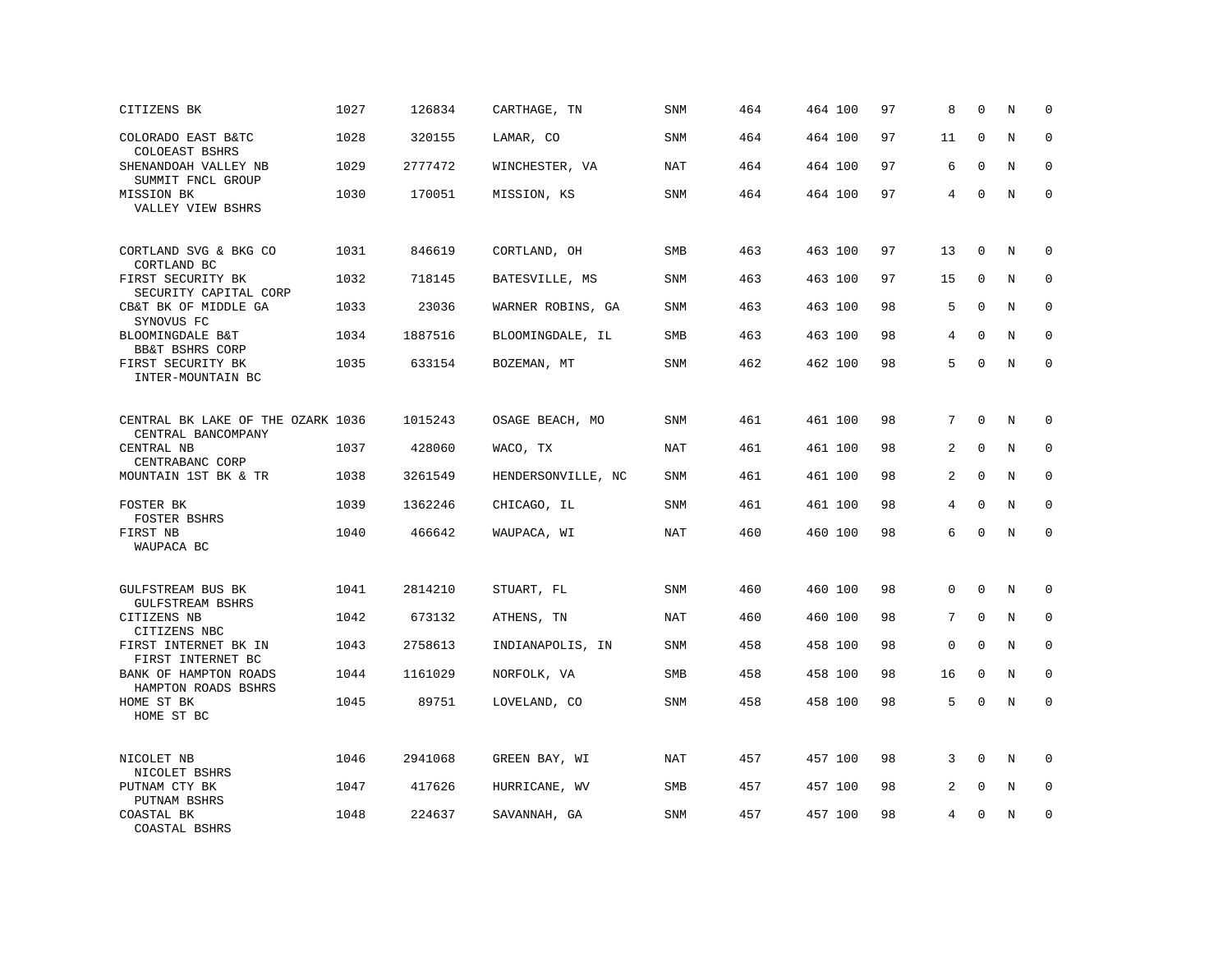| CITIZENS BK                                             | 1027 | 126834  | CARTHAGE, TN       | SNM        | 464 | 464 100 | 97 | 8  | $\mathbf 0$  | N       | $\mathbf 0$ |
|---------------------------------------------------------|------|---------|--------------------|------------|-----|---------|----|----|--------------|---------|-------------|
| COLORADO EAST B&TC<br>COLOEAST BSHRS                    | 1028 | 320155  | LAMAR, CO          | <b>SNM</b> | 464 | 464 100 | 97 | 11 | $\mathbf{0}$ | N       | $\mathbf 0$ |
| SHENANDOAH VALLEY NB<br>SUMMIT FNCL GROUP               | 1029 | 2777472 | WINCHESTER, VA     | <b>NAT</b> | 464 | 464 100 | 97 | 6  | $\mathbf{0}$ | N       | $\mathbf 0$ |
| MISSION BK<br>VALLEY VIEW BSHRS                         | 1030 | 170051  | MISSION, KS        | <b>SNM</b> | 464 | 464 100 | 97 | 4  | $\mathbf{0}$ | N       | $\mathbf 0$ |
| CORTLAND SVG & BKG CO<br>CORTLAND BC                    | 1031 | 846619  | CORTLAND, OH       | <b>SMB</b> | 463 | 463 100 | 97 | 13 | $\mathbf 0$  | N       | $\mathbf 0$ |
| FIRST SECURITY BK<br>SECURITY CAPITAL CORP              | 1032 | 718145  | BATESVILLE, MS     | SNM        | 463 | 463 100 | 97 | 15 | $\Omega$     | N       | $\mathbf 0$ |
| CB&T BK OF MIDDLE GA<br>SYNOVUS FC                      | 1033 | 23036   | WARNER ROBINS, GA  | SNM        | 463 | 463 100 | 98 | 5  | $\Omega$     | N       | $\mathbf 0$ |
| BLOOMINGDALE B&T<br>BB&T BSHRS CORP                     | 1034 | 1887516 | BLOOMINGDALE, IL   | <b>SMB</b> | 463 | 463 100 | 98 | 4  | $\Omega$     | N       | $\Omega$    |
| FIRST SECURITY BK<br>INTER-MOUNTAIN BC                  | 1035 | 633154  | BOZEMAN, MT        | SNM        | 462 | 462 100 | 98 | 5  | $\mathbf 0$  | N       | $\mathbf 0$ |
| CENTRAL BK LAKE OF THE OZARK 1036<br>CENTRAL BANCOMPANY |      | 1015243 | OSAGE BEACH, MO    | <b>SNM</b> | 461 | 461 100 | 98 | 7  | $\mathbf 0$  | N       | 0           |
| CENTRAL NB<br>CENTRABANC CORP                           | 1037 | 428060  | WACO, TX           | <b>NAT</b> | 461 | 461 100 | 98 | 2  | $\mathbf 0$  | N       | $\mathbf 0$ |
| MOUNTAIN 1ST BK & TR                                    | 1038 | 3261549 | HENDERSONVILLE, NC | <b>SNM</b> | 461 | 461 100 | 98 | 2  | $\mathbf 0$  | N       | 0           |
| FOSTER BK<br>FOSTER BSHRS                               | 1039 | 1362246 | CHICAGO, IL        | <b>SNM</b> | 461 | 461 100 | 98 | 4  | $\Omega$     | N       | $\mathbf 0$ |
| FIRST NB<br>WAUPACA BC                                  | 1040 | 466642  | WAUPACA, WI        | NAT        | 460 | 460 100 | 98 | 6  | $\Omega$     | $\rm N$ | $\Omega$    |
| GULFSTREAM BUS BK<br><b>GULFSTREAM BSHRS</b>            | 1041 | 2814210 | STUART, FL         | <b>SNM</b> | 460 | 460 100 | 98 | 0  | $\mathbf 0$  | N       | $\mathbf 0$ |
| CITIZENS NB<br>CITIZENS NBC                             | 1042 | 673132  | ATHENS, TN         | NAT        | 460 | 460 100 | 98 | 7  | $\mathbf 0$  | N       | $\mathbf 0$ |
| FIRST INTERNET BK IN<br>FIRST INTERNET BC               | 1043 | 2758613 | INDIANAPOLIS, IN   | <b>SNM</b> | 458 | 458 100 | 98 | 0  | $\mathbf 0$  | N       | $\mathbf 0$ |
| BANK OF HAMPTON ROADS<br>HAMPTON ROADS BSHRS            | 1044 | 1161029 | NORFOLK, VA        | <b>SMB</b> | 458 | 458 100 | 98 | 16 | $\mathbf 0$  | N       | $\mathbf 0$ |
| HOME ST BK<br>HOME ST BC                                | 1045 | 89751   | LOVELAND, CO       | SNM        | 458 | 458 100 | 98 | 5  | $\mathbf 0$  | N       | $\mathbf 0$ |
| NICOLET NB<br>NICOLET BSHRS                             | 1046 | 2941068 | GREEN BAY, WI      | <b>NAT</b> | 457 | 457 100 | 98 | 3  | $\Omega$     | N       | $\Omega$    |
| PUTNAM CTY BK<br>PUTNAM BSHRS                           | 1047 | 417626  | HURRICANE, WV      | SMB        | 457 | 457 100 | 98 | 2  | $\mathbf 0$  | Ν       | 0           |
| COASTAL BK<br>COASTAL BSHRS                             | 1048 | 224637  | SAVANNAH, GA       | <b>SNM</b> | 457 | 457 100 | 98 | 4  | $\mathbf 0$  | N       | $\mathbf 0$ |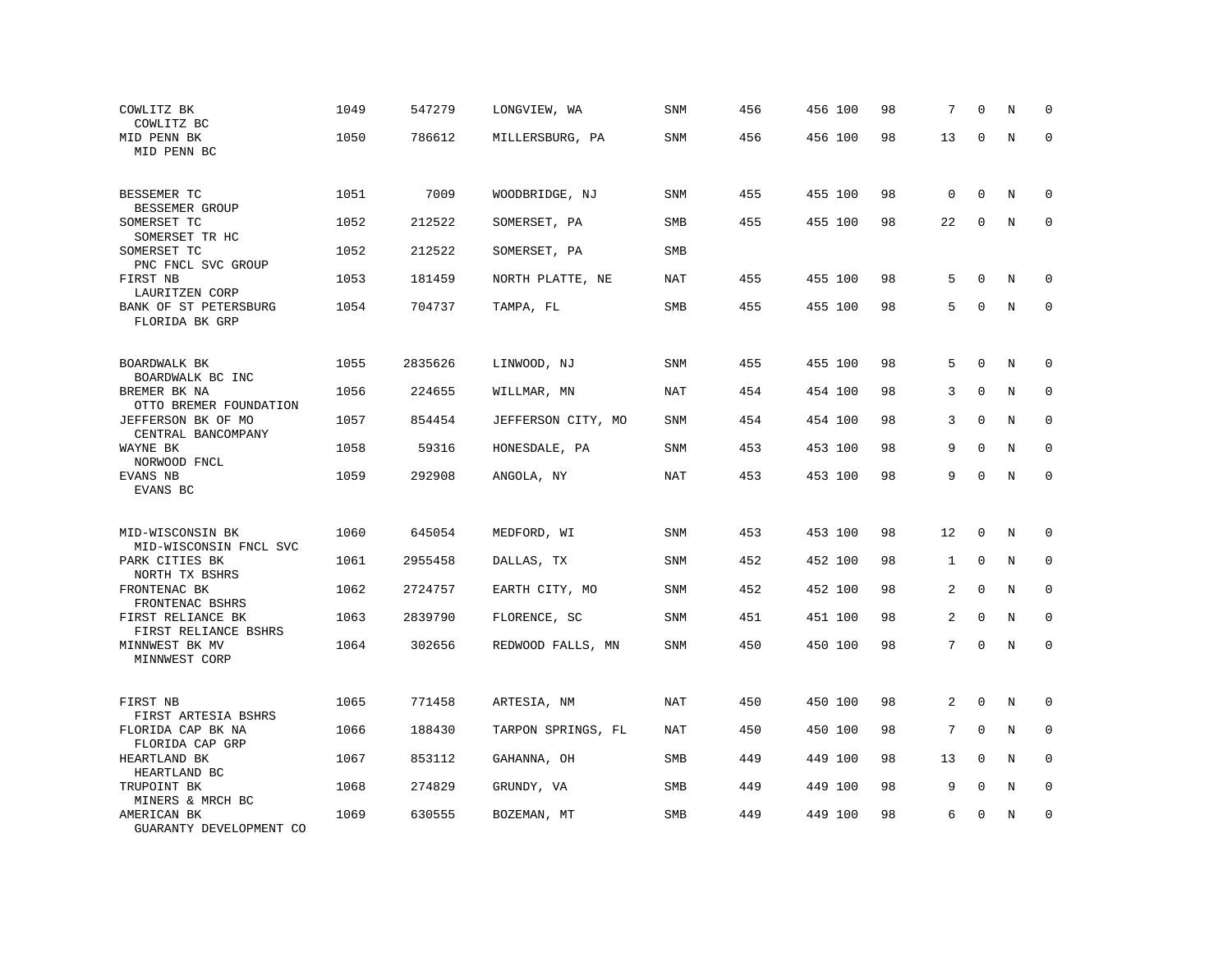| COWLITZ BK<br>COWLITZ BC                                           | 1049 | 547279  | LONGVIEW, WA       | SNM        | 456 | 456 100 | 98 | 7              | $\Omega$     | N       | $\mathbf 0$ |
|--------------------------------------------------------------------|------|---------|--------------------|------------|-----|---------|----|----------------|--------------|---------|-------------|
| MID PENN BK<br>MID PENN BC                                         | 1050 | 786612  | MILLERSBURG, PA    | SNM        | 456 | 456 100 | 98 | 13             | 0            | N       | $\Omega$    |
| BESSEMER TC                                                        | 1051 | 7009    | WOODBRIDGE, NJ     | SNM        | 455 | 455 100 | 98 | $\mathbf 0$    | $\mathbf 0$  | N       | $\mathbf 0$ |
| BESSEMER GROUP<br>SOMERSET TC                                      | 1052 | 212522  | SOMERSET, PA       | SMB        | 455 | 455 100 | 98 | 22             | $\mathbf 0$  | N       | $\mathbf 0$ |
| SOMERSET TR HC<br>SOMERSET TC<br>PNC FNCL SVC GROUP                | 1052 | 212522  | SOMERSET, PA       | SMB        |     |         |    |                |              |         |             |
| FIRST NB<br>LAURITZEN CORP                                         | 1053 | 181459  | NORTH PLATTE, NE   | <b>NAT</b> | 455 | 455 100 | 98 | 5              | $\Omega$     | N       | 0           |
| BANK OF ST PETERSBURG<br>FLORIDA BK GRP                            | 1054 | 704737  | TAMPA, FL          | SMB        | 455 | 455 100 | 98 | 5              | $\mathbf 0$  | N       | $\mathbf 0$ |
| BOARDWALK BK                                                       | 1055 | 2835626 | LINWOOD, NJ        | SNM        | 455 | 455 100 | 98 | 5              | $\Omega$     | N       | $\Omega$    |
| BOARDWALK BC INC<br>BREMER BK NA                                   | 1056 | 224655  | WILLMAR, MN        | <b>NAT</b> | 454 | 454 100 | 98 | 3              | $\mathbf 0$  | N       | $\mathbf 0$ |
| OTTO BREMER FOUNDATION<br>JEFFERSON BK OF MO<br>CENTRAL BANCOMPANY | 1057 | 854454  | JEFFERSON CITY, MO | <b>SNM</b> | 454 | 454 100 | 98 | 3              | $\Omega$     | N       | $\mathbf 0$ |
| WAYNE BK<br>NORWOOD FNCL                                           | 1058 | 59316   | HONESDALE, PA      | SNM        | 453 | 453 100 | 98 | 9              | $\mathbf 0$  | N       | $\mathbf 0$ |
| EVANS NB<br>EVANS BC                                               | 1059 | 292908  | ANGOLA, NY         | <b>NAT</b> | 453 | 453 100 | 98 | 9              | $\mathbf 0$  | $\rm N$ | $\mathbf 0$ |
| MID-WISCONSIN BK                                                   | 1060 | 645054  | MEDFORD, WI        | SNM        | 453 | 453 100 | 98 | 12             | $\mathbf 0$  | N       | $\mathbf 0$ |
| MID-WISCONSIN FNCL SVC<br>PARK CITIES BK                           | 1061 | 2955458 | DALLAS, TX         | SNM        | 452 | 452 100 | 98 | 1              | $\Omega$     | N       | $\Omega$    |
| NORTH TX BSHRS<br>FRONTENAC BK<br>FRONTENAC BSHRS                  | 1062 | 2724757 | EARTH CITY, MO     | SNM        | 452 | 452 100 | 98 | 2              | $\mathbf{0}$ | N       | $\mathbf 0$ |
| FIRST RELIANCE BK<br>FIRST RELIANCE BSHRS                          | 1063 | 2839790 | FLORENCE, SC       | SNM        | 451 | 451 100 | 98 | $\overline{a}$ | $\Omega$     | N       | $\mathbf 0$ |
| MINNWEST BK MV<br>MINNWEST CORP                                    | 1064 | 302656  | REDWOOD FALLS, MN  | SNM        | 450 | 450 100 | 98 | $7^{\circ}$    | $\mathbf 0$  | N       | $\mathbf 0$ |
| FIRST NB<br>FIRST ARTESIA BSHRS                                    | 1065 | 771458  | ARTESIA, NM        | NAT        | 450 | 450 100 | 98 | 2              | $\Omega$     | N       | $\mathbf 0$ |
| FLORIDA CAP BK NA<br>FLORIDA CAP GRP                               | 1066 | 188430  | TARPON SPRINGS, FL | <b>NAT</b> | 450 | 450 100 | 98 | 7              | $\mathbf 0$  | N       | 0           |
| HEARTLAND BK<br>HEARTLAND BC                                       | 1067 | 853112  | GAHANNA, OH        | <b>SMB</b> | 449 | 449 100 | 98 | 13             | 0            | N       | $\mathbf 0$ |
| TRUPOINT BK<br>MINERS & MRCH BC                                    | 1068 | 274829  | GRUNDY, VA         | SMB        | 449 | 449 100 | 98 | 9              | $\mathbf 0$  | N       | $\mathbf 0$ |
| AMERICAN BK<br>GUARANTY DEVELOPMENT CO                             | 1069 | 630555  | BOZEMAN, MT        | SMB        | 449 | 449 100 | 98 | 6              | $\mathbf{0}$ | N       | $\mathbf 0$ |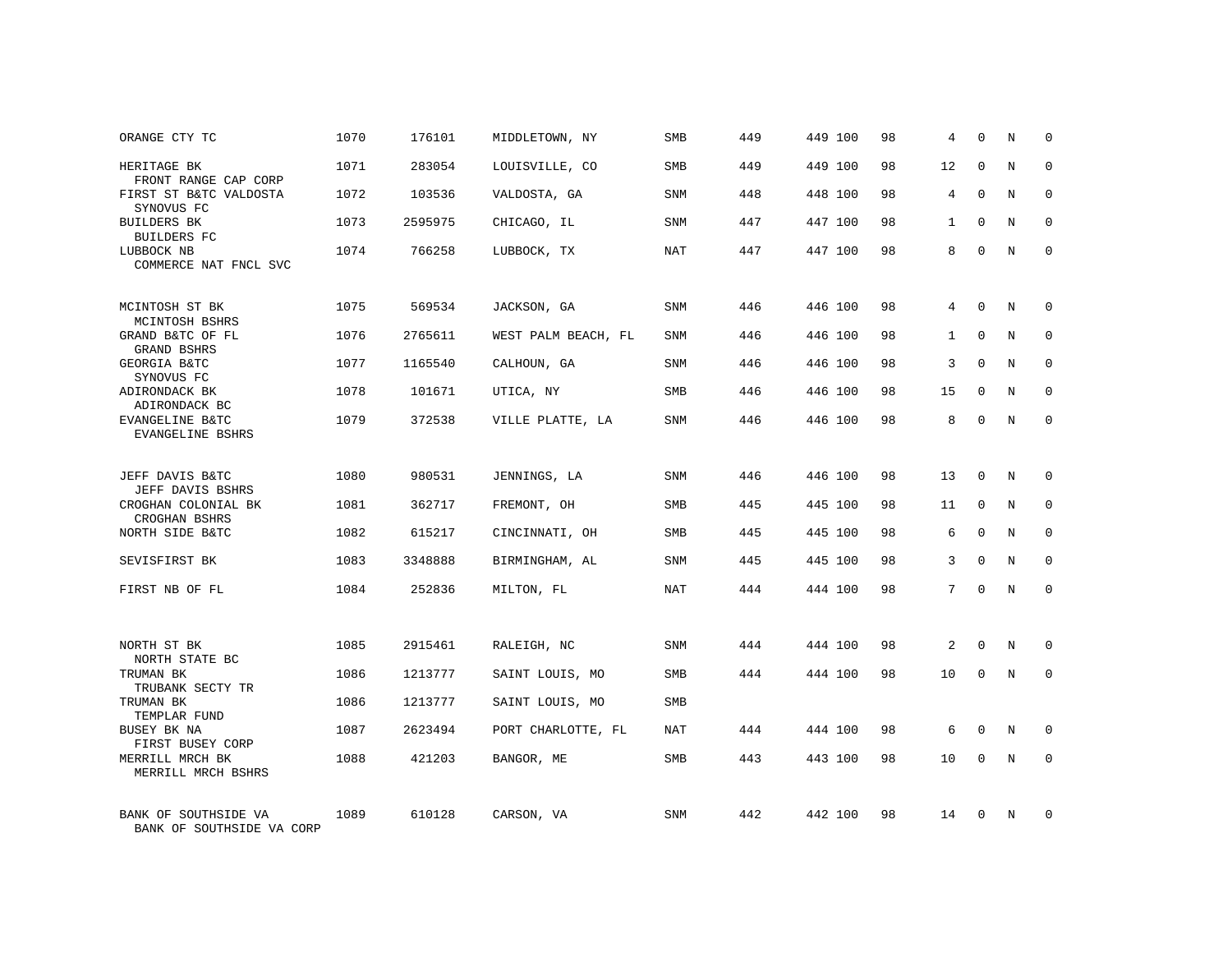| ORANGE CTY TC                                     | 1070 | 176101  | MIDDLETOWN, NY      | SMB        | 449 | 449 100 | 98 | 4               | $\mathbf 0$  | Ν | $\mathbf 0$ |
|---------------------------------------------------|------|---------|---------------------|------------|-----|---------|----|-----------------|--------------|---|-------------|
| HERITAGE BK<br>FRONT RANGE CAP CORP               | 1071 | 283054  | LOUISVILLE, CO      | <b>SMB</b> | 449 | 449 100 | 98 | 12              | $\mathbf{0}$ | N | $\mathbf 0$ |
| FIRST ST B&TC VALDOSTA<br>SYNOVUS FC              | 1072 | 103536  | VALDOSTA, GA        | SNM        | 448 | 448 100 | 98 | $\overline{4}$  | $\Omega$     | N | $\mathbf 0$ |
| <b>BUILDERS BK</b><br><b>BUILDERS FC</b>          | 1073 | 2595975 | CHICAGO, IL         | SNM        | 447 | 447 100 | 98 | $\mathbf{1}$    | $\mathbf 0$  | N | 0           |
| LUBBOCK NB<br>COMMERCE NAT FNCL SVC               | 1074 | 766258  | LUBBOCK, TX         | NAT        | 447 | 447 100 | 98 | 8               | $\mathbf 0$  | N | $\mathbf 0$ |
| MCINTOSH ST BK<br>MCINTOSH BSHRS                  | 1075 | 569534  | JACKSON, GA         | SNM        | 446 | 446 100 | 98 | $4\overline{ }$ | $\Omega$     | N | $\mathbf 0$ |
| GRAND B&TC OF FL<br><b>GRAND BSHRS</b>            | 1076 | 2765611 | WEST PALM BEACH, FL | <b>SNM</b> | 446 | 446 100 | 98 | $\mathbf{1}$    | $\Omega$     | N | $\mathbf 0$ |
| GEORGIA B&TC<br>SYNOVUS FC                        | 1077 | 1165540 | CALHOUN, GA         | SNM        | 446 | 446 100 | 98 | 3               | $\Omega$     | N | 0           |
| ADIRONDACK BK<br>ADIRONDACK BC                    | 1078 | 101671  | UTICA, NY           | <b>SMB</b> | 446 | 446 100 | 98 | 15              | $\mathbf 0$  | N | $\mathbf 0$ |
| EVANGELINE B&TC<br>EVANGELINE BSHRS               | 1079 | 372538  | VILLE PLATTE, LA    | SNM        | 446 | 446 100 | 98 | 8               | $\mathbf 0$  | N | $\mathbf 0$ |
| JEFF DAVIS B&TC<br>JEFF DAVIS BSHRS               | 1080 | 980531  | JENNINGS, LA        | <b>SNM</b> | 446 | 446 100 | 98 | 13              | $\Omega$     | N | $\mathbf 0$ |
| CROGHAN COLONIAL BK<br>CROGHAN BSHRS              | 1081 | 362717  | FREMONT, OH         | SMB        | 445 | 445 100 | 98 | 11              | $\mathbf 0$  | N | 0           |
| NORTH SIDE B&TC                                   | 1082 | 615217  | CINCINNATI, OH      | <b>SMB</b> | 445 | 445 100 | 98 | 6               | $\Omega$     | N | $\mathbf 0$ |
| SEVISFIRST BK                                     | 1083 | 3348888 | BIRMINGHAM, AL      | SNM        | 445 | 445 100 | 98 | 3               | $\mathbf 0$  | N | 0           |
| FIRST NB OF FL                                    | 1084 | 252836  | MILTON, FL          | <b>NAT</b> | 444 | 444 100 | 98 | 7               | $\Omega$     | N | $\mathbf 0$ |
| NORTH ST BK<br>NORTH STATE BC                     | 1085 | 2915461 | RALEIGH, NC         | SNM        | 444 | 444 100 | 98 | 2               | $\mathbf 0$  | N | $\mathbf 0$ |
| TRUMAN BK<br>TRUBANK SECTY TR                     | 1086 | 1213777 | SAINT LOUIS, MO     | <b>SMB</b> | 444 | 444 100 | 98 | 10              | $\Omega$     | N | $\mathbf 0$ |
| TRUMAN BK<br>TEMPLAR FUND                         | 1086 | 1213777 | SAINT LOUIS, MO     | SMB        |     |         |    |                 |              |   |             |
| BUSEY BK NA<br>FIRST BUSEY CORP                   | 1087 | 2623494 | PORT CHARLOTTE, FL  | <b>NAT</b> | 444 | 444 100 | 98 | 6               | $\mathbf 0$  | N | 0           |
| MERRILL MRCH BK<br>MERRILL MRCH BSHRS             | 1088 | 421203  | BANGOR, ME          | <b>SMB</b> | 443 | 443 100 | 98 | 10              | $\Omega$     | N | $\mathbf 0$ |
| BANK OF SOUTHSIDE VA<br>BANK OF SOUTHSIDE VA CORP | 1089 | 610128  | CARSON, VA          | <b>SNM</b> | 442 | 442 100 | 98 | 14              | $\Omega$     | N | $\mathbf 0$ |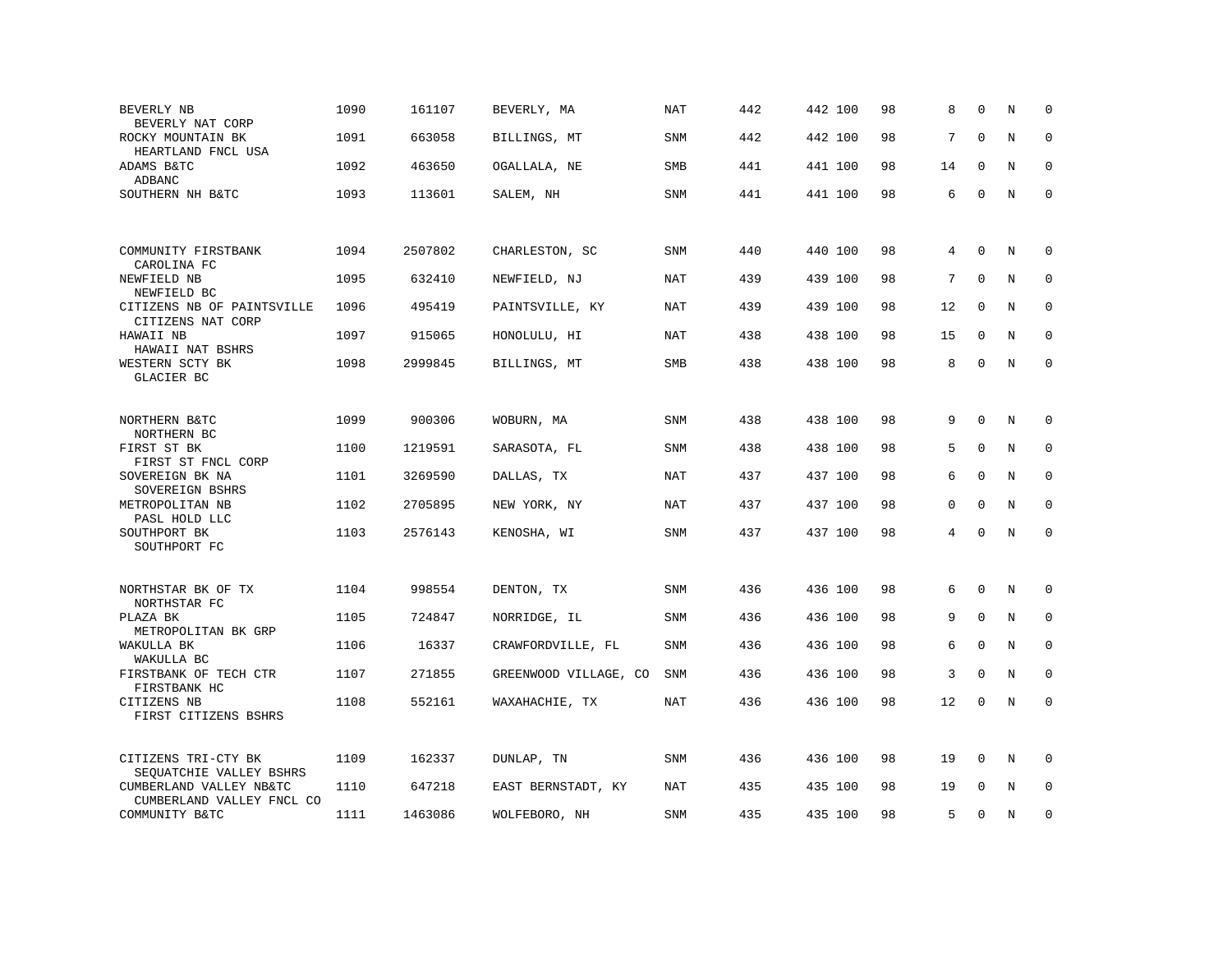| BEVERLY NB<br>BEVERLY NAT CORP                       | 1090 | 161107  | BEVERLY, MA           | NAT        | 442 | 442 100 | 98 | 8  | $\mathbf 0$  | Ν       | $\mathbf 0$ |
|------------------------------------------------------|------|---------|-----------------------|------------|-----|---------|----|----|--------------|---------|-------------|
| ROCKY MOUNTAIN BK<br>HEARTLAND FNCL USA              | 1091 | 663058  | BILLINGS, MT          | <b>SNM</b> | 442 | 442 100 | 98 | 7  | $\Omega$     | N       | $\mathbf 0$ |
| ADAMS B&TC<br>ADBANC                                 | 1092 | 463650  | OGALLALA, NE          | <b>SMB</b> | 441 | 441 100 | 98 | 14 | $\Omega$     | N       | $\mathbf 0$ |
| SOUTHERN NH B&TC                                     | 1093 | 113601  | SALEM, NH             | SNM        | 441 | 441 100 | 98 | 6  | $\Omega$     | N       | $\Omega$    |
|                                                      |      |         |                       |            |     |         |    |    |              |         |             |
| COMMUNITY FIRSTBANK<br>CAROLINA FC                   | 1094 | 2507802 | CHARLESTON, SC        | SNM        | 440 | 440 100 | 98 | 4  | $\mathbf{0}$ | N       | 0           |
| NEWFIELD NB<br>NEWFIELD BC                           | 1095 | 632410  | NEWFIELD, NJ          | NAT        | 439 | 439 100 | 98 | 7  | $\Omega$     | N       | 0           |
| CITIZENS NB OF PAINTSVILLE<br>CITIZENS NAT CORP      | 1096 | 495419  | PAINTSVILLE, KY       | <b>NAT</b> | 439 | 439 100 | 98 | 12 | $\mathbf 0$  | N       | $\mathbf 0$ |
| HAWAII NB<br>HAWAII NAT BSHRS                        | 1097 | 915065  | HONOLULU, HI          | NAT        | 438 | 438 100 | 98 | 15 | $\mathbf 0$  | N       | $\mathbf 0$ |
| WESTERN SCTY BK<br>GLACIER BC                        | 1098 | 2999845 | BILLINGS, MT          | SMB        | 438 | 438 100 | 98 | 8  | $\mathbf 0$  | $\rm N$ | $\mathbf 0$ |
|                                                      |      |         |                       |            |     |         |    |    |              |         |             |
| NORTHERN B&TC<br>NORTHERN BC                         | 1099 | 900306  | WOBURN, MA            | SNM        | 438 | 438 100 | 98 | 9  | $\mathbf 0$  | N       | 0           |
| FIRST ST BK<br>FIRST ST FNCL CORP                    | 1100 | 1219591 | SARASOTA, FL          | <b>SNM</b> | 438 | 438 100 | 98 | 5  | $\Omega$     | N       | $\mathbf 0$ |
| SOVEREIGN BK NA<br>SOVEREIGN BSHRS                   | 1101 | 3269590 | DALLAS, TX            | NAT        | 437 | 437 100 | 98 | 6  | $\Omega$     | N       | $\Omega$    |
| METROPOLITAN NB<br>PASL HOLD LLC                     | 1102 | 2705895 | NEW YORK, NY          | NAT        | 437 | 437 100 | 98 | 0  | $\Omega$     | N       | $\mathbf 0$ |
| SOUTHPORT BK<br>SOUTHPORT FC                         | 1103 | 2576143 | KENOSHA, WI           | SNM        | 437 | 437 100 | 98 | 4  | $\Omega$     | $\rm N$ | $\mathbf 0$ |
|                                                      |      |         |                       |            |     |         |    |    |              |         |             |
| NORTHSTAR BK OF TX<br>NORTHSTAR FC                   | 1104 | 998554  | DENTON, TX            | SNM        | 436 | 436 100 | 98 | 6  | $\mathbf 0$  | N       | 0           |
| PLAZA BK<br>METROPOLITAN BK GRP                      | 1105 | 724847  | NORRIDGE, IL          | <b>SNM</b> | 436 | 436 100 | 98 | 9  | $\mathbf{0}$ | N       | $\mathbf 0$ |
| WAKULLA BK<br>WAKULLA BC                             | 1106 | 16337   | CRAWFORDVILLE, FL     | <b>SNM</b> | 436 | 436 100 | 98 | 6  | $\Omega$     | N       | $\Omega$    |
| FIRSTBANK OF TECH CTR<br>FIRSTBANK HC                | 1107 | 271855  | GREENWOOD VILLAGE, CO | <b>SNM</b> | 436 | 436 100 | 98 | 3  | $\mathbf{0}$ | $\rm N$ | $\mathbf 0$ |
| CITIZENS NB<br>FIRST CITIZENS BSHRS                  | 1108 | 552161  | WAXAHACHIE, TX        | <b>NAT</b> | 436 | 436 100 | 98 | 12 | $\mathbf 0$  | N       | $\mathbf 0$ |
|                                                      |      |         |                       |            |     |         |    |    |              |         |             |
| CITIZENS TRI-CTY BK<br>SEOUATCHIE VALLEY BSHRS       | 1109 | 162337  | DUNLAP, TN            | SNM        | 436 | 436 100 | 98 | 19 | 0            | Ν       | 0           |
| CUMBERLAND VALLEY NB&TC<br>CUMBERLAND VALLEY FNCL CO | 1110 | 647218  | EAST BERNSTADT, KY    | NAT        | 435 | 435 100 | 98 | 19 | $\Omega$     | N       | $\Omega$    |
| COMMUNITY B&TC                                       | 1111 | 1463086 | WOLFEBORO, NH         | <b>SNM</b> | 435 | 435 100 | 98 | 5  | $\mathbf 0$  | N       | $\mathbf 0$ |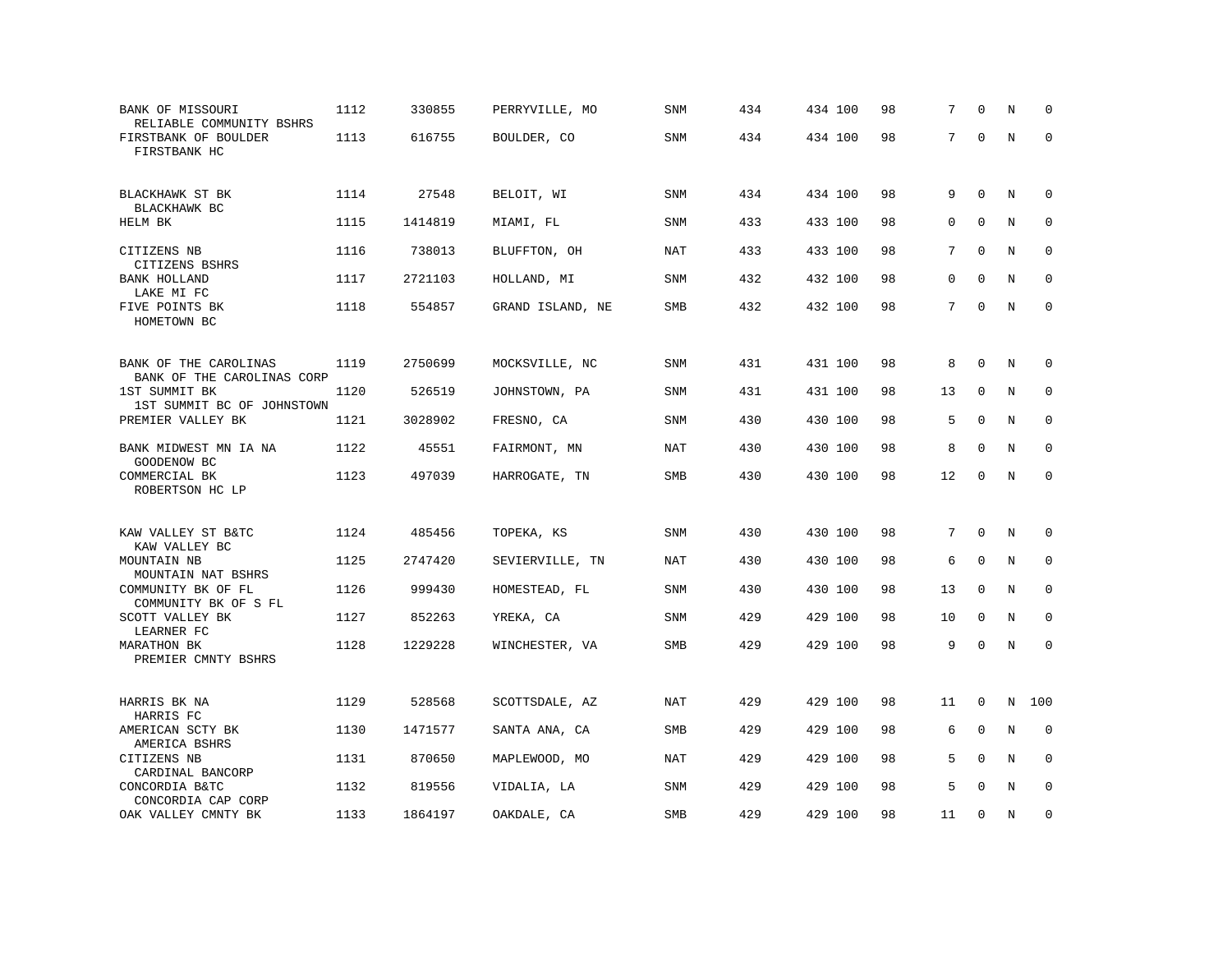| BANK OF MISSOURI<br>RELIABLE COMMUNITY BSHRS        | 1112 | 330855  | PERRYVILLE, MO   | SNM        | 434 | 434 100 | 98 | 7        | $\Omega$     | N | $\Omega$    |
|-----------------------------------------------------|------|---------|------------------|------------|-----|---------|----|----------|--------------|---|-------------|
| FIRSTBANK OF BOULDER<br>FIRSTBANK HC                | 1113 | 616755  | BOULDER, CO      | SNM        | 434 | 434 100 | 98 | 7        | $\Omega$     | N | $\Omega$    |
| BLACKHAWK ST BK                                     | 1114 | 27548   | BELOIT, WI       | SNM        | 434 | 434 100 | 98 | 9        | $\mathbf 0$  | N | 0           |
| BLACKHAWK BC<br>HELM BK                             | 1115 | 1414819 | MIAMI, FL        | <b>SNM</b> | 433 | 433 100 | 98 | $\Omega$ | $\mathbf 0$  | N | $\mathbf 0$ |
| CITIZENS NB                                         | 1116 | 738013  | BLUFFTON, OH     | NAT        | 433 | 433 100 | 98 | 7        | $\mathbf{0}$ | N | $\mathbf 0$ |
| CITIZENS BSHRS<br><b>BANK HOLLAND</b><br>LAKE MI FC | 1117 | 2721103 | HOLLAND, MI      | SNM        | 432 | 432 100 | 98 | 0        | $\mathbf 0$  | N | $\mathbf 0$ |
| FIVE POINTS BK<br>HOMETOWN BC                       | 1118 | 554857  | GRAND ISLAND, NE | SMB        | 432 | 432 100 | 98 | 7        | $\mathbf 0$  | N | $\mathbf 0$ |
| BANK OF THE CAROLINAS                               | 1119 | 2750699 | MOCKSVILLE, NC   | SNM        | 431 | 431 100 | 98 | 8        | $\Omega$     | N | 0           |
| BANK OF THE CAROLINAS CORP<br>1ST SUMMIT BK         | 1120 | 526519  | JOHNSTOWN, PA    | SNM        | 431 | 431 100 | 98 | 13       | $\mathbf{0}$ | N | $\mathbf 0$ |
| 1ST SUMMIT BC OF JOHNSTOWN<br>PREMIER VALLEY BK     | 1121 | 3028902 | FRESNO, CA       | SNM        | 430 | 430 100 | 98 | 5        | $\Omega$     | N | 0           |
| BANK MIDWEST MN IA NA                               | 1122 | 45551   | FAIRMONT, MN     | NAT        | 430 | 430 100 | 98 | 8        | $\Omega$     | N | $\Omega$    |
| GOODENOW BC<br>COMMERCIAL BK<br>ROBERTSON HC LP     | 1123 | 497039  | HARROGATE, TN    | <b>SMB</b> | 430 | 430 100 | 98 | 12       | $\mathbf 0$  | N | $\mathbf 0$ |
|                                                     |      |         |                  |            |     |         |    |          |              |   |             |
| KAW VALLEY ST B&TC<br>KAW VALLEY BC                 | 1124 | 485456  | TOPEKA, KS       | SNM        | 430 | 430 100 | 98 | 7        | $\mathbf 0$  | N | 0           |
| MOUNTAIN NB<br>MOUNTAIN NAT BSHRS                   | 1125 | 2747420 | SEVIERVILLE, TN  | NAT        | 430 | 430 100 | 98 | 6        | $\mathbf{0}$ | N | $\mathbf 0$ |
| COMMUNITY BK OF FL<br>COMMUNITY BK OF S FL          | 1126 | 999430  | HOMESTEAD, FL    | SNM        | 430 | 430 100 | 98 | 13       | $\mathbf 0$  | N | $\mathbf 0$ |
| SCOTT VALLEY BK<br>LEARNER FC                       | 1127 | 852263  | YREKA, CA        | <b>SNM</b> | 429 | 429 100 | 98 | 10       | $\mathbf{0}$ | N | $\mathbf 0$ |
| <b>MARATHON BK</b><br>PREMIER CMNTY BSHRS           | 1128 | 1229228 | WINCHESTER, VA   | SMB        | 429 | 429 100 | 98 | 9        | $\mathbf 0$  | N | $\mathbf 0$ |
| HARRIS BK NA                                        | 1129 | 528568  | SCOTTSDALE, AZ   | NAT        | 429 | 429 100 | 98 | 11       | $\Omega$     | N | 100         |
| HARRIS FC<br>AMERICAN SCTY BK                       | 1130 | 1471577 | SANTA ANA, CA    | SMB        | 429 | 429 100 | 98 | 6        | $\mathbf{0}$ | N | $\mathbf 0$ |
| AMERICA BSHRS<br>CITIZENS NB                        | 1131 | 870650  | MAPLEWOOD, MO    | <b>NAT</b> | 429 | 429 100 | 98 | 5        | $\mathbf 0$  | N | $\mathbf 0$ |
| CARDINAL BANCORP<br>CONCORDIA B&TC                  | 1132 | 819556  | VIDALIA, LA      | <b>SNM</b> | 429 | 429 100 | 98 | 5        | $\Omega$     | N | $\Omega$    |
| CONCORDIA CAP CORP<br>OAK VALLEY CMNTY BK           | 1133 | 1864197 | OAKDALE, CA      | SMB        | 429 | 429 100 | 98 | 11       | $\mathbf 0$  | N | $\mathbf 0$ |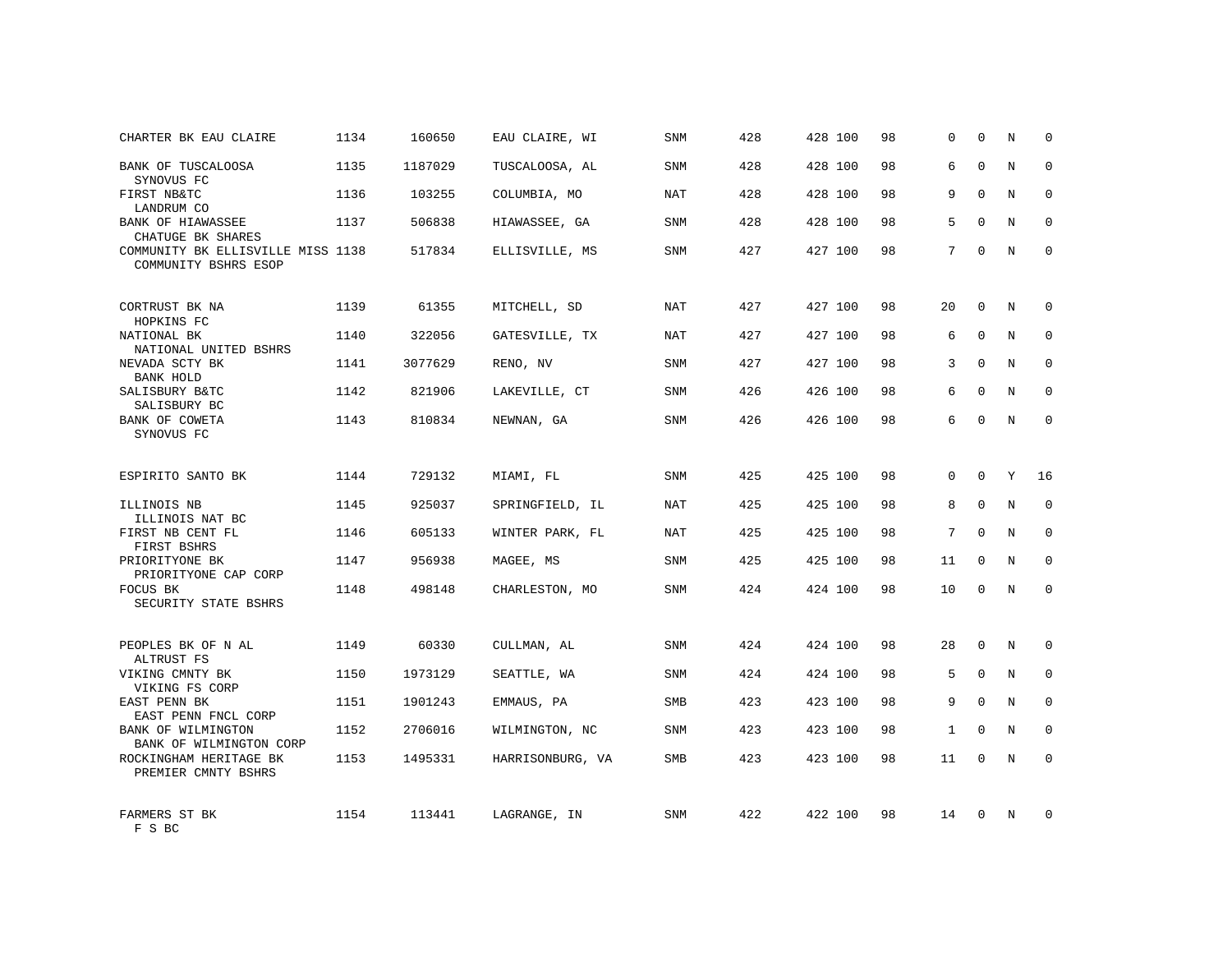| CHARTER BK EAU CLAIRE                                     | 1134 | 160650  | EAU CLAIRE, WI   | <b>SNM</b> | 428 | 428 100 | 98 | 0            | $\mathbf 0$  | N | $\mathbf 0$  |
|-----------------------------------------------------------|------|---------|------------------|------------|-----|---------|----|--------------|--------------|---|--------------|
| BANK OF TUSCALOOSA<br>SYNOVUS FC                          | 1135 | 1187029 | TUSCALOOSA, AL   | <b>SNM</b> | 428 | 428 100 | 98 | 6            | $\Omega$     | N | $\mathbf 0$  |
| FIRST NB&TC<br>LANDRUM CO                                 | 1136 | 103255  | COLUMBIA, MO     | <b>NAT</b> | 428 | 428 100 | 98 | 9            | $\Omega$     | N | $\mathbf 0$  |
| BANK OF HIAWASSEE<br>CHATUGE BK SHARES                    | 1137 | 506838  | HIAWASSEE, GA    | <b>SNM</b> | 428 | 428 100 | 98 | 5            | $\Omega$     | N | $\mathbf 0$  |
| COMMUNITY BK ELLISVILLE MISS 1138<br>COMMUNITY BSHRS ESOP |      | 517834  | ELLISVILLE, MS   | <b>SNM</b> | 427 | 427 100 | 98 | 7            | $\Omega$     | N | $\Omega$     |
| CORTRUST BK NA<br>HOPKINS FC                              | 1139 | 61355   | MITCHELL, SD     | NAT        | 427 | 427 100 | 98 | 20           | $\Omega$     | N | $\mathbf 0$  |
| NATIONAL BK<br>NATIONAL UNITED BSHRS                      | 1140 | 322056  | GATESVILLE, TX   | NAT        | 427 | 427 100 | 98 | 6            | $\mathbf{0}$ | N | $\mathbf 0$  |
| NEVADA SCTY BK<br><b>BANK HOLD</b>                        | 1141 | 3077629 | RENO, NV         | <b>SNM</b> | 427 | 427 100 | 98 | 3            | $\Omega$     | N | $\mathbf 0$  |
| SALISBURY B&TC<br>SALISBURY BC                            | 1142 | 821906  | LAKEVILLE, CT    | SNM        | 426 | 426 100 | 98 | 6            | $\mathbf{0}$ | N | 0            |
| BANK OF COWETA<br>SYNOVUS FC                              | 1143 | 810834  | NEWNAN, GA       | <b>SNM</b> | 426 | 426 100 | 98 | 6            | $\Omega$     | N | $\mathbf 0$  |
| ESPIRITO SANTO BK                                         | 1144 | 729132  | MIAMI, FL        | SNM        | 425 | 425 100 | 98 | 0            | $\Omega$     | Y | 16           |
| ILLINOIS NB<br>ILLINOIS NAT BC                            | 1145 | 925037  | SPRINGFIELD, IL  | NAT        | 425 | 425 100 | 98 | 8            | $\mathbf{0}$ | N | $\mathbf 0$  |
| FIRST NB CENT FL<br>FIRST BSHRS                           | 1146 | 605133  | WINTER PARK, FL  | <b>NAT</b> | 425 | 425 100 | 98 | 7            | $\Omega$     | N | $\mathbf 0$  |
| PRIORITYONE BK<br>PRIORITYONE CAP CORP                    | 1147 | 956938  | MAGEE, MS        | <b>SNM</b> | 425 | 425 100 | 98 | 11           | $\Omega$     | N | $\mathbf 0$  |
| FOCUS BK<br>SECURITY STATE BSHRS                          | 1148 | 498148  | CHARLESTON, MO   | SNM        | 424 | 424 100 | 98 | 10           | 0            | N | $\mathbf 0$  |
| PEOPLES BK OF N AL<br>ALTRUST FS                          | 1149 | 60330   | CULLMAN, AL      | SNM        | 424 | 424 100 | 98 | 28           | $\mathbf 0$  | N | 0            |
| VIKING CMNTY BK<br>VIKING FS CORP                         | 1150 | 1973129 | SEATTLE, WA      | SNM        | 424 | 424 100 | 98 | 5            | $\mathbf{0}$ | N | 0            |
| EAST PENN BK<br>EAST PENN FNCL CORP                       | 1151 | 1901243 | EMMAUS, PA       | <b>SMB</b> | 423 | 423 100 | 98 | 9            | $\Omega$     | N | $\mathbf{0}$ |
| BANK OF WILMINGTON<br>BANK OF WILMINGTON CORP             | 1152 | 2706016 | WILMINGTON, NC   | SNM        | 423 | 423 100 | 98 | $\mathbf{1}$ | $\Omega$     | N | 0            |
| ROCKINGHAM HERITAGE BK<br>PREMIER CMNTY BSHRS             | 1153 | 1495331 | HARRISONBURG, VA | <b>SMB</b> | 423 | 423 100 | 98 | 11           | $\Omega$     | N | $\mathbf 0$  |
| FARMERS ST BK<br>F S BC                                   | 1154 | 113441  | LAGRANGE, IN     | <b>SNM</b> | 422 | 422 100 | 98 | 14           | $\Omega$     | N | $\mathbf 0$  |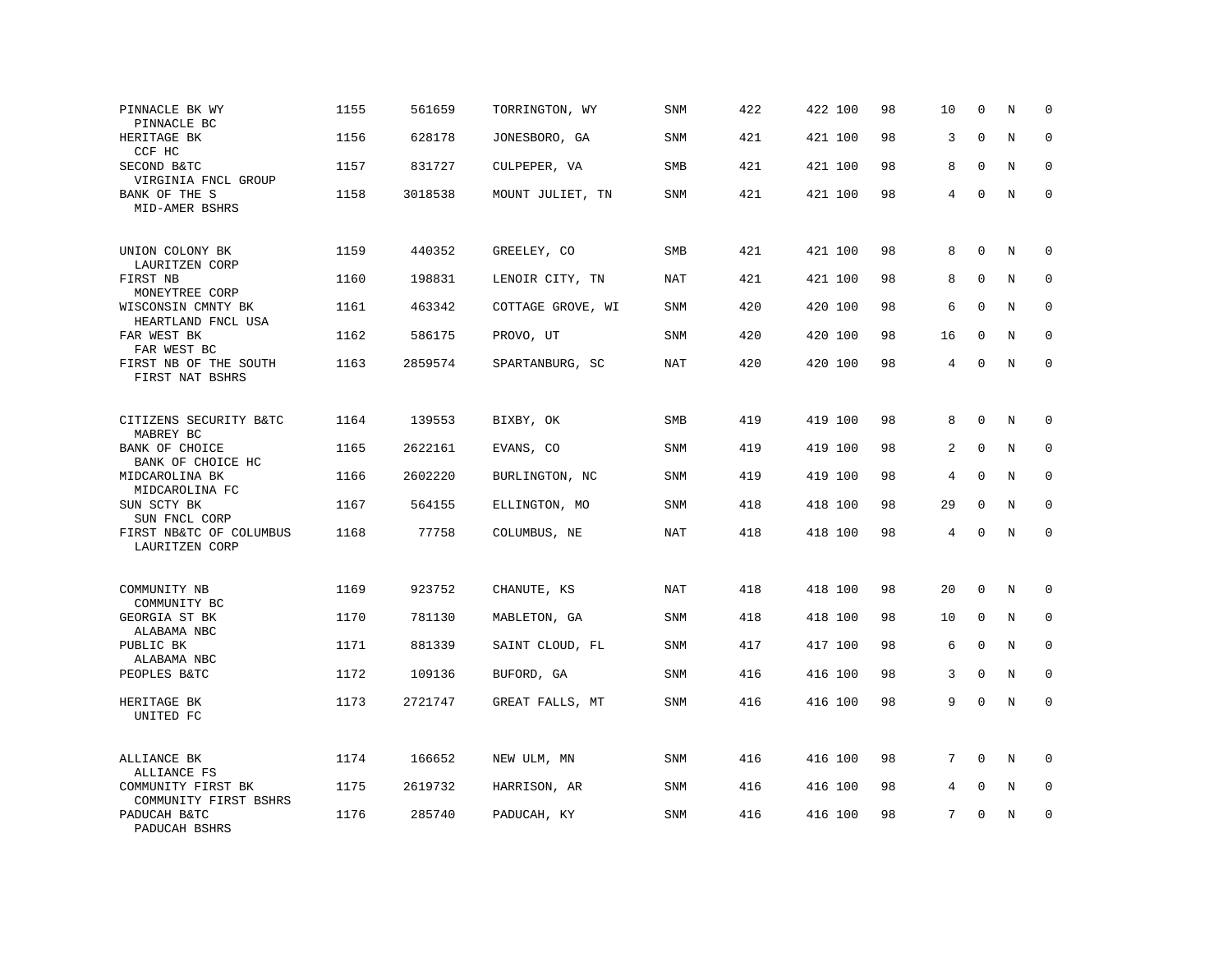| PINNACLE BK WY<br>PINNACLE BC               | 1155 | 561659  | TORRINGTON, WY    | <b>SNM</b> | 422 | 422 100 | 98 | 10 | $\mathbf 0$  | N       | $\mathbf 0$ |
|---------------------------------------------|------|---------|-------------------|------------|-----|---------|----|----|--------------|---------|-------------|
| HERITAGE BK<br>CCF HC                       | 1156 | 628178  | JONESBORO, GA     | SNM        | 421 | 421 100 | 98 | 3  | $\mathbf 0$  | N       | $\mathbf 0$ |
| SECOND B&TC<br>VIRGINIA FNCL GROUP          | 1157 | 831727  | CULPEPER, VA      | SMB        | 421 | 421 100 | 98 | 8  | $\mathbf{0}$ | N       | $\mathbf 0$ |
| BANK OF THE S<br>MID-AMER BSHRS             | 1158 | 3018538 | MOUNT JULIET, TN  | <b>SNM</b> | 421 | 421 100 | 98 | 4  | $\mathbf 0$  | N       | $\mathbf 0$ |
| UNION COLONY BK<br>LAURITZEN CORP           | 1159 | 440352  | GREELEY, CO       | <b>SMB</b> | 421 | 421 100 | 98 | 8  | $\mathbf 0$  | N       | $\mathbf 0$ |
| FIRST NB<br>MONEYTREE CORP                  | 1160 | 198831  | LENOIR CITY, TN   | NAT        | 421 | 421 100 | 98 | 8  | $\mathbf 0$  | N       | $\mathbf 0$ |
| WISCONSIN CMNTY BK<br>HEARTLAND FNCL USA    | 1161 | 463342  | COTTAGE GROVE, WI | SNM        | 420 | 420 100 | 98 | 6  | $\Omega$     | N       | $\mathbf 0$ |
| FAR WEST BK<br>FAR WEST BC                  | 1162 | 586175  | PROVO, UT         | <b>SNM</b> | 420 | 420 100 | 98 | 16 | $\Omega$     | N       | $\Omega$    |
| FIRST NB OF THE SOUTH<br>FIRST NAT BSHRS    | 1163 | 2859574 | SPARTANBURG, SC   | <b>NAT</b> | 420 | 420 100 | 98 | 4  | $\mathbf{0}$ | N       | $\mathbf 0$ |
| CITIZENS SECURITY B&TC<br>MABREY BC         | 1164 | 139553  | BIXBY, OK         | SMB        | 419 | 419 100 | 98 | 8  | $\mathbf{0}$ | N       | 0           |
| BANK OF CHOICE<br>BANK OF CHOICE HC         | 1165 | 2622161 | EVANS, CO         | <b>SNM</b> | 419 | 419 100 | 98 | 2  | $\mathbf{0}$ | N       | $\mathbf 0$ |
| MIDCAROLINA BK<br>MIDCAROLINA FC            | 1166 | 2602220 | BURLINGTON, NC    | SNM        | 419 | 419 100 | 98 | 4  | $\mathbf{0}$ | N       | 0           |
| SUN SCTY BK<br>SUN FNCL CORP                | 1167 | 564155  | ELLINGTON, MO     | <b>SNM</b> | 418 | 418 100 | 98 | 29 | $\Omega$     | N       | $\mathbf 0$ |
| FIRST NB&TC OF COLUMBUS<br>LAURITZEN CORP   | 1168 | 77758   | COLUMBUS, NE      | NAT        | 418 | 418 100 | 98 | 4  | $\Omega$     | $\rm N$ | $\mathbf 0$ |
| COMMUNITY NB<br>COMMUNITY BC                | 1169 | 923752  | CHANUTE, KS       | NAT        | 418 | 418 100 | 98 | 20 | $\mathbf 0$  | N       | $\mathbf 0$ |
| GEORGIA ST BK<br>ALABAMA NBC                | 1170 | 781130  | MABLETON, GA      | <b>SNM</b> | 418 | 418 100 | 98 | 10 | 0            | N       | $\mathbf 0$ |
| PUBLIC BK<br>ALABAMA NBC                    | 1171 | 881339  | SAINT CLOUD, FL   | SNM        | 417 | 417 100 | 98 | 6  | $\mathbf 0$  | N       | $\mathbf 0$ |
| PEOPLES B&TC                                | 1172 | 109136  | BUFORD, GA        | <b>SNM</b> | 416 | 416 100 | 98 | 3  | $\mathbf{0}$ | N       | $\mathbf 0$ |
| HERITAGE BK<br>UNITED FC                    | 1173 | 2721747 | GREAT FALLS, MT   | SNM        | 416 | 416 100 | 98 | 9  | $\mathbf{0}$ | N       | $\mathbf 0$ |
| ALLIANCE BK<br>ALLIANCE FS                  | 1174 | 166652  | NEW ULM, MN       | SNM        | 416 | 416 100 | 98 | 7  | $\Omega$     | N       | $\mathbf 0$ |
| COMMUNITY FIRST BK<br>COMMUNITY FIRST BSHRS | 1175 | 2619732 | HARRISON, AR      | SNM        | 416 | 416 100 | 98 | 4  | $\mathbf 0$  | Ν       | 0           |
| PADUCAH B&TC<br>PADUCAH BSHRS               | 1176 | 285740  | PADUCAH, KY       | SNM        | 416 | 416 100 | 98 | 7  | $\mathbf 0$  | N       | $\mathbf 0$ |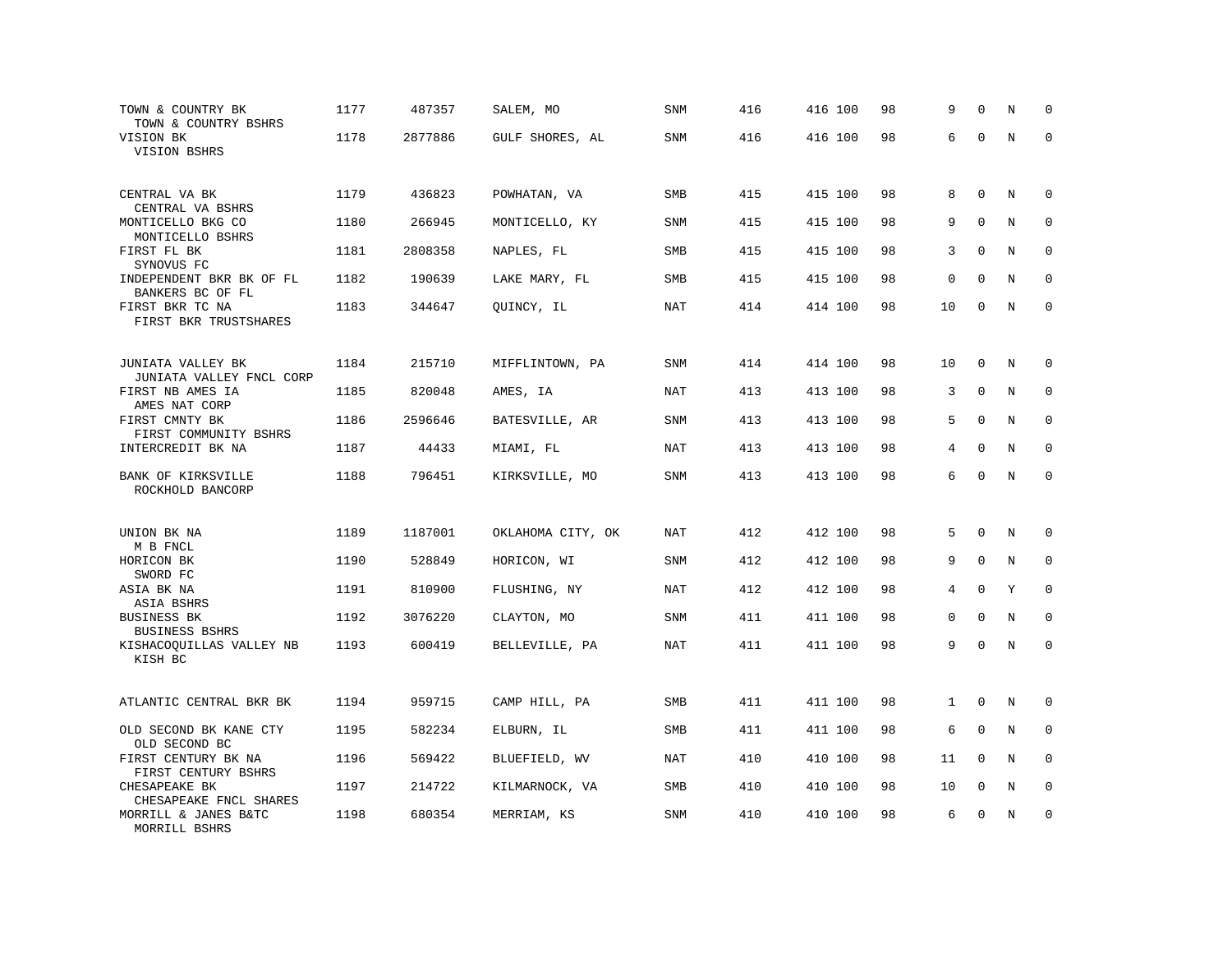| TOWN & COUNTRY BK<br>TOWN & COUNTRY BSHRS                     | 1177 | 487357  | SALEM, MO         | SNM        | 416 | 416 100 | 98 | 9           | $\mathbf 0$  | N       | $\mathbf 0$  |
|---------------------------------------------------------------|------|---------|-------------------|------------|-----|---------|----|-------------|--------------|---------|--------------|
| VISION BK<br>VISION BSHRS                                     | 1178 | 2877886 | GULF SHORES, AL   | SNM        | 416 | 416 100 | 98 | 6           | $\Omega$     | $\rm N$ | $\mathbf 0$  |
| CENTRAL VA BK                                                 | 1179 | 436823  | POWHATAN, VA      | SMB        | 415 | 415 100 | 98 | 8           | $\mathbf 0$  | N       | $\mathbf 0$  |
| CENTRAL VA BSHRS<br>MONTICELLO BKG CO<br>MONTICELLO BSHRS     | 1180 | 266945  | MONTICELLO, KY    | <b>SNM</b> | 415 | 415 100 | 98 | 9           | $\Omega$     | N       | $\mathbf 0$  |
| FIRST FL BK<br>SYNOVUS FC                                     | 1181 | 2808358 | NAPLES, FL        | SMB        | 415 | 415 100 | 98 | 3           | $\mathbf 0$  | N       | $\mathbf 0$  |
| INDEPENDENT BKR BK OF FL<br>BANKERS BC OF FL                  | 1182 | 190639  | LAKE MARY, FL     | <b>SMB</b> | 415 | 415 100 | 98 | $\mathbf 0$ | $\Omega$     | N       | $\mathbf 0$  |
| FIRST BKR TC NA<br>FIRST BKR TRUSTSHARES                      | 1183 | 344647  | QUINCY, IL        | <b>NAT</b> | 414 | 414 100 | 98 | 10          | $\mathbf 0$  | N       | $\mathbf 0$  |
| JUNIATA VALLEY BK                                             | 1184 | 215710  | MIFFLINTOWN, PA   | SNM        | 414 | 414 100 | 98 | 10          | 0            | N       | $\mathbf 0$  |
| JUNIATA VALLEY FNCL CORP<br>FIRST NB AMES IA<br>AMES NAT CORP | 1185 | 820048  | AMES, IA          | <b>NAT</b> | 413 | 413 100 | 98 | 3           | $\mathbf 0$  | N       | $\mathbf 0$  |
| FIRST CMNTY BK<br>FIRST COMMUNITY BSHRS                       | 1186 | 2596646 | BATESVILLE, AR    | SNM        | 413 | 413 100 | 98 | 5           | $\Omega$     | N       | $\mathbf 0$  |
| INTERCREDIT BK NA                                             | 1187 | 44433   | MIAMI, FL         | <b>NAT</b> | 413 | 413 100 | 98 | 4           | $\mathbf 0$  | N       | $\mathbf 0$  |
| BANK OF KIRKSVILLE<br>ROCKHOLD BANCORP                        | 1188 | 796451  | KIRKSVILLE, MO    | <b>SNM</b> | 413 | 413 100 | 98 | 6           | $\mathbf 0$  | N       | $\mathbf 0$  |
| UNION BK NA                                                   | 1189 | 1187001 | OKLAHOMA CITY, OK | <b>NAT</b> | 412 | 412 100 | 98 | 5           | $\mathbf{0}$ | N       | $\mathbf 0$  |
| M B FNCL<br>HORICON BK<br>SWORD FC                            | 1190 | 528849  | HORICON, WI       | <b>SNM</b> | 412 | 412 100 | 98 | 9           | $\Omega$     | N       | $\mathbf 0$  |
| ASIA BK NA<br>ASIA BSHRS                                      | 1191 | 810900  | FLUSHING, NY      | NAT        | 412 | 412 100 | 98 | 4           | $\mathbf 0$  | Y       | $\mathbf 0$  |
| <b>BUSINESS BK</b><br><b>BUSINESS BSHRS</b>                   | 1192 | 3076220 | CLAYTON, MO       | SNM        | 411 | 411 100 | 98 | 0           | $\mathbf 0$  | N       | $\mathbf{0}$ |
| KISHACOQUILLAS VALLEY NB<br>KISH BC                           | 1193 | 600419  | BELLEVILLE, PA    | <b>NAT</b> | 411 | 411 100 | 98 | 9           | $\Omega$     | N       | $\Omega$     |
| ATLANTIC CENTRAL BKR BK                                       | 1194 | 959715  | CAMP HILL, PA     | <b>SMB</b> | 411 | 411 100 | 98 | 1           | $\Omega$     | N       | 0            |
| OLD SECOND BK KANE CTY<br>OLD SECOND BC                       | 1195 | 582234  | ELBURN, IL        | SMB        | 411 | 411 100 | 98 | 6           | $\mathbf{0}$ | N       | 0            |
| FIRST CENTURY BK NA<br>FIRST CENTURY BSHRS                    | 1196 | 569422  | BLUEFIELD, WV     | NAT        | 410 | 410 100 | 98 | 11          | $\Omega$     | N       | $\Omega$     |
| CHESAPEAKE BK<br>CHESAPEAKE FNCL SHARES                       | 1197 | 214722  | KILMARNOCK, VA    | SMB        | 410 | 410 100 | 98 | 10          | $\mathbf{0}$ | N       | 0            |
| MORRILL & JANES B&TC<br>MORRILL BSHRS                         | 1198 | 680354  | MERRIAM, KS       | SNM        | 410 | 410 100 | 98 | 6           | $\mathbf{0}$ | N       | $\mathbf 0$  |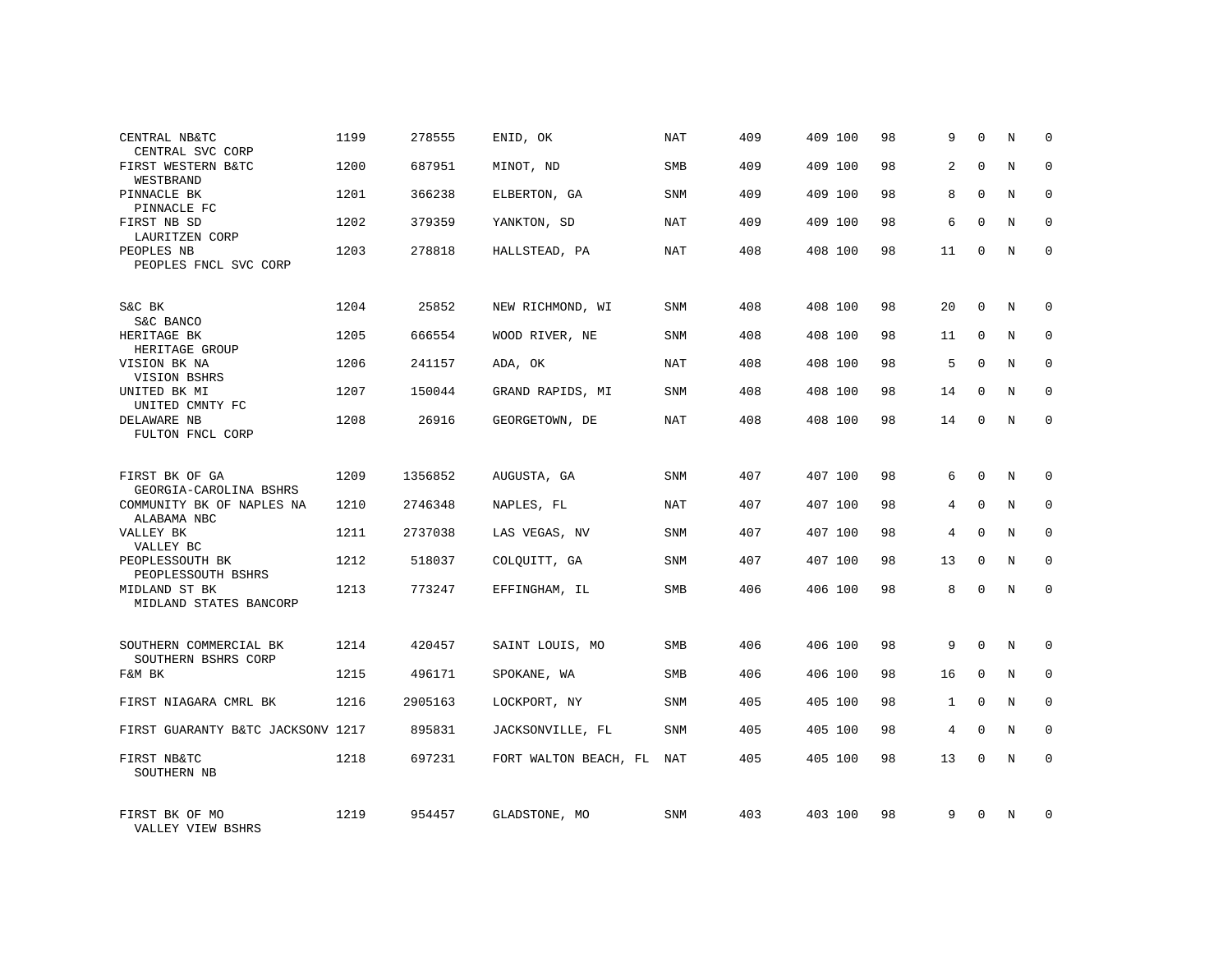| CENTRAL NB&TC<br>CENTRAL SVC CORP                  | 1199 | 278555  | ENID, OK              | NAT        | 409 | 409 100 | 98 | 9              | $\Omega$     | N          | $\Omega$    |
|----------------------------------------------------|------|---------|-----------------------|------------|-----|---------|----|----------------|--------------|------------|-------------|
| FIRST WESTERN B&TC<br>WESTBRAND                    | 1200 | 687951  | MINOT, ND             | <b>SMB</b> | 409 | 409 100 | 98 | $\overline{a}$ | $\Omega$     | N          | $\Omega$    |
| PINNACLE BK<br>PINNACLE FC                         | 1201 | 366238  | ELBERTON, GA          | SNM        | 409 | 409 100 | 98 | 8              | $\Omega$     | N          | $\Omega$    |
| FIRST NB SD<br>LAURITZEN CORP                      | 1202 | 379359  | YANKTON, SD           | NAT        | 409 | 409 100 | 98 | 6              | $\Omega$     | N          | $\Omega$    |
| PEOPLES NB<br>PEOPLES FNCL SVC CORP                | 1203 | 278818  | HALLSTEAD, PA         | NAT        | 408 | 408 100 | 98 | 11             | $\Omega$     | N          | $\Omega$    |
|                                                    |      |         |                       |            |     |         |    |                |              |            |             |
| S&C BK<br>S&C BANCO                                | 1204 | 25852   | NEW RICHMOND, WI      | <b>SNM</b> | 408 | 408 100 | 98 | 20             | $\mathbf 0$  | N          | $\mathbf 0$ |
| HERITAGE BK<br>HERITAGE GROUP                      | 1205 | 666554  | WOOD RIVER, NE        | SNM        | 408 | 408 100 | 98 | 11             | $\Omega$     | N          | $\mathbf 0$ |
| VISION BK NA<br>VISION BSHRS                       | 1206 | 241157  | ADA, OK               | <b>NAT</b> | 408 | 408 100 | 98 | 5              | $\Omega$     | N          | $\mathbf 0$ |
| UNITED BK MI                                       | 1207 | 150044  | GRAND RAPIDS, MI      | SNM        | 408 | 408 100 | 98 | 14             | $\Omega$     | N          | $\mathbf 0$ |
| UNITED CMNTY FC<br>DELAWARE NB<br>FULTON FNCL CORP | 1208 | 26916   | GEORGETOWN, DE        | <b>NAT</b> | 408 | 408 100 | 98 | 14             | $\mathbf{0}$ | N          | $\mathbf 0$ |
|                                                    |      |         |                       |            |     |         |    |                |              |            |             |
| FIRST BK OF GA<br>GEORGIA-CAROLINA BSHRS           | 1209 | 1356852 | AUGUSTA, GA           | SNM        | 407 | 407 100 | 98 | 6              | $\Omega$     | $_{\rm N}$ | $\Omega$    |
| COMMUNITY BK OF NAPLES NA<br>ALABAMA NBC           | 1210 | 2746348 | NAPLES, FL            | NAT        | 407 | 407 100 | 98 | 4              | $\mathbf 0$  | N          | $\mathbf 0$ |
| VALLEY BK<br>VALLEY BC                             | 1211 | 2737038 | LAS VEGAS, NV         | SNM        | 407 | 407 100 | 98 | 4              | $\Omega$     | N          | $\mathbf 0$ |
| PEOPLESSOUTH BK<br>PEOPLESSOUTH BSHRS              | 1212 | 518037  | COLQUITT, GA          | <b>SNM</b> | 407 | 407 100 | 98 | 13             | $\mathbf 0$  | N          | 0           |
| MIDLAND ST BK<br>MIDLAND STATES BANCORP            | 1213 | 773247  | EFFINGHAM, IL         | SMB        | 406 | 406 100 | 98 | 8              | $\Omega$     | N          | $\Omega$    |
|                                                    |      |         |                       |            |     |         |    |                |              |            |             |
| SOUTHERN COMMERCIAL BK<br>SOUTHERN BSHRS CORP      | 1214 | 420457  | SAINT LOUIS, MO       | <b>SMB</b> | 406 | 406 100 | 98 | 9              | $\Omega$     | N          | $\mathbf 0$ |
| F&M BK                                             | 1215 | 496171  | SPOKANE, WA           | SMB        | 406 | 406 100 | 98 | 16             | $\mathbf{0}$ | N          | 0           |
| FIRST NIAGARA CMRL BK                              | 1216 | 2905163 | LOCKPORT, NY          | SNM        | 405 | 405 100 | 98 | $\mathbf{1}$   | $\Omega$     | N          | $\mathbf 0$ |
| FIRST GUARANTY B&TC JACKSONV 1217                  |      | 895831  | JACKSONVILLE, FL      | SNM        | 405 | 405 100 | 98 | 4              | $\mathbf 0$  | N          | 0           |
| FIRST NB&TC<br>SOUTHERN NB                         | 1218 | 697231  | FORT WALTON BEACH, FL | NAT        | 405 | 405 100 | 98 | 13             | $\Omega$     | N          | $\mathbf 0$ |
| FIRST BK OF MO<br>VALLEY VIEW BSHRS                | 1219 | 954457  | GLADSTONE, MO         | SNM        | 403 | 403 100 | 98 | 9              | $\Omega$     | N          | $\Omega$    |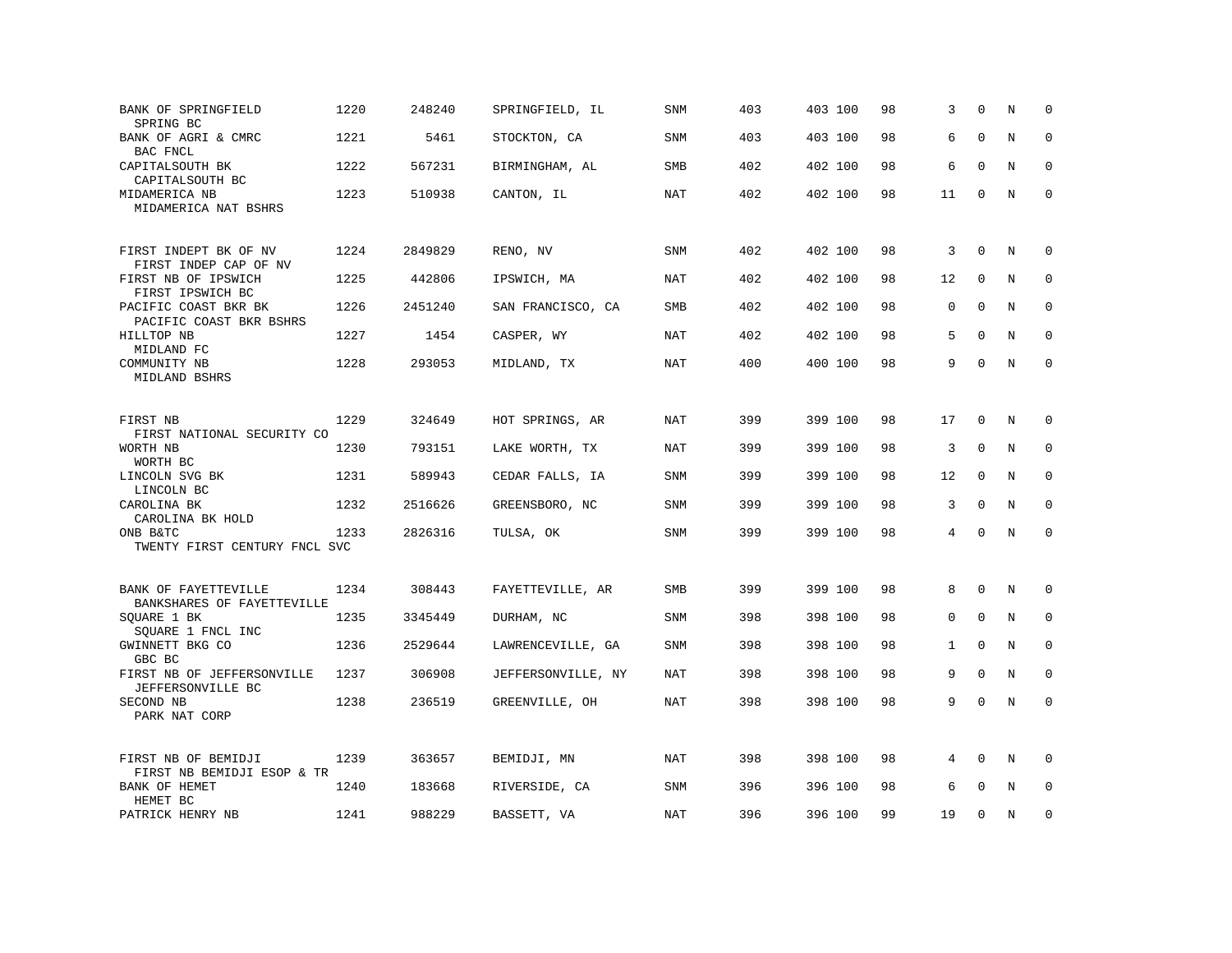| BANK OF SPRINGFIELD<br>SPRING BC                   | 1220 | 248240  | SPRINGFIELD, IL    | SNM        | 403 | 403 100 | 98 | 3            | $\Omega$     | N       | $\Omega$    |
|----------------------------------------------------|------|---------|--------------------|------------|-----|---------|----|--------------|--------------|---------|-------------|
| BANK OF AGRI & CMRC<br>BAC FNCL                    | 1221 | 5461    | STOCKTON, CA       | <b>SNM</b> | 403 | 403 100 | 98 | 6            | $\Omega$     | N       | $\mathbf 0$ |
| CAPITALSOUTH BK<br>CAPITALSOUTH BC                 | 1222 | 567231  | BIRMINGHAM, AL     | <b>SMB</b> | 402 | 402 100 | 98 | 6            | $\Omega$     | N       | $\mathbf 0$ |
| MIDAMERICA NB<br>MIDAMERICA NAT BSHRS              | 1223 | 510938  | CANTON, IL         | NAT        | 402 | 402 100 | 98 | 11           | $\mathbf 0$  | $\rm N$ | $\mathbf 0$ |
| FIRST INDEPT BK OF NV<br>FIRST INDEP CAP OF NV     | 1224 | 2849829 | RENO, NV           | <b>SNM</b> | 402 | 402 100 | 98 | 3            | $\mathbf 0$  | N       | $\mathbf 0$ |
| FIRST NB OF IPSWICH<br>FIRST IPSWICH BC            | 1225 | 442806  | IPSWICH, MA        | <b>NAT</b> | 402 | 402 100 | 98 | 12           | $\mathbf{0}$ | N       | 0           |
| PACIFIC COAST BKR BK<br>PACIFIC COAST BKR BSHRS    | 1226 | 2451240 | SAN FRANCISCO, CA  | <b>SMB</b> | 402 | 402 100 | 98 | 0            | $\Omega$     | N       | $\mathbf 0$ |
| HILLTOP NB<br>MIDLAND FC                           | 1227 | 1454    | CASPER, WY         | NAT        | 402 | 402 100 | 98 | 5            | $\Omega$     | N       | $\mathbf 0$ |
| COMMUNITY NB<br>MIDLAND BSHRS                      | 1228 | 293053  | MIDLAND, TX        | <b>NAT</b> | 400 | 400 100 | 98 | 9            | $\mathbf 0$  | N       | $\mathbf 0$ |
| FIRST NB<br>FIRST NATIONAL SECURITY CO             | 1229 | 324649  | HOT SPRINGS, AR    | NAT        | 399 | 399 100 | 98 | 17           | $\mathbf 0$  | N       | 0           |
| WORTH NB<br>WORTH BC                               | 1230 | 793151  | LAKE WORTH, TX     | NAT        | 399 | 399 100 | 98 | 3            | $\mathbf 0$  | N       | $\mathbf 0$ |
| LINCOLN SVG BK<br>LINCOLN BC                       | 1231 | 589943  | CEDAR FALLS, IA    | <b>SNM</b> | 399 | 399 100 | 98 | 12           | $\mathbf{0}$ | N       | $\mathbf 0$ |
| CAROLINA BK<br>CAROLINA BK HOLD                    | 1232 | 2516626 | GREENSBORO, NC     | SNM        | 399 | 399 100 | 98 | 3            | $\mathbf{0}$ | N       | $\mathbf 0$ |
| ONB B&TC<br>TWENTY FIRST CENTURY FNCL SVC          | 1233 | 2826316 | TULSA, OK          | SNM        | 399 | 399 100 | 98 | 4            | $\Omega$     | N       | $\mathbf 0$ |
| BANK OF FAYETTEVILLE<br>BANKSHARES OF FAYETTEVILLE | 1234 | 308443  | FAYETTEVILLE, AR   | SMB        | 399 | 399 100 | 98 | 8            | $\mathbf 0$  | N       | $\mathbf 0$ |
| SQUARE 1 BK<br>SQUARE 1 FNCL INC                   | 1235 | 3345449 | DURHAM, NC         | SNM        | 398 | 398 100 | 98 | 0            | $\mathbf 0$  | N       | $\mathbf 0$ |
| GWINNETT BKG CO<br>GBC BC                          | 1236 | 2529644 | LAWRENCEVILLE, GA  | <b>SNM</b> | 398 | 398 100 | 98 | $\mathbf{1}$ | $\mathbf 0$  | N       | $\mathbf 0$ |
| FIRST NB OF JEFFERSONVILLE<br>JEFFERSONVILLE BC    | 1237 | 306908  | JEFFERSONVILLE, NY | <b>NAT</b> | 398 | 398 100 | 98 | 9            | $\mathbf{0}$ | N       | $\mathbf 0$ |
| SECOND NB<br>PARK NAT CORP                         | 1238 | 236519  | GREENVILLE, OH     | <b>NAT</b> | 398 | 398 100 | 98 | 9            | $\Omega$     | N       | $\mathbf 0$ |
| FIRST NB OF BEMIDJI<br>FIRST NB BEMIDJI ESOP & TR  | 1239 | 363657  | BEMIDJI, MN        | NAT        | 398 | 398 100 | 98 | 4            | $\mathbf 0$  | N       | $\mathbf 0$ |
| BANK OF HEMET<br>HEMET BC                          | 1240 | 183668  | RIVERSIDE, CA      | <b>SNM</b> | 396 | 396 100 | 98 | 6            | $\Omega$     | N       | $\Omega$    |
| PATRICK HENRY NB                                   | 1241 | 988229  | BASSETT, VA        | NAT        | 396 | 396 100 | 99 | 19           | $\mathbf 0$  | N       | $\mathbf 0$ |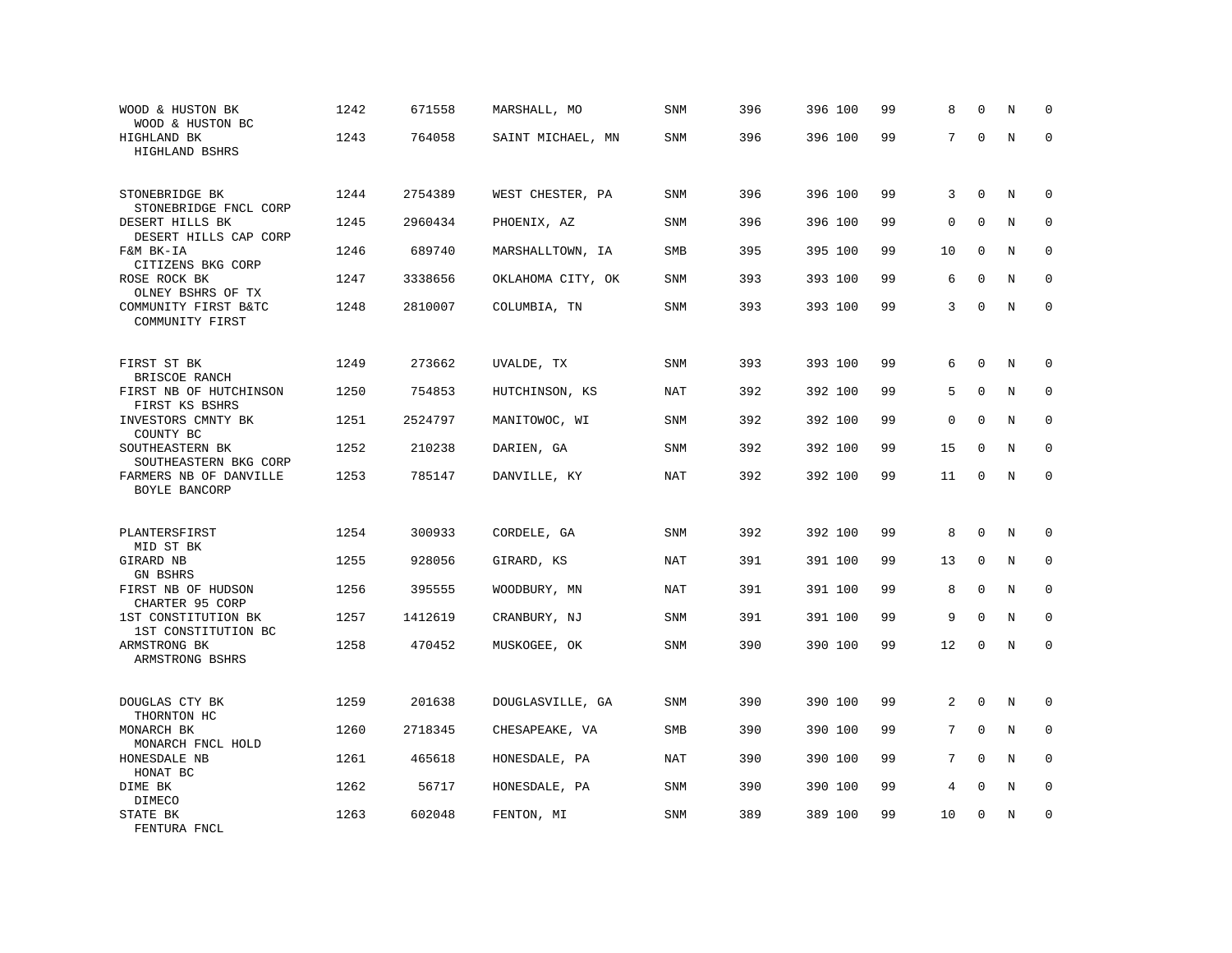| WOOD & HUSTON BK<br>WOOD & HUSTON BC                      | 1242 | 671558  | MARSHALL, MO      | SNM        | 396 | 396 100 | 99 | 8           | $\Omega$     | N       | $\mathbf 0$  |
|-----------------------------------------------------------|------|---------|-------------------|------------|-----|---------|----|-------------|--------------|---------|--------------|
| HIGHLAND BK<br>HIGHLAND BSHRS                             | 1243 | 764058  | SAINT MICHAEL, MN | SNM        | 396 | 396 100 | 99 | 7           | $\mathbf 0$  | $\rm N$ | $\mathbf 0$  |
| STONEBRIDGE BK<br>STONEBRIDGE FNCL CORP                   | 1244 | 2754389 | WEST CHESTER, PA  | <b>SNM</b> | 396 | 396 100 | 99 | 3           | $\mathbf 0$  | N       | $\mathbf 0$  |
| DESERT HILLS BK<br>DESERT HILLS CAP CORP                  | 1245 | 2960434 | PHOENIX, AZ       | SNM        | 396 | 396 100 | 99 | $\mathbf 0$ | $\mathbf 0$  | N       | $\mathbf 0$  |
| F&M BK-IA<br>CITIZENS BKG CORP                            | 1246 | 689740  | MARSHALLTOWN, IA  | SMB        | 395 | 395 100 | 99 | 10          | $\mathbf 0$  | N       | $\mathbf 0$  |
| ROSE ROCK BK<br>OLNEY BSHRS OF TX                         | 1247 | 3338656 | OKLAHOMA CITY, OK | <b>SNM</b> | 393 | 393 100 | 99 | 6           | $\mathbf{0}$ | N       | $\mathbf 0$  |
| COMMUNITY FIRST B&TC<br>COMMUNITY FIRST                   | 1248 | 2810007 | COLUMBIA, TN      | <b>SNM</b> | 393 | 393 100 | 99 | 3           | $\Omega$     | N       | $\mathbf 0$  |
| FIRST ST BK                                               | 1249 | 273662  | UVALDE, TX        | SNM        | 393 | 393 100 | 99 | 6           | $\mathbf 0$  | N       | $\mathbf 0$  |
| BRISCOE RANCH<br>FIRST NB OF HUTCHINSON<br>FIRST KS BSHRS | 1250 | 754853  | HUTCHINSON, KS    | NAT        | 392 | 392 100 | 99 | 5           | $\mathbf 0$  | N       | 0            |
| INVESTORS CMNTY BK<br>COUNTY BC                           | 1251 | 2524797 | MANITOWOC, WI     | SNM        | 392 | 392 100 | 99 | $\mathbf 0$ | $\mathbf 0$  | N       | $\mathbf{0}$ |
| SOUTHEASTERN BK<br>SOUTHEASTERN BKG CORP                  | 1252 | 210238  | DARIEN, GA        | SNM        | 392 | 392 100 | 99 | 15          | $\mathbf 0$  | N       | $\Omega$     |
| FARMERS NB OF DANVILLE<br>BOYLE BANCORP                   | 1253 | 785147  | DANVILLE, KY      | <b>NAT</b> | 392 | 392 100 | 99 | 11          | $\mathbf 0$  | N       | $\mathbf 0$  |
| PLANTERSFIRST                                             | 1254 | 300933  | CORDELE, GA       | <b>SNM</b> | 392 | 392 100 | 99 | 8           | $\mathbf 0$  | N       | $\mathbf 0$  |
| MID ST BK<br>GIRARD NB<br><b>GN BSHRS</b>                 | 1255 | 928056  | GIRARD, KS        | NAT        | 391 | 391 100 | 99 | 13          | $\mathbf 0$  | N       | $\mathbf 0$  |
| FIRST NB OF HUDSON<br>CHARTER 95 CORP                     | 1256 | 395555  | WOODBURY, MN      | NAT        | 391 | 391 100 | 99 | 8           | $\mathbf 0$  | N       | $\mathbf 0$  |
| 1ST CONSTITUTION BK<br>1ST CONSTITUTION BC                | 1257 | 1412619 | CRANBURY, NJ      | SNM        | 391 | 391 100 | 99 | 9           | $\Omega$     | N       | 0            |
| ARMSTRONG BK<br>ARMSTRONG BSHRS                           | 1258 | 470452  | MUSKOGEE, OK      | SNM        | 390 | 390 100 | 99 | 12          | $\mathbf 0$  | N       | $\mathbf 0$  |
| DOUGLAS CTY BK<br>THORNTON HC                             | 1259 | 201638  | DOUGLASVILLE, GA  | SNM        | 390 | 390 100 | 99 | 2           | $\mathbf 0$  | N       | 0            |
| MONARCH BK<br>MONARCH FNCL HOLD                           | 1260 | 2718345 | CHESAPEAKE, VA    | SMB        | 390 | 390 100 | 99 | 7           | $\mathbf{0}$ | N       | $\mathbf 0$  |
| HONESDALE NB<br>HONAT BC                                  | 1261 | 465618  | HONESDALE, PA     | NAT        | 390 | 390 100 | 99 | 7           | $\Omega$     | N       | $\mathbf 0$  |
| DIME BK<br>DIMECO                                         | 1262 | 56717   | HONESDALE, PA     | SNM        | 390 | 390 100 | 99 | 4           | $\mathbf 0$  | N       | $\mathbf 0$  |
| STATE BK<br>FENTURA FNCL                                  | 1263 | 602048  | FENTON, MI        | SNM        | 389 | 389 100 | 99 | 10          | $\mathbf{0}$ | N       | $\mathbf 0$  |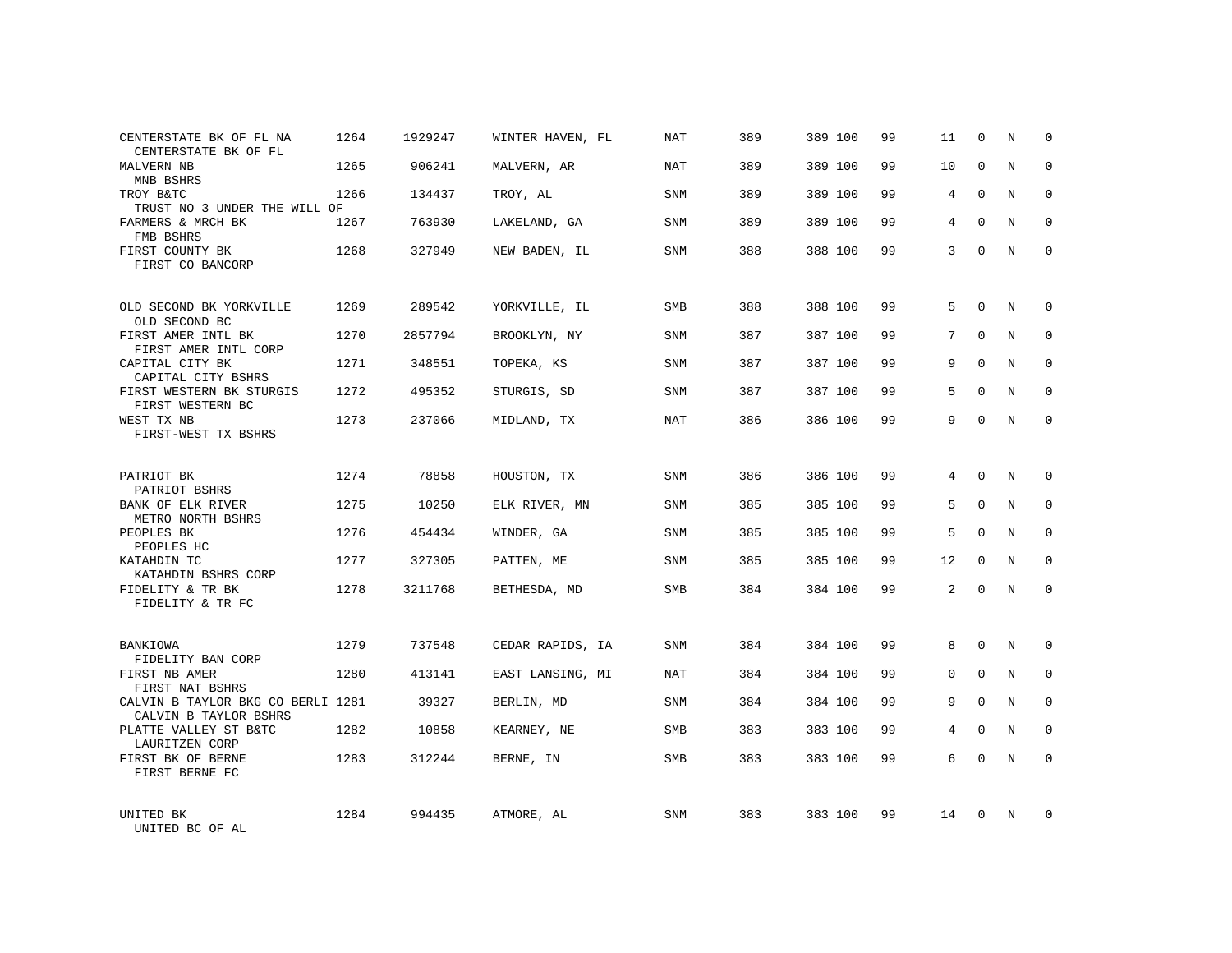| CENTERSTATE BK OF FL NA<br>CENTERSTATE BK OF FL            | 1264 | 1929247 | WINTER HAVEN, FL | NAT        | 389 | 389 100 | 99 | 11 | 0           | N | 0            |
|------------------------------------------------------------|------|---------|------------------|------------|-----|---------|----|----|-------------|---|--------------|
| <b>MALVERN NB</b><br>MNB BSHRS                             | 1265 | 906241  | MALVERN, AR      | <b>NAT</b> | 389 | 389 100 | 99 | 10 | $\Omega$    | N | $\Omega$     |
| TROY B&TC<br>TRUST NO 3 UNDER THE WILL OF                  | 1266 | 134437  | TROY, AL         | SNM        | 389 | 389 100 | 99 | 4  | $\mathbf 0$ | N | $\mathbf 0$  |
| FARMERS & MRCH BK<br>FMB BSHRS                             | 1267 | 763930  | LAKELAND, GA     | SNM        | 389 | 389 100 | 99 | 4  | $\Omega$    | N | $\mathbf 0$  |
| FIRST COUNTY BK<br>FIRST CO BANCORP                        | 1268 | 327949  | NEW BADEN, IL    | SNM        | 388 | 388 100 | 99 | 3  | $\Omega$    | N | $\Omega$     |
| OLD SECOND BK YORKVILLE<br>OLD SECOND BC                   | 1269 | 289542  | YORKVILLE, IL    | <b>SMB</b> | 388 | 388 100 | 99 | 5  | $\Omega$    | N | $\mathbf 0$  |
| FIRST AMER INTL BK<br>FIRST AMER INTL CORP                 | 1270 | 2857794 | BROOKLYN, NY     | SNM        | 387 | 387 100 | 99 | 7  | $\mathbf 0$ | N | $\mathbf 0$  |
| CAPITAL CITY BK<br>CAPITAL CITY BSHRS                      | 1271 | 348551  | TOPEKA, KS       | SNM        | 387 | 387 100 | 99 | 9  | $\Omega$    | N | $\mathbf 0$  |
| FIRST WESTERN BK STURGIS<br>FIRST WESTERN BC               | 1272 | 495352  | STURGIS, SD      | SNM        | 387 | 387 100 | 99 | 5  | $\mathbf 0$ | N | 0            |
| WEST TX NB<br>FIRST-WEST TX BSHRS                          | 1273 | 237066  | MIDLAND, TX      | NAT        | 386 | 386 100 | 99 | 9  | $\Omega$    | N | $\mathbf 0$  |
| PATRIOT BK<br>PATRIOT BSHRS                                | 1274 | 78858   | HOUSTON, TX      | <b>SNM</b> | 386 | 386 100 | 99 | 4  | $\Omega$    | N | 0            |
| BANK OF ELK RIVER<br>METRO NORTH BSHRS                     | 1275 | 10250   | ELK RIVER, MN    | SNM        | 385 | 385 100 | 99 | 5  | $\Omega$    | N | $\mathbf 0$  |
| PEOPLES BK<br>PEOPLES HC                                   | 1276 | 454434  | WINDER, GA       | SNM        | 385 | 385 100 | 99 | 5  | $\Omega$    | N | $\mathbf 0$  |
| KATAHDIN TC<br>KATAHDIN BSHRS CORP                         | 1277 | 327305  | PATTEN, ME       | SNM        | 385 | 385 100 | 99 | 12 | $\Omega$    | N | $\mathbf 0$  |
| FIDELITY & TR BK<br>FIDELITY & TR FC                       | 1278 | 3211768 | BETHESDA, MD     | <b>SMB</b> | 384 | 384 100 | 99 | 2  | 0           | N | $\mathbf 0$  |
| BANKIOWA<br>FIDELITY BAN CORP                              | 1279 | 737548  | CEDAR RAPIDS, IA | SNM        | 384 | 384 100 | 99 | 8  | $\mathbf 0$ | N | 0            |
| FIRST NB AMER<br>FIRST NAT BSHRS                           | 1280 | 413141  | EAST LANSING, MI | NAT        | 384 | 384 100 | 99 | 0  | $\mathbf 0$ | N | 0            |
| CALVIN B TAYLOR BKG CO BERLI 1281<br>CALVIN B TAYLOR BSHRS |      | 39327   | BERLIN, MD       | SNM        | 384 | 384 100 | 99 | 9  | $\Omega$    | N | $\mathbf{0}$ |
| PLATTE VALLEY ST B&TC<br>LAURITZEN CORP                    | 1282 | 10858   | KEARNEY, NE      | SMB        | 383 | 383 100 | 99 | 4  | $\Omega$    | N | 0            |
| FIRST BK OF BERNE<br>FIRST BERNE FC                        | 1283 | 312244  | BERNE, IN        | <b>SMB</b> | 383 | 383 100 | 99 | 6  | $\Omega$    | N | $\mathbf 0$  |
| UNITED BK<br>UNITED BC OF AL                               | 1284 | 994435  | ATMORE, AL       | <b>SNM</b> | 383 | 383 100 | 99 | 14 | $\Omega$    | N | $\mathbf 0$  |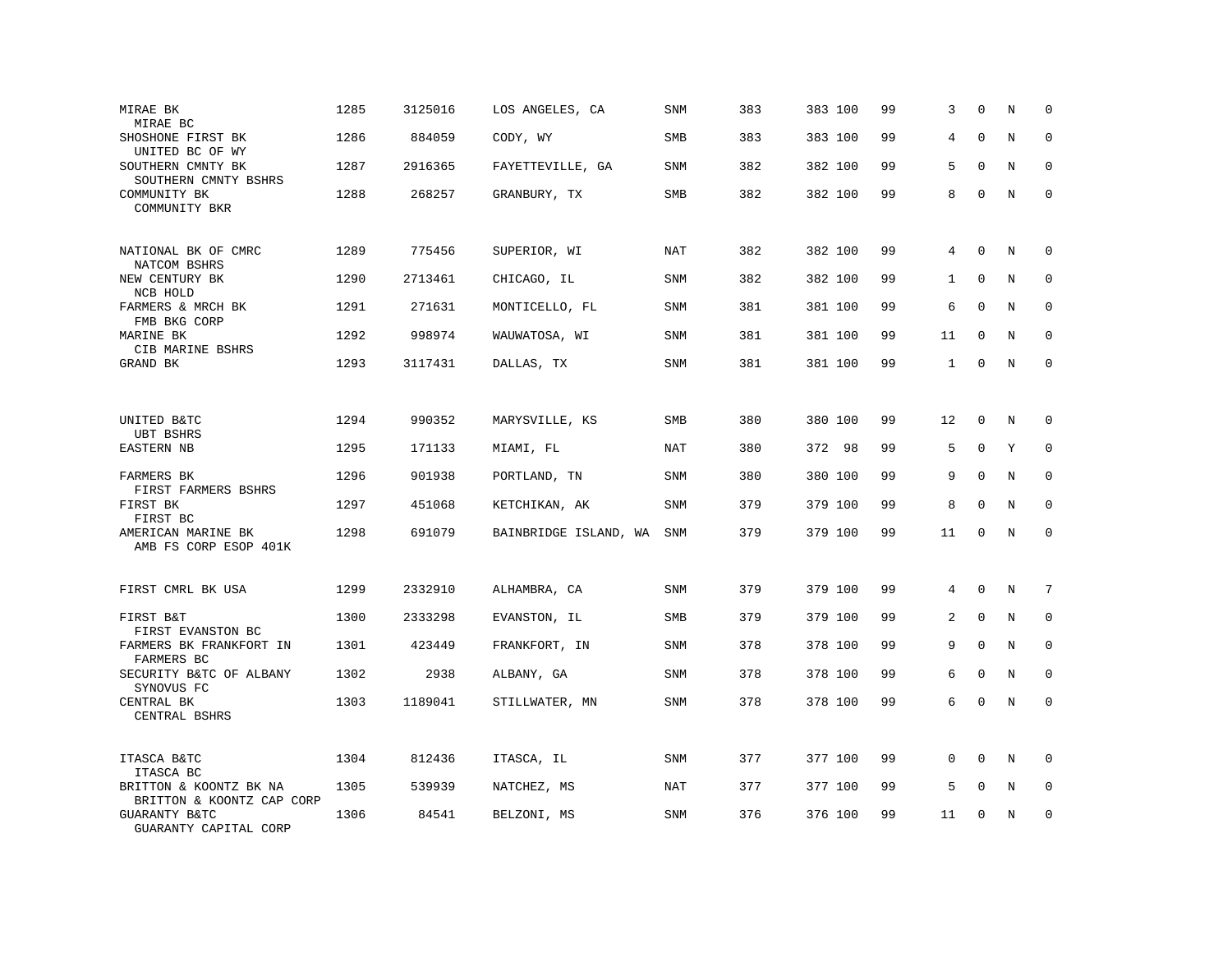| MIRAE BK<br>MIRAE BC                                | 1285 | 3125016 | LOS ANGELES, CA       | SNM        | 383 | 383 100 | 99 | 3            | $\mathbf 0$  | N | $\mathbf 0$ |
|-----------------------------------------------------|------|---------|-----------------------|------------|-----|---------|----|--------------|--------------|---|-------------|
| SHOSHONE FIRST BK<br>UNITED BC OF WY                | 1286 | 884059  | CODY, WY              | <b>SMB</b> | 383 | 383 100 | 99 | 4            | $\Omega$     | N | $\Omega$    |
| SOUTHERN CMNTY BK<br>SOUTHERN CMNTY BSHRS           | 1287 | 2916365 | FAYETTEVILLE, GA      | SNM        | 382 | 382 100 | 99 | 5            | $\mathbf{0}$ | N | $\mathbf 0$ |
| COMMUNITY BK<br>COMMUNITY BKR                       | 1288 | 268257  | GRANBURY, TX          | <b>SMB</b> | 382 | 382 100 | 99 | 8            | $\mathbf 0$  | N | $\mathbf 0$ |
| NATIONAL BK OF CMRC<br>NATCOM BSHRS                 | 1289 | 775456  | SUPERIOR, WI          | NAT        | 382 | 382 100 | 99 | 4            | $\Omega$     | N | $\Omega$    |
| NEW CENTURY BK<br>NCB HOLD                          | 1290 | 2713461 | CHICAGO, IL           | SNM        | 382 | 382 100 | 99 | $\mathbf{1}$ | $\mathbf{0}$ | N | 0           |
| FARMERS & MRCH BK<br>FMB BKG CORP                   | 1291 | 271631  | MONTICELLO, FL        | <b>SNM</b> | 381 | 381 100 | 99 | 6            | $\Omega$     | N | $\mathbf 0$ |
| MARINE BK<br>CIB MARINE BSHRS                       | 1292 | 998974  | WAUWATOSA, WI         | SNM        | 381 | 381 100 | 99 | 11           | $\mathbf 0$  | N | $\mathbf 0$ |
| GRAND BK                                            | 1293 | 3117431 | DALLAS, TX            | <b>SNM</b> | 381 | 381 100 | 99 | 1            | $\Omega$     | N | $\mathbf 0$ |
|                                                     | 1294 |         |                       |            | 380 |         | 99 | 12           | $\mathbf{0}$ |   |             |
| UNITED B&TC<br><b>UBT BSHRS</b>                     |      | 990352  | MARYSVILLE, KS        | <b>SMB</b> |     | 380 100 |    |              |              | N | 0           |
| EASTERN NB                                          | 1295 | 171133  | MIAMI, FL             | <b>NAT</b> | 380 | 372 98  | 99 | 5            | $\mathbf{0}$ | Υ | $\mathbf 0$ |
| FARMERS BK<br>FIRST FARMERS BSHRS                   | 1296 | 901938  | PORTLAND, TN          | SNM        | 380 | 380 100 | 99 | 9            | $\mathbf 0$  | N | $\mathbf 0$ |
| FIRST BK<br>FIRST BC                                | 1297 | 451068  | KETCHIKAN, AK         | SNM        | 379 | 379 100 | 99 | 8            | $\mathbf 0$  | N | $\mathbf 0$ |
| AMERICAN MARINE BK<br>AMB FS CORP ESOP 401K         | 1298 | 691079  | BAINBRIDGE ISLAND, WA | SNM        | 379 | 379 100 | 99 | 11           | $\mathbf 0$  | N | $\mathbf 0$ |
| FIRST CMRL BK USA                                   | 1299 | 2332910 | ALHAMBRA, CA          | SNM        | 379 | 379 100 | 99 | 4            | $\mathbf{0}$ | N | 7           |
| FIRST B&T<br>FIRST EVANSTON BC                      | 1300 | 2333298 | EVANSTON, IL          | SMB        | 379 | 379 100 | 99 | 2            | $\mathbf 0$  | N | 0           |
| FARMERS BK FRANKFORT IN<br>FARMERS BC               | 1301 | 423449  | FRANKFORT, IN         | SNM        | 378 | 378 100 | 99 | 9            | $\mathbf 0$  | N | $\mathbf 0$ |
| SECURITY B&TC OF ALBANY<br>SYNOVUS FC               | 1302 | 2938    | ALBANY, GA            | SNM        | 378 | 378 100 | 99 | 6            | $\mathbf 0$  | N | $\mathbf 0$ |
| CENTRAL BK<br>CENTRAL BSHRS                         | 1303 | 1189041 | STILLWATER, MN        | SNM        | 378 | 378 100 | 99 | 6            | $\mathbf{0}$ | N | $\mathbf 0$ |
| ITASCA B&TC<br>ITASCA BC                            | 1304 | 812436  | ITASCA, IL            | SNM        | 377 | 377 100 | 99 | 0            | $\Omega$     | N | $\mathbf 0$ |
| BRITTON & KOONTZ BK NA<br>BRITTON & KOONTZ CAP CORP | 1305 | 539939  | NATCHEZ, MS           | NAT        | 377 | 377 100 | 99 | 5            | $\mathbf 0$  | N | $\mathbf 0$ |
| <b>GUARANTY B&amp;TC</b><br>GUARANTY CAPITAL CORP   | 1306 | 84541   | BELZONI, MS           | <b>SNM</b> | 376 | 376 100 | 99 | 11           | $\mathbf 0$  | N | $\mathbf 0$ |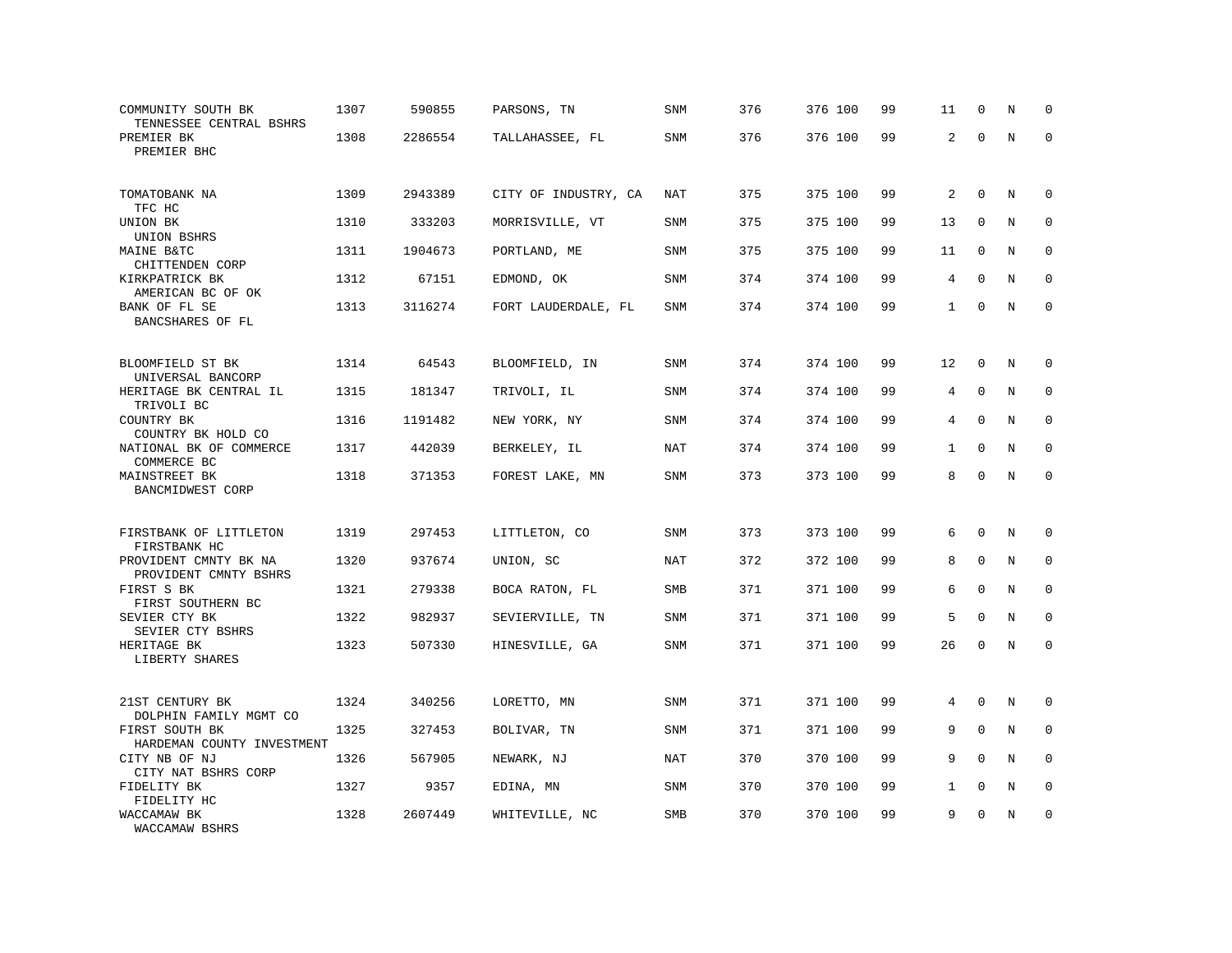| COMMUNITY SOUTH BK<br>TENNESSEE CENTRAL BSHRS  | 1307 | 590855  | PARSONS, TN          | SNM        | 376 | 376 100 | 99 | 11           | $\mathbf 0$  | N       | $\Omega$     |
|------------------------------------------------|------|---------|----------------------|------------|-----|---------|----|--------------|--------------|---------|--------------|
| PREMIER BK<br>PREMIER BHC                      | 1308 | 2286554 | TALLAHASSEE, FL      | SNM        | 376 | 376 100 | 99 | 2            | $\Omega$     | $\rm N$ | $\mathbf 0$  |
| TOMATOBANK NA<br>TFC HC                        | 1309 | 2943389 | CITY OF INDUSTRY, CA | NAT        | 375 | 375 100 | 99 | 2            | $\mathbf 0$  | N       | $\mathbf 0$  |
| UNION BK                                       | 1310 | 333203  | MORRISVILLE, VT      | <b>SNM</b> | 375 | 375 100 | 99 | 13           | $\Omega$     | N       | $\mathbf 0$  |
| UNION BSHRS<br>MAINE B&TC<br>CHITTENDEN CORP   | 1311 | 1904673 | PORTLAND, ME         | SNM        | 375 | 375 100 | 99 | 11           | $\mathbf{0}$ | N       | $\mathbf 0$  |
| KIRKPATRICK BK<br>AMERICAN BC OF OK            | 1312 | 67151   | EDMOND, OK           | <b>SNM</b> | 374 | 374 100 | 99 | 4            | $\Omega$     | N       | $\mathbf 0$  |
| BANK OF FL SE<br>BANCSHARES OF FL              | 1313 | 3116274 | FORT LAUDERDALE, FL  | SNM        | 374 | 374 100 | 99 | $\mathbf{1}$ | $\Omega$     | N       | $\mathbf 0$  |
| BLOOMFIELD ST BK                               | 1314 | 64543   | BLOOMFIELD, IN       | <b>SNM</b> | 374 | 374 100 | 99 | 12           | $\Omega$     | N       | $\mathbf 0$  |
| UNIVERSAL BANCORP<br>HERITAGE BK CENTRAL IL    | 1315 | 181347  | TRIVOLI, IL          | SNM        | 374 | 374 100 | 99 | 4            | $\mathbf{0}$ | N       | $\mathbf 0$  |
| TRIVOLI BC<br>COUNTRY BK<br>COUNTRY BK HOLD CO | 1316 | 1191482 | NEW YORK, NY         | <b>SNM</b> | 374 | 374 100 | 99 | 4            | $\Omega$     | N       | $\mathbf 0$  |
| NATIONAL BK OF COMMERCE<br>COMMERCE BC         | 1317 | 442039  | BERKELEY, IL         | <b>NAT</b> | 374 | 374 100 | 99 | $\mathbf{1}$ | $\mathbf{0}$ | N       | $\mathbf 0$  |
| MAINSTREET BK<br>BANCMIDWEST CORP              | 1318 | 371353  | FOREST LAKE, MN      | SNM        | 373 | 373 100 | 99 | 8            | $\Omega$     | N       | $\mathbf 0$  |
| FIRSTBANK OF LITTLETON<br>FIRSTBANK HC         | 1319 | 297453  | LITTLETON, CO        | SNM        | 373 | 373 100 | 99 | 6            | $\mathbf 0$  | N       | $\mathbf 0$  |
| PROVIDENT CMNTY BK NA<br>PROVIDENT CMNTY BSHRS | 1320 | 937674  | UNION, SC            | NAT        | 372 | 372 100 | 99 | 8            | $\Omega$     | N       | $\mathbf 0$  |
| FIRST S BK<br>FIRST SOUTHERN BC                | 1321 | 279338  | BOCA RATON, FL       | SMB        | 371 | 371 100 | 99 | 6            | $\mathbf{0}$ | N       | $\mathbf 0$  |
| SEVIER CTY BK<br>SEVIER CTY BSHRS              | 1322 | 982937  | SEVIERVILLE, TN      | <b>SNM</b> | 371 | 371 100 | 99 | 5            | $\mathbf{0}$ | N       | $\mathbf{0}$ |
| HERITAGE BK<br>LIBERTY SHARES                  | 1323 | 507330  | HINESVILLE, GA       | SNM        | 371 | 371 100 | 99 | 26           | 0            | N       | $\Omega$     |
| 21ST CENTURY BK<br>DOLPHIN FAMILY MGMT CO      | 1324 | 340256  | LORETTO, MN          | SNM        | 371 | 371 100 | 99 | 4            | $\Omega$     | N       | 0            |
| FIRST SOUTH BK<br>HARDEMAN COUNTY INVESTMENT   | 1325 | 327453  | BOLIVAR, TN          | SNM        | 371 | 371 100 | 99 | 9            | $\mathbf 0$  | N       | $\mathbf 0$  |
| CITY NB OF NJ<br>CITY NAT BSHRS CORP           | 1326 | 567905  | NEWARK, NJ           | NAT        | 370 | 370 100 | 99 | 9            | $\Omega$     | N       | $\Omega$     |
| FIDELITY BK<br>FIDELITY HC                     | 1327 | 9357    | EDINA, MN            | SNM        | 370 | 370 100 | 99 | $\mathbf{1}$ | $\mathbf{0}$ | N       | 0            |
| WACCAMAW BK<br>WACCAMAW BSHRS                  | 1328 | 2607449 | WHITEVILLE, NC       | <b>SMB</b> | 370 | 370 100 | 99 | 9            | $\mathbf 0$  | N       | $\mathbf 0$  |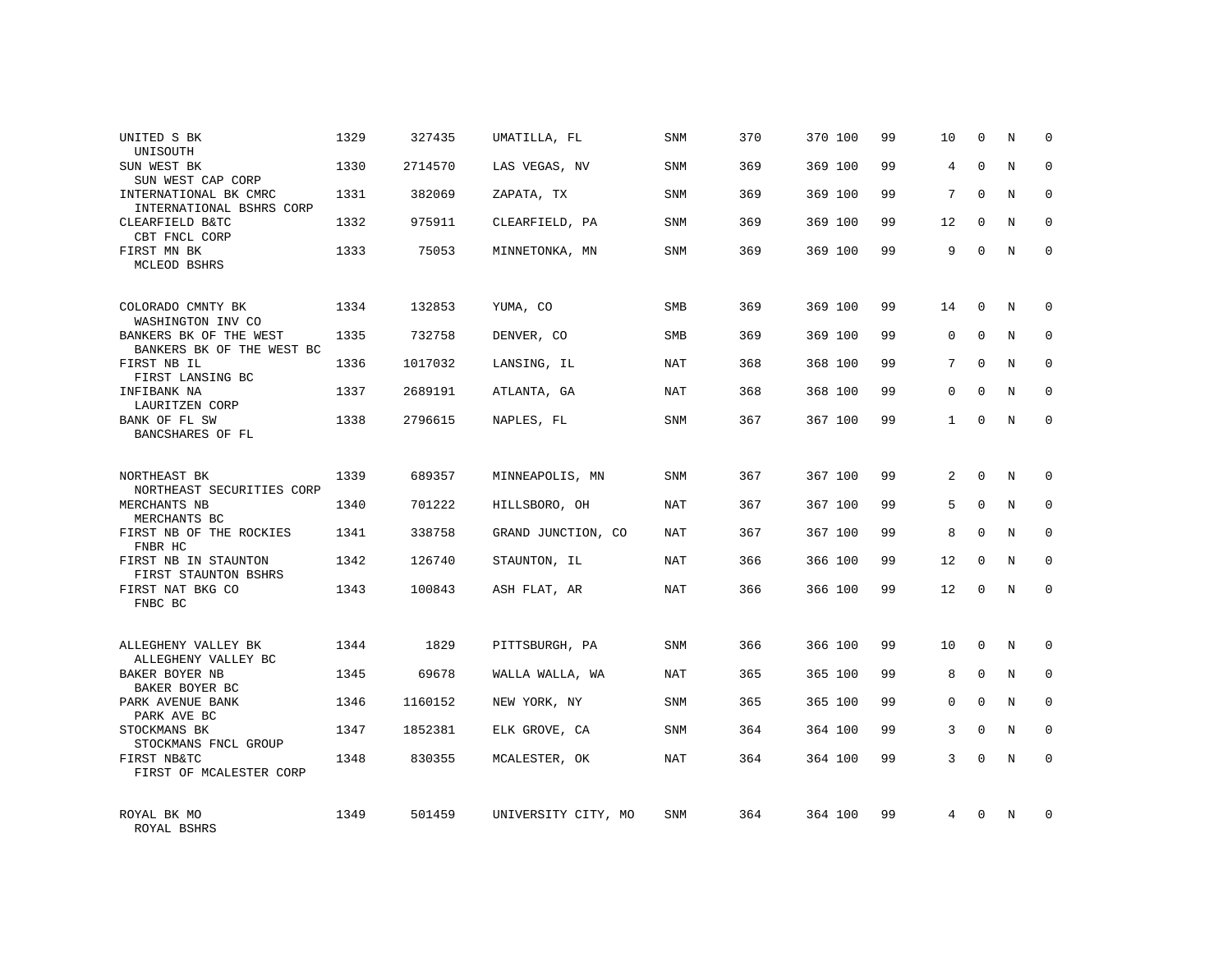| UNITED S BK<br>UNISOUTH                             | 1329 | 327435  | UMATILLA, FL        | <b>SNM</b> | 370 | 370 100 | 99 | 10           | $\mathbf 0$ | N | $\Omega$     |
|-----------------------------------------------------|------|---------|---------------------|------------|-----|---------|----|--------------|-------------|---|--------------|
| SUN WEST BK<br>SUN WEST CAP CORP                    | 1330 | 2714570 | LAS VEGAS, NV       | <b>SNM</b> | 369 | 369 100 | 99 | 4            | $\Omega$    | N | $\Omega$     |
| INTERNATIONAL BK CMRC<br>INTERNATIONAL BSHRS CORP   | 1331 | 382069  | ZAPATA, TX          | SNM        | 369 | 369 100 | 99 | 7            | $\Omega$    | N | $\mathbf 0$  |
| CLEARFIELD B&TC<br>CBT FNCL CORP                    | 1332 | 975911  | CLEARFIELD, PA      | <b>SNM</b> | 369 | 369 100 | 99 | 12           | $\Omega$    | N | $\mathbf 0$  |
| FIRST MN BK<br>MCLEOD BSHRS                         | 1333 | 75053   | MINNETONKA, MN      | <b>SNM</b> | 369 | 369 100 | 99 | 9            | $\Omega$    | N | $\Omega$     |
| COLORADO CMNTY BK<br>WASHINGTON INV CO              | 1334 | 132853  | YUMA, CO            | <b>SMB</b> | 369 | 369 100 | 99 | 14           | $\Omega$    | N | $\Omega$     |
| BANKERS BK OF THE WEST<br>BANKERS BK OF THE WEST BC | 1335 | 732758  | DENVER, CO          | <b>SMB</b> | 369 | 369 100 | 99 | 0            | $\mathbf 0$ | N | $\mathbf 0$  |
| FIRST NB IL<br>FIRST LANSING BC                     | 1336 | 1017032 | LANSING, IL         | NAT        | 368 | 368 100 | 99 | $7^{\circ}$  | $\Omega$    | N | $\mathbf 0$  |
| INFIBANK NA<br>LAURITZEN CORP                       | 1337 | 2689191 | ATLANTA, GA         | NAT        | 368 | 368 100 | 99 | 0            | $\Omega$    | N | 0            |
| BANK OF FL SW<br>BANCSHARES OF FL                   | 1338 | 2796615 | NAPLES, FL          | <b>SNM</b> | 367 | 367 100 | 99 | $\mathbf{1}$ | $\Omega$    | N | $\mathbf 0$  |
| NORTHEAST BK<br>NORTHEAST SECURITIES CORP           | 1339 | 689357  | MINNEAPOLIS, MN     | SNM        | 367 | 367 100 | 99 | 2            | $\Omega$    | N | 0            |
| MERCHANTS NB<br>MERCHANTS BC                        | 1340 | 701222  | HILLSBORO, OH       | NAT        | 367 | 367 100 | 99 | 5            | $\Omega$    | N | $\mathbf 0$  |
| FIRST NB OF THE ROCKIES<br>FNBR HC                  | 1341 | 338758  | GRAND JUNCTION, CO  | NAT        | 367 | 367 100 | 99 | 8            | $\Omega$    | N | $\mathbf 0$  |
| FIRST NB IN STAUNTON<br>FIRST STAUNTON BSHRS        | 1342 | 126740  | STAUNTON, IL        | NAT        | 366 | 366 100 | 99 | 12           | $\Omega$    | N | $\mathbf 0$  |
| FIRST NAT BKG CO<br>FNBC BC                         | 1343 | 100843  | ASH FLAT, AR        | <b>NAT</b> | 366 | 366 100 | 99 | 12           | 0           | N | $\mathbf 0$  |
| ALLEGHENY VALLEY BK<br>ALLEGHENY VALLEY BC          | 1344 | 1829    | PITTSBURGH, PA      | SNM        | 366 | 366 100 | 99 | 10           | $\mathbf 0$ | N | $\mathbf 0$  |
| BAKER BOYER NB<br>BAKER BOYER BC                    | 1345 | 69678   | WALLA WALLA, WA     | NAT        | 365 | 365 100 | 99 | 8            | $\mathbf 0$ | N | $\mathbf 0$  |
| PARK AVENUE BANK<br>PARK AVE BC                     | 1346 | 1160152 | NEW YORK, NY        | <b>SNM</b> | 365 | 365 100 | 99 | $\Omega$     | $\Omega$    | N | $\mathbf{0}$ |
| STOCKMANS BK<br>STOCKMANS FNCL GROUP                | 1347 | 1852381 | ELK GROVE, CA       | SNM        | 364 | 364 100 | 99 | 3            | $\Omega$    | N | $\mathbf 0$  |
| FIRST NB&TC<br>FIRST OF MCALESTER CORP              | 1348 | 830355  | MCALESTER, OK       | <b>NAT</b> | 364 | 364 100 | 99 | 3            | $\Omega$    | N | $\Omega$     |
| ROYAL BK MO<br>ROYAL BSHRS                          | 1349 | 501459  | UNIVERSITY CITY, MO | <b>SNM</b> | 364 | 364 100 | 99 | 4            | $\Omega$    | N | $\Omega$     |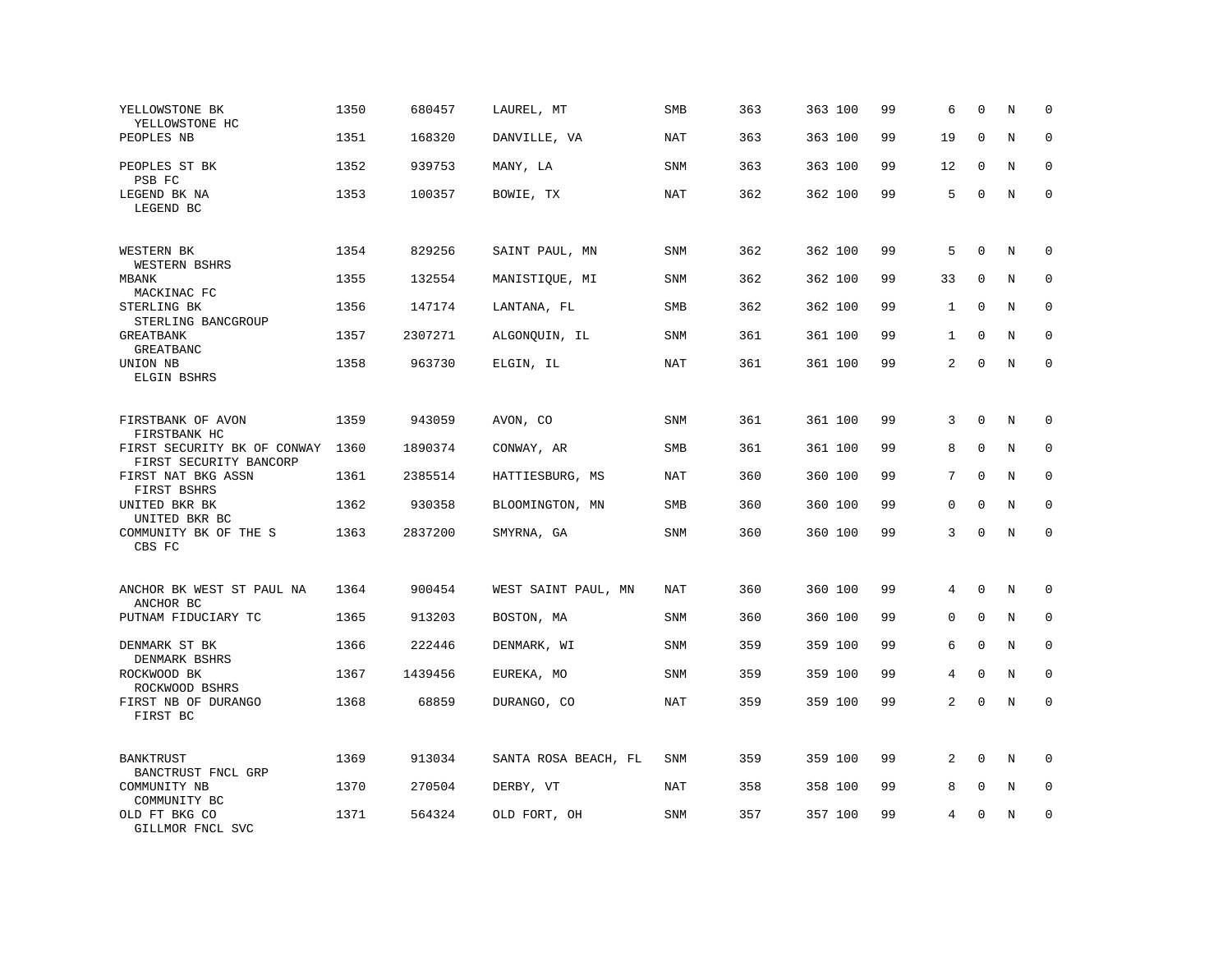| YELLOWSTONE BK<br>YELLOWSTONE HC                      | 1350 | 680457  | LAUREL, MT           | SMB        | 363 | 363 100 | 99 | 6            | $\mathbf 0$  | N       | $\mathbf 0$  |
|-------------------------------------------------------|------|---------|----------------------|------------|-----|---------|----|--------------|--------------|---------|--------------|
| PEOPLES NB                                            | 1351 | 168320  | DANVILLE, VA         | NAT        | 363 | 363 100 | 99 | 19           | $\Omega$     | N       | $\mathbf 0$  |
| PEOPLES ST BK<br>PSB FC                               | 1352 | 939753  | MANY, LA             | SNM        | 363 | 363 100 | 99 | 12           | $\mathbf{0}$ | N       | $\mathbf 0$  |
| LEGEND BK NA<br>LEGEND BC                             | 1353 | 100357  | BOWIE, TX            | NAT        | 362 | 362 100 | 99 | 5            | $\mathbf 0$  | N       | $\mathbf 0$  |
| WESTERN BK<br>WESTERN BSHRS                           | 1354 | 829256  | SAINT PAUL, MN       | <b>SNM</b> | 362 | 362 100 | 99 | 5            | $\mathbf 0$  | N       | 0            |
| <b>MBANK</b><br>MACKINAC FC                           | 1355 | 132554  | MANISTIQUE, MI       | <b>SNM</b> | 362 | 362 100 | 99 | 33           | $\mathbf 0$  | N       | $\mathbf 0$  |
| STERLING BK<br>STERLING BANCGROUP                     | 1356 | 147174  | LANTANA, FL          | <b>SMB</b> | 362 | 362 100 | 99 | 1            | $\Omega$     | N       | $\mathbf{0}$ |
| GREATBANK<br><b>GREATBANC</b>                         | 1357 | 2307271 | ALGONQUIN, IL        | SNM        | 361 | 361 100 | 99 | $\mathbf{1}$ | $\mathbf 0$  | N       | $\mathbf 0$  |
| UNION NB<br>ELGIN BSHRS                               | 1358 | 963730  | ELGIN, IL            | NAT        | 361 | 361 100 | 99 | 2            | $\mathbf 0$  | $\rm N$ | $\mathbf 0$  |
| FIRSTBANK OF AVON<br>FIRSTBANK HC                     | 1359 | 943059  | AVON, CO             | <b>SNM</b> | 361 | 361 100 | 99 | 3            | $\mathbf{0}$ | N       | $\mathbf 0$  |
| FIRST SECURITY BK OF CONWAY<br>FIRST SECURITY BANCORP | 1360 | 1890374 | CONWAY, AR           | SMB        | 361 | 361 100 | 99 | 8            | $\mathbf 0$  | N       | $\mathbf 0$  |
| FIRST NAT BKG ASSN<br>FIRST BSHRS                     | 1361 | 2385514 | HATTIESBURG, MS      | <b>NAT</b> | 360 | 360 100 | 99 | 7            | $\Omega$     | $\rm N$ | $\mathbf 0$  |
| UNITED BKR BK<br>UNITED BKR BC                        | 1362 | 930358  | BLOOMINGTON, MN      | SMB        | 360 | 360 100 | 99 | 0            | $\mathbf 0$  | N       | $\mathbf 0$  |
| COMMUNITY BK OF THE S<br>CBS FC                       | 1363 | 2837200 | SMYRNA, GA           | <b>SNM</b> | 360 | 360 100 | 99 | 3            | $\Omega$     | $\rm N$ | $\mathbf 0$  |
| ANCHOR BK WEST ST PAUL NA<br>ANCHOR BC                | 1364 | 900454  | WEST SAINT PAUL, MN  | <b>NAT</b> | 360 | 360 100 | 99 | 4            | $\mathbf{0}$ | N       | 0            |
| PUTNAM FIDUCIARY TC                                   | 1365 | 913203  | BOSTON, MA           | SNM        | 360 | 360 100 | 99 | 0            | $\mathbf 0$  | N       | 0            |
| DENMARK ST BK<br>DENMARK BSHRS                        | 1366 | 222446  | DENMARK, WI          | SNM        | 359 | 359 100 | 99 | 6            | $\mathbf 0$  | N       | $\mathbf 0$  |
| ROCKWOOD BK<br>ROCKWOOD BSHRS                         | 1367 | 1439456 | EUREKA, MO           | SNM        | 359 | 359 100 | 99 | 4            | $\mathbf 0$  | N       | $\mathbf 0$  |
| FIRST NB OF DURANGO<br>FIRST BC                       | 1368 | 68859   | DURANGO, CO          | <b>NAT</b> | 359 | 359 100 | 99 | 2            | $\mathbf 0$  | N       | $\mathbf 0$  |
| <b>BANKTRUST</b><br>BANCTRUST FNCL GRP                | 1369 | 913034  | SANTA ROSA BEACH, FL | SNM        | 359 | 359 100 | 99 | 2            | $\Omega$     | N       | $\mathbf 0$  |
| COMMUNITY NB<br>COMMUNITY BC                          | 1370 | 270504  | DERBY, VT            | NAT        | 358 | 358 100 | 99 | 8            | $\mathbf 0$  | N       | $\mathbf 0$  |
| OLD FT BKG CO<br>GILLMOR FNCL SVC                     | 1371 | 564324  | OLD FORT, OH         | SNM        | 357 | 357 100 | 99 | 4            | $\mathbf 0$  | N       | $\mathbf 0$  |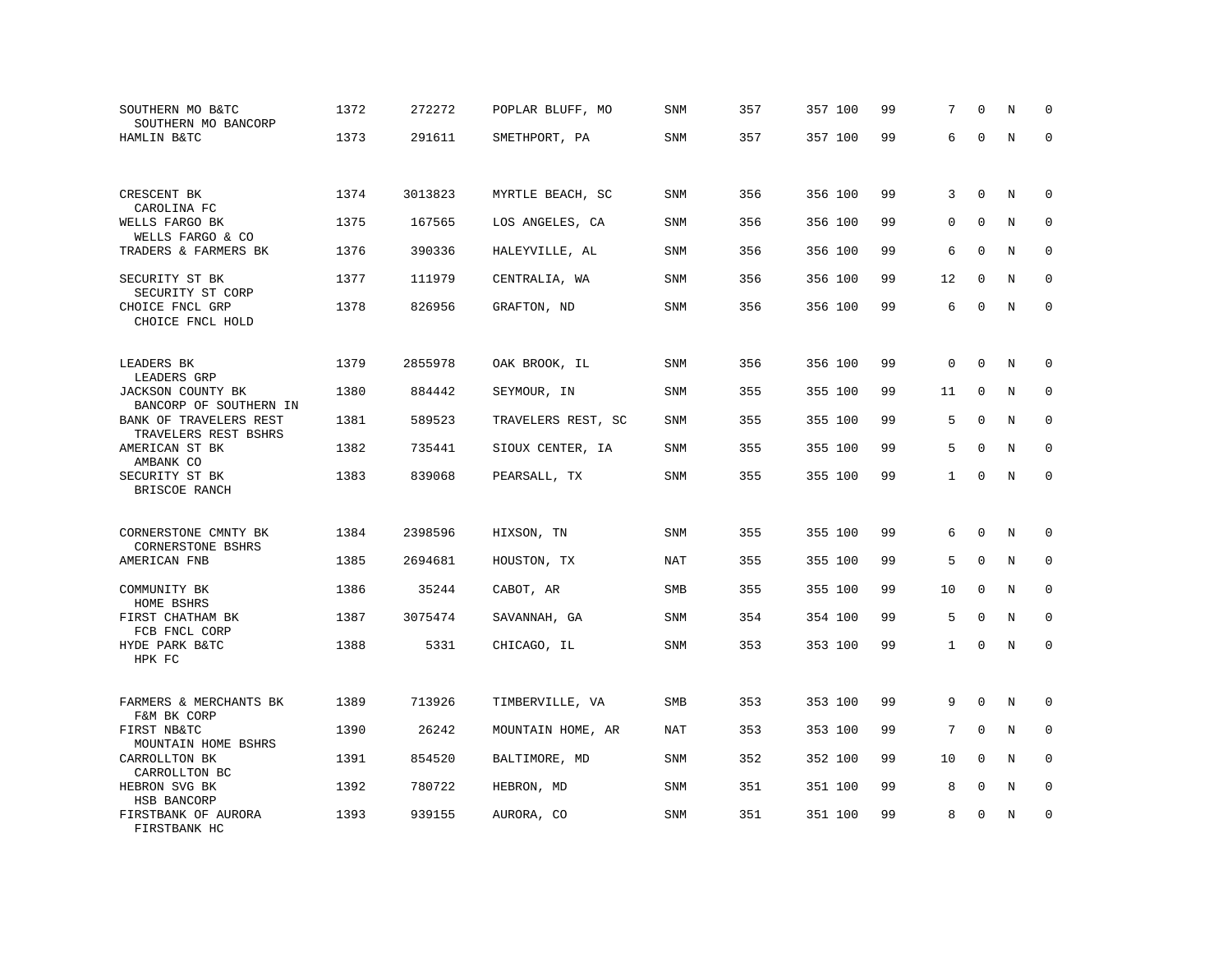| SOUTHERN MO B&TC<br>SOUTHERN MO BANCORP                                  | 1372 | 272272  | POPLAR BLUFF, MO   | SNM        | 357 | 357 100 | 99 | 7            | $\Omega$     | N       | $\mathbf 0$ |
|--------------------------------------------------------------------------|------|---------|--------------------|------------|-----|---------|----|--------------|--------------|---------|-------------|
| HAMLIN B&TC                                                              | 1373 | 291611  | SMETHPORT, PA      | SNM        | 357 | 357 100 | 99 | 6            | $\Omega$     | N       | $\Omega$    |
|                                                                          |      |         |                    |            |     |         |    |              |              |         |             |
| CRESCENT BK<br>CAROLINA FC                                               | 1374 | 3013823 | MYRTLE BEACH, SC   | <b>SNM</b> | 356 | 356 100 | 99 | 3            | $\mathbf{0}$ | N       | 0           |
| WELLS FARGO BK<br>WELLS FARGO & CO                                       | 1375 | 167565  | LOS ANGELES, CA    | SNM        | 356 | 356 100 | 99 | 0            | $\mathbf 0$  | N       | $\mathbf 0$ |
| TRADERS & FARMERS BK                                                     | 1376 | 390336  | HALEYVILLE, AL     | SNM        | 356 | 356 100 | 99 | 6            | $\mathbf 0$  | N       | $\mathbf 0$ |
| SECURITY ST BK<br>SECURITY ST CORP                                       | 1377 | 111979  | CENTRALIA, WA      | <b>SNM</b> | 356 | 356 100 | 99 | 12           | $\Omega$     | N       | $\mathbf 0$ |
| CHOICE FNCL GRP<br>CHOICE FNCL HOLD                                      | 1378 | 826956  | GRAFTON, ND        | SNM        | 356 | 356 100 | 99 | 6            | $\mathbf 0$  | N       | $\mathbf 0$ |
| LEADERS BK                                                               | 1379 | 2855978 | OAK BROOK, IL      | SNM        | 356 | 356 100 | 99 | $\Omega$     | $\Omega$     | N       | $\Omega$    |
| LEADERS GRP<br>JACKSON COUNTY BK                                         | 1380 | 884442  | SEYMOUR, IN        | SNM        | 355 | 355 100 | 99 | 11           | $\mathbf{0}$ | N       | $\mathbf 0$ |
| BANCORP OF SOUTHERN IN<br>BANK OF TRAVELERS REST<br>TRAVELERS REST BSHRS | 1381 | 589523  | TRAVELERS REST, SC | <b>SNM</b> | 355 | 355 100 | 99 | 5            | $\Omega$     | N       | $\mathbf 0$ |
| AMERICAN ST BK<br>AMBANK CO                                              | 1382 | 735441  | SIOUX CENTER, IA   | SNM        | 355 | 355 100 | 99 | 5            | $\mathbf 0$  | N       | $\mathbf 0$ |
| SECURITY ST BK<br>BRISCOE RANCH                                          | 1383 | 839068  | PEARSALL, TX       | SNM        | 355 | 355 100 | 99 | $\mathbf{1}$ | $\mathbf 0$  | $\rm N$ | $\mathbf 0$ |
| CORNERSTONE CMNTY BK                                                     | 1384 | 2398596 | HIXSON, TN         | SNM        | 355 | 355 100 | 99 | 6            | $\mathbf 0$  | N       | $\mathbf 0$ |
| <b>CORNERSTONE BSHRS</b><br>AMERICAN FNB                                 | 1385 | 2694681 | HOUSTON, TX        | NAT        | 355 | 355 100 | 99 | 5            | $\Omega$     | N       | $\Omega$    |
| COMMUNITY BK<br>HOME BSHRS                                               | 1386 | 35244   | CABOT, AR          | SMB        | 355 | 355 100 | 99 | 10           | $\mathbf 0$  | N       | $\mathbf 0$ |
| FIRST CHATHAM BK<br>FCB FNCL CORP                                        | 1387 | 3075474 | SAVANNAH, GA       | SNM        | 354 | 354 100 | 99 | 5            | $\Omega$     | N       | $\mathbf 0$ |
| HYDE PARK B&TC<br>HPK FC                                                 | 1388 | 5331    | CHICAGO, IL        | SNM        | 353 | 353 100 | 99 | $\mathbf{1}$ | $\mathsf 0$  | N       | $\mathbf 0$ |
| FARMERS & MERCHANTS BK<br>F&M BK CORP                                    | 1389 | 713926  | TIMBERVILLE, VA    | SMB        | 353 | 353 100 | 99 | 9            | $\Omega$     | N       | $\mathbf 0$ |
| FIRST NB&TC<br>MOUNTAIN HOME BSHRS                                       | 1390 | 26242   | MOUNTAIN HOME, AR  | <b>NAT</b> | 353 | 353 100 | 99 | 7            | $\mathbf 0$  | N       | 0           |
| CARROLLTON BK<br>CARROLLTON BC                                           | 1391 | 854520  | BALTIMORE, MD      | <b>SNM</b> | 352 | 352 100 | 99 | 10           | $\Omega$     | N       | $\mathbf 0$ |
| HEBRON SVG BK<br>HSB BANCORP                                             | 1392 | 780722  | HEBRON, MD         | SNM        | 351 | 351 100 | 99 | 8            | $\mathbf 0$  | N       | $\mathbf 0$ |
| FIRSTBANK OF AURORA<br>FIRSTBANK HC                                      | 1393 | 939155  | AURORA, CO         | SNM        | 351 | 351 100 | 99 | 8            | $\mathbf 0$  | N       | $\mathbf 0$ |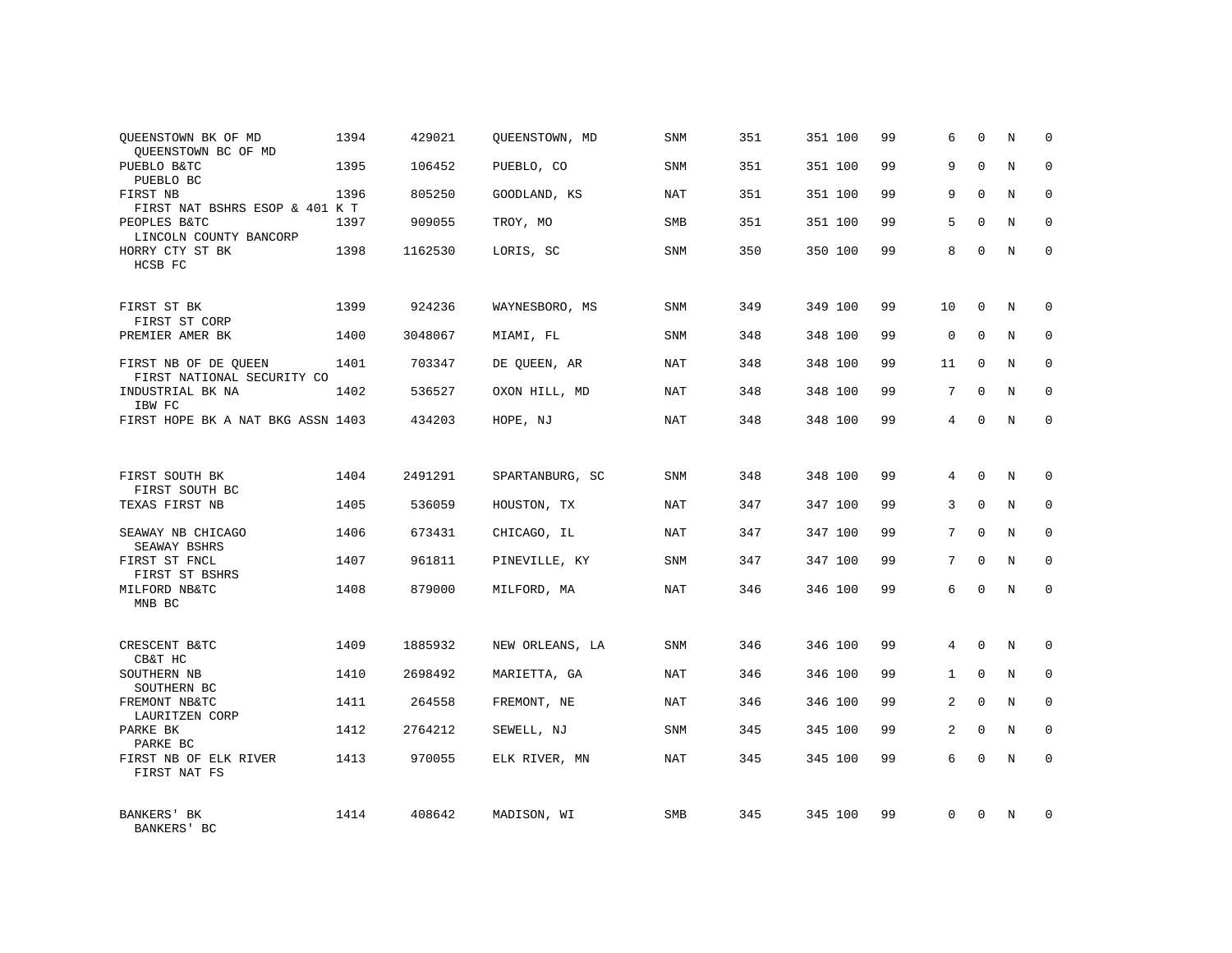| QUEENSTOWN BK OF MD<br>OUEENSTOWN BC OF MD         | 1394 | 429021  | QUEENSTOWN, MD  | <b>SNM</b> | 351 | 351 100 | 99 | 6              | $\mathbf 0$  | N | $\mathbf 0$ |
|----------------------------------------------------|------|---------|-----------------|------------|-----|---------|----|----------------|--------------|---|-------------|
| PUEBLO B&TC<br>PUEBLO BC                           | 1395 | 106452  | PUEBLO, CO      | SNM        | 351 | 351 100 | 99 | 9              | $\Omega$     | N | $\Omega$    |
| FIRST NB<br>FIRST NAT BSHRS ESOP & 401 K T         | 1396 | 805250  | GOODLAND, KS    | <b>NAT</b> | 351 | 351 100 | 99 | 9              | $\mathbf 0$  | N | $\mathbf 0$ |
| PEOPLES B&TC<br>LINCOLN COUNTY BANCORP             | 1397 | 909055  | TROY, MO        | <b>SMB</b> | 351 | 351 100 | 99 | 5              | $\Omega$     | N | $\mathbf 0$ |
| HORRY CTY ST BK<br>HCSB FC                         | 1398 | 1162530 | LORIS, SC       | SNM        | 350 | 350 100 | 99 | 8              | $\Omega$     | N | $\Omega$    |
| FIRST ST BK<br>FIRST ST CORP                       | 1399 | 924236  | WAYNESBORO, MS  | SNM        | 349 | 349 100 | 99 | 10             | $\Omega$     | N | $\mathbf 0$ |
| PREMIER AMER BK                                    | 1400 | 3048067 | MIAMI, FL       | SNM        | 348 | 348 100 | 99 | $\mathsf 0$    | $\mathbf 0$  | N | $\mathbf 0$ |
| FIRST NB OF DE QUEEN<br>FIRST NATIONAL SECURITY CO | 1401 | 703347  | DE OUEEN, AR    | NAT        | 348 | 348 100 | 99 | 11             | $\Omega$     | N | $\mathbf 0$ |
| INDUSTRIAL BK NA<br>IBW FC                         | 1402 | 536527  | OXON HILL, MD   | <b>NAT</b> | 348 | 348 100 | 99 | 7              | $\mathbf 0$  | N | 0           |
| FIRST HOPE BK A NAT BKG ASSN 1403                  |      | 434203  | HOPE, NJ        | NAT        | 348 | 348 100 | 99 | 4              | $\Omega$     | N | $\mathbf 0$ |
|                                                    |      |         |                 |            |     |         |    |                |              |   |             |
| FIRST SOUTH BK<br>FIRST SOUTH BC                   | 1404 | 2491291 | SPARTANBURG, SC | SNM        | 348 | 348 100 | 99 | 4              | $\Omega$     | N | $\mathbf 0$ |
| TEXAS FIRST NB                                     | 1405 | 536059  | HOUSTON, TX     | NAT        | 347 | 347 100 | 99 | 3              | $\mathbf 0$  | N | $\mathbf 0$ |
| SEAWAY NB CHICAGO<br>SEAWAY BSHRS                  | 1406 | 673431  | CHICAGO, IL     | <b>NAT</b> | 347 | 347 100 | 99 | 7              | $\Omega$     | N | $\mathbf 0$ |
| FIRST ST FNCL<br>FIRST ST BSHRS                    | 1407 | 961811  | PINEVILLE, KY   | <b>SNM</b> | 347 | 347 100 | 99 | 7              | $\Omega$     | N | $\mathbf 0$ |
| MILFORD NB&TC<br>MNB BC                            | 1408 | 879000  | MILFORD, MA     | <b>NAT</b> | 346 | 346 100 | 99 | 6              | $\mathbf 0$  | N | $\mathbf 0$ |
|                                                    |      |         |                 |            |     |         |    |                |              |   |             |
| CRESCENT B&TC<br>CB&T HC                           | 1409 | 1885932 | NEW ORLEANS, LA | SNM        | 346 | 346 100 | 99 | 4              | $\mathbf 0$  | N | 0           |
| SOUTHERN NB<br>SOUTHERN BC                         | 1410 | 2698492 | MARIETTA, GA    | <b>NAT</b> | 346 | 346 100 | 99 | $\mathbf{1}$   | $\mathbf 0$  | N | 0           |
| FREMONT NB&TC<br>LAURITZEN CORP                    | 1411 | 264558  | FREMONT, NE     | NAT        | 346 | 346 100 | 99 | $\overline{a}$ | $\Omega$     | N | $\mathbf 0$ |
| PARKE BK<br>PARKE BC                               | 1412 | 2764212 | SEWELL, NJ      | SNM        | 345 | 345 100 | 99 | 2              | $\mathbf{0}$ | N | 0           |
| FIRST NB OF ELK RIVER<br>FIRST NAT FS              | 1413 | 970055  | ELK RIVER, MN   | <b>NAT</b> | 345 | 345 100 | 99 | 6              | $\Omega$     | N | $\mathbf 0$ |
| BANKERS' BK<br>BANKERS' BC                         | 1414 | 408642  | MADISON, WI     | <b>SMB</b> | 345 | 345 100 | 99 | $\Omega$       | $\Omega$     | N | $\mathbf 0$ |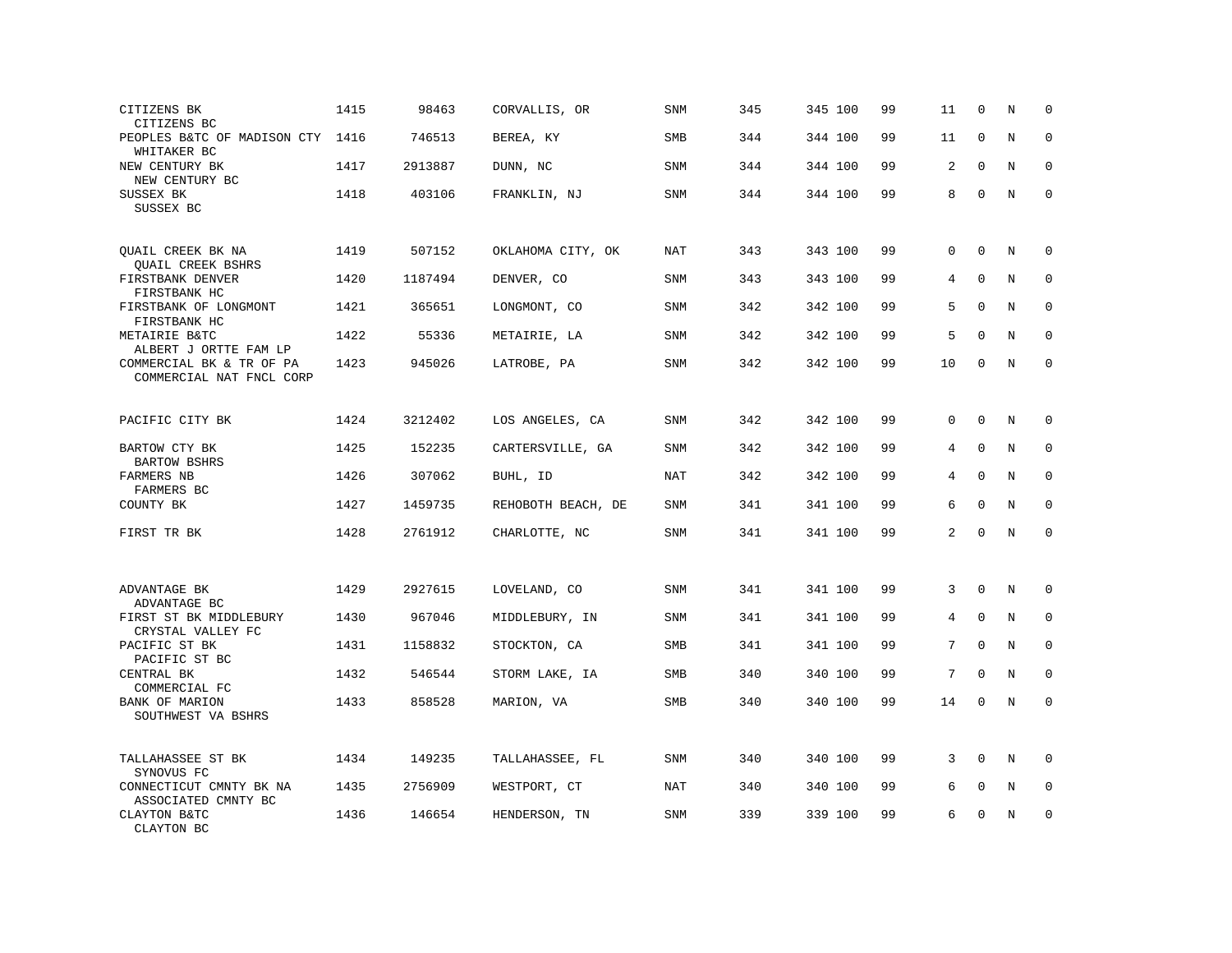| CITIZENS BK<br>CITIZENS BC                           | 1415 | 98463   | CORVALLIS, OR      | SNM        | 345 | 345 100 | 99 | 11              | $\mathbf 0$  | N           | $\mathbf 0$ |
|------------------------------------------------------|------|---------|--------------------|------------|-----|---------|----|-----------------|--------------|-------------|-------------|
| PEOPLES B&TC OF MADISON CTY 1416<br>WHITAKER BC      |      | 746513  | BEREA, KY          | <b>SMB</b> | 344 | 344 100 | 99 | 11              | $\mathbf 0$  | N           | $\Omega$    |
| NEW CENTURY BK<br>NEW CENTURY BC                     | 1417 | 2913887 | DUNN, NC           | SNM        | 344 | 344 100 | 99 | 2               | $\Omega$     | N           | $\mathbf 0$ |
| SUSSEX BK<br>SUSSEX BC                               | 1418 | 403106  | FRANKLIN, NJ       | <b>SNM</b> | 344 | 344 100 | 99 | 8               | $\mathbf 0$  | N           | $\mathbf 0$ |
| OUAIL CREEK BK NA<br>QUAIL CREEK BSHRS               | 1419 | 507152  | OKLAHOMA CITY, OK  | NAT        | 343 | 343 100 | 99 | $\Omega$        | $\Omega$     | N           | $\Omega$    |
| FIRSTBANK DENVER<br>FIRSTBANK HC                     | 1420 | 1187494 | DENVER, CO         | <b>SNM</b> | 343 | 343 100 | 99 | 4               | $\mathbf{0}$ | N           | $\mathbf 0$ |
| FIRSTBANK OF LONGMONT<br>FIRSTBANK HC                | 1421 | 365651  | LONGMONT, CO       | <b>SNM</b> | 342 | 342 100 | 99 | 5               | $\Omega$     | N           | $\Omega$    |
| METAIRIE B&TC<br>ALBERT J ORTTE FAM LP               | 1422 | 55336   | METAIRIE, LA       | SNM        | 342 | 342 100 | 99 | 5               | $\Omega$     | N           | $\mathbf 0$ |
| COMMERCIAL BK & TR OF PA<br>COMMERCIAL NAT FNCL CORP | 1423 | 945026  | LATROBE, PA        | SNM        | 342 | 342 100 | 99 | 10              | $\Omega$     | N           | $\mathbf 0$ |
| PACIFIC CITY BK                                      | 1424 | 3212402 | LOS ANGELES, CA    | SNM        | 342 | 342 100 | 99 | 0               | $\mathbf 0$  | N           | $\mathbf 0$ |
| BARTOW CTY BK<br><b>BARTOW BSHRS</b>                 | 1425 | 152235  | CARTERSVILLE, GA   | SNM        | 342 | 342 100 | 99 | 4               | $\mathbf{0}$ | N           | $\mathbf 0$ |
| FARMERS NB<br>FARMERS BC                             | 1426 | 307062  | BUHL, ID           | <b>NAT</b> | 342 | 342 100 | 99 | 4               | $\Omega$     | $\mathbf N$ | $\mathbf 0$ |
| COUNTY BK                                            | 1427 | 1459735 | REHOBOTH BEACH, DE | SNM        | 341 | 341 100 | 99 | 6               | $\Omega$     | N           | $\mathbf 0$ |
| FIRST TR BK                                          | 1428 | 2761912 | CHARLOTTE, NC      | SNM        | 341 | 341 100 | 99 | $\overline{a}$  | $\Omega$     | $\rm N$     | $\mathbf 0$ |
| ADVANTAGE BK<br>ADVANTAGE BC                         | 1429 | 2927615 | LOVELAND, CO       | <b>SNM</b> | 341 | 341 100 | 99 | 3               | $\mathbf{0}$ | N           | 0           |
| FIRST ST BK MIDDLEBURY<br>CRYSTAL VALLEY FC          | 1430 | 967046  | MIDDLEBURY, IN     | SNM        | 341 | 341 100 | 99 | 4               | $\mathbf 0$  | N           | 0           |
| PACIFIC ST BK<br>PACIFIC ST BC                       | 1431 | 1158832 | STOCKTON, CA       | SMB        | 341 | 341 100 | 99 | $7\overline{ }$ | $\mathbf{0}$ | N           | $\mathbf 0$ |
| CENTRAL BK<br>COMMERCIAL FC                          | 1432 | 546544  | STORM LAKE, IA     | SMB        | 340 | 340 100 | 99 | 7               | $\mathbf{0}$ | N           | $\mathbf 0$ |
| BANK OF MARION<br>SOUTHWEST VA BSHRS                 | 1433 | 858528  | MARION, VA         | SMB        | 340 | 340 100 | 99 | 14              | $\mathbf{0}$ | N           | $\mathbf 0$ |
| TALLAHASSEE ST BK<br>SYNOVUS FC                      | 1434 | 149235  | TALLAHASSEE, FL    | SNM        | 340 | 340 100 | 99 | 3               | $\Omega$     | N           | $\Omega$    |
| CONNECTICUT CMNTY BK NA<br>ASSOCIATED CMNTY BC       | 1435 | 2756909 | WESTPORT, CT       | NAT        | 340 | 340 100 | 99 | 6               | $\mathbf{0}$ | N           | $\mathbf 0$ |
| CLAYTON B&TC<br>CLAYTON BC                           | 1436 | 146654  | HENDERSON, TN      | <b>SNM</b> | 339 | 339 100 | 99 | 6               | $\mathbf 0$  | N           | $\mathbf 0$ |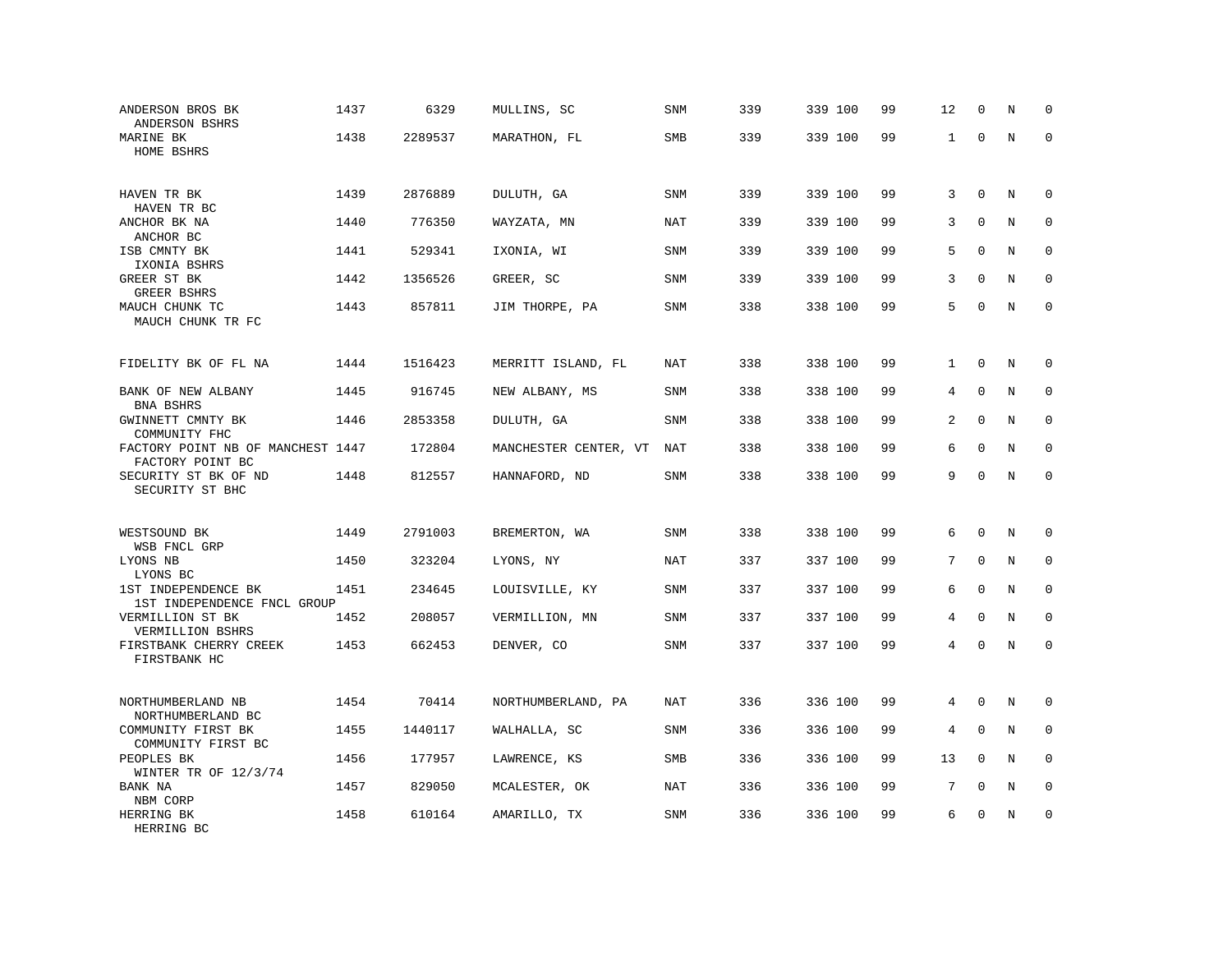| ANDERSON BROS BK<br>ANDERSON BSHRS                            | 1437 | 6329    | MULLINS, SC           | SNM        | 339 | 339 100 | 99 | 12             | $\mathbf 0$  | N           | $\mathbf 0$  |
|---------------------------------------------------------------|------|---------|-----------------------|------------|-----|---------|----|----------------|--------------|-------------|--------------|
| MARINE BK<br>HOME BSHRS                                       | 1438 | 2289537 | MARATHON, FL          | <b>SMB</b> | 339 | 339 100 | 99 | 1              | $\mathbf 0$  | N           | $\Omega$     |
| HAVEN TR BK<br>HAVEN TR BC                                    | 1439 | 2876889 | DULUTH, GA            | <b>SNM</b> | 339 | 339 100 | 99 | 3              | $\mathbf 0$  | N           | $\mathbf 0$  |
| ANCHOR BK NA<br>ANCHOR BC                                     | 1440 | 776350  | WAYZATA, MN           | <b>NAT</b> | 339 | 339 100 | 99 | 3              | $\mathbf{0}$ | N           | $\mathbf 0$  |
| ISB CMNTY BK<br>IXONIA BSHRS                                  | 1441 | 529341  | IXONIA, WI            | <b>SNM</b> | 339 | 339 100 | 99 | 5              | $\Omega$     | N           | $\Omega$     |
| GREER ST BK<br>GREER BSHRS                                    | 1442 | 1356526 | GREER, SC             | <b>SNM</b> | 339 | 339 100 | 99 | 3              | $\mathbf 0$  | N           | $\mathbf 0$  |
| MAUCH CHUNK TC<br>MAUCH CHUNK TR FC                           | 1443 | 857811  | JIM THORPE, PA        | <b>SNM</b> | 338 | 338 100 | 99 | 5              | $\mathbf{0}$ | N           | $\mathbf{0}$ |
| FIDELITY BK OF FL NA                                          | 1444 | 1516423 | MERRITT ISLAND, FL    | NAT        | 338 | 338 100 | 99 | $\mathbf{1}$   | $\mathbf{0}$ | N           | 0            |
| BANK OF NEW ALBANY<br>BNA BSHRS                               | 1445 | 916745  | NEW ALBANY, MS        | SNM        | 338 | 338 100 | 99 | 4              | $\mathbf 0$  | N           | 0            |
| GWINNETT CMNTY BK<br>COMMUNITY FHC                            | 1446 | 2853358 | DULUTH, GA            | <b>SNM</b> | 338 | 338 100 | 99 | 2              | $\mathbf{0}$ | N           | $\mathbf 0$  |
| FACTORY POINT NB OF MANCHEST 1447<br>FACTORY POINT BC         |      | 172804  | MANCHESTER CENTER, VT | <b>NAT</b> | 338 | 338 100 | 99 | 6              | $\mathbf 0$  | N           | $\mathbf 0$  |
| SECURITY ST BK OF ND<br>SECURITY ST BHC                       | 1448 | 812557  | HANNAFORD, ND         | <b>SNM</b> | 338 | 338 100 | 99 | 9              | $\Omega$     | $\rm N$     | $\mathbf 0$  |
| WESTSOUND BK                                                  | 1449 | 2791003 | BREMERTON, WA         | <b>SNM</b> | 338 | 338 100 | 99 | 6              | $\mathbf 0$  | N           | $\mathbf 0$  |
| WSB FNCL GRP<br>LYONS NB<br>LYONS BC                          | 1450 | 323204  | LYONS, NY             | NAT        | 337 | 337 100 | 99 | 7              | $\mathbf{0}$ | N           | $\mathbf 0$  |
| 1ST INDEPENDENCE BK<br>1ST INDEPENDENCE FNCL GROUP            | 1451 | 234645  | LOUISVILLE, KY        | SNM        | 337 | 337 100 | 99 | 6              | $\mathbf{0}$ | $\mathbf N$ | $\mathbf 0$  |
| VERMILLION ST BK<br>VERMILLION BSHRS                          | 1452 | 208057  | VERMILLION, MN        | SNM        | 337 | 337 100 | 99 | 4              | $\mathbf 0$  | N           | 0            |
| FIRSTBANK CHERRY CREEK<br>FIRSTBANK HC                        | 1453 | 662453  | DENVER, CO            | SNM        | 337 | 337 100 | 99 | $\overline{4}$ | $\mathbf 0$  | N           | $\mathbf 0$  |
| NORTHUMBERLAND NB                                             | 1454 | 70414   | NORTHUMBERLAND, PA    | <b>NAT</b> | 336 | 336 100 | 99 | 4              | $\mathbf 0$  | N           | $\mathbf 0$  |
| NORTHUMBERLAND BC<br>COMMUNITY FIRST BK<br>COMMUNITY FIRST BC | 1455 | 1440117 | WALHALLA, SC          | SNM        | 336 | 336 100 | 99 | 4              | $\Omega$     | $\rm N$     | 0            |
| PEOPLES BK<br>WINTER TR OF $12/3/74$                          | 1456 | 177957  | LAWRENCE, KS          | SMB        | 336 | 336 100 | 99 | 13             | $\Omega$     | N           | $\mathbf 0$  |
| BANK NA<br>NBM CORP                                           | 1457 | 829050  | MCALESTER, OK         | NAT        | 336 | 336 100 | 99 | 7              | $\Omega$     | N           | $\mathbf 0$  |
| HERRING BK<br>HERRING BC                                      | 1458 | 610164  | AMARILLO, TX          | <b>SNM</b> | 336 | 336 100 | 99 | 6              | $\mathbf 0$  | N           | $\mathbf 0$  |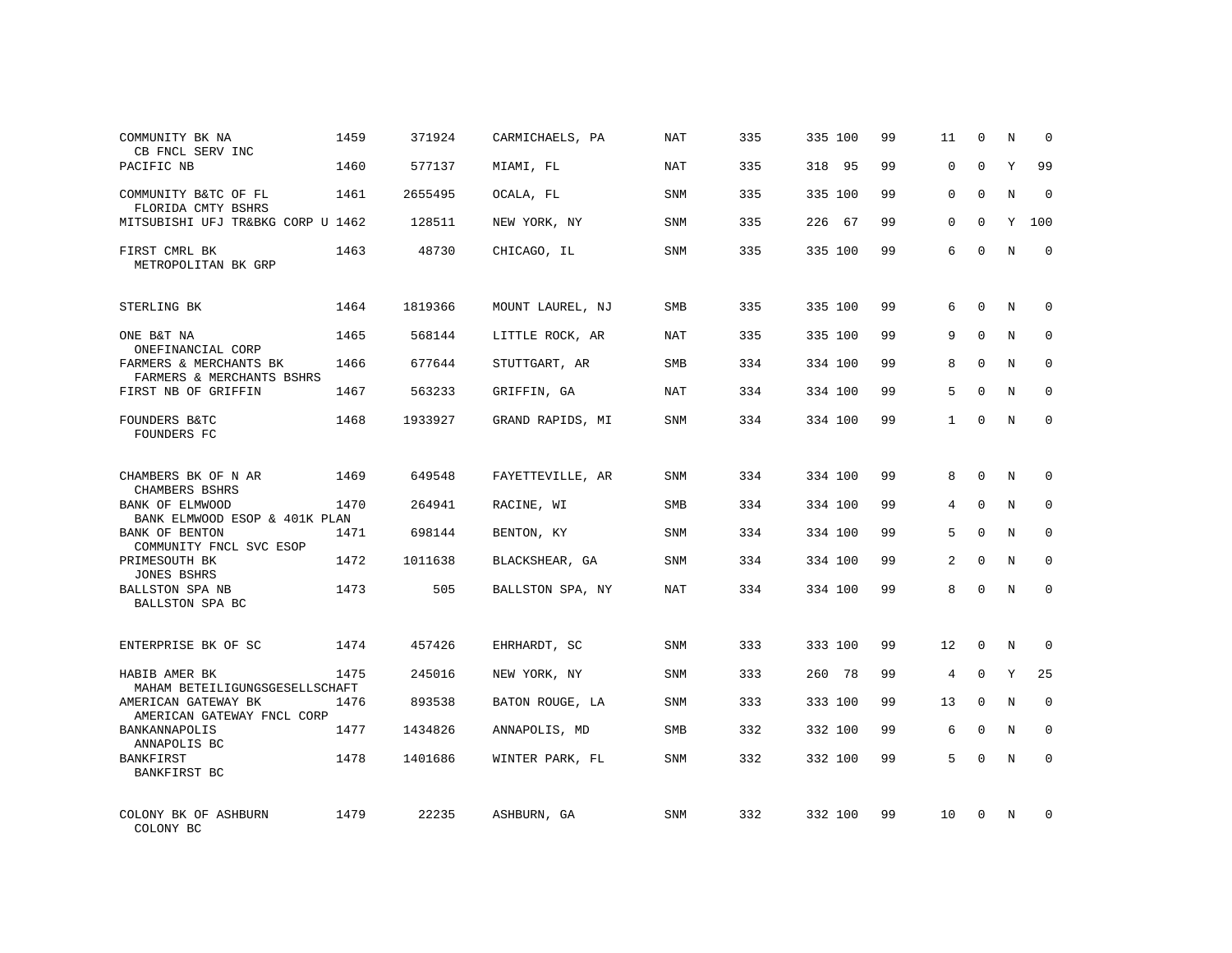| COMMUNITY BK NA<br>CB FNCL SERV INC                 | 1459 | 371924  | CARMICHAELS, PA  | NAT        | 335 | 335 100   | 99 | 11           | $\mathbf 0$ | N          | $\Omega$    |
|-----------------------------------------------------|------|---------|------------------|------------|-----|-----------|----|--------------|-------------|------------|-------------|
| PACIFIC NB                                          | 1460 | 577137  | MIAMI, FL        | NAT        | 335 | 318<br>95 | 99 | $\Omega$     | $\Omega$    | Y          | 99          |
| COMMUNITY B&TC OF FL<br>FLORIDA CMTY BSHRS          | 1461 | 2655495 | OCALA, FL        | SNM        | 335 | 335 100   | 99 | 0            | $\Omega$    | N          | $\Omega$    |
| MITSUBISHI UFJ TR&BKG CORP U 1462                   |      | 128511  | NEW YORK, NY     | <b>SNM</b> | 335 | 226<br>67 | 99 | $\Omega$     | $\Omega$    | Y          | 100         |
| FIRST CMRL BK<br>METROPOLITAN BK GRP                | 1463 | 48730   | CHICAGO, IL      | SNM        | 335 | 335 100   | 99 | 6            | $\Omega$    | N          | $\Omega$    |
| STERLING BK                                         | 1464 | 1819366 | MOUNT LAUREL, NJ | <b>SMB</b> | 335 | 335 100   | 99 | 6            | $\mathbf 0$ | N          | $\mathbf 0$ |
| ONE B&T NA<br>ONEFINANCIAL CORP                     | 1465 | 568144  | LITTLE ROCK, AR  | NAT        | 335 | 335 100   | 99 | 9            | $\Omega$    | N          | $\mathbf 0$ |
| FARMERS & MERCHANTS BK<br>FARMERS & MERCHANTS BSHRS | 1466 | 677644  | STUTTGART, AR    | <b>SMB</b> | 334 | 334 100   | 99 | 8            | $\Omega$    | N          | $\mathbf 0$ |
| FIRST NB OF GRIFFIN                                 | 1467 | 563233  | GRIFFIN, GA      | NAT        | 334 | 334 100   | 99 | 5            | $\Omega$    | N          | $\mathbf 0$ |
| FOUNDERS B&TC<br>FOUNDERS FC                        | 1468 | 1933927 | GRAND RAPIDS, MI | <b>SNM</b> | 334 | 334 100   | 99 | $\mathbf{1}$ | $\Omega$    | N          | $\mathbf 0$ |
| CHAMBERS BK OF N AR<br>CHAMBERS BSHRS               | 1469 | 649548  | FAYETTEVILLE, AR | SNM        | 334 | 334 100   | 99 | 8            | $\Omega$    | $_{\rm N}$ | $\Omega$    |
| BANK OF ELMWOOD<br>BANK ELMWOOD ESOP & 401K PLAN    | 1470 | 264941  | RACINE, WI       | <b>SMB</b> | 334 | 334 100   | 99 | 4            | $\mathbf 0$ | N          | $\mathbf 0$ |
| <b>BANK OF BENTON</b><br>COMMUNITY FNCL SVC ESOP    | 1471 | 698144  | BENTON, KY       | SNM        | 334 | 334 100   | 99 | 5            | $\Omega$    | N          | $\Omega$    |
| PRIMESOUTH BK<br><b>JONES BSHRS</b>                 | 1472 | 1011638 | BLACKSHEAR, GA   | <b>SNM</b> | 334 | 334 100   | 99 | 2            | $\Omega$    | N          | 0           |
| BALLSTON SPA NB<br>BALLSTON SPA BC                  | 1473 | 505     | BALLSTON SPA, NY | <b>NAT</b> | 334 | 334 100   | 99 | 8            | $\Omega$    | N          | $\Omega$    |
| ENTERPRISE BK OF SC                                 | 1474 | 457426  | EHRHARDT, SC     | SNM        | 333 | 333 100   | 99 | 12           | $\mathbf 0$ | N          | $\mathbf 0$ |
| HABIB AMER BK<br>MAHAM BETEILIGUNGSGESELLSCHAFT     | 1475 | 245016  | NEW YORK, NY     | <b>SNM</b> | 333 | 260 78    | 99 | 4            | $\mathbf 0$ | Y          | 25          |
| AMERICAN GATEWAY BK<br>AMERICAN GATEWAY FNCL CORP   | 1476 | 893538  | BATON ROUGE, LA  | SNM        | 333 | 333 100   | 99 | 13           | $\Omega$    | N          | $\mathbf 0$ |
| BANKANNAPOLIS<br>ANNAPOLIS BC                       | 1477 | 1434826 | ANNAPOLIS, MD    | SMB        | 332 | 332 100   | 99 | 6            | $\mathbf 0$ | N          | 0           |
| BANKFIRST<br>BANKFIRST BC                           | 1478 | 1401686 | WINTER PARK, FL  | SNM        | 332 | 332 100   | 99 | 5            | $\Omega$    | N          | $\mathbf 0$ |
| COLONY BK OF ASHBURN<br>COLONY BC                   | 1479 | 22235   | ASHBURN, GA      | SNM        | 332 | 332 100   | 99 | 10           | $\Omega$    | N          | $\mathbf 0$ |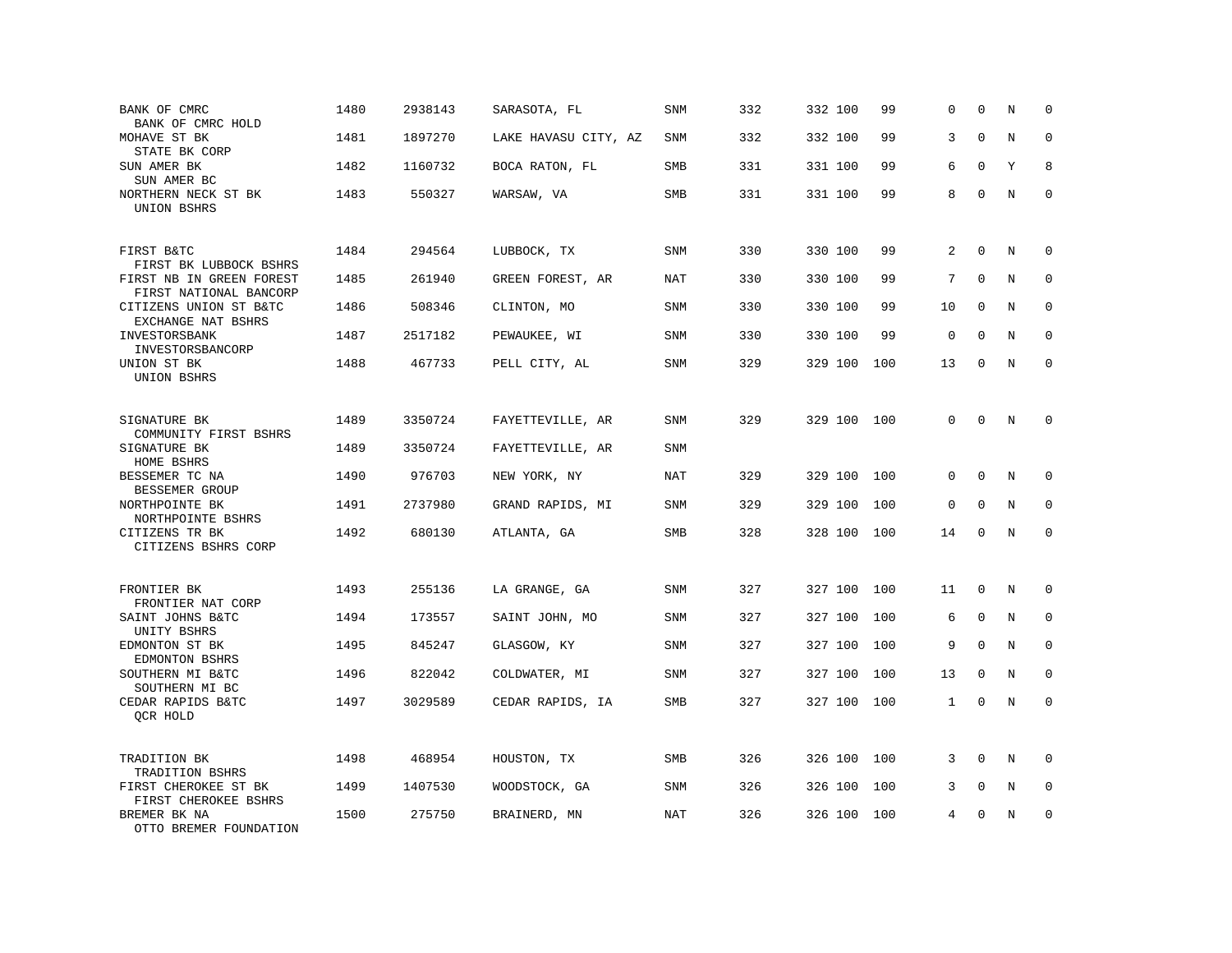| BANK OF CMRC<br>BANK OF CMRC HOLD                  | 1480 | 2938143 | SARASOTA, FL         | SNM        | 332 | 332 100 | 99  | 0            | $\mathbf 0$  | N | $\mathbf 0$  |
|----------------------------------------------------|------|---------|----------------------|------------|-----|---------|-----|--------------|--------------|---|--------------|
| MOHAVE ST BK<br>STATE BK CORP                      | 1481 | 1897270 | LAKE HAVASU CITY, AZ | <b>SNM</b> | 332 | 332 100 | 99  | 3            | $\Omega$     | N | $\Omega$     |
| SUN AMER BK<br>SUN AMER BC                         | 1482 | 1160732 | BOCA RATON, FL       | SMB        | 331 | 331 100 | 99  | 6            | $\Omega$     | Y | 8            |
| NORTHERN NECK ST BK<br>UNION BSHRS                 | 1483 | 550327  | WARSAW, VA           | <b>SMB</b> | 331 | 331 100 | 99  | 8            | $\Omega$     | N | $\mathbf 0$  |
| FIRST B&TC<br>FIRST BK LUBBOCK BSHRS               | 1484 | 294564  | LUBBOCK, TX          | <b>SNM</b> | 330 | 330 100 | 99  | 2            | $\Omega$     | N | $\Omega$     |
| FIRST NB IN GREEN FOREST<br>FIRST NATIONAL BANCORP | 1485 | 261940  | GREEN FOREST, AR     | <b>NAT</b> | 330 | 330 100 | 99  | 7            | $\mathbf{0}$ | N | 0            |
| CITIZENS UNION ST B&TC<br>EXCHANGE NAT BSHRS       | 1486 | 508346  | CLINTON, MO          | <b>SNM</b> | 330 | 330 100 | 99  | 10           | $\Omega$     | N | $\mathbf{0}$ |
| INVESTORSBANK<br>INVESTORSBANCORP                  | 1487 | 2517182 | PEWAUKEE, WI         | <b>SNM</b> | 330 | 330 100 | 99  | $\mathbf 0$  | $\Omega$     | N | $\mathbf 0$  |
| UNION ST BK<br>UNION BSHRS                         | 1488 | 467733  | PELL CITY, AL        | <b>SNM</b> | 329 | 329 100 | 100 | 13           | $\Omega$     | N | $\mathbf 0$  |
| SIGNATURE BK<br>COMMUNITY FIRST BSHRS              | 1489 | 3350724 | FAYETTEVILLE, AR     | <b>SNM</b> | 329 | 329 100 | 100 | 0            | $\mathbf 0$  | N | $\Omega$     |
| SIGNATURE BK<br>HOME BSHRS                         | 1489 | 3350724 | FAYETTEVILLE, AR     | <b>SNM</b> |     |         |     |              |              |   |              |
| BESSEMER TC NA<br>BESSEMER GROUP                   | 1490 | 976703  | NEW YORK, NY         | <b>NAT</b> | 329 | 329 100 | 100 | 0            | $\Omega$     | N | $\mathbf 0$  |
| NORTHPOINTE BK<br>NORTHPOINTE BSHRS                | 1491 | 2737980 | GRAND RAPIDS, MI     | SNM        | 329 | 329 100 | 100 | 0            | $\Omega$     | N | $\mathbf 0$  |
| CITIZENS TR BK<br>CITIZENS BSHRS CORP              | 1492 | 680130  | ATLANTA, GA          | SMB        | 328 | 328 100 | 100 | 14           | $\mathbf 0$  | N | $\mathbf 0$  |
| FRONTIER BK<br>FRONTIER NAT CORP                   | 1493 | 255136  | LA GRANGE, GA        | <b>SNM</b> | 327 | 327 100 | 100 | 11           | $\mathbf{0}$ | N | 0            |
| SAINT JOHNS B&TC<br>UNITY BSHRS                    | 1494 | 173557  | SAINT JOHN, MO       | SNM        | 327 | 327 100 | 100 | 6            | $\mathbf 0$  | N | 0            |
| EDMONTON ST BK<br>EDMONTON BSHRS                   | 1495 | 845247  | GLASGOW, KY          | <b>SNM</b> | 327 | 327 100 | 100 | 9            | $\Omega$     | N | $\mathbf 0$  |
| SOUTHERN MI B&TC<br>SOUTHERN MI BC                 | 1496 | 822042  | COLDWATER, MI        | <b>SNM</b> | 327 | 327 100 | 100 | 13           | $\mathbf 0$  | N | $\mathbf 0$  |
| CEDAR RAPIDS B&TC<br>OCR HOLD                      | 1497 | 3029589 | CEDAR RAPIDS, IA     | SMB        | 327 | 327 100 | 100 | $\mathbf{1}$ | $\mathbf{0}$ | N | $\mathbf 0$  |
| TRADITION BK<br>TRADITION BSHRS                    | 1498 | 468954  | HOUSTON, TX          | SMB        | 326 | 326 100 | 100 | 3            | $\Omega$     | N | $\Omega$     |
| FIRST CHEROKEE ST BK<br>FIRST CHEROKEE BSHRS       | 1499 | 1407530 | WOODSTOCK, GA        | <b>SNM</b> | 326 | 326 100 | 100 | 3            | $\mathbf 0$  | N | $\mathbf 0$  |
| BREMER BK NA<br>OTTO BREMER FOUNDATION             | 1500 | 275750  | BRAINERD, MN         | <b>NAT</b> | 326 | 326 100 | 100 | 4            | $\mathbf 0$  | N | $\mathbf 0$  |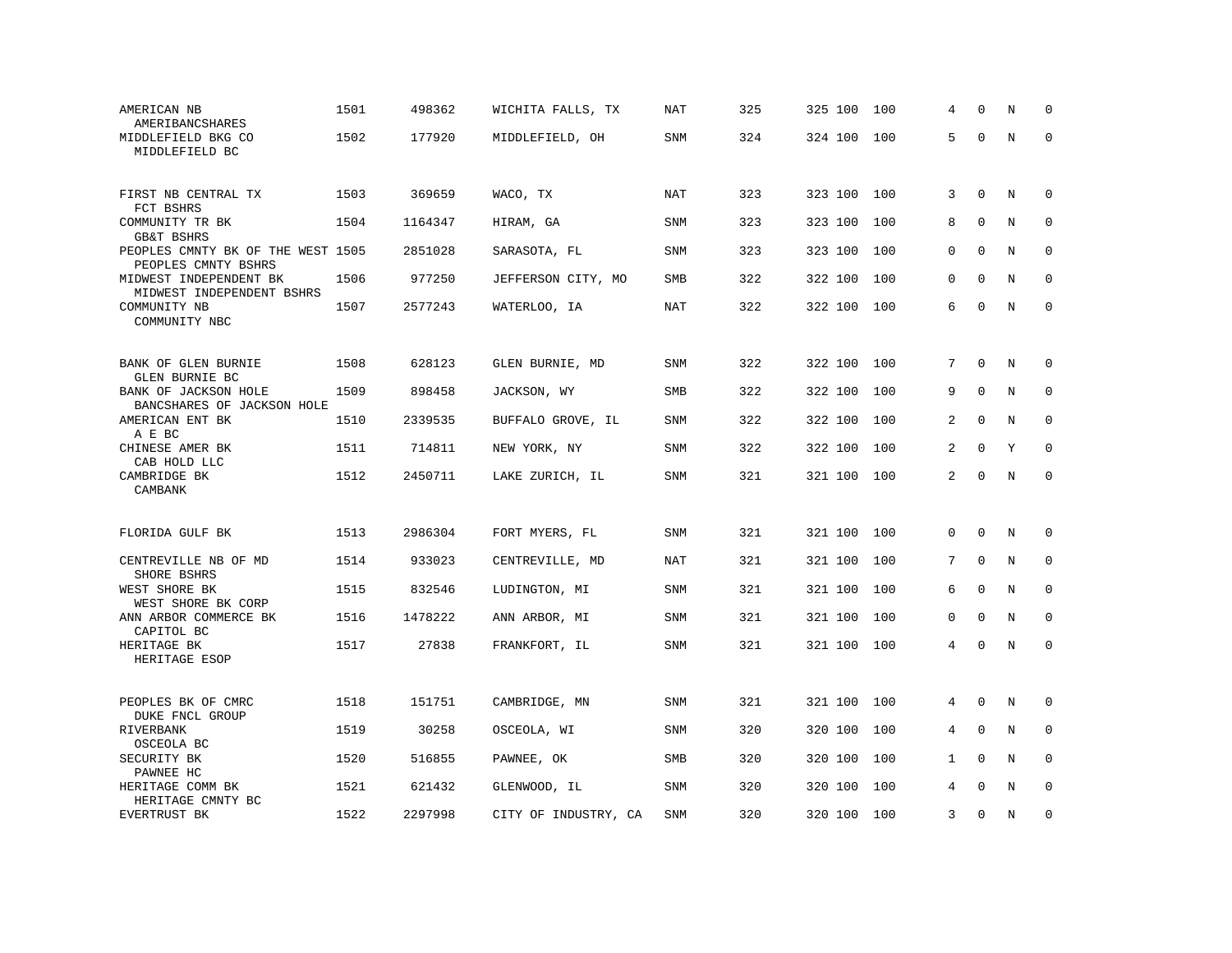| AMERICAN NB<br>AMERIBANCSHARES                           | 1501 | 498362  | WICHITA FALLS, TX    | NAT        | 325 | 325 100 | 100 | 4              | $\Omega$     | N           | $\Omega$    |
|----------------------------------------------------------|------|---------|----------------------|------------|-----|---------|-----|----------------|--------------|-------------|-------------|
| MIDDLEFIELD BKG CO<br>MIDDLEFIELD BC                     | 1502 | 177920  | MIDDLEFIELD, OH      | SNM        | 324 | 324 100 | 100 | 5              | $\Omega$     | N           | $\Omega$    |
| FIRST NB CENTRAL TX<br>FCT BSHRS                         | 1503 | 369659  | WACO, TX             | <b>NAT</b> | 323 | 323 100 | 100 | 3              | $\mathbf{0}$ | N           | 0           |
| COMMUNITY TR BK<br><b>GB&amp;T BSHRS</b>                 | 1504 | 1164347 | HIRAM, GA            | <b>SNM</b> | 323 | 323 100 | 100 | 8              | $\Omega$     | N           | $\mathbf 0$ |
| PEOPLES CMNTY BK OF THE WEST 1505<br>PEOPLES CMNTY BSHRS |      | 2851028 | SARASOTA, FL         | <b>SNM</b> | 323 | 323 100 | 100 | 0              | $\mathbf 0$  | N           | $\mathbf 0$ |
| MIDWEST INDEPENDENT BK<br>MIDWEST INDEPENDENT BSHRS      | 1506 | 977250  | JEFFERSON CITY, MO   | SMB        | 322 | 322 100 | 100 | 0              | $\mathbf{0}$ | $\mathbf N$ | $\mathbf 0$ |
| COMMUNITY NB<br>COMMUNITY NBC                            | 1507 | 2577243 | WATERLOO, IA         | <b>NAT</b> | 322 | 322 100 | 100 | 6              | $\mathbf 0$  | N           | $\mathbf 0$ |
| BANK OF GLEN BURNIE                                      | 1508 | 628123  | GLEN BURNIE, MD      | SNM        | 322 | 322 100 | 100 | 7              | $\Omega$     | N           | 0           |
| GLEN BURNIE BC                                           |      |         |                      |            |     |         |     |                |              |             |             |
| BANK OF JACKSON HOLE<br>BANCSHARES OF JACKSON HOLE       | 1509 | 898458  | JACKSON, WY          | SMB        | 322 | 322 100 | 100 | 9              | $\Omega$     | N           | $\mathbf 0$ |
| AMERICAN ENT BK<br>A E BC                                | 1510 | 2339535 | BUFFALO GROVE, IL    | SNM        | 322 | 322 100 | 100 | 2              | $\mathbf 0$  | N           | $\mathbf 0$ |
| CHINESE AMER BK<br>CAB HOLD LLC                          | 1511 | 714811  | NEW YORK, NY         | SNM        | 322 | 322 100 | 100 | $\overline{a}$ | $\Omega$     | Y           | $\Omega$    |
| CAMBRIDGE BK<br>CAMBANK                                  | 1512 | 2450711 | LAKE ZURICH, IL      | SNM        | 321 | 321 100 | 100 | $\overline{2}$ | $\Omega$     | N           | $\Omega$    |
| FLORIDA GULF BK                                          | 1513 | 2986304 | FORT MYERS, FL       | <b>SNM</b> | 321 | 321 100 | 100 | 0              | $\mathbf 0$  | N           | 0           |
| CENTREVILLE NB OF MD<br>SHORE BSHRS                      | 1514 | 933023  | CENTREVILLE, MD      | NAT        | 321 | 321 100 | 100 | 7              | $\mathbf 0$  | N           | $\mathbf 0$ |
| WEST SHORE BK<br>WEST SHORE BK CORP                      | 1515 | 832546  | LUDINGTON, MI        | <b>SNM</b> | 321 | 321 100 | 100 | 6              | $\mathbf 0$  | N           | $\mathbf 0$ |
| ANN ARBOR COMMERCE BK<br>CAPITOL BC                      | 1516 | 1478222 | ANN ARBOR, MI        | <b>SNM</b> | 321 | 321 100 | 100 | 0              | $\mathbf{0}$ | N           | $\mathbf 0$ |
| HERITAGE BK<br>HERITAGE ESOP                             | 1517 | 27838   | FRANKFORT, IL        | <b>SNM</b> | 321 | 321 100 | 100 | 4              | $\mathbf 0$  | N           | $\mathbf 0$ |
| PEOPLES BK OF CMRC<br>DUKE FNCL GROUP                    | 1518 | 151751  | CAMBRIDGE, MN        | SNM        | 321 | 321 100 | 100 | 4              | $\Omega$     | N           | 0           |
| RIVERBANK                                                | 1519 | 30258   | OSCEOLA, WI          | <b>SNM</b> | 320 | 320 100 | 100 | 4              | $\mathbf 0$  | N           | $\mathbf 0$ |
| OSCEOLA BC<br>SECURITY BK                                | 1520 | 516855  | PAWNEE, OK           | SMB        | 320 | 320 100 | 100 | $\mathbf{1}$   | $\mathbf{0}$ | N           | $\mathbf 0$ |
| PAWNEE HC<br>HERITAGE COMM BK                            | 1521 | 621432  | GLENWOOD, IL         | <b>SNM</b> | 320 | 320 100 | 100 | 4              | $\Omega$     | N           | $\Omega$    |
| HERITAGE CMNTY BC<br>EVERTRUST BK                        | 1522 | 2297998 | CITY OF INDUSTRY, CA | SNM        | 320 | 320 100 | 100 | 3              | $\mathbf 0$  | N           | $\mathbf 0$ |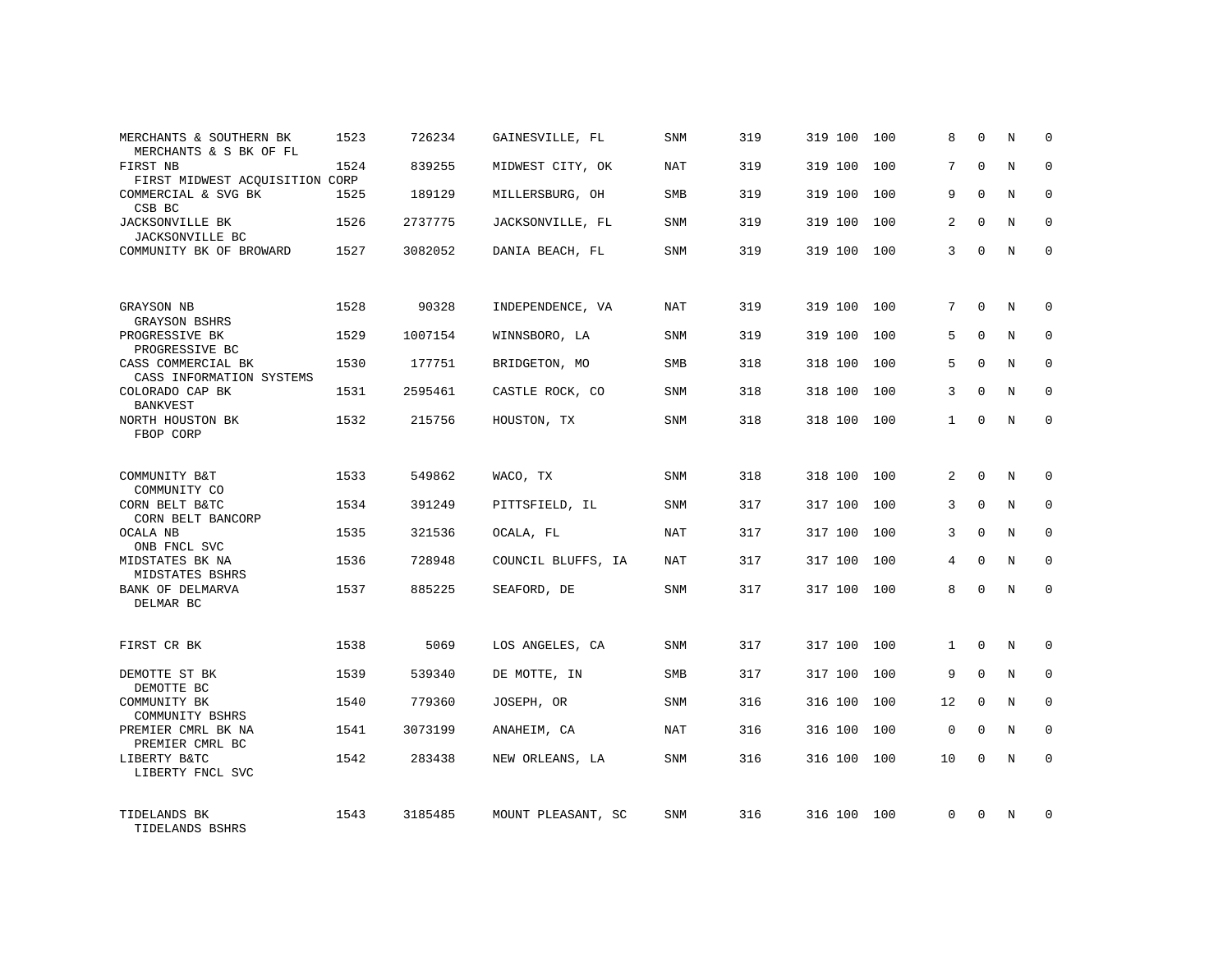| N<br>N<br>N<br>N<br>N<br>N<br>N<br>N<br>N | $\Omega$<br>$\mathbf 0$<br>$\Omega$<br>$\Omega$<br>$\Omega$<br>$\mathbf 0$<br>$\Omega$<br>$\mathbf 0$<br>$\Omega$ |
|-------------------------------------------|-------------------------------------------------------------------------------------------------------------------|
|                                           |                                                                                                                   |
|                                           |                                                                                                                   |
|                                           |                                                                                                                   |
|                                           |                                                                                                                   |
|                                           |                                                                                                                   |
|                                           |                                                                                                                   |
|                                           |                                                                                                                   |
|                                           |                                                                                                                   |
|                                           |                                                                                                                   |
|                                           |                                                                                                                   |
|                                           |                                                                                                                   |
| N                                         | $\Omega$                                                                                                          |
| N                                         | $\mathbf 0$                                                                                                       |
| N                                         | $\mathbf 0$                                                                                                       |
| N                                         | $\mathbf 0$                                                                                                       |
| N                                         | $\mathbf 0$                                                                                                       |
|                                           |                                                                                                                   |
| N                                         | $\mathbf 0$                                                                                                       |
| N                                         | $\mathbf 0$                                                                                                       |
| N                                         | $\mathbf 0$                                                                                                       |
| N                                         | $\mathbf 0$                                                                                                       |
| N                                         | $\mathbf 0$                                                                                                       |
| N                                         | $\mathbf 0$                                                                                                       |
|                                           |                                                                                                                   |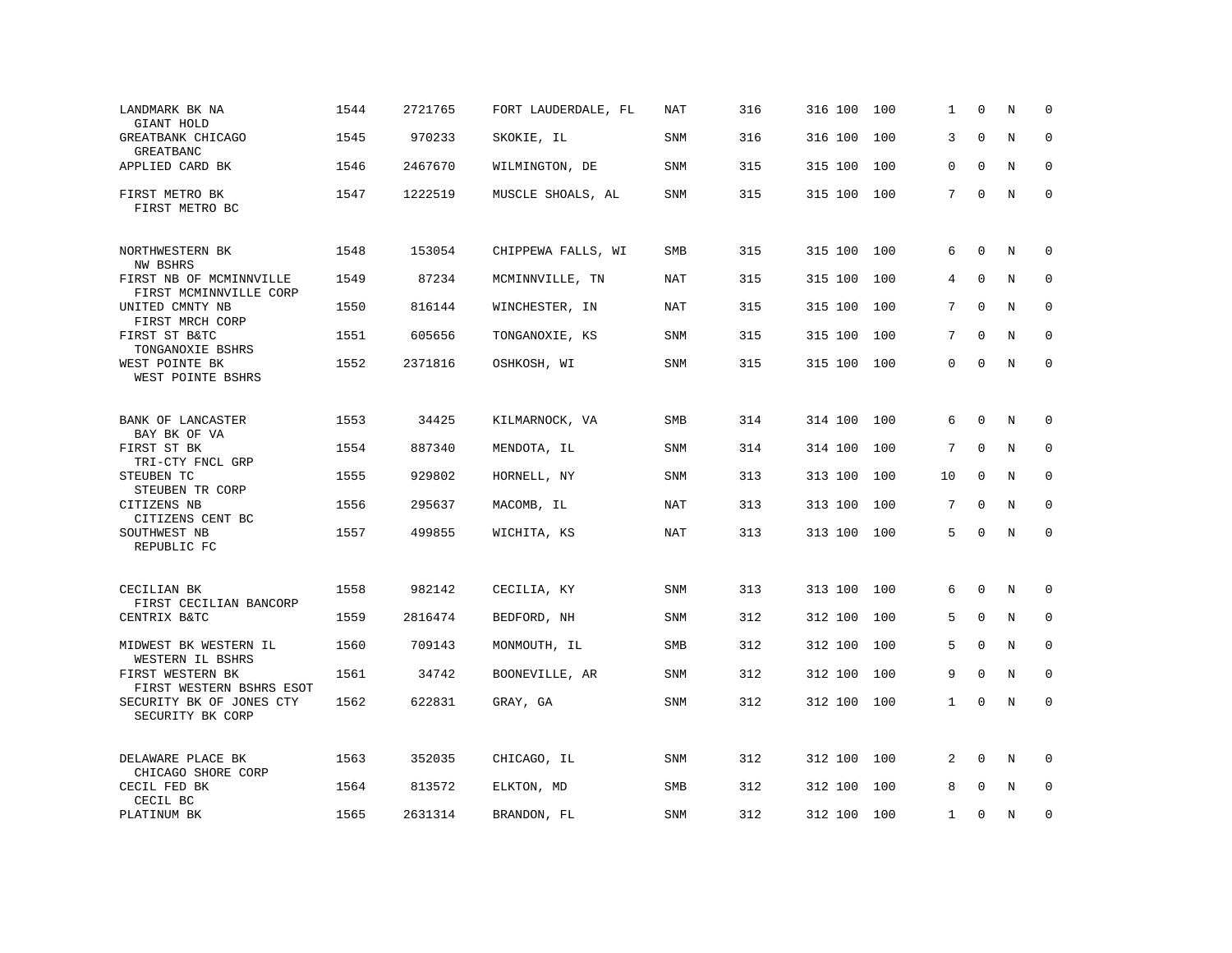| LANDMARK BK NA<br>GIANT HOLD                      | 1544 | 2721765 | FORT LAUDERDALE, FL | NAT        | 316 | 316 100 | 100 | 1            | $\Omega$     | N       | $\Omega$    |
|---------------------------------------------------|------|---------|---------------------|------------|-----|---------|-----|--------------|--------------|---------|-------------|
| GREATBANK CHICAGO<br>GREATBANC                    | 1545 | 970233  | SKOKIE, IL          | SNM        | 316 | 316 100 | 100 | 3            | $\Omega$     | N       | $\Omega$    |
| APPLIED CARD BK                                   | 1546 | 2467670 | WILMINGTON, DE      | SNM        | 315 | 315 100 | 100 | $\Omega$     | $\Omega$     | N       | $\Omega$    |
| FIRST METRO BK<br>FIRST METRO BC                  | 1547 | 1222519 | MUSCLE SHOALS, AL   | SNM        | 315 | 315 100 | 100 | 7            | $\Omega$     | $\rm N$ | $\mathbf 0$ |
| NORTHWESTERN BK<br>NW BSHRS                       | 1548 | 153054  | CHIPPEWA FALLS, WI  | <b>SMB</b> | 315 | 315 100 | 100 | 6            | 0            | N       | 0           |
| FIRST NB OF MCMINNVILLE<br>FIRST MCMINNVILLE CORP | 1549 | 87234   | MCMINNVILLE, TN     | <b>NAT</b> | 315 | 315 100 | 100 | 4            | $\mathbf 0$  | N       | $\mathbf 0$ |
| UNITED CMNTY NB<br>FIRST MRCH CORP                | 1550 | 816144  | WINCHESTER, IN      | NAT        | 315 | 315 100 | 100 | $7^{\circ}$  | $\Omega$     | N       | $\mathbf 0$ |
| FIRST ST B&TC<br>TONGANOXIE BSHRS                 | 1551 | 605656  | TONGANOXIE, KS      | SNM        | 315 | 315 100 | 100 | 7            | $\Omega$     | N       | $\mathbf 0$ |
| WEST POINTE BK<br>WEST POINTE BSHRS               | 1552 | 2371816 | OSHKOSH, WI         | SNM        | 315 | 315 100 | 100 | 0            | $\mathbf{0}$ | N       | $\mathbf 0$ |
| BANK OF LANCASTER                                 | 1553 | 34425   | KILMARNOCK, VA      | <b>SMB</b> | 314 | 314 100 | 100 | 6            | $\Omega$     | N       | 0           |
| BAY BK OF VA<br>FIRST ST BK<br>TRI-CTY FNCL GRP   | 1554 | 887340  | MENDOTA, IL         | SNM        | 314 | 314 100 | 100 | 7            | $\Omega$     | N       | $\mathbf 0$ |
| STEUBEN TC<br>STEUBEN TR CORP                     | 1555 | 929802  | HORNELL, NY         | SNM        | 313 | 313 100 | 100 | 10           | $\mathbf 0$  | N       | $\mathbf 0$ |
| CITIZENS NB<br>CITIZENS CENT BC                   | 1556 | 295637  | MACOMB, IL          | NAT        | 313 | 313 100 | 100 | 7            | $\Omega$     | N       | $\mathbf 0$ |
| SOUTHWEST NB<br>REPUBLIC FC                       | 1557 | 499855  | WICHITA, KS         | NAT        | 313 | 313 100 | 100 | 5            | $\Omega$     | N       | $\mathbf 0$ |
| CECILIAN BK<br>FIRST CECILIAN BANCORP             | 1558 | 982142  | CECILIA, KY         | SNM        | 313 | 313 100 | 100 | 6            | $\mathbf 0$  | N       | 0           |
| CENTRIX B&TC                                      | 1559 | 2816474 | BEDFORD, NH         | SNM        | 312 | 312 100 | 100 | 5            | $\mathbf 0$  | N       | $\mathbf 0$ |
| MIDWEST BK WESTERN IL<br>WESTERN IL BSHRS         | 1560 | 709143  | MONMOUTH, IL        | <b>SMB</b> | 312 | 312 100 | 100 | 5            | $\Omega$     | N       | $\mathbf 0$ |
| FIRST WESTERN BK<br>FIRST WESTERN BSHRS ESOT      | 1561 | 34742   | BOONEVILLE, AR      | SNM        | 312 | 312 100 | 100 | 9            | $\Omega$     | N       | $\mathbf 0$ |
| SECURITY BK OF JONES CTY<br>SECURITY BK CORP      | 1562 | 622831  | GRAY, GA            | SNM        | 312 | 312 100 | 100 | $\mathbf{1}$ | $\mathbf 0$  | N       | $\mathbf 0$ |
| DELAWARE PLACE BK<br>CHICAGO SHORE CORP           | 1563 | 352035  | CHICAGO, IL         | SNM        | 312 | 312 100 | 100 | 2            | $\mathbf 0$  | N       | $\mathbf 0$ |
| CECIL FED BK<br>CECIL BC                          | 1564 | 813572  | ELKTON, MD          | <b>SMB</b> | 312 | 312 100 | 100 | 8            | $\Omega$     | N       | $\Omega$    |
| PLATINUM BK                                       | 1565 | 2631314 | BRANDON, FL         | SNM        | 312 | 312 100 | 100 | $\mathbf{1}$ | $\mathbf 0$  | N       | $\mathbf 0$ |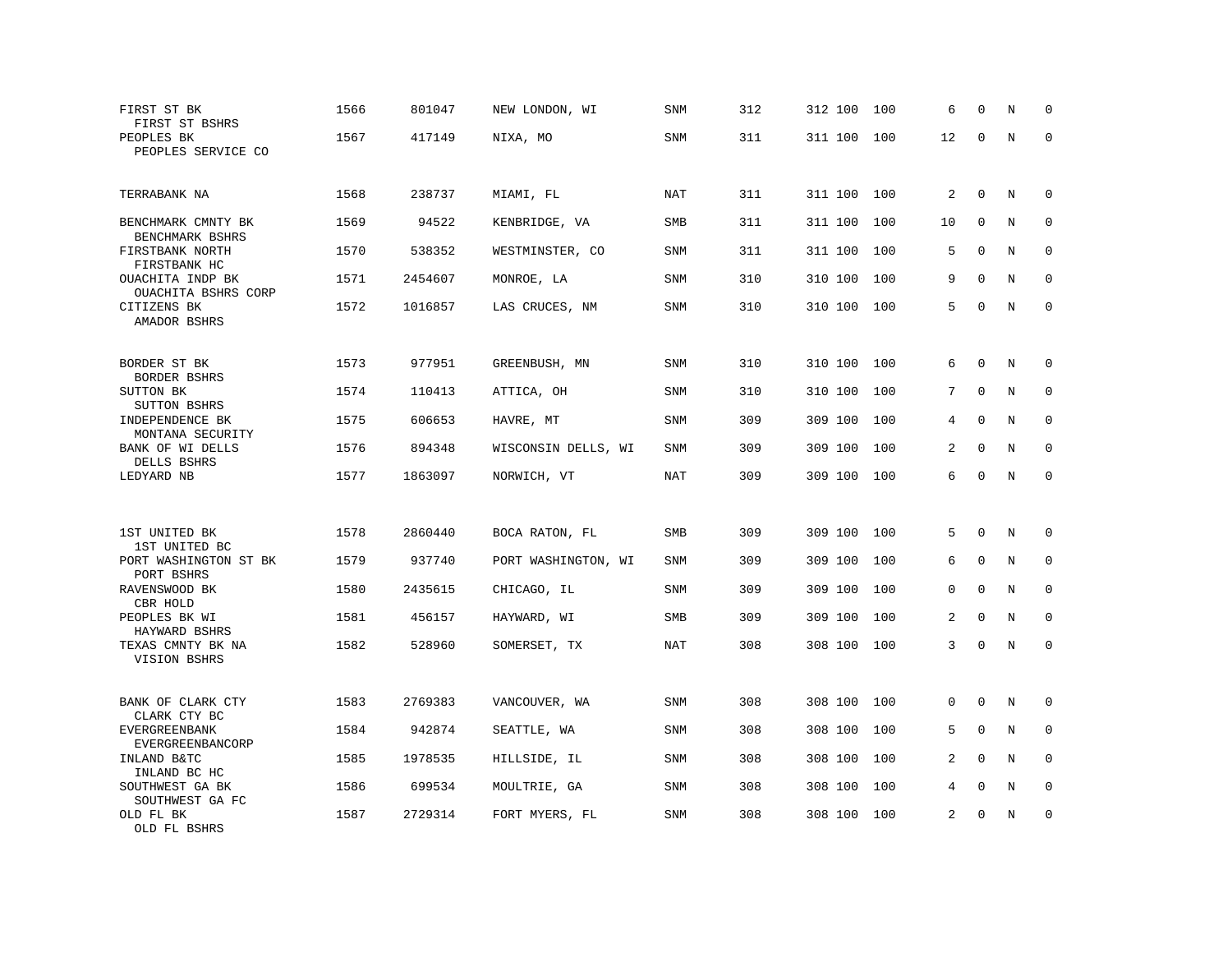| FIRST ST BK<br>FIRST ST BSHRS                      | 1566 | 801047  | NEW LONDON, WI      | <b>SNM</b> | 312 | 312 100 | 100 | 6  | $\Omega$    | N | $\mathbf 0$  |
|----------------------------------------------------|------|---------|---------------------|------------|-----|---------|-----|----|-------------|---|--------------|
| PEOPLES BK<br>PEOPLES SERVICE CO                   | 1567 | 417149  | NIXA, MO            | <b>SNM</b> | 311 | 311 100 | 100 | 12 | $\mathbf 0$ | N | $\mathbf 0$  |
| TERRABANK NA                                       | 1568 | 238737  | MIAMI, FL           | NAT        | 311 | 311 100 | 100 | 2  | $\mathbf 0$ | N | $\mathbf 0$  |
| BENCHMARK CMNTY BK                                 | 1569 | 94522   | KENBRIDGE, VA       | SMB        | 311 | 311 100 | 100 | 10 | $\mathbf 0$ | N | $\mathbf 0$  |
| BENCHMARK BSHRS<br>FIRSTBANK NORTH<br>FIRSTBANK HC | 1570 | 538352  | WESTMINSTER, CO     | <b>SNM</b> | 311 | 311 100 | 100 | 5  | $\Omega$    | N | $\mathbf 0$  |
| OUACHITA INDP BK<br>OUACHITA BSHRS CORP            | 1571 | 2454607 | MONROE, LA          | <b>SNM</b> | 310 | 310 100 | 100 | 9  | $\Omega$    | N | $\mathbf 0$  |
| CITIZENS BK<br>AMADOR BSHRS                        | 1572 | 1016857 | LAS CRUCES, NM      | SNM        | 310 | 310 100 | 100 | 5  | $\Omega$    | N | $\mathbf 0$  |
|                                                    |      |         |                     |            |     |         |     |    |             |   |              |
| BORDER ST BK<br>BORDER BSHRS                       | 1573 | 977951  | GREENBUSH, MN       | SNM        | 310 | 310 100 | 100 | 6  | $\mathbf 0$ | N | 0            |
| SUTTON BK<br>SUTTON BSHRS                          | 1574 | 110413  | ATTICA, OH          | <b>SNM</b> | 310 | 310 100 | 100 | 7  | $\mathbf 0$ | N | $\mathbf 0$  |
| INDEPENDENCE BK<br>MONTANA SECURITY                | 1575 | 606653  | HAVRE, MT           | SNM        | 309 | 309 100 | 100 | 4  | $\mathbf 0$ | N | $\mathbf 0$  |
| BANK OF WI DELLS<br>DELLS BSHRS                    | 1576 | 894348  | WISCONSIN DELLS, WI | SNM        | 309 | 309 100 | 100 | 2  | $\Omega$    | N | $\Omega$     |
| LEDYARD NB                                         | 1577 | 1863097 | NORWICH, VT         | <b>NAT</b> | 309 | 309 100 | 100 | 6  | $\mathbf 0$ | N | $\mathbf 0$  |
|                                                    |      |         |                     |            |     |         |     |    |             |   |              |
| 1ST UNITED BK<br>1ST UNITED BC                     | 1578 | 2860440 | BOCA RATON, FL      | SMB        | 309 | 309 100 | 100 | 5  | $\Omega$    | Ν | 0            |
| PORT WASHINGTON ST BK<br>PORT BSHRS                | 1579 | 937740  | PORT WASHINGTON, WI | <b>SNM</b> | 309 | 309 100 | 100 | 6  | $\Omega$    | N | $\mathbf 0$  |
| RAVENSWOOD BK<br>CBR HOLD                          | 1580 | 2435615 | CHICAGO, IL         | <b>SNM</b> | 309 | 309 100 | 100 | 0  | $\Omega$    | N | $\mathbf 0$  |
| PEOPLES BK WI<br>HAYWARD BSHRS                     | 1581 | 456157  | HAYWARD, WI         | <b>SMB</b> | 309 | 309 100 | 100 | 2  | $\mathbf 0$ | N | $\mathbf{0}$ |
| TEXAS CMNTY BK NA<br>VISION BSHRS                  | 1582 | 528960  | SOMERSET, TX        | <b>NAT</b> | 308 | 308 100 | 100 | 3  | $\mathbf 0$ | N | $\mathbf 0$  |
| BANK OF CLARK CTY                                  | 1583 | 2769383 | VANCOUVER, WA       | SNM        | 308 | 308 100 | 100 | 0  | $\Omega$    | N | 0            |
| CLARK CTY BC<br><b>EVERGREENBANK</b>               | 1584 | 942874  | SEATTLE, WA         | SNM        | 308 | 308 100 | 100 | 5  | $\mathbf 0$ | N | 0            |
| EVERGREENBANCORP<br>INLAND B&TC                    | 1585 | 1978535 | HILLSIDE, IL        | SNM        | 308 | 308 100 | 100 | 2  | $\Omega$    | N | $\Omega$     |
| INLAND BC HC<br>SOUTHWEST GA BK<br>SOUTHWEST GA FC | 1586 | 699534  | MOULTRIE, GA        | SNM        | 308 | 308 100 | 100 | 4  | $\mathbf 0$ | Ν | 0            |
| OLD FL BK<br>OLD FL BSHRS                          | 1587 | 2729314 | FORT MYERS, FL      | <b>SNM</b> | 308 | 308 100 | 100 | 2  | $\mathbf 0$ | N | $\mathbf 0$  |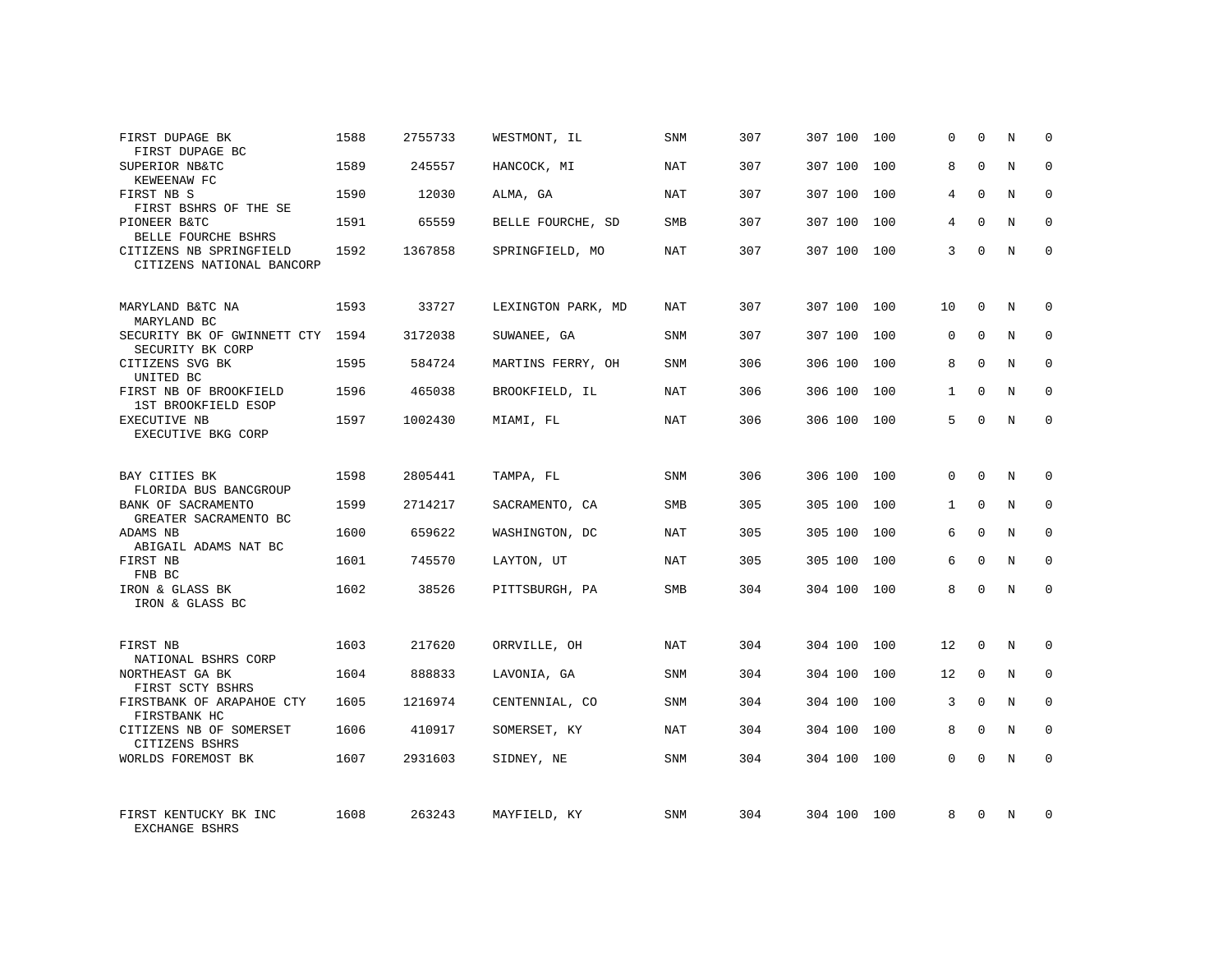| FIRST DUPAGE BK<br>FIRST DUPAGE BC                   | 1588 | 2755733 | WESTMONT, IL       | <b>SNM</b> | 307 | 307 100 | 100 | 0            | $\mathbf 0$ | N | 0            |
|------------------------------------------------------|------|---------|--------------------|------------|-----|---------|-----|--------------|-------------|---|--------------|
| SUPERIOR NB&TC<br>KEWEENAW FC                        | 1589 | 245557  | HANCOCK, MI        | NAT        | 307 | 307 100 | 100 | 8            | $\Omega$    | N | $\Omega$     |
| FIRST NB S<br>FIRST BSHRS OF THE SE                  | 1590 | 12030   | ALMA, GA           | <b>NAT</b> | 307 | 307 100 | 100 | 4            | $\Omega$    | N | $\mathbf 0$  |
| PIONEER B&TC<br>BELLE FOURCHE BSHRS                  | 1591 | 65559   | BELLE FOURCHE, SD  | <b>SMB</b> | 307 | 307 100 | 100 | 4            | $\Omega$    | N | $\mathbf 0$  |
| CITIZENS NB SPRINGFIELD<br>CITIZENS NATIONAL BANCORP | 1592 | 1367858 | SPRINGFIELD, MO    | <b>NAT</b> | 307 | 307 100 | 100 | 3            | $\Omega$    | N | $\Omega$     |
| MARYLAND B&TC NA<br>MARYLAND BC                      | 1593 | 33727   | LEXINGTON PARK, MD | NAT        | 307 | 307 100 | 100 | 10           | $\Omega$    | N | $\Omega$     |
| SECURITY BK OF GWINNETT CTY 1594<br>SECURITY BK CORP |      | 3172038 | SUWANEE, GA        | SNM        | 307 | 307 100 | 100 | 0            | $\mathbf 0$ | N | $\mathbf 0$  |
| CITIZENS SVG BK<br>UNITED BC                         | 1595 | 584724  | MARTINS FERRY, OH  | <b>SNM</b> | 306 | 306 100 | 100 | 8            | $\Omega$    | N | $\mathbf 0$  |
| FIRST NB OF BROOKFIELD<br>1ST BROOKFIELD ESOP        | 1596 | 465038  | BROOKFIELD, IL     | NAT        | 306 | 306 100 | 100 | $\mathbf{1}$ | $\Omega$    | N | $\mathbf 0$  |
| EXECUTIVE NB<br>EXECUTIVE BKG CORP                   | 1597 | 1002430 | MIAMI, FL          | NAT        | 306 | 306 100 | 100 | 5.           | $\Omega$    | N | $\mathbf 0$  |
| BAY CITIES BK<br>FLORIDA BUS BANCGROUP               | 1598 | 2805441 | TAMPA, FL          | <b>SNM</b> | 306 | 306 100 | 100 | $\Omega$     | $\Omega$    | N | 0            |
| BANK OF SACRAMENTO<br>GREATER SACRAMENTO BC          | 1599 | 2714217 | SACRAMENTO, CA     | <b>SMB</b> | 305 | 305 100 | 100 | $\mathbf{1}$ | $\Omega$    | N | $\mathbf 0$  |
| ADAMS NB<br>ABIGAIL ADAMS NAT BC                     | 1600 | 659622  | WASHINGTON, DC     | <b>NAT</b> | 305 | 305 100 | 100 | 6            | $\Omega$    | N | $\mathbf 0$  |
| FIRST NB<br>FNB BC                                   | 1601 | 745570  | LAYTON, UT         | NAT        | 305 | 305 100 | 100 | 6            | $\Omega$    | N | $\mathbf 0$  |
| IRON & GLASS BK<br>IRON & GLASS BC                   | 1602 | 38526   | PITTSBURGH, PA     | SMB        | 304 | 304 100 | 100 | 8            | $\Omega$    | N | $\mathbf 0$  |
| FIRST NB<br>NATIONAL BSHRS CORP                      | 1603 | 217620  | ORRVILLE, OH       | <b>NAT</b> | 304 | 304 100 | 100 | 12           | 0           | N | $\mathbf 0$  |
| NORTHEAST GA BK<br>FIRST SCTY BSHRS                  | 1604 | 888833  | LAVONIA, GA        | SNM        | 304 | 304 100 | 100 | 12           | 0           | N | $\mathbf 0$  |
| FIRSTBANK OF ARAPAHOE CTY<br>FIRSTBANK HC            | 1605 | 1216974 | CENTENNIAL, CO     | SNM        | 304 | 304 100 | 100 | 3            | $\Omega$    | N | $\mathbf{0}$ |
| CITIZENS NB OF SOMERSET<br>CITIZENS BSHRS            | 1606 | 410917  | SOMERSET, KY       | NAT        | 304 | 304 100 | 100 | 8            | $\mathbf 0$ | N | $\mathbf 0$  |
| WORLDS FOREMOST BK                                   | 1607 | 2931603 | SIDNEY, NE         | SNM        | 304 | 304 100 | 100 | $\Omega$     | $\Omega$    | N | $\Omega$     |
| FIRST KENTUCKY BK INC<br>EXCHANGE BSHRS              | 1608 | 263243  | MAYFIELD, KY       | SNM        | 304 | 304 100 | 100 | 8            | $\Omega$    | N | $\Omega$     |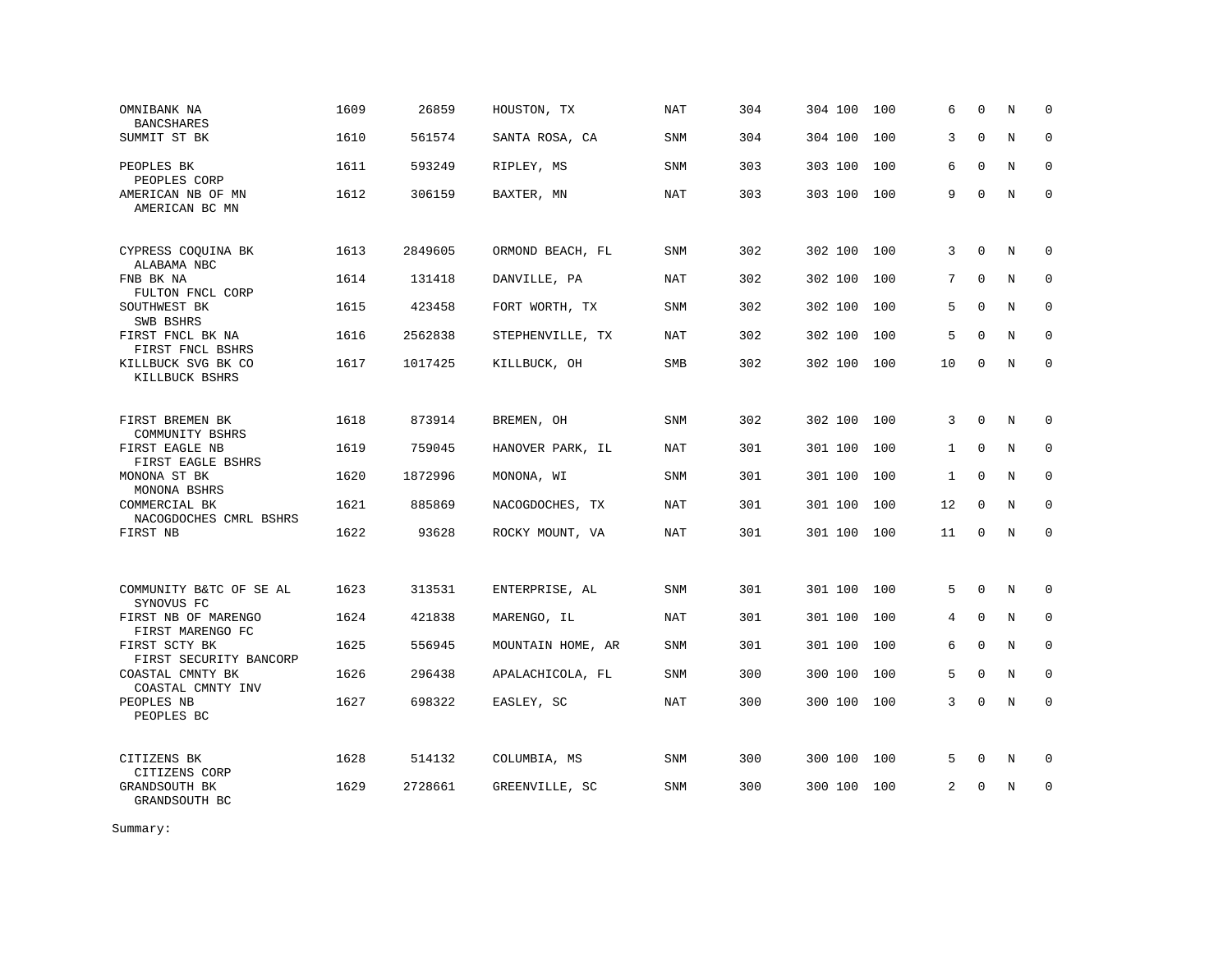| OMNIBANK NA<br><b>BANCSHARES</b>        | 1609 | 26859   | HOUSTON, TX       | NAT        | 304 | 304 100 | 100 | 6            | $\mathbf 0$  | N | 0            |
|-----------------------------------------|------|---------|-------------------|------------|-----|---------|-----|--------------|--------------|---|--------------|
| SUMMIT ST BK                            | 1610 | 561574  | SANTA ROSA, CA    | <b>SNM</b> | 304 | 304 100 | 100 | 3            | $\Omega$     | N | $\mathbf 0$  |
| PEOPLES BK<br>PEOPLES CORP              | 1611 | 593249  | RIPLEY, MS        | <b>SNM</b> | 303 | 303 100 | 100 | 6            | $\mathbf{0}$ | N | $\mathbf{0}$ |
| AMERICAN NB OF MN<br>AMERICAN BC MN     | 1612 | 306159  | BAXTER, MN        | <b>NAT</b> | 303 | 303 100 | 100 | 9            | $\mathbf 0$  | N | $\mathbf 0$  |
| CYPRESS COQUINA BK<br>ALABAMA NBC       | 1613 | 2849605 | ORMOND BEACH, FL  | SNM        | 302 | 302 100 | 100 | 3            | $\mathbf 0$  | N | 0            |
| FNB BK NA<br>FULTON FNCL CORP           | 1614 | 131418  | DANVILLE, PA      | NAT        | 302 | 302 100 | 100 | 7            | $\Omega$     | N | $\mathbf 0$  |
| SOUTHWEST BK<br>SWB BSHRS               | 1615 | 423458  | FORT WORTH, TX    | <b>SNM</b> | 302 | 302 100 | 100 | 5            | $\mathbf 0$  | N | $\mathbf 0$  |
| FIRST FNCL BK NA<br>FIRST FNCL BSHRS    | 1616 | 2562838 | STEPHENVILLE, TX  | NAT        | 302 | 302 100 | 100 | 5            | $\Omega$     | N | $\mathbf 0$  |
| KILLBUCK SVG BK CO<br>KILLBUCK BSHRS    | 1617 | 1017425 | KILLBUCK, OH      | SMB        | 302 | 302 100 | 100 | 10           | $\Omega$     | N | $\Omega$     |
| FIRST BREMEN BK<br>COMMUNITY BSHRS      | 1618 | 873914  | BREMEN, OH        | SNM        | 302 | 302 100 | 100 | 3            | $\mathbf 0$  | N | $\mathbf 0$  |
| FIRST EAGLE NB<br>FIRST EAGLE BSHRS     | 1619 | 759045  | HANOVER PARK, IL  | <b>NAT</b> | 301 | 301 100 | 100 | $\mathbf{1}$ | $\Omega$     | N | $\mathbf 0$  |
| MONONA ST BK<br>MONONA BSHRS            | 1620 | 1872996 | MONONA, WI        | SNM        | 301 | 301 100 | 100 | $\mathbf{1}$ | $\mathbf 0$  | N | $\mathbf 0$  |
| COMMERCIAL BK<br>NACOGDOCHES CMRL BSHRS | 1621 | 885869  | NACOGDOCHES, TX   | <b>NAT</b> | 301 | 301 100 | 100 | 12           | $\Omega$     | N | $\mathbf 0$  |
| FIRST NB                                | 1622 | 93628   | ROCKY MOUNT, VA   | NAT        | 301 | 301 100 | 100 | 11           | $\mathbf 0$  | N | $\mathbf 0$  |
| COMMUNITY B&TC OF SE AL<br>SYNOVUS FC   | 1623 | 313531  | ENTERPRISE, AL    | SNM        | 301 | 301 100 | 100 | 5            | $\mathbf 0$  | N | $\mathbf 0$  |
| FIRST NB OF MARENGO<br>FIRST MARENGO FC | 1624 | 421838  | MARENGO, IL       | NAT        | 301 | 301 100 | 100 | 4            | $\Omega$     | N | $\mathbf 0$  |
| FIRST SCTY BK<br>FIRST SECURITY BANCORP | 1625 | 556945  | MOUNTAIN HOME, AR | SNM        | 301 | 301 100 | 100 | 6            | $\Omega$     | N | $\Omega$     |
| COASTAL CMNTY BK<br>COASTAL CMNTY INV   | 1626 | 296438  | APALACHICOLA, FL  | SNM        | 300 | 300 100 | 100 | 5            | $\Omega$     | N | $\mathbf 0$  |
| PEOPLES NB<br>PEOPLES BC                | 1627 | 698322  | EASLEY, SC        | <b>NAT</b> | 300 | 300 100 | 100 | 3            | $\Omega$     | N | $\Omega$     |
| CITIZENS BK<br>CITIZENS CORP            | 1628 | 514132  | COLUMBIA, MS      | SNM        | 300 | 300 100 | 100 | 5            | 0            | N | $\mathbf 0$  |
| GRANDSOUTH BK<br>GRANDSOUTH BC          | 1629 | 2728661 | GREENVILLE, SC    | <b>SNM</b> | 300 | 300 100 | 100 | 2            | $\Omega$     | N | $\Omega$     |

Summary: